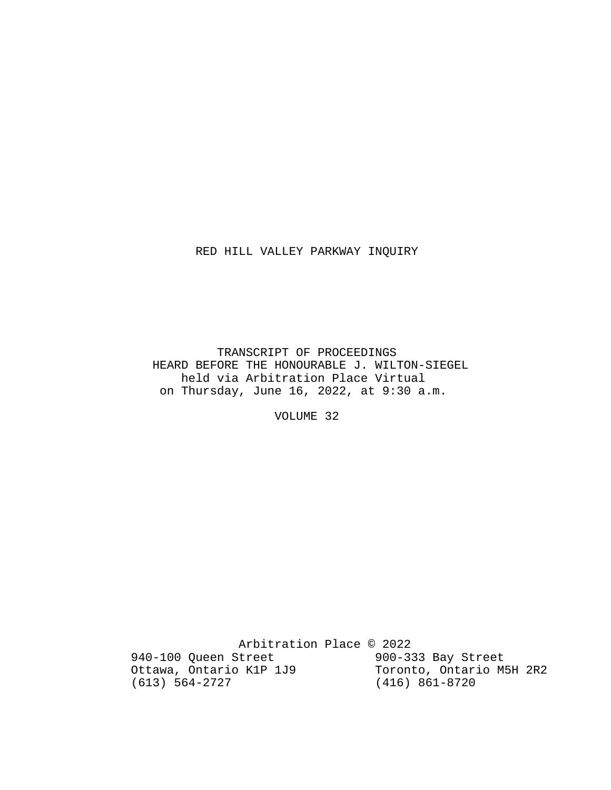### RED HILL VALLEY PARKWAY INQUIRY

 $\sim 10^7$ 

 TRANSCRIPT OF PROCEEDINGS HEARD BEFORE THE HONOURABLE J. WILTON-SIEGEL held via Arbitration Place Virtual on Thursday, June 16, 2022, at 9:30 a.m.

VOLUME 32

Arbitration Place © 2022<br>Street 900-333 Bay Street 940-100 Queen Street 900-333 Bay Street<br>Ottawa, Ontario K1P 1J9 Toronto, Ontario M5H 2R2 Ottawa, Ontario K1P 1J9<br>(613) 564-2727 (416) 861-8720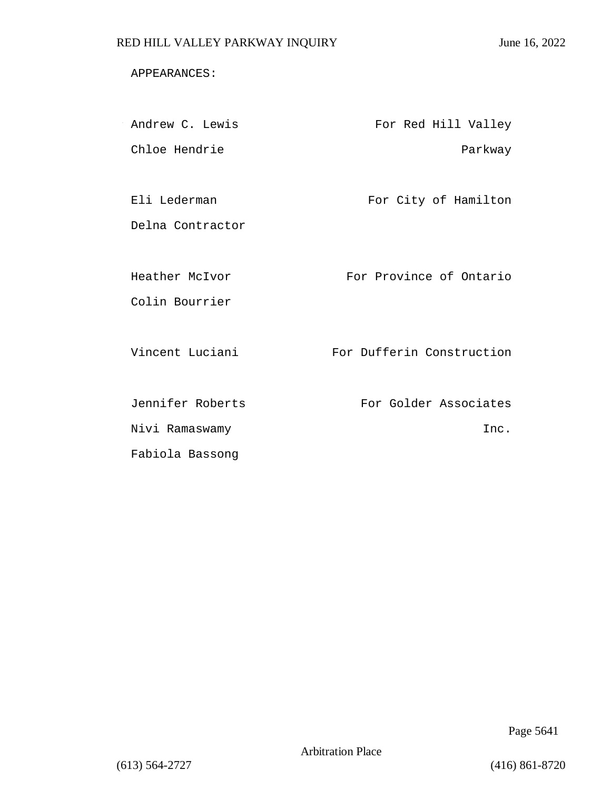### APPEARANCES:

| Andrew C. Lewis  | For Red Hill Valley       |
|------------------|---------------------------|
| Chloe Hendrie    | Parkway                   |
|                  |                           |
| Eli Lederman     | For City of Hamilton      |
| Delna Contractor |                           |
|                  |                           |
| Heather McIvor   | For Province of Ontario   |
| Colin Bourrier   |                           |
|                  |                           |
| Vincent Luciani  | For Dufferin Construction |
|                  |                           |
| Jennifer Roberts | For Golder Associates     |
| Nivi Ramaswamy   | Inc.                      |
| Fabiola Bassong  |                           |

Page 5641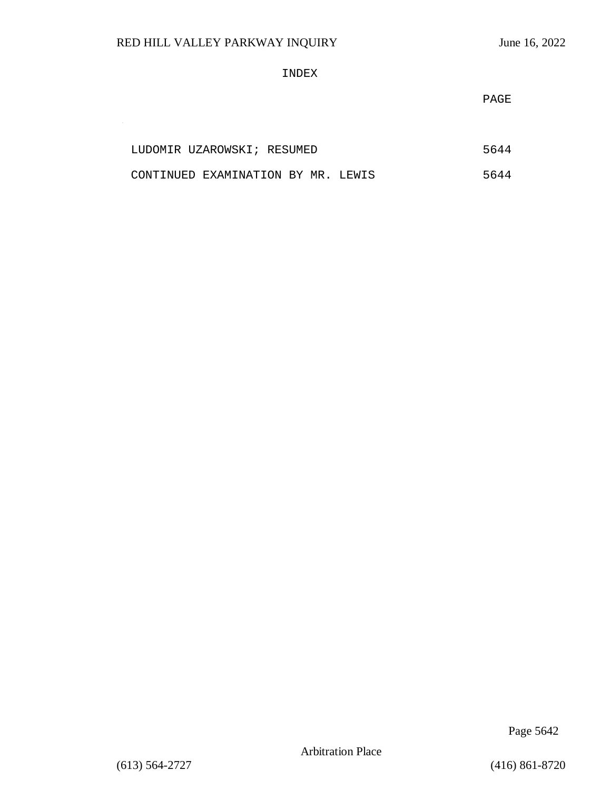$\sim 10^{-1}$ 

### INDEX

PAGE

| LUDOMIR UZAROWSKI; RESUMED         |  | 5644 |  |
|------------------------------------|--|------|--|
| CONTINUED EXAMINATION BY MR. LEWIS |  | 5644 |  |

Page 5642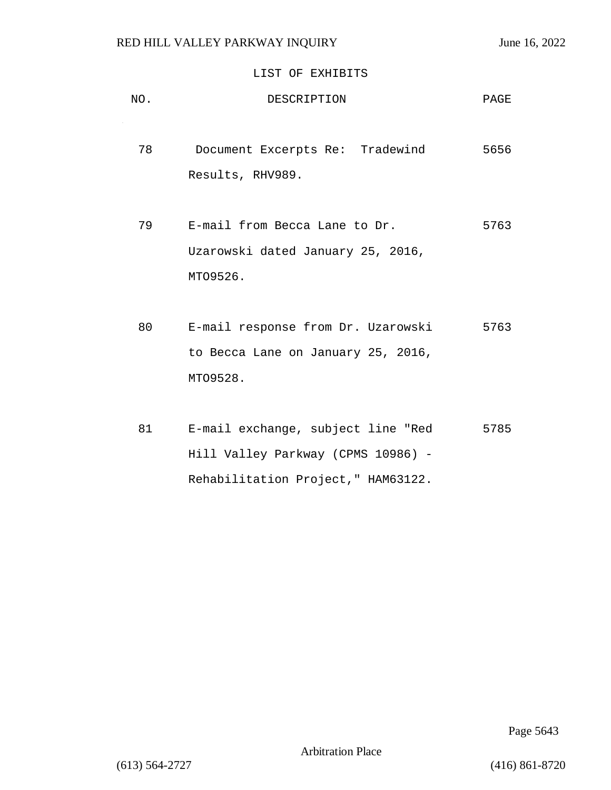$\sim$ 

### LIST OF EXHIBITS

| NO. | DESCRIPTION                                                                          | PAGE |
|-----|--------------------------------------------------------------------------------------|------|
| 78  | Document Excerpts Re: Tradewind<br>Results, RHV989.                                  | 5656 |
| 79  | E-mail from Becca Lane to Dr.<br>Uzarowski dated January 25, 2016,                   | 5763 |
| 80  | MT09526.                                                                             | 5763 |
|     | E-mail response from Dr. Uzarowski<br>to Becca Lane on January 25, 2016,<br>MT09528. |      |

 81 E-mail exchange, subject line "Red 5785 Hill Valley Parkway (CPMS 10986) - Rehabilitation Project," HAM63122.

Page 5643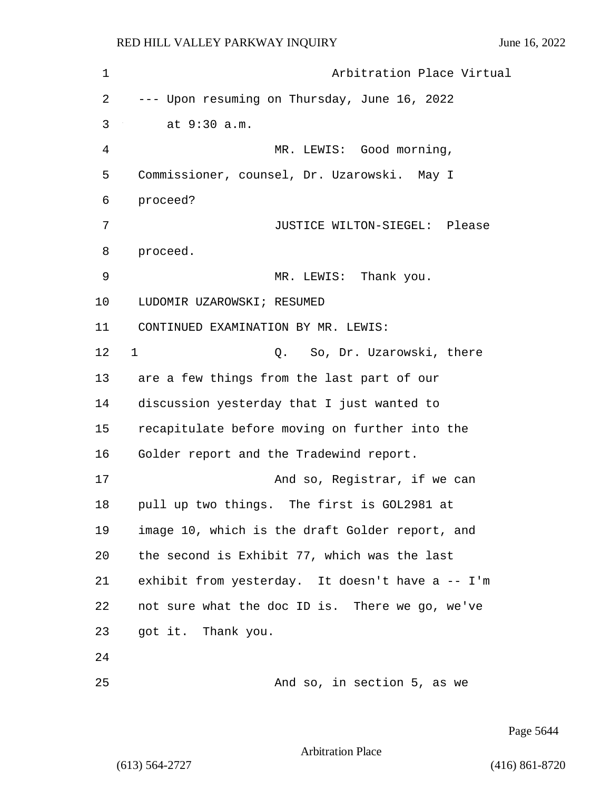1 Arbitration Place Virtual 2 --- Upon resuming on Thursday, June 16, 2022 3 at 9:30 a.m. 4 MR. LEWIS: Good morning, 5 Commissioner, counsel, Dr. Uzarowski. May I 6 proceed? 7 JUSTICE WILTON-SIEGEL: Please 8 proceed. 9 MR. LEWIS: Thank you. 10 LUDOMIR UZAROWSKI; RESUMED 11 CONTINUED EXAMINATION BY MR. LEWIS: 12 1 Q. So, Dr. Uzarowski, there 13 are a few things from the last part of our 14 discussion yesterday that I just wanted to 15 recapitulate before moving on further into the 16 Golder report and the Tradewind report. 17 And so, Registrar, if we can 18 pull up two things. The first is GOL2981 at 19 image 10, which is the draft Golder report, and 20 the second is Exhibit 77, which was the last 21 exhibit from yesterday. It doesn't have a -- I'm 22 not sure what the doc ID is. There we go, we've 23 got it. Thank you. 24 25 And so, in section 5, as we

Page 5644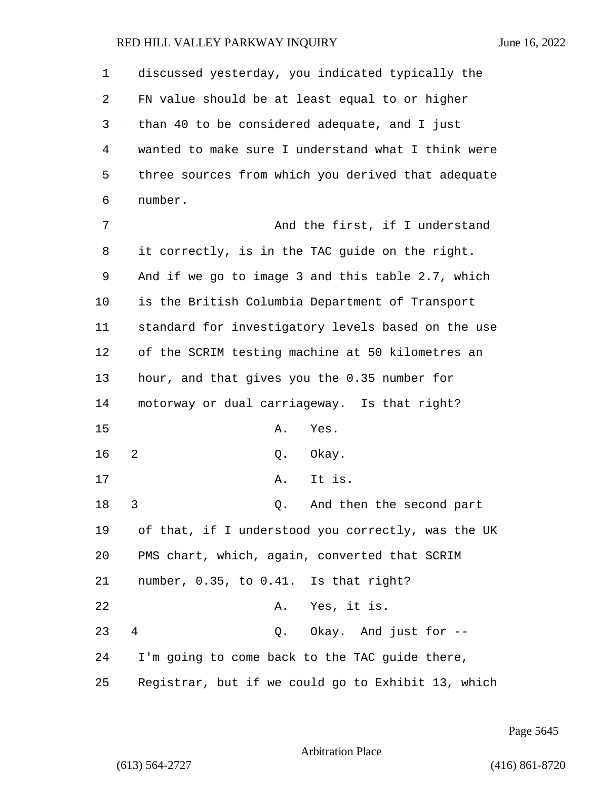| 1  | discussed yesterday, you indicated typically the   |
|----|----------------------------------------------------|
| 2  | FN value should be at least equal to or higher     |
| 3  | than 40 to be considered adequate, and I just      |
| 4  | wanted to make sure I understand what I think were |
| 5  | three sources from which you derived that adequate |
| 6  | number.                                            |
| 7  | And the first, if I understand                     |
| 8  | it correctly, is in the TAC guide on the right.    |
| 9  | And if we go to image 3 and this table 2.7, which  |
| 10 | is the British Columbia Department of Transport    |
| 11 | standard for investigatory levels based on the use |
| 12 | of the SCRIM testing machine at 50 kilometres an   |
| 13 | hour, and that gives you the 0.35 number for       |
| 14 | motorway or dual carriageway. Is that right?       |
| 15 | Α.<br>Yes.                                         |
| 16 | 2<br>Q.<br>Okay.                                   |
| 17 | Α.<br>It is.                                       |
| 18 | 3<br>And then the second part<br>Q.                |
| 19 | of that, if I understood you correctly, was the UK |
| 20 | PMS chart, which, again, converted that SCRIM      |
| 21 | number, 0.35, to 0.41. Is that right?              |
| 22 | A. Yes, it is.                                     |
| 23 | Q. Okay. And just for --<br>4                      |
| 24 | I'm going to come back to the TAC guide there,     |
| 25 | Registrar, but if we could go to Exhibit 13, which |

Page 5645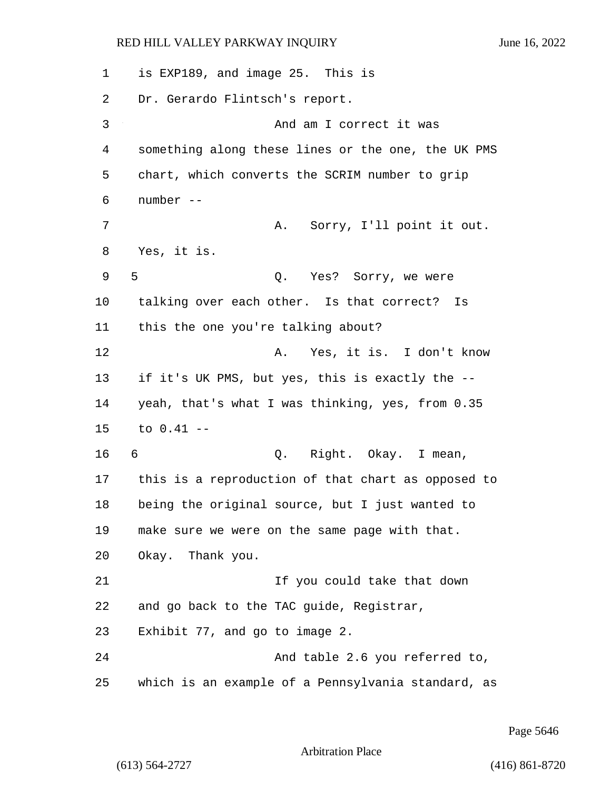1 is EXP189, and image 25. This is 2 Dr. Gerardo Flintsch's report. 3 And am I correct it was 4 something along these lines or the one, the UK PMS 5 chart, which converts the SCRIM number to grip 6 number -- 7 A. Sorry, I'll point it out. 8 Yes, it is. 9 5 2. Yes? Sorry, we were 10 talking over each other. Is that correct? Is 11 this the one you're talking about? 12 A. Yes, it is. I don't know 13 if it's UK PMS, but yes, this is exactly the -- 14 yeah, that's what I was thinking, yes, from 0.35 15 to 0.41 -- 16 6 C. Right. Okay. I mean, 17 this is a reproduction of that chart as opposed to 18 being the original source, but I just wanted to 19 make sure we were on the same page with that. 20 Okay. Thank you. 21 If you could take that down 22 and go back to the TAC guide, Registrar, 23 Exhibit 77, and go to image 2. 24 And table 2.6 you referred to, 25 which is an example of a Pennsylvania standard, as

Page 5646

Arbitration Place

(613) 564-2727 (416) 861-8720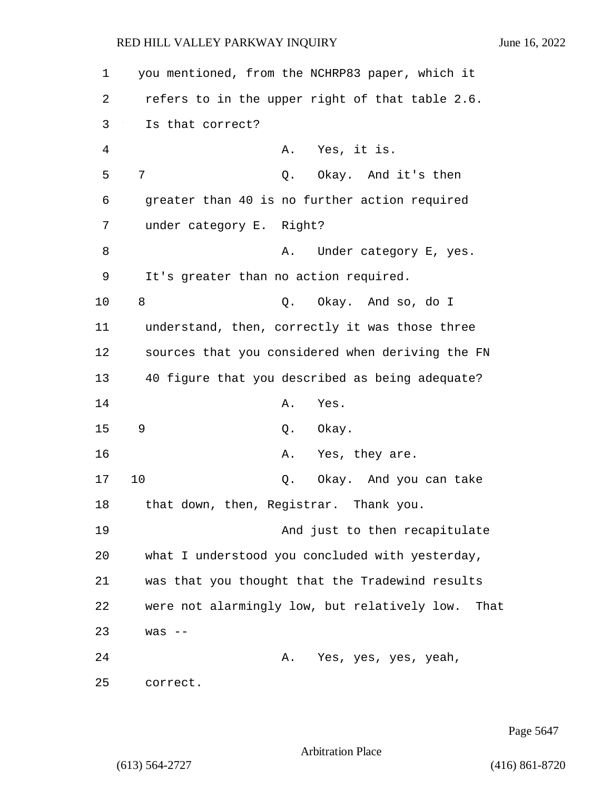| 1  | you mentioned, from the NCHRP83 paper, which it      |
|----|------------------------------------------------------|
| 2  | refers to in the upper right of that table 2.6.      |
| 3  | Is that correct?                                     |
| 4  | A. Yes, it is.                                       |
| 5  | 7<br>Okay. And it's then<br>Q.                       |
| 6  | greater than 40 is no further action required        |
| 7  | under category E. Right?                             |
| 8  | Under category E, yes.<br>Α.                         |
| 9  | It's greater than no action required.                |
| 10 | 8<br>Q. Okay. And so, do I                           |
| 11 | understand, then, correctly it was those three       |
| 12 | sources that you considered when deriving the FN     |
| 13 | 40 figure that you described as being adequate?      |
| 14 | Α.<br>Yes.                                           |
| 15 | 9<br>Q. Okay.                                        |
| 16 | A. Yes, they are.                                    |
| 17 | 10<br>Q.<br>Okay. And you can take                   |
| 18 | that down, then, Registrar. Thank you.               |
| 19 | And just to then recapitulate                        |
| 20 | what I understood you concluded with yesterday,      |
| 21 | was that you thought that the Tradewind results      |
| 22 | were not alarmingly low, but relatively low.<br>That |
| 23 | $was$ --                                             |
| 24 | Yes, yes, yes, yeah,<br>Α.                           |
| 25 | correct.                                             |

Page 5647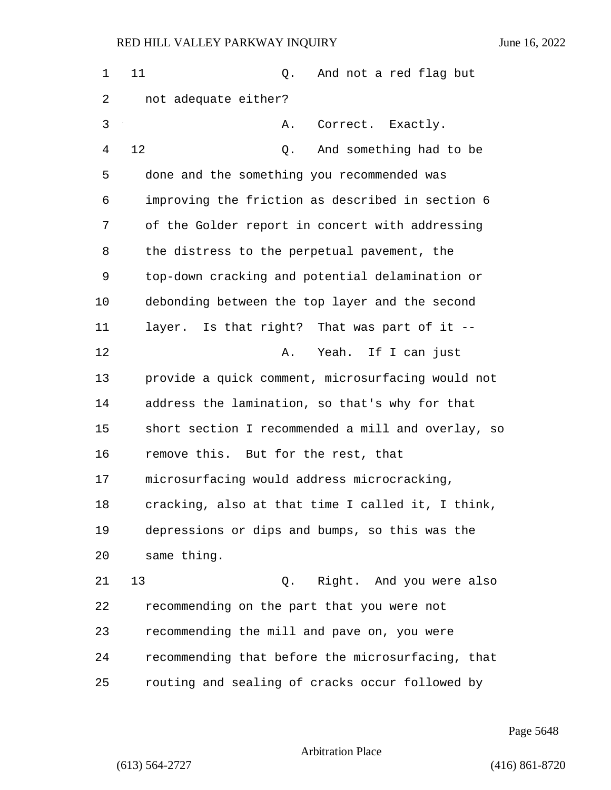1 11 0. And not a red flag but 2 not adequate either? 3 A. Correct. Exactly. 4 12 Q. And something had to be 5 done and the something you recommended was 6 improving the friction as described in section 6 7 of the Golder report in concert with addressing 8 the distress to the perpetual pavement, the 9 top-down cracking and potential delamination or 10 debonding between the top layer and the second 11 layer. Is that right? That was part of it -- 12 A. Yeah. If I can just 13 provide a quick comment, microsurfacing would not 14 address the lamination, so that's why for that 15 short section I recommended a mill and overlay, so 16 remove this. But for the rest, that 17 microsurfacing would address microcracking, 18 cracking, also at that time I called it, I think, 19 depressions or dips and bumps, so this was the 20 same thing. 21 13 Q. Right. And you were also 22 recommending on the part that you were not 23 recommending the mill and pave on, you were 24 recommending that before the microsurfacing, that 25 routing and sealing of cracks occur followed by

Page 5648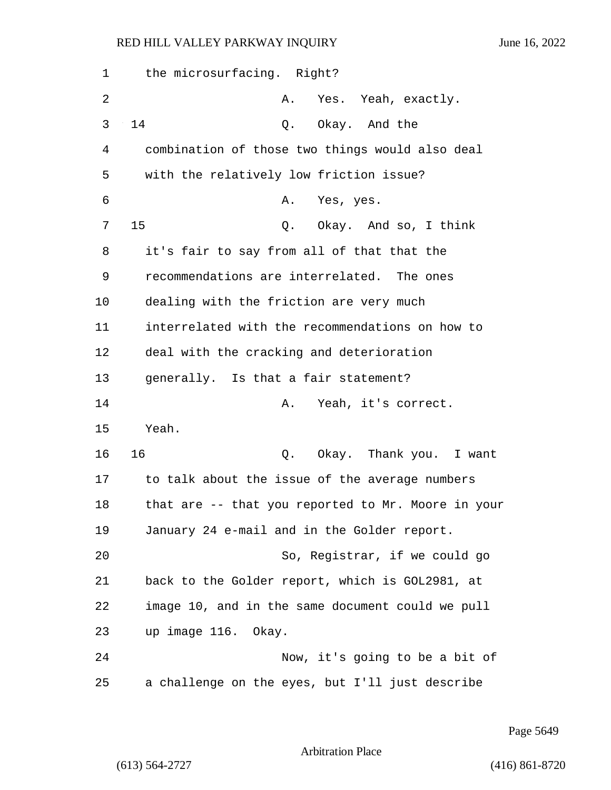| 1  | the microsurfacing. Right?                         |
|----|----------------------------------------------------|
| 2  | Yes. Yeah, exactly.<br>Α.                          |
| 3  | 14<br>Q. Okay. And the                             |
| 4  | combination of those two things would also deal    |
| 5  | with the relatively low friction issue?            |
| 6  | Yes, yes.<br>Α.                                    |
| 7  | 15<br>Q. Okay. And so, I think                     |
| 8  | it's fair to say from all of that that the         |
| 9  | recommendations are interrelated. The ones         |
| 10 | dealing with the friction are very much            |
| 11 | interrelated with the recommendations on how to    |
| 12 | deal with the cracking and deterioration           |
| 13 | generally. Is that a fair statement?               |
| 14 | Yeah, it's correct.<br>Α.                          |
| 15 | Yeah.                                              |
| 16 | 16<br>Q. Okay. Thank you. I want                   |
| 17 | to talk about the issue of the average numbers     |
| 18 | that are -- that you reported to Mr. Moore in your |
| 19 | January 24 e-mail and in the Golder report.        |
| 20 | So, Registrar, if we could go                      |
| 21 | back to the Golder report, which is GOL2981, at    |
| 22 | image 10, and in the same document could we pull   |
| 23 | up image 116. Okay.                                |
| 24 | Now, it's going to be a bit of                     |
| 25 | a challenge on the eyes, but I'll just describe    |

Page 5649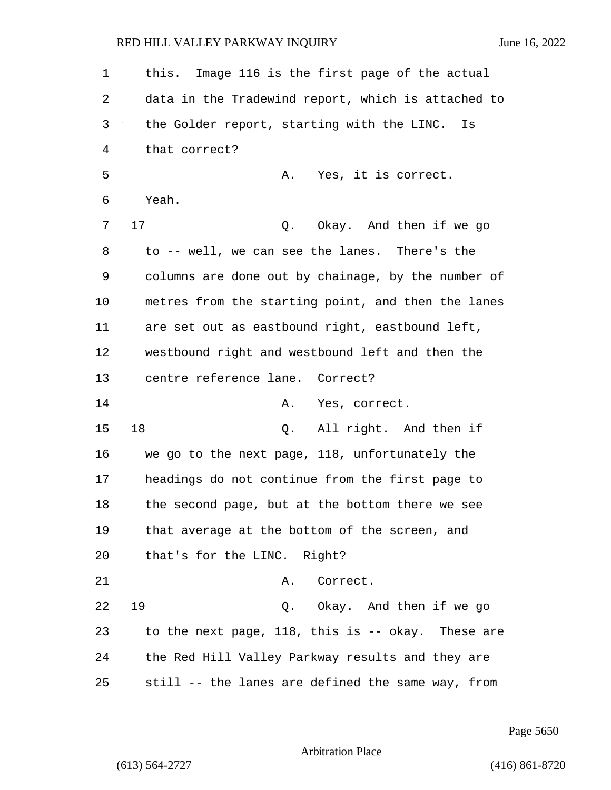1 this. Image 116 is the first page of the actual 2 data in the Tradewind report, which is attached to 3 the Golder report, starting with the LINC. Is 4 that correct? 5 A. Yes, it is correct. 6 Yeah. 7 17 Q. Okay. And then if we go 8 to -- well, we can see the lanes. There's the 9 columns are done out by chainage, by the number of 10 metres from the starting point, and then the lanes 11 are set out as eastbound right, eastbound left, 12 westbound right and westbound left and then the 13 centre reference lane. Correct? 14 A. Yes, correct. 15 18 Q. All right. And then if 16 we go to the next page, 118, unfortunately the 17 headings do not continue from the first page to 18 the second page, but at the bottom there we see 19 that average at the bottom of the screen, and 20 that's for the LINC. Right? 21 A. Correct. 22 19 Q. Okay. And then if we go 23 to the next page, 118, this is -- okay. These are 24 the Red Hill Valley Parkway results and they are 25 still -- the lanes are defined the same way, from

Page 5650

Arbitration Place

(613) 564-2727 (416) 861-8720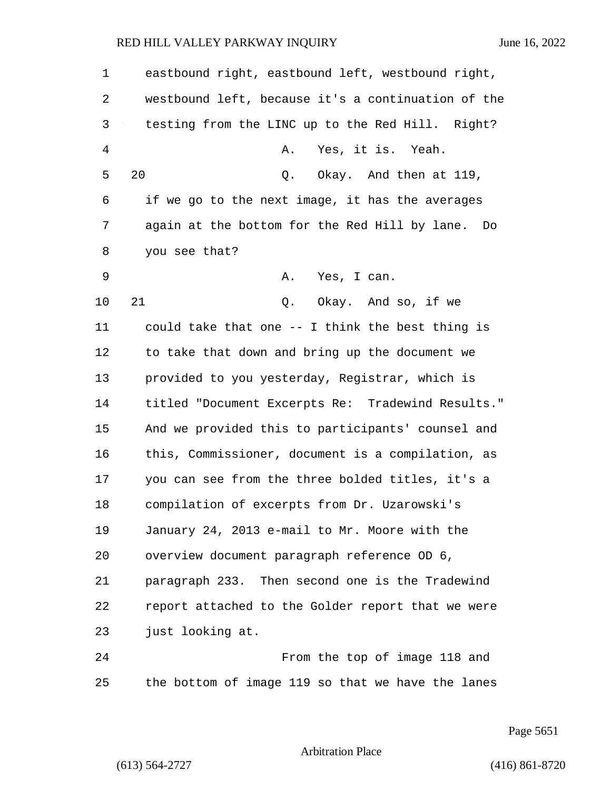| $\mathbf 1$    | eastbound right, eastbound left, westbound right,   |
|----------------|-----------------------------------------------------|
| 2              | westbound left, because it's a continuation of the  |
| 3              | testing from the LINC up to the Red Hill. Right?    |
| $\overline{4}$ | Yes, it is. Yeah.<br>Α.                             |
| 5              | 20<br>Q. Okay. And then at 119,                     |
| 6              | if we go to the next image, it has the averages     |
| 7              | again at the bottom for the Red Hill by lane.<br>Do |
| 8              | you see that?                                       |
| 9              | Α.<br>Yes, I can.                                   |
| 10             | 21<br>Q. Okay. And so, if we                        |
| 11             | could take that one -- I think the best thing is    |
| 12             | to take that down and bring up the document we      |
| 13             | provided to you yesterday, Registrar, which is      |
| 14             | titled "Document Excerpts Re: Tradewind Results."   |
| 15             | And we provided this to participants' counsel and   |
| 16             | this, Commissioner, document is a compilation, as   |
| 17             | you can see from the three bolded titles, it's a    |
| 18             | compilation of excerpts from Dr. Uzarowski's        |
| 19             | January 24, 2013 e-mail to Mr. Moore with the       |
| 20             | overview document paragraph reference OD 6,         |
| 21             | paragraph 233. Then second one is the Tradewind     |
| 22             | report attached to the Golder report that we were   |
| 23             | just looking at.                                    |
| 24             | From the top of image 118 and                       |
| 25             | the bottom of image 119 so that we have the lanes   |

Page 5651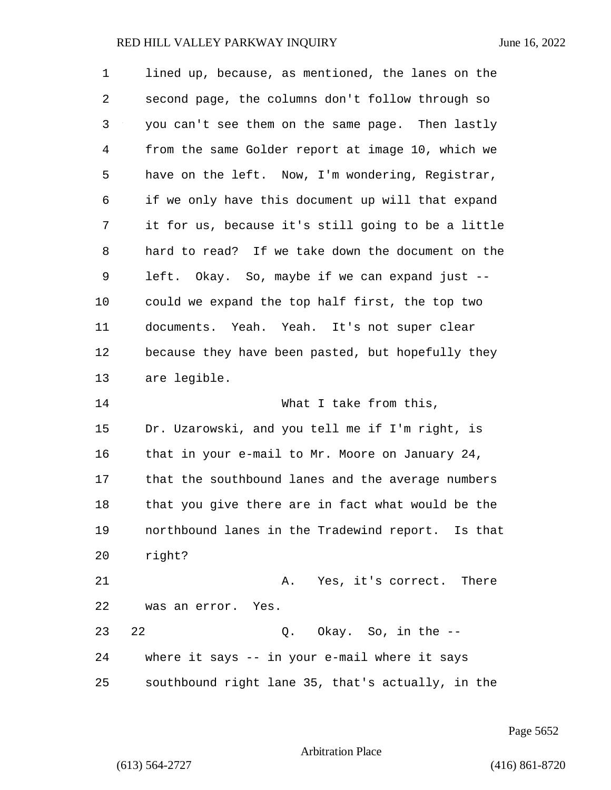| 1  | lined up, because, as mentioned, the lanes on the  |
|----|----------------------------------------------------|
| 2  | second page, the columns don't follow through so   |
| 3  | you can't see them on the same page. Then lastly   |
| 4  | from the same Golder report at image 10, which we  |
| 5  | have on the left. Now, I'm wondering, Registrar,   |
| 6  | if we only have this document up will that expand  |
| 7  | it for us, because it's still going to be a little |
| 8  | hard to read? If we take down the document on the  |
| 9  | left. Okay. So, maybe if we can expand just --     |
| 10 | could we expand the top half first, the top two    |
| 11 | documents. Yeah. Yeah. It's not super clear        |
| 12 | because they have been pasted, but hopefully they  |
| 13 | are legible.                                       |
| 14 | What I take from this,                             |
| 15 | Dr. Uzarowski, and you tell me if I'm right, is    |
| 16 | that in your e-mail to Mr. Moore on January 24,    |
| 17 | that the southbound lanes and the average numbers  |
| 18 | that you give there are in fact what would be the  |
| 19 | northbound lanes in the Tradewind report. Is that  |
| 20 | right?                                             |
| 21 | A. Yes, it's correct. There                        |
| 22 | was an error. Yes.                                 |
| 23 | Q. Okay. So, in the --<br>22                       |
| 24 | where it says -- in your e-mail where it says      |
| 25 | southbound right lane 35, that's actually, in the  |

Page 5652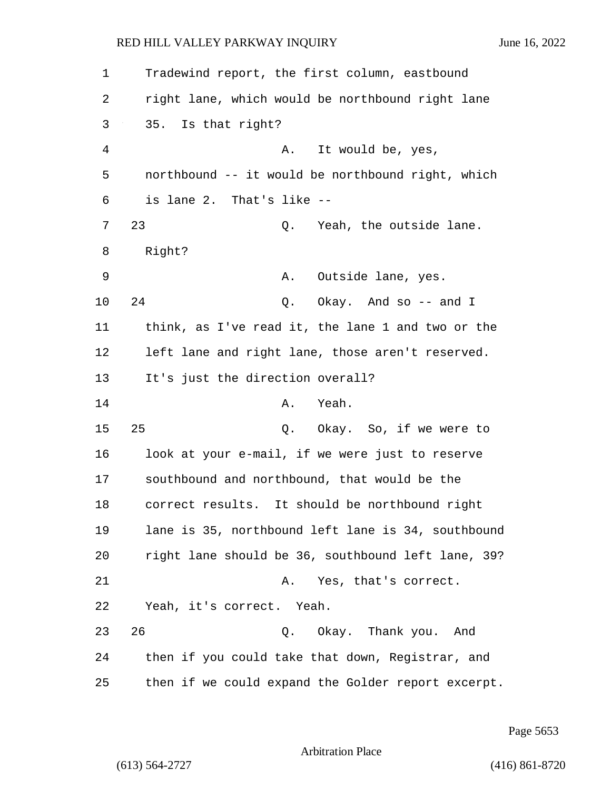| 1  | Tradewind report, the first column, eastbound      |
|----|----------------------------------------------------|
| 2  | right lane, which would be northbound right lane   |
| 3  | 35. Is that right?                                 |
| 4  | It would be, yes,<br>Α.                            |
| 5  | northbound -- it would be northbound right, which  |
| 6  | is lane 2. That's like --                          |
| 7  | 23<br>Yeah, the outside lane.<br>Q.                |
| 8  | Right?                                             |
| 9  | Α.<br>Outside lane, yes.                           |
| 10 | 24<br>Okay. And so -- and I<br>Q.                  |
| 11 | think, as I've read it, the lane 1 and two or the  |
| 12 | left lane and right lane, those aren't reserved.   |
| 13 | It's just the direction overall?                   |
| 14 | Yeah.<br>Α.                                        |
| 15 | 25<br>Q. Okay. So, if we were to                   |
| 16 | look at your e-mail, if we were just to reserve    |
| 17 | southbound and northbound, that would be the       |
| 18 | correct results. It should be northbound right     |
| 19 | lane is 35, northbound left lane is 34, southbound |
| 20 | right lane should be 36, southbound left lane, 39? |
| 21 | Yes, that's correct.<br>Α.                         |
| 22 | Yeah, it's correct. Yeah.                          |
| 23 | 26<br>Q. Okay. Thank you. And                      |
| 24 | then if you could take that down, Registrar, and   |
| 25 | then if we could expand the Golder report excerpt. |

Page 5653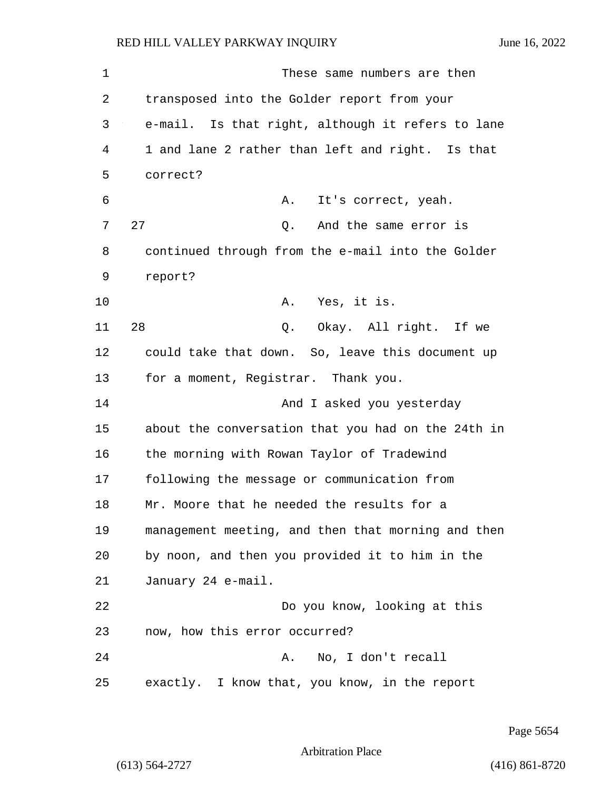1 These same numbers are then 2 transposed into the Golder report from your 3 e-mail. Is that right, although it refers to lane 4 1 and lane 2 rather than left and right. Is that 5 correct? 6 A. It's correct, yeah. 7 27 Q. And the same error is 8 continued through from the e-mail into the Golder 9 report? 10 A. Yes, it is. 11 28 Q. Okay. All right. If we 12 could take that down. So, leave this document up 13 for a moment, Registrar. Thank you. 14 And I asked you yesterday 15 about the conversation that you had on the 24th in 16 the morning with Rowan Taylor of Tradewind 17 following the message or communication from 18 Mr. Moore that he needed the results for a 19 management meeting, and then that morning and then 20 by noon, and then you provided it to him in the 21 January 24 e-mail. 22 Do you know, looking at this 23 now, how this error occurred? 24 A. No, I don't recall 25 exactly. I know that, you know, in the report

Page 5654

Arbitration Place

(613) 564-2727 (416) 861-8720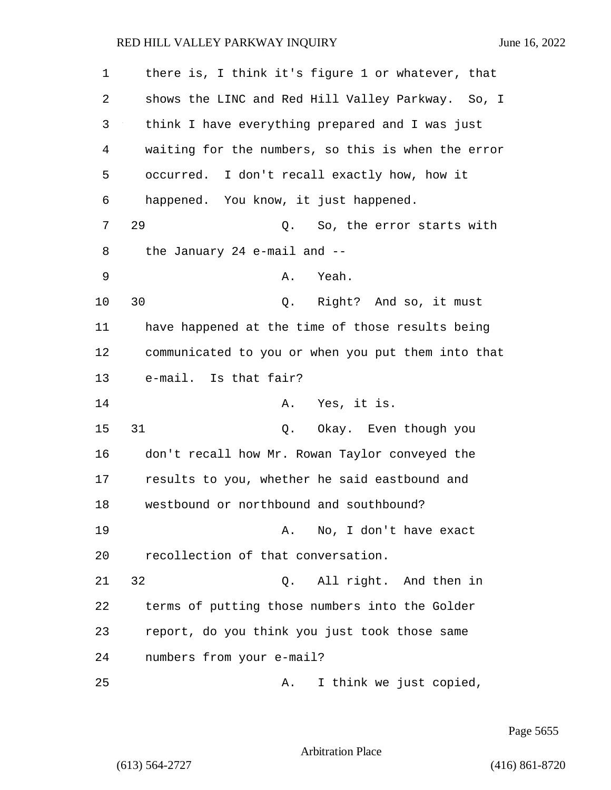1 there is, I think it's figure 1 or whatever, that 2 shows the LINC and Red Hill Valley Parkway. So, I 3 think I have everything prepared and I was just 4 waiting for the numbers, so this is when the error 5 occurred. I don't recall exactly how, how it 6 happened. You know, it just happened. 7 29 Q. So, the error starts with 8 the January 24 e-mail and -- 9 A. Yeah. 10 30 Q. Right? And so, it must 11 have happened at the time of those results being 12 communicated to you or when you put them into that 13 e-mail. Is that fair? 14 A. Yes, it is. 15 31 Q. Okay. Even though you 16 don't recall how Mr. Rowan Taylor conveyed the 17 results to you, whether he said eastbound and 18 westbound or northbound and southbound? 19 A. No, I don't have exact 20 recollection of that conversation. 21 32 Q. All right. And then in 22 terms of putting those numbers into the Golder 23 report, do you think you just took those same 24 numbers from your e-mail? 25 A. I think we just copied,

Page 5655

Arbitration Place

(613) 564-2727 (416) 861-8720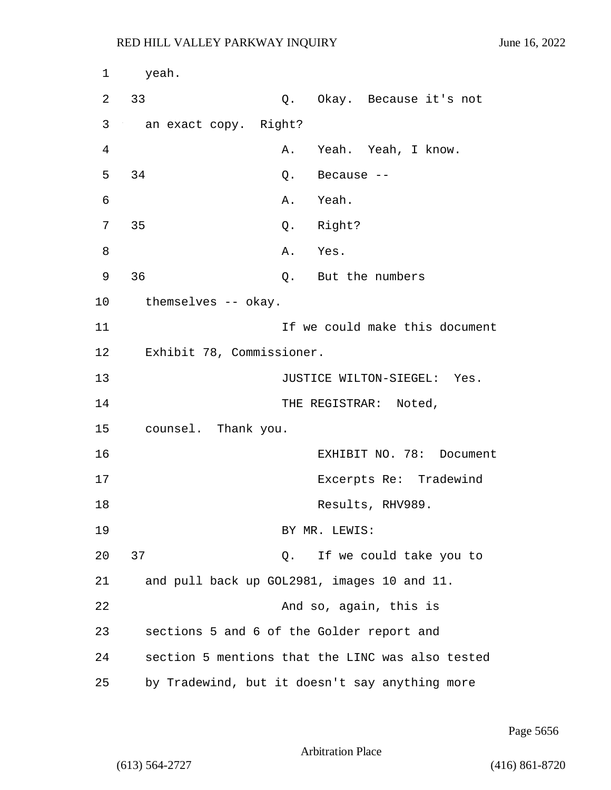| $\mathbf 1$ | yeah.                                          |       |                  |                                                  |
|-------------|------------------------------------------------|-------|------------------|--------------------------------------------------|
| 2           | 33                                             |       |                  | Q. Okay. Because it's not                        |
| 3           | an exact copy. Right?                          |       |                  |                                                  |
| 4           |                                                |       |                  | A. Yeah. Yeah, I know.                           |
| 5           | 34                                             |       | $Q.$ Because $-$ |                                                  |
| 6           |                                                |       | A. Yeah.         |                                                  |
| 7           | 35                                             |       | Q. Right?        |                                                  |
| 8           |                                                |       | A. Yes.          |                                                  |
| 9           | 36                                             |       |                  | Q. But the numbers                               |
| $10 \,$     | themselves -- okay.                            |       |                  |                                                  |
| 11          |                                                |       |                  | If we could make this document                   |
| 12          | Exhibit 78, Commissioner.                      |       |                  |                                                  |
| 13          |                                                |       |                  | JUSTICE WILTON-SIEGEL: Yes.                      |
| 14          |                                                |       |                  | THE REGISTRAR: Noted,                            |
| 15          | counsel. Thank you.                            |       |                  |                                                  |
| 16          |                                                |       |                  | EXHIBIT NO. 78: Document                         |
| 17          |                                                |       |                  | Excerpts Re: Tradewind                           |
| 18          |                                                |       |                  | Results, RHV989.                                 |
| 19          |                                                |       | BY MR. LEWIS:    |                                                  |
| 20          | 37                                             | $Q$ . |                  | If we could take you to                          |
| 21          | and pull back up GOL2981, images 10 and 11.    |       |                  |                                                  |
| 22          |                                                |       |                  | And so, again, this is                           |
| 23          | sections 5 and 6 of the Golder report and      |       |                  |                                                  |
| 24          |                                                |       |                  | section 5 mentions that the LINC was also tested |
| 25          | by Tradewind, but it doesn't say anything more |       |                  |                                                  |

Page 5656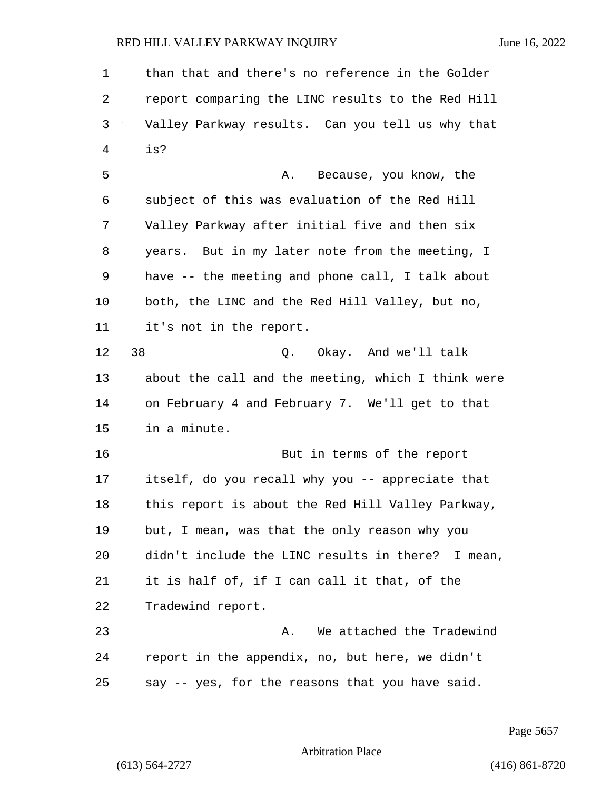1 than that and there's no reference in the Golder 2 report comparing the LINC results to the Red Hill 3 Valley Parkway results. Can you tell us why that 4 is? 5 A. Because, you know, the 6 subject of this was evaluation of the Red Hill 7 Valley Parkway after initial five and then six 8 years. But in my later note from the meeting, I 9 have -- the meeting and phone call, I talk about 10 both, the LINC and the Red Hill Valley, but no, 11 it's not in the report. 12 38 O. Okay. And we'll talk 13 about the call and the meeting, which I think were 14 on February 4 and February 7. We'll get to that 15 in a minute. 16 But in terms of the report 17 itself, do you recall why you -- appreciate that 18 this report is about the Red Hill Valley Parkway, 19 but, I mean, was that the only reason why you 20 didn't include the LINC results in there? I mean, 21 it is half of, if I can call it that, of the 22 Tradewind report. 23 A. We attached the Tradewind 24 report in the appendix, no, but here, we didn't 25 say -- yes, for the reasons that you have said.

Page 5657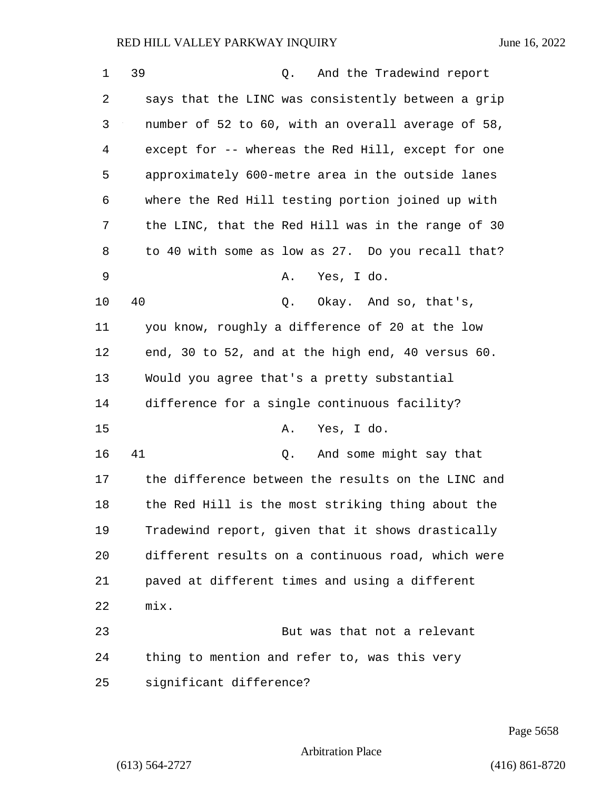| 1  | 39<br>And the Tradewind report<br>Q.               |
|----|----------------------------------------------------|
| 2  | says that the LINC was consistently between a grip |
| 3  | number of 52 to 60, with an overall average of 58, |
| 4  | except for -- whereas the Red Hill, except for one |
| 5  | approximately 600-metre area in the outside lanes  |
| 6  | where the Red Hill testing portion joined up with  |
| 7  | the LINC, that the Red Hill was in the range of 30 |
| 8  | to 40 with some as low as 27. Do you recall that?  |
| 9  | Yes, I do.<br>Α.                                   |
| 10 | 40<br>Okay. And so, that's,<br>Q.                  |
| 11 | you know, roughly a difference of 20 at the low    |
| 12 | end, 30 to 52, and at the high end, 40 versus 60.  |
| 13 | Would you agree that's a pretty substantial        |
| 14 | difference for a single continuous facility?       |
| 15 | Yes, I do.<br>Α.                                   |
| 16 | 41<br>And some might say that<br>Q.                |
| 17 | the difference between the results on the LINC and |
| 18 | the Red Hill is the most striking thing about the  |
| 19 | Tradewind report, given that it shows drastically  |
| 20 | different results on a continuous road, which were |
| 21 | paved at different times and using a different     |
| 22 | mix.                                               |
| 23 | But was that not a relevant                        |
| 24 | thing to mention and refer to, was this very       |
| 25 | significant difference?                            |

Page 5658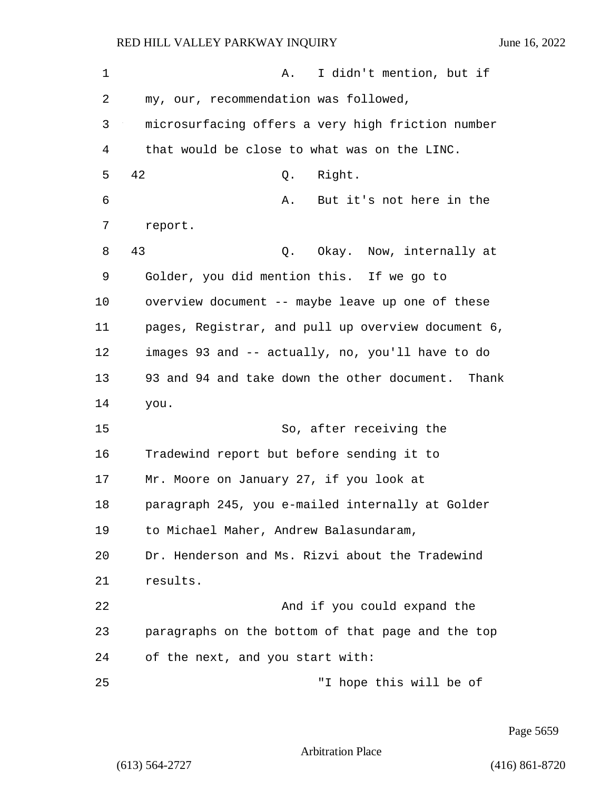1 A. I didn't mention, but if 2 my, our, recommendation was followed, 3 microsurfacing offers a very high friction number 4 that would be close to what was on the LINC. 5 42 Q. Right. 6 A. But it's not here in the 7 report. 8 43 Q. Okay. Now, internally at 9 Golder, you did mention this. If we go to 10 overview document -- maybe leave up one of these 11 pages, Registrar, and pull up overview document 6, 12 images 93 and -- actually, no, you'll have to do 13 93 and 94 and take down the other document. Thank 14 you. 15 So, after receiving the 16 Tradewind report but before sending it to 17 Mr. Moore on January 27, if you look at 18 paragraph 245, you e-mailed internally at Golder 19 to Michael Maher, Andrew Balasundaram, 20 Dr. Henderson and Ms. Rizvi about the Tradewind 21 results. 22 And if you could expand the 23 paragraphs on the bottom of that page and the top 24 of the next, and you start with: 25 "I hope this will be of

Page 5659

Arbitration Place

(613) 564-2727 (416) 861-8720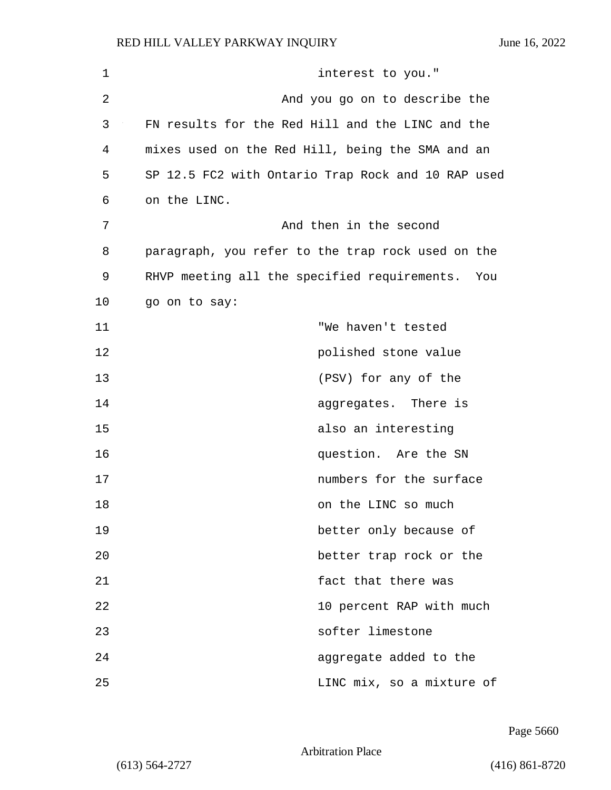| $\mathbf 1$ | interest to you."                                  |
|-------------|----------------------------------------------------|
| 2           | And you go on to describe the                      |
| 3           | FN results for the Red Hill and the LINC and the   |
| 4           | mixes used on the Red Hill, being the SMA and an   |
| 5           | SP 12.5 FC2 with Ontario Trap Rock and 10 RAP used |
| 6           | on the LINC.                                       |
| 7           | And then in the second                             |
| 8           | paragraph, you refer to the trap rock used on the  |
| 9           | RHVP meeting all the specified requirements. You   |
| 10          | go on to say:                                      |
| 11          | "We haven't tested                                 |
| 12          | polished stone value                               |
| 13          | (PSV) for any of the                               |
| 14          | aggregates. There is                               |
| 15          | also an interesting                                |
| 16          | question. Are the SN                               |
| 17          | numbers for the surface                            |
| 18          | on the LINC so much                                |
| 19          | better only because of                             |
| 20          | better trap rock or the                            |
| 21          | fact that there was                                |
| 22          | 10 percent RAP with much                           |
| 23          | softer limestone                                   |
| 24          | aggregate added to the                             |
| 25          | LINC mix, so a mixture of                          |

Page 5660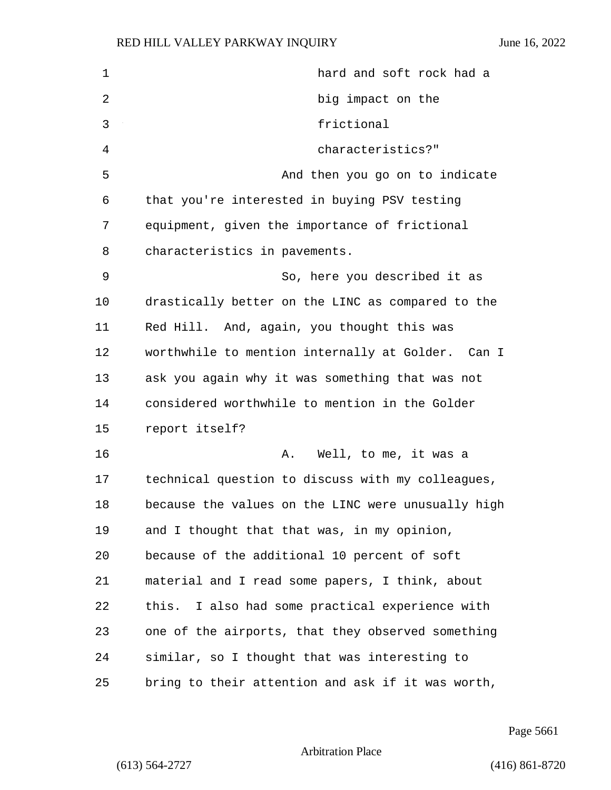| $\mathbf 1$ | hard and soft rock had a                           |
|-------------|----------------------------------------------------|
| 2           | big impact on the                                  |
| 3           | frictional                                         |
| 4           | characteristics?"                                  |
| 5           | And then you go on to indicate                     |
| 6           | that you're interested in buying PSV testing       |
| 7           | equipment, given the importance of frictional      |
| 8           | characteristics in pavements.                      |
| 9           | So, here you described it as                       |
| 10          | drastically better on the LINC as compared to the  |
| 11          | Red Hill. And, again, you thought this was         |
| 12          | worthwhile to mention internally at Golder. Can I  |
| 13          | ask you again why it was something that was not    |
| 14          | considered worthwhile to mention in the Golder     |
| 15          | report itself?                                     |
| 16          | Well, to me, it was a<br>Α.                        |
| 17          | technical question to discuss with my colleagues,  |
| 18          | because the values on the LINC were unusually high |
| 19          | and I thought that that was, in my opinion,        |
| 20          | because of the additional 10 percent of soft       |
| 21          | material and I read some papers, I think, about    |
| 22          | this. I also had some practical experience with    |
| 23          | one of the airports, that they observed something  |
| 24          | similar, so I thought that was interesting to      |
| 25          | bring to their attention and ask if it was worth,  |

Page 5661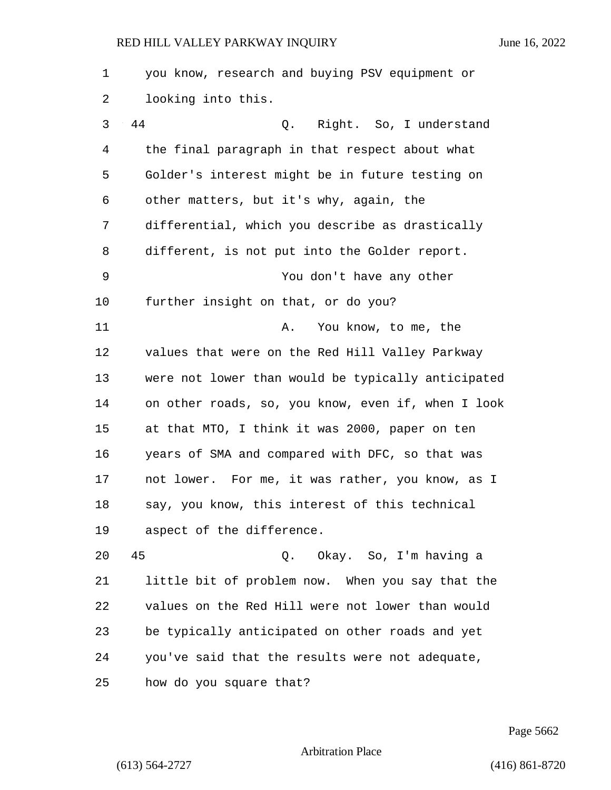1 you know, research and buying PSV equipment or 2 looking into this. 3 44 Q. Right. So, I understand 4 the final paragraph in that respect about what 5 Golder's interest might be in future testing on 6 other matters, but it's why, again, the 7 differential, which you describe as drastically 8 different, is not put into the Golder report. 9 You don't have any other 10 further insight on that, or do you? 11 A. You know, to me, the 12 values that were on the Red Hill Valley Parkway 13 were not lower than would be typically anticipated 14 on other roads, so, you know, even if, when I look 15 at that MTO, I think it was 2000, paper on ten 16 years of SMA and compared with DFC, so that was 17 not lower. For me, it was rather, you know, as I 18 say, you know, this interest of this technical 19 aspect of the difference. 20 45 Q. Okay. So, I'm having a 21 little bit of problem now. When you say that the 22 values on the Red Hill were not lower than would 23 be typically anticipated on other roads and yet 24 you've said that the results were not adequate,

25 how do you square that?

Page 5662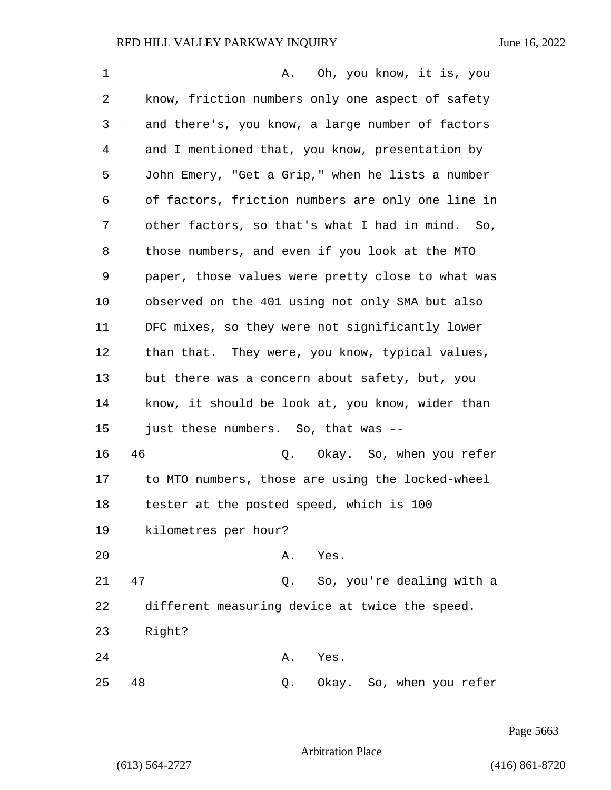1 A. Oh, you know, it is, you 2 know, friction numbers only one aspect of safety 3 and there's, you know, a large number of factors 4 and I mentioned that, you know, presentation by 5 John Emery, "Get a Grip," when he lists a number 6 of factors, friction numbers are only one line in 7 other factors, so that's what I had in mind. So, 8 those numbers, and even if you look at the MTO 9 paper, those values were pretty close to what was 10 observed on the 401 using not only SMA but also 11 DFC mixes, so they were not significantly lower 12 than that. They were, you know, typical values, 13 but there was a concern about safety, but, you 14 know, it should be look at, you know, wider than 15 just these numbers. So, that was -- 16 46 Q. Okay. So, when you refer 17 to MTO numbers, those are using the locked-wheel 18 tester at the posted speed, which is 100 19 kilometres per hour? 20 A. Yes. 21 47 Q. So, you're dealing with a 22 different measuring device at twice the speed. 23 Right? 24 A. Yes. 25 48 Q. Okay. So, when you refer

Page 5663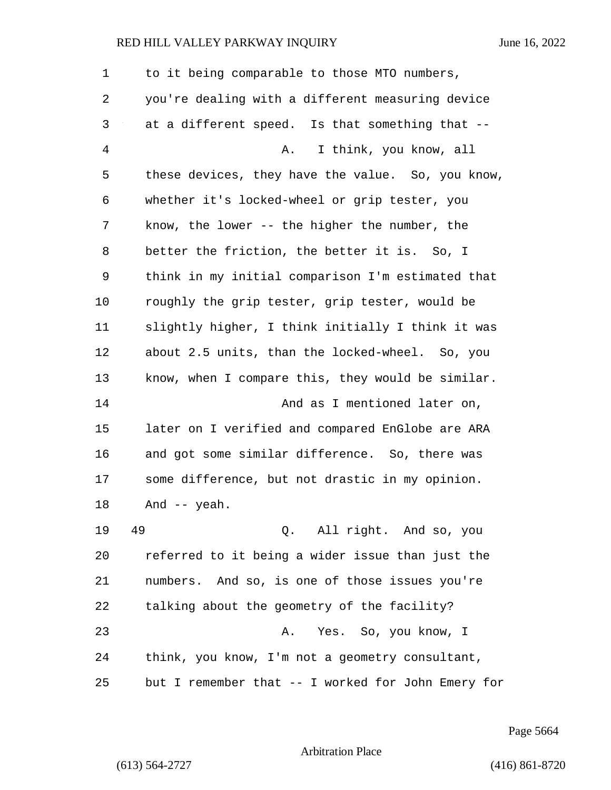| 1  | to it being comparable to those MTO numbers,       |
|----|----------------------------------------------------|
| 2  | you're dealing with a different measuring device   |
| 3  | at a different speed. Is that something that --    |
| 4  | I think, you know, all<br>Α.                       |
| 5  | these devices, they have the value. So, you know,  |
| 6  | whether it's locked-wheel or grip tester, you      |
| 7  | know, the lower -- the higher the number, the      |
| 8  | better the friction, the better it is. So, I       |
| 9  | think in my initial comparison I'm estimated that  |
| 10 | roughly the grip tester, grip tester, would be     |
| 11 | slightly higher, I think initially I think it was  |
| 12 | about 2.5 units, than the locked-wheel. So, you    |
| 13 | know, when I compare this, they would be similar.  |
| 14 | And as I mentioned later on,                       |
| 15 | later on I verified and compared EnGlobe are ARA   |
| 16 | and got some similar difference. So, there was     |
| 17 | some difference, but not drastic in my opinion.    |
| 18 | And $--$ yeah.                                     |
| 19 | 49<br>Q. All right. And so, you                    |
| 20 | referred to it being a wider issue than just the   |
| 21 | numbers. And so, is one of those issues you're     |
| 22 | talking about the geometry of the facility?        |
| 23 | Yes. So, you know, I<br>Α.                         |
| 24 | think, you know, I'm not a geometry consultant,    |
| 25 | but I remember that -- I worked for John Emery for |

Page 5664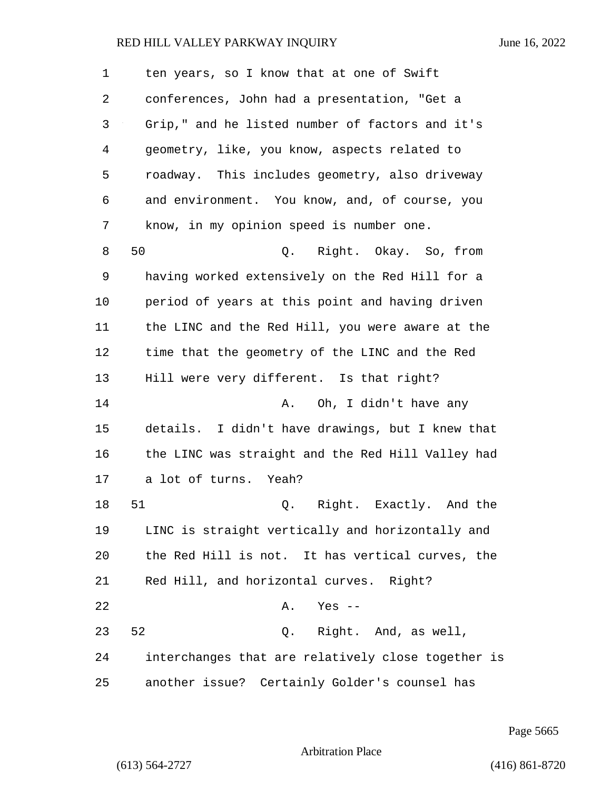| 1  | ten years, so I know that at one of Swift          |
|----|----------------------------------------------------|
| 2  | conferences, John had a presentation, "Get a       |
| 3  | Grip," and he listed number of factors and it's    |
| 4  | geometry, like, you know, aspects related to       |
| 5  | roadway. This includes geometry, also driveway     |
| 6  | and environment. You know, and, of course, you     |
| 7  | know, in my opinion speed is number one.           |
| 8  | 50<br>Q. Right. Okay. So, from                     |
| 9  | having worked extensively on the Red Hill for a    |
| 10 | period of years at this point and having driven    |
| 11 | the LINC and the Red Hill, you were aware at the   |
| 12 | time that the geometry of the LINC and the Red     |
| 13 | Hill were very different. Is that right?           |
| 14 | Oh, I didn't have any<br>Α.                        |
| 15 | details. I didn't have drawings, but I knew that   |
| 16 | the LINC was straight and the Red Hill Valley had  |
| 17 | a lot of turns. Yeah?                              |
| 18 | 51<br>Q. Right. Exactly. And the                   |
| 19 | LINC is straight vertically and horizontally and   |
| 20 | the Red Hill is not. It has vertical curves, the   |
| 21 | Red Hill, and horizontal curves. Right?            |
| 22 | Α.<br>Yes --                                       |
| 23 | 52<br>Q. Right. And, as well,                      |
| 24 | interchanges that are relatively close together is |
| 25 | another issue? Certainly Golder's counsel has      |

Page 5665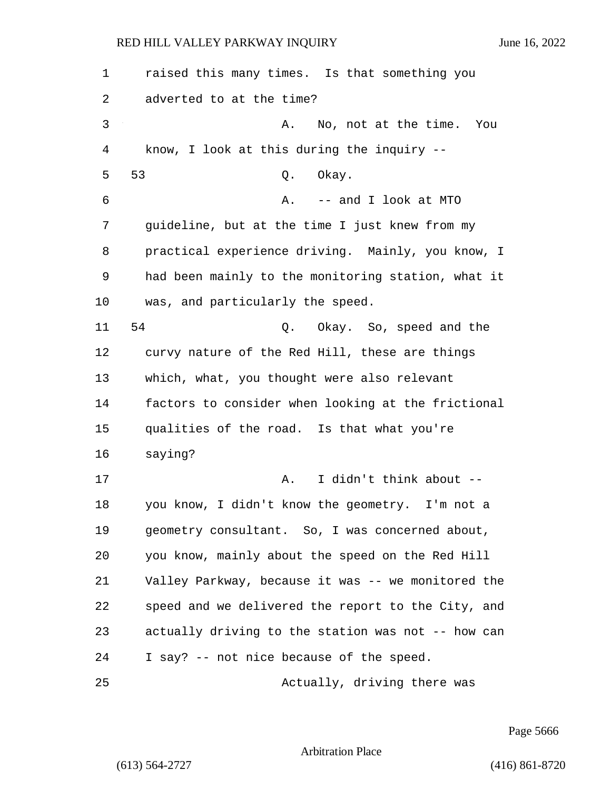| 1       | raised this many times. Is that something you      |  |
|---------|----------------------------------------------------|--|
| 2       | adverted to at the time?                           |  |
| 3       | No, not at the time.<br>Α.<br>You                  |  |
| 4       | know, I look at this during the inquiry --         |  |
| 5       | 53<br>Okay.<br>Q.                                  |  |
| 6       | -- and I look at MTO<br>Α.                         |  |
| 7       | guideline, but at the time I just knew from my     |  |
| 8       | practical experience driving. Mainly, you know, I  |  |
| 9       | had been mainly to the monitoring station, what it |  |
| $10 \,$ | was, and particularly the speed.                   |  |
| 11      | 54<br>Q. Okay. So, speed and the                   |  |
| 12      | curvy nature of the Red Hill, these are things     |  |
| 13      | which, what, you thought were also relevant        |  |
| 14      | factors to consider when looking at the frictional |  |
| 15      | qualities of the road. Is that what you're         |  |
| 16      | saying?                                            |  |
| 17      | I didn't think about --<br>Α.                      |  |
| 18      | you know, I didn't know the geometry. I'm not a    |  |
| 19      | geometry consultant. So, I was concerned about,    |  |
| 20      | you know, mainly about the speed on the Red Hill   |  |
| 21      | Valley Parkway, because it was -- we monitored the |  |
| 22      | speed and we delivered the report to the City, and |  |
| 23      | actually driving to the station was not -- how can |  |
| 24      | I say? -- not nice because of the speed.           |  |
| 25      | Actually, driving there was                        |  |

Page 5666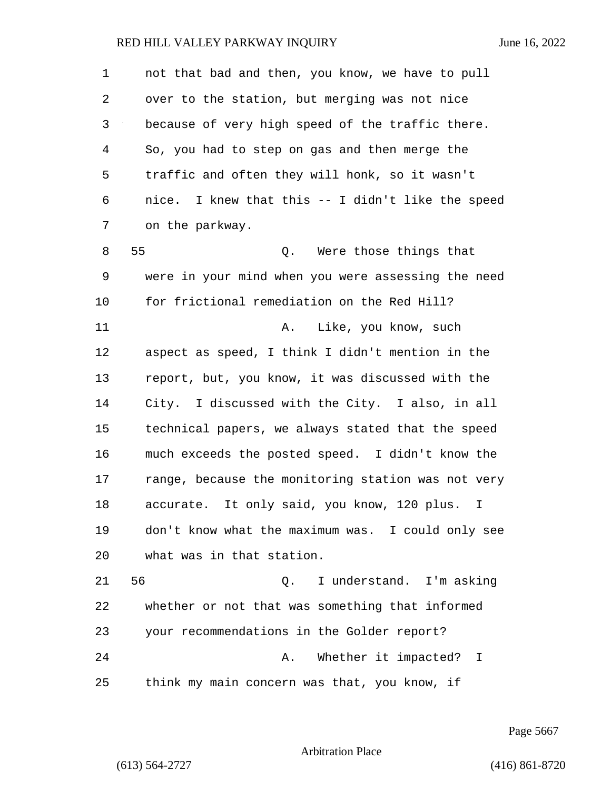1 not that bad and then, you know, we have to pull 2 over to the station, but merging was not nice 3 because of very high speed of the traffic there. 4 So, you had to step on gas and then merge the 5 traffic and often they will honk, so it wasn't 6 nice. I knew that this -- I didn't like the speed 7 on the parkway. 8 55 Q. Were those things that 9 were in your mind when you were assessing the need 10 for frictional remediation on the Red Hill? 11 A. Like, you know, such 12 aspect as speed, I think I didn't mention in the 13 report, but, you know, it was discussed with the 14 City. I discussed with the City. I also, in all 15 technical papers, we always stated that the speed 16 much exceeds the posted speed. I didn't know the 17 range, because the monitoring station was not very 18 accurate. It only said, you know, 120 plus. I 19 don't know what the maximum was. I could only see 20 what was in that station. 21 56 Q. I understand. I'm asking 22 whether or not that was something that informed 23 your recommendations in the Golder report? 24 **A.** Whether it impacted? I

25 think my main concern was that, you know, if

Page 5667

Arbitration Place

(613) 564-2727 (416) 861-8720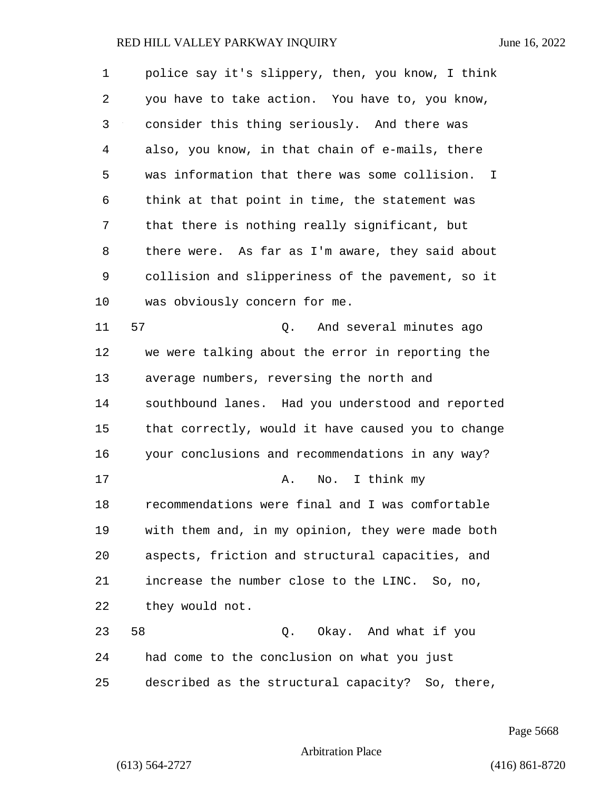1 police say it's slippery, then, you know, I think 2 you have to take action. You have to, you know, 3 consider this thing seriously. And there was 4 also, you know, in that chain of e-mails, there 5 was information that there was some collision. I 6 think at that point in time, the statement was 7 that there is nothing really significant, but 8 there were. As far as I'm aware, they said about 9 collision and slipperiness of the pavement, so it 10 was obviously concern for me. 11 57 Q. And several minutes ago 12 we were talking about the error in reporting the 13 average numbers, reversing the north and 14 southbound lanes. Had you understood and reported 15 that correctly, would it have caused you to change 16 your conclusions and recommendations in any way? 17 A. No. I think my 18 recommendations were final and I was comfortable 19 with them and, in my opinion, they were made both 20 aspects, friction and structural capacities, and 21 increase the number close to the LINC. So, no, 22 they would not. 23 58 Q. Okay. And what if you 24 had come to the conclusion on what you just 25 described as the structural capacity? So, there,

Page 5668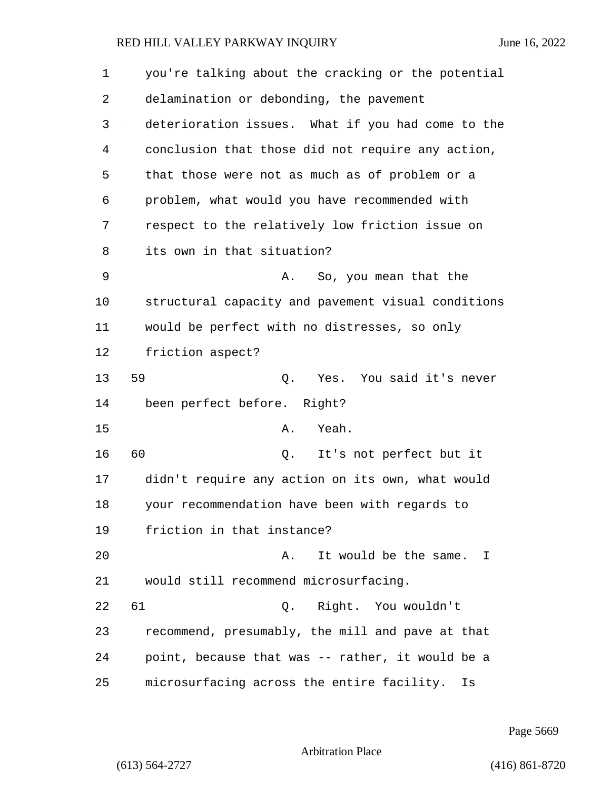| $\mathbf 1$ | you're talking about the cracking or the potential |
|-------------|----------------------------------------------------|
| 2           | delamination or debonding, the pavement            |
| 3           | deterioration issues. What if you had come to the  |
| 4           | conclusion that those did not require any action,  |
| 5           | that those were not as much as of problem or a     |
| 6           | problem, what would you have recommended with      |
| 7           | respect to the relatively low friction issue on    |
| 8           | its own in that situation?                         |
| 9           | So, you mean that the<br>Α.                        |
| 10          | structural capacity and pavement visual conditions |
| 11          | would be perfect with no distresses, so only       |
| 12          | friction aspect?                                   |
| 13          | 59<br>Yes. You said it's never<br>Q.               |
| 14          | been perfect before. Right?                        |
| 15          | Yeah.<br>Α.                                        |
| 16          | 60<br>It's not perfect but it<br>Q.                |
| 17          | didn't require any action on its own, what would   |
| 18          | your recommendation have been with regards to      |
| 19          | friction in that instance?                         |
| 20          | It would be the same. I<br>Α.                      |
| 21          | would still recommend microsurfacing.              |
| 22          | Right. You wouldn't<br>61<br>Q.                    |
| 23          | recommend, presumably, the mill and pave at that   |
| 24          | point, because that was -- rather, it would be a   |
| 25          | microsurfacing across the entire facility.<br>Is   |

Page 5669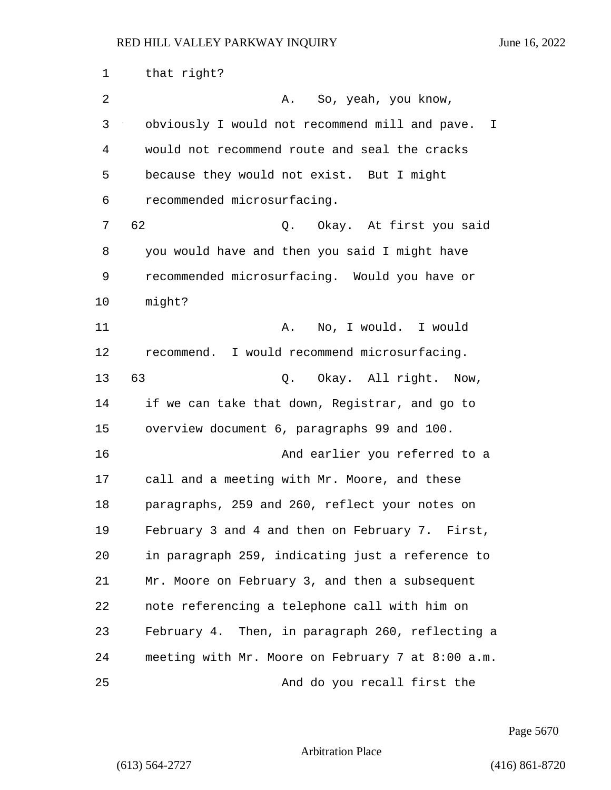| 1  | that right?                                       |  |
|----|---------------------------------------------------|--|
| 2  | So, yeah, you know,<br>Α.                         |  |
| 3  | obviously I would not recommend mill and pave. I  |  |
| 4  | would not recommend route and seal the cracks     |  |
| 5  | because they would not exist. But I might         |  |
| 6  | recommended microsurfacing.                       |  |
| 7  | 62<br>Q. Okay. At first you said                  |  |
| 8  | you would have and then you said I might have     |  |
| 9  | recommended microsurfacing. Would you have or     |  |
| 10 | might?                                            |  |
| 11 | No, I would. I would<br>Α.                        |  |
| 12 | recommend. I would recommend microsurfacing.      |  |
| 13 | 63<br>Q. Okay. All right.<br>Now,                 |  |
| 14 | if we can take that down, Registrar, and go to    |  |
| 15 | overview document 6, paragraphs 99 and 100.       |  |
| 16 | And earlier you referred to a                     |  |
| 17 | call and a meeting with Mr. Moore, and these      |  |
| 18 | paragraphs, 259 and 260, reflect your notes on    |  |
| 19 | February 3 and 4 and then on February 7. First,   |  |
| 20 | in paragraph 259, indicating just a reference to  |  |
| 21 | Mr. Moore on February 3, and then a subsequent    |  |
| 22 | note referencing a telephone call with him on     |  |
| 23 | February 4. Then, in paragraph 260, reflecting a  |  |
| 24 | meeting with Mr. Moore on February 7 at 8:00 a.m. |  |
| 25 | And do you recall first the                       |  |

Page 5670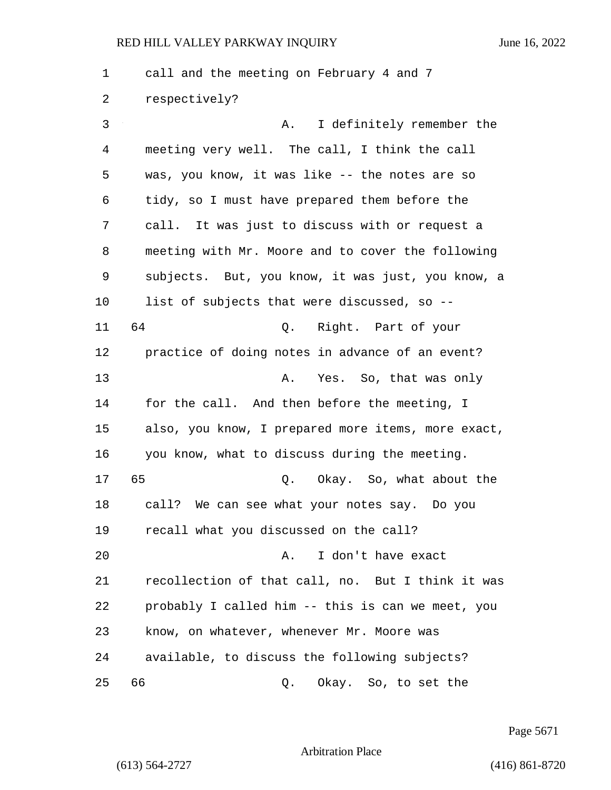1 call and the meeting on February 4 and 7 2 respectively? 3 A. I definitely remember the 4 meeting very well. The call, I think the call 5 was, you know, it was like -- the notes are so 6 tidy, so I must have prepared them before the 7 call. It was just to discuss with or request a 8 meeting with Mr. Moore and to cover the following 9 subjects. But, you know, it was just, you know, a 10 list of subjects that were discussed, so -- 11 64 Q. Right. Part of your 12 practice of doing notes in advance of an event? 13 A. Yes. So, that was only 14 for the call. And then before the meeting, I 15 also, you know, I prepared more items, more exact, 16 you know, what to discuss during the meeting. 17 65 Q. Okay. So, what about the 18 call? We can see what your notes say. Do you 19 recall what you discussed on the call? 20 A. I don't have exact 21 recollection of that call, no. But I think it was 22 probably I called him -- this is can we meet, you 23 know, on whatever, whenever Mr. Moore was 24 available, to discuss the following subjects? 25 66 Q. Okay. So, to set the

Page 5671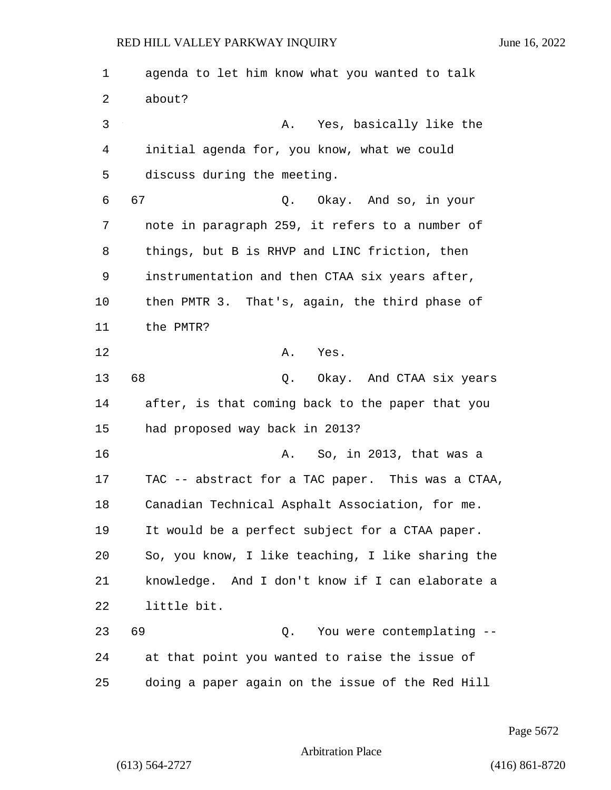1 agenda to let him know what you wanted to talk 2 about? 3 A. Yes, basically like the 4 initial agenda for, you know, what we could 5 discuss during the meeting. 6 67 Q. Okay. And so, in your 7 note in paragraph 259, it refers to a number of 8 things, but B is RHVP and LINC friction, then 9 instrumentation and then CTAA six years after, 10 then PMTR 3. That's, again, the third phase of 11 the PMTR? 12 A. Yes. 13 68 Q. Okay. And CTAA six years 14 after, is that coming back to the paper that you 15 had proposed way back in 2013? 16 A. So, in 2013, that was a 17 TAC -- abstract for a TAC paper. This was a CTAA, 18 Canadian Technical Asphalt Association, for me. 19 It would be a perfect subject for a CTAA paper. 20 So, you know, I like teaching, I like sharing the 21 knowledge. And I don't know if I can elaborate a 22 little bit. 23 69 Q. You were contemplating -- 24 at that point you wanted to raise the issue of 25 doing a paper again on the issue of the Red Hill

Page 5672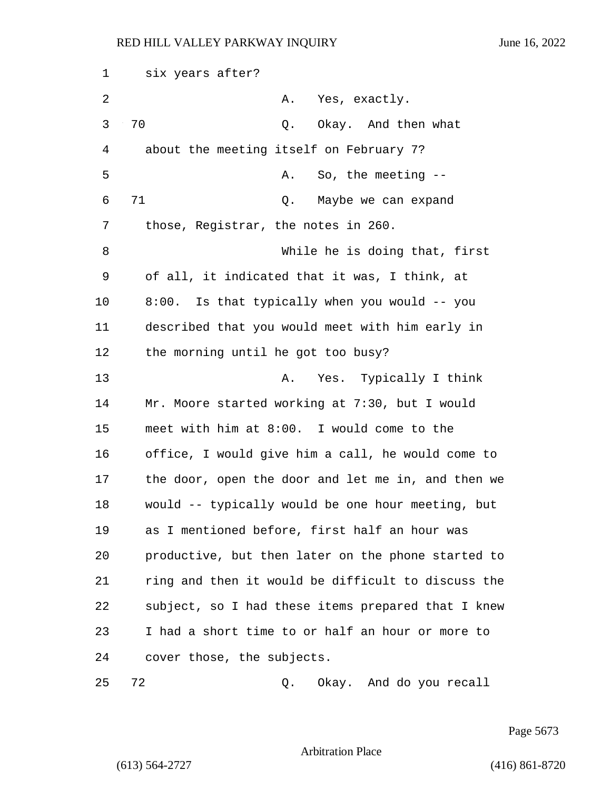1 six years after? 2 A. Yes, exactly. 3 70 Q. Okay. And then what 4 about the meeting itself on February 7? 5 A. So, the meeting --6 71 Q. Maybe we can expand 7 those, Registrar, the notes in 260. 8 While he is doing that, first 9 of all, it indicated that it was, I think, at 10 8:00. Is that typically when you would -- you 11 described that you would meet with him early in 12 the morning until he got too busy? 13 A. Yes. Typically I think 14 Mr. Moore started working at 7:30, but I would 15 meet with him at 8:00. I would come to the 16 office, I would give him a call, he would come to 17 the door, open the door and let me in, and then we 18 would -- typically would be one hour meeting, but 19 as I mentioned before, first half an hour was 20 productive, but then later on the phone started to 21 ring and then it would be difficult to discuss the 22 subject, so I had these items prepared that I knew 23 I had a short time to or half an hour or more to 24 cover those, the subjects.

25 72 Q. Okay. And do you recall

Page 5673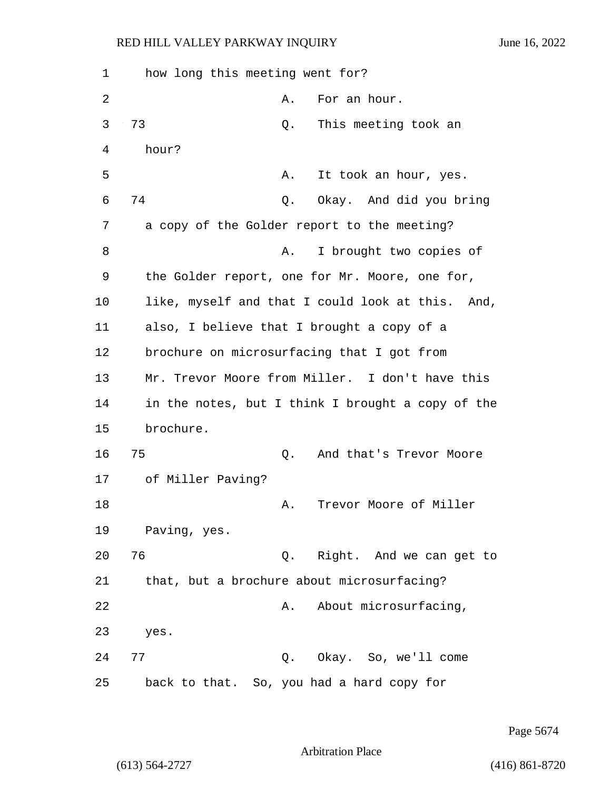| 1  | how long this meeting went for?             |                                                   |
|----|---------------------------------------------|---------------------------------------------------|
| 2  | Α.                                          | For an hour.                                      |
| 3  | 73<br>Q.                                    | This meeting took an                              |
| 4  | hour?                                       |                                                   |
| 5  | Α.                                          | It took an hour, yes.                             |
| 6  | 74<br>Q.                                    | Okay. And did you bring                           |
| 7  | a copy of the Golder report to the meeting? |                                                   |
| 8  | Α.                                          | I brought two copies of                           |
| 9  |                                             | the Golder report, one for Mr. Moore, one for,    |
| 10 |                                             | like, myself and that I could look at this. And,  |
| 11 | also, I believe that I brought a copy of a  |                                                   |
| 12 | brochure on microsurfacing that I got from  |                                                   |
| 13 |                                             | Mr. Trevor Moore from Miller. I don't have this   |
| 14 |                                             | in the notes, but I think I brought a copy of the |
| 15 | brochure.                                   |                                                   |
| 16 | 75<br>Q.                                    | And that's Trevor Moore                           |
| 17 | of Miller Paving?                           |                                                   |
| 18 | Α.                                          | Trevor Moore of Miller                            |
| 19 | Paving, yes.                                |                                                   |
| 20 | 76                                          | Q. Right. And we can get to                       |
| 21 | that, but a brochure about microsurfacing?  |                                                   |
| 22 | Α.                                          | About microsurfacing,                             |
| 23 | yes.                                        |                                                   |
| 24 | 77                                          | Q. Okay. So, we'll come                           |
| 25 | back to that. So, you had a hard copy for   |                                                   |

Page 5674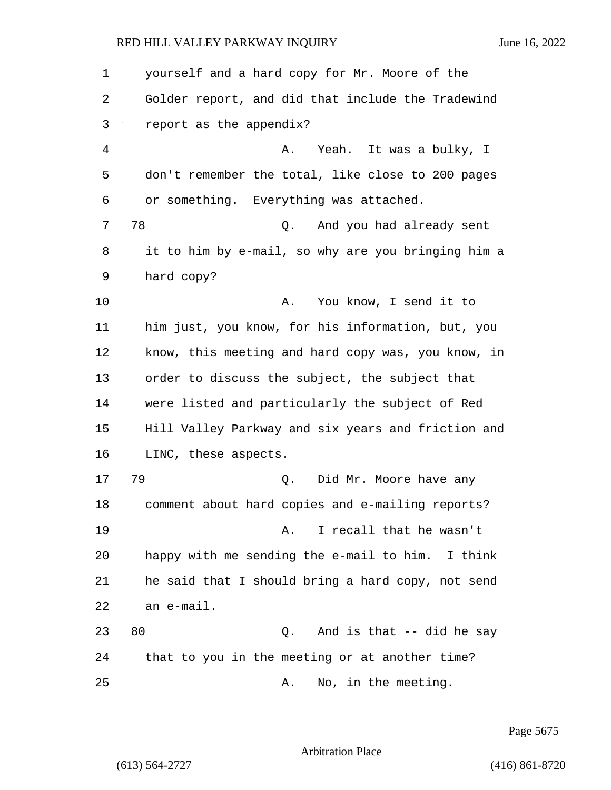| 1              | yourself and a hard copy for Mr. Moore of the      |
|----------------|----------------------------------------------------|
| 2              | Golder report, and did that include the Tradewind  |
| 3              | report as the appendix?                            |
| $\overline{4}$ | Yeah. It was a bulky, I<br>Α.                      |
| 5              | don't remember the total, like close to 200 pages  |
| 6              | or something. Everything was attached.             |
| 7              | 78<br>And you had already sent<br>Q.               |
| 8              | it to him by e-mail, so why are you bringing him a |
| 9              | hard copy?                                         |
| 10             | You know, I send it to<br>Α.                       |
| 11             | him just, you know, for his information, but, you  |
| 12             | know, this meeting and hard copy was, you know, in |
| 13             | order to discuss the subject, the subject that     |
| 14             | were listed and particularly the subject of Red    |
| 15             | Hill Valley Parkway and six years and friction and |
| 16             | LINC, these aspects.                               |
| 17             | 79<br>Did Mr. Moore have any<br>Q.                 |
| 18             | comment about hard copies and e-mailing reports?   |
| 19             | I recall that he wasn't<br>Α.                      |
| 20             | happy with me sending the e-mail to him. I think   |
| 21             | he said that I should bring a hard copy, not send  |
| 22             | an e-mail.                                         |
| 23             | 80<br>And is that -- did he say<br>Q.              |
| 24             | that to you in the meeting or at another time?     |
| 25             | No, in the meeting.<br>Α.                          |

Page 5675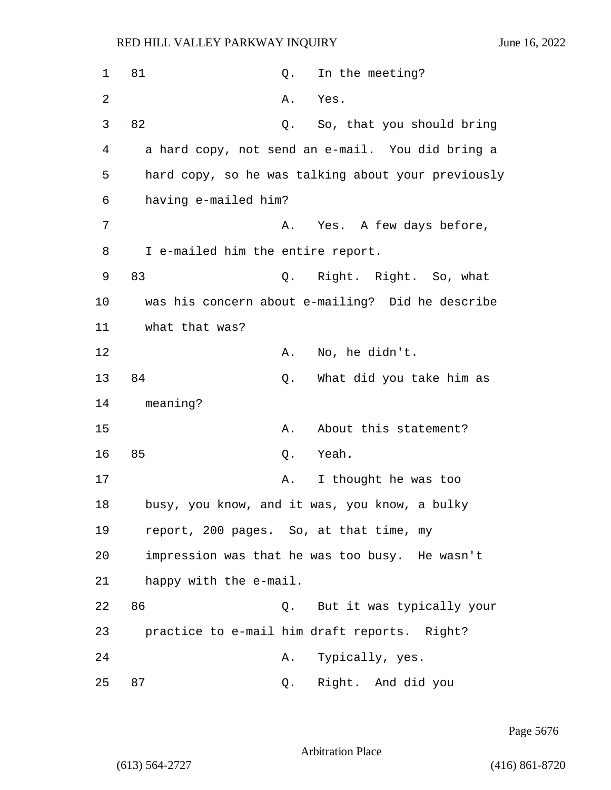| 1  | 81                                      | Q. | In the meeting?                                    |
|----|-----------------------------------------|----|----------------------------------------------------|
| 2  |                                         | Α. | Yes.                                               |
| 3  | 82                                      | Q. | So, that you should bring                          |
| 4  |                                         |    | a hard copy, not send an e-mail. You did bring a   |
| 5  |                                         |    | hard copy, so he was talking about your previously |
| 6  | having e-mailed him?                    |    |                                                    |
| 7  |                                         | Α. | Yes. A few days before,                            |
| 8  | I e-mailed him the entire report.       |    |                                                    |
| 9  | 83                                      | Q. | Right. Right. So, what                             |
| 10 |                                         |    | was his concern about e-mailing? Did he describe   |
| 11 | what that was?                          |    |                                                    |
| 12 |                                         | Α. | No, he didn't.                                     |
| 13 | 84                                      | Q. | What did you take him as                           |
| 14 | meaning?                                |    |                                                    |
| 15 |                                         | Α. | About this statement?                              |
| 16 | 85                                      | Q. | Yeah.                                              |
| 17 |                                         | Α. | I thought he was too                               |
| 18 |                                         |    | busy, you know, and it was, you know, a bulky      |
| 19 | report, 200 pages. So, at that time, my |    |                                                    |
| 20 |                                         |    | impression was that he was too busy. He wasn't     |
| 21 | happy with the e-mail.                  |    |                                                    |
| 22 | 86                                      |    | Q. But it was typically your                       |
| 23 |                                         |    | practice to e-mail him draft reports. Right?       |
| 24 |                                         | Α. | Typically, yes.                                    |
| 25 | 87                                      | Q. | Right. And did you                                 |

Page 5676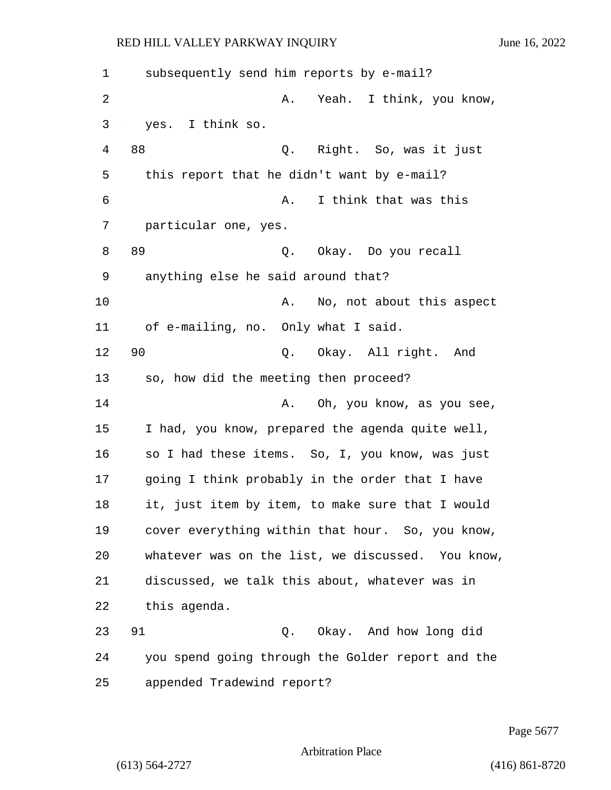1 subsequently send him reports by e-mail? 2 A. Yeah. I think, you know, 3 yes. I think so. 4 88 Q. Right. So, was it just 5 this report that he didn't want by e-mail? 6 A. I think that was this 7 particular one, yes. 8 89 Q. Okay. Do you recall 9 anything else he said around that? 10 A. No, not about this aspect 11 of e-mailing, no. Only what I said. 12 90 Q. Okay. All right. And 13 so, how did the meeting then proceed? 14 **A.** Oh, you know, as you see, 15 I had, you know, prepared the agenda quite well, 16 so I had these items. So, I, you know, was just 17 going I think probably in the order that I have 18 it, just item by item, to make sure that I would 19 cover everything within that hour. So, you know, 20 whatever was on the list, we discussed. You know, 21 discussed, we talk this about, whatever was in 22 this agenda. 23 91 Q. Okay. And how long did 24 you spend going through the Golder report and the 25 appended Tradewind report?

Page 5677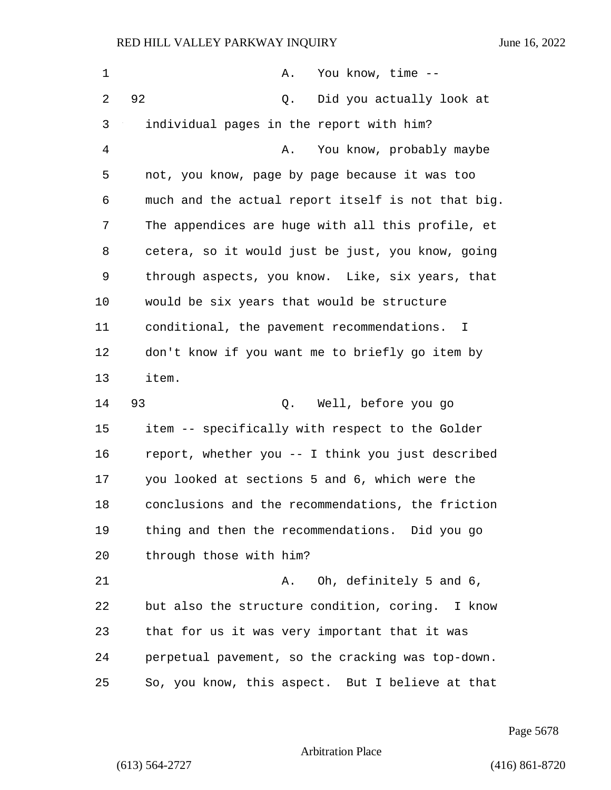| 1  | You know, time --<br>Α.                                    |
|----|------------------------------------------------------------|
| 2  | 92<br>Did you actually look at<br>Q.                       |
| 3  | individual pages in the report with him?                   |
| 4  | You know, probably maybe<br>Α.                             |
| 5  | not, you know, page by page because it was too             |
| 6  | much and the actual report itself is not that big.         |
| 7  | The appendices are huge with all this profile, et          |
| 8  | cetera, so it would just be just, you know, going          |
| 9  | through aspects, you know. Like, six years, that           |
| 10 | would be six years that would be structure                 |
| 11 | conditional, the pavement recommendations.<br>$\mathbf{I}$ |
| 12 | don't know if you want me to briefly go item by            |
| 13 | item.                                                      |
| 14 | 93<br>Well, before you go<br>Q.                            |
| 15 | item -- specifically with respect to the Golder            |
| 16 | report, whether you -- I think you just described          |
| 17 | you looked at sections 5 and 6, which were the             |
| 18 | conclusions and the recommendations, the friction          |
| 19 | thing and then the recommendations. Did you go             |
| 20 | through those with him?                                    |
| 21 | Oh, definitely 5 and 6,<br>Α.                              |
|    |                                                            |
| 22 | but also the structure condition, coring. I know           |
| 23 | that for us it was very important that it was              |
| 24 | perpetual pavement, so the cracking was top-down.          |

Page 5678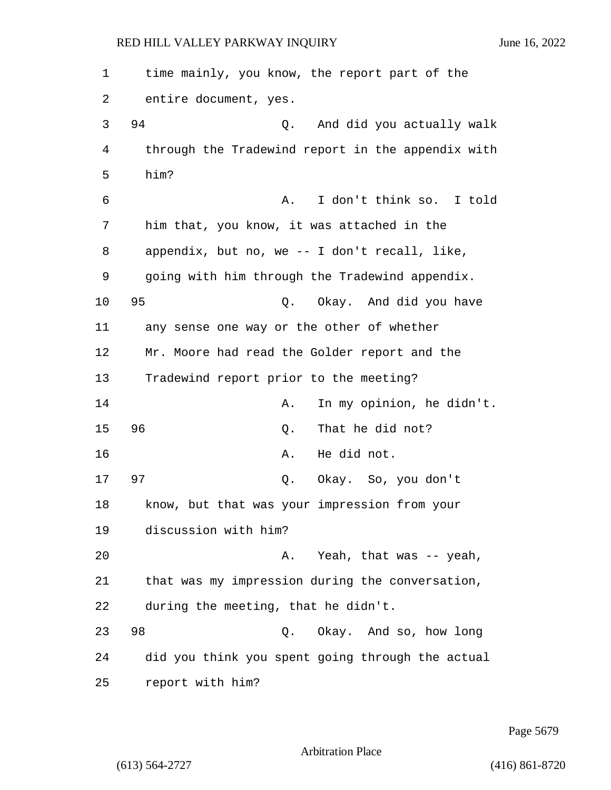| 1  | time mainly, you know, the report part of the     |
|----|---------------------------------------------------|
| 2  | entire document, yes.                             |
| 3  | 94<br>And did you actually walk<br>Q.             |
| 4  | through the Tradewind report in the appendix with |
| 5  | him?                                              |
| 6  | I don't think so. I told<br>Α.                    |
| 7  | him that, you know, it was attached in the        |
| 8  | appendix, but no, we $-$ I don't recall, like,    |
| 9  | going with him through the Tradewind appendix.    |
| 10 | 95<br>Okay. And did you have<br>Q.                |
| 11 | any sense one way or the other of whether         |
| 12 | Mr. Moore had read the Golder report and the      |
| 13 | Tradewind report prior to the meeting?            |
| 14 | In my opinion, he didn't.<br>Α.                   |
| 15 | 96<br>That he did not?<br>Q.                      |
| 16 | He did not.<br>Α.                                 |
| 17 | 97<br>Okay. So, you don't<br>Q.                   |
| 18 | know, but that was your impression from your      |
| 19 | discussion with him?                              |
| 20 | Yeah, that was -- yeah,<br>Α.                     |
| 21 | that was my impression during the conversation,   |
| 22 | during the meeting, that he didn't.               |
| 23 | 98<br>Okay. And so, how long<br>Q.                |
| 24 | did you think you spent going through the actual  |
| 25 | report with him?                                  |

Page 5679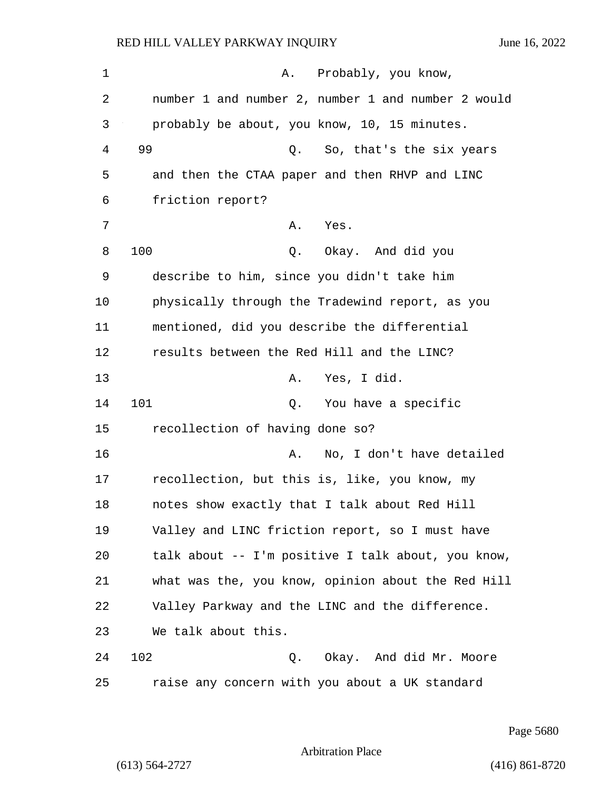1 A. Probably, you know, 2 number 1 and number 2, number 1 and number 2 would 3 probably be about, you know, 10, 15 minutes. 4 99 Q. So, that's the six years 5 and then the CTAA paper and then RHVP and LINC 6 friction report? 7 A. Yes. 8 100 Q. Okay. And did you 9 describe to him, since you didn't take him 10 physically through the Tradewind report, as you 11 mentioned, did you describe the differential 12 results between the Red Hill and the LINC? 13 A. Yes, I did. 14 101 Q. You have a specific 15 recollection of having done so? 16 A. No, I don't have detailed 17 recollection, but this is, like, you know, my 18 notes show exactly that I talk about Red Hill 19 Valley and LINC friction report, so I must have 20 talk about -- I'm positive I talk about, you know, 21 what was the, you know, opinion about the Red Hill 22 Valley Parkway and the LINC and the difference. 23 We talk about this. 24 102 Q. Okay. And did Mr. Moore 25 raise any concern with you about a UK standard

Page 5680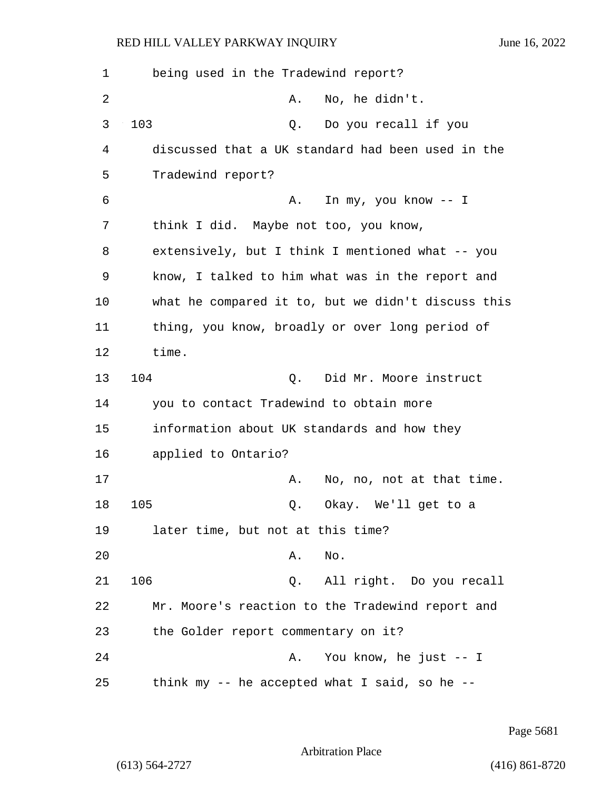1 being used in the Tradewind report? 2 A. No, he didn't. 3 103 Q. Do you recall if you 4 discussed that a UK standard had been used in the 5 Tradewind report? 6 A. In my, you know -- I 7 think I did. Maybe not too, you know, 8 extensively, but I think I mentioned what -- you 9 know, I talked to him what was in the report and 10 what he compared it to, but we didn't discuss this 11 thing, you know, broadly or over long period of 12 time. 13 104 Q. Did Mr. Moore instruct 14 you to contact Tradewind to obtain more 15 information about UK standards and how they 16 applied to Ontario? 17 A. No, no, not at that time. 18 105 Q. Okay. We'll get to a 19 later time, but not at this time? 20 A. No. 21 106 Q. All right. Do you recall 22 Mr. Moore's reaction to the Tradewind report and 23 the Golder report commentary on it? 24 A. You know, he just -- I 25 think my -- he accepted what I said, so he --

Page 5681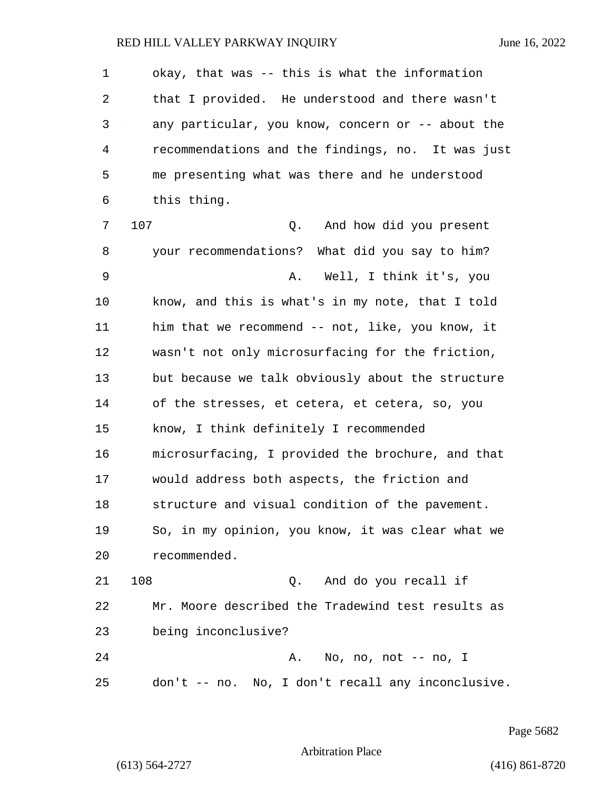| $\mathbf 1$ | okay, that was -- this is what the information    |
|-------------|---------------------------------------------------|
| 2           | that I provided. He understood and there wasn't   |
| 3           | any particular, you know, concern or -- about the |
| 4           | recommendations and the findings, no. It was just |
| 5           | me presenting what was there and he understood    |
| 6           | this thing.                                       |
| 7           | 107<br>Q. And how did you present                 |
| 8           | your recommendations? What did you say to him?    |
| 9           | Well, I think it's, you<br>Α.                     |
| 10          | know, and this is what's in my note, that I told  |
| 11          | him that we recommend -- not, like, you know, it  |
| 12          | wasn't not only microsurfacing for the friction,  |
| 13          | but because we talk obviously about the structure |
| 14          | of the stresses, et cetera, et cetera, so, you    |
| 15          | know, I think definitely I recommended            |
| 16          | microsurfacing, I provided the brochure, and that |
| 17          | would address both aspects, the friction and      |
| 18          | structure and visual condition of the pavement.   |
| 19          | So, in my opinion, you know, it was clear what we |
| 20          | recommended.                                      |
| 21          | 108<br>Q. And do you recall if                    |
| 22          | Mr. Moore described the Tradewind test results as |
| 23          | being inconclusive?                               |
| 24          | No, no, not $--$ no, I<br>Α.                      |
| 25          | don't -- no. No, I don't recall any inconclusive. |

Page 5682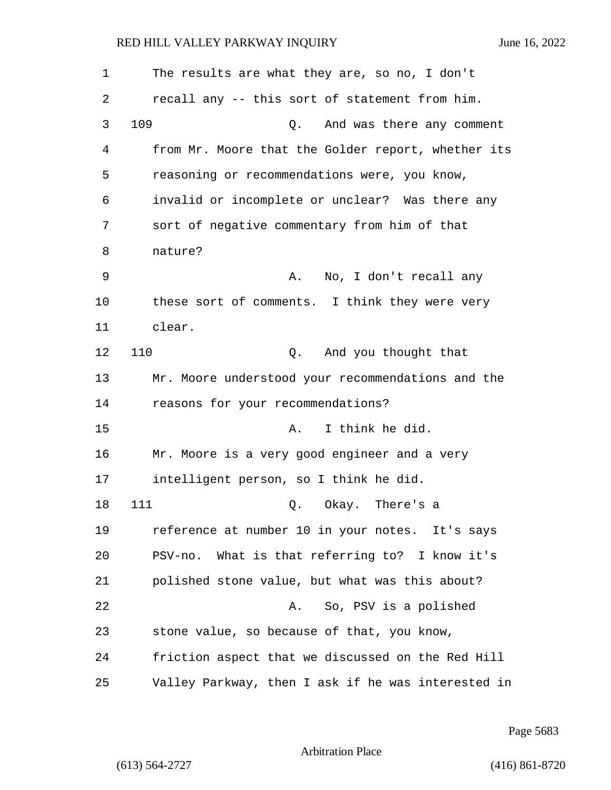| 1  | The results are what they are, so no, I don't      |
|----|----------------------------------------------------|
| 2  | recall any -- this sort of statement from him.     |
| 3  | 109<br>And was there any comment<br>Q.             |
| 4  | from Mr. Moore that the Golder report, whether its |
| 5  | reasoning or recommendations were, you know,       |
| 6  | invalid or incomplete or unclear? Was there any    |
| 7  | sort of negative commentary from him of that       |
| 8  | nature?                                            |
| 9  | No, I don't recall any<br>А.                       |
| 10 | these sort of comments. I think they were very     |
| 11 | clear.                                             |
| 12 | 110<br>Q. And you thought that                     |
| 13 | Mr. Moore understood your recommendations and the  |
| 14 | reasons for your recommendations?                  |
| 15 | I think he did.<br>Α.                              |
| 16 | Mr. Moore is a very good engineer and a very       |
| 17 | intelligent person, so I think he did.             |
| 18 | 111<br>Okay. There's a<br>Q.                       |
| 19 | reference at number 10 in your notes. It's says    |
| 20 | PSV-no. What is that referring to? I know it's     |
| 21 | polished stone value, but what was this about?     |
| 22 | So, PSV is a polished<br>Α.                        |
| 23 | stone value, so because of that, you know,         |
| 24 | friction aspect that we discussed on the Red Hill  |
| 25 | Valley Parkway, then I ask if he was interested in |

Page 5683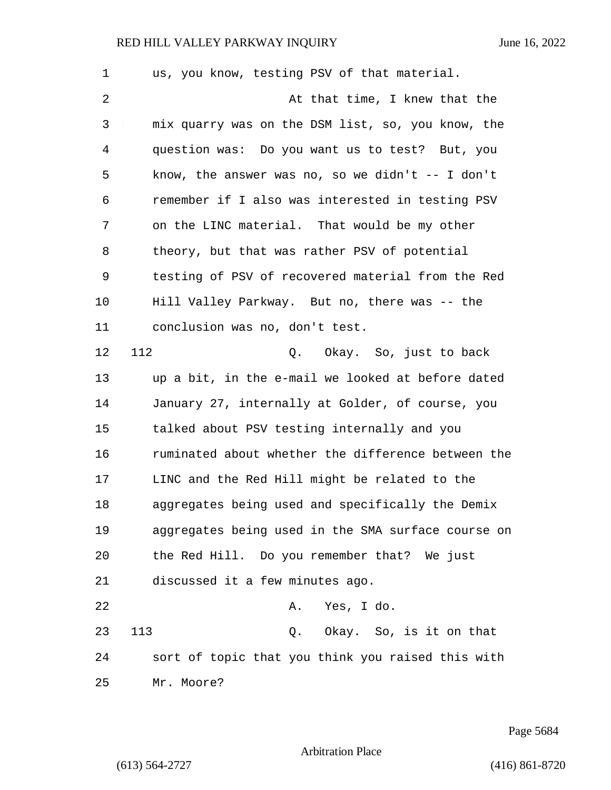| 1              | us, you know, testing PSV of that material.         |
|----------------|-----------------------------------------------------|
| $\overline{2}$ | At that time, I knew that the                       |
| 3              | mix quarry was on the DSM list, so, you know, the   |
| 4              | question was: Do you want us to test? But, you      |
| 5              | know, the answer was no, so we didn't $-$ - I don't |
| 6              | remember if I also was interested in testing PSV    |
| 7              | on the LINC material. That would be my other        |
| 8              | theory, but that was rather PSV of potential        |
| 9              | testing of PSV of recovered material from the Red   |
| 10             | Hill Valley Parkway. But no, there was -- the       |
| 11             | conclusion was no, don't test.                      |
| 12             | 112<br>Okay. So, just to back<br>Q.                 |
| 13             | up a bit, in the e-mail we looked at before dated   |
| 14             | January 27, internally at Golder, of course, you    |
| 15             | talked about PSV testing internally and you         |
| 16             | ruminated about whether the difference between the  |
| 17             | LINC and the Red Hill might be related to the       |
| 18             | aggregates being used and specifically the Demix    |
| 19             | aggregates being used in the SMA surface course on  |
| 20             | the Red Hill. Do you remember that? We just         |
| 21             | discussed it a few minutes ago.                     |
| 22             | Yes, I do.<br>Α.                                    |
| 23             | 113<br>Q. Okay. So, is it on that                   |
| 24             | sort of topic that you think you raised this with   |
| 25             | Mr. Moore?                                          |

Page 5684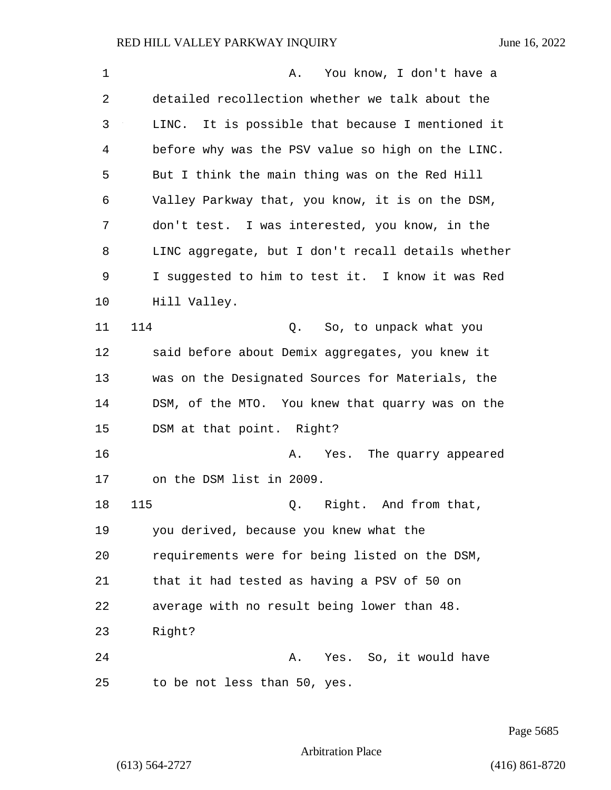| $\mathbf{1}$ | You know, I don't have a<br>Α.                     |
|--------------|----------------------------------------------------|
| 2            | detailed recollection whether we talk about the    |
| 3            | LINC. It is possible that because I mentioned it   |
| 4            | before why was the PSV value so high on the LINC.  |
| 5            | But I think the main thing was on the Red Hill     |
| 6            | Valley Parkway that, you know, it is on the DSM,   |
| 7            | don't test. I was interested, you know, in the     |
| 8            | LINC aggregate, but I don't recall details whether |
| 9            | I suggested to him to test it. I know it was Red   |
| 10           | Hill Valley.                                       |
| 11           | 114<br>So, to unpack what you<br>Q.                |
| 12           | said before about Demix aggregates, you knew it    |
| 13           | was on the Designated Sources for Materials, the   |
| 14           | DSM, of the MTO. You knew that quarry was on the   |
| 15           | DSM at that point. Right?                          |
| 16           | A. Yes. The quarry appeared                        |
| 17           | on the DSM list in 2009.                           |
| 18           | 115<br>Right. And from that,<br>Q.                 |
| 19           | you derived, because you knew what the             |
| 20           | requirements were for being listed on the DSM,     |
| 21           | that it had tested as having a PSV of 50 on        |
| 22           | average with no result being lower than 48.        |
| 23           | Right?                                             |
| 24           | Yes. So, it would have<br>Α.                       |
| 25           | to be not less than 50, yes.                       |

Page 5685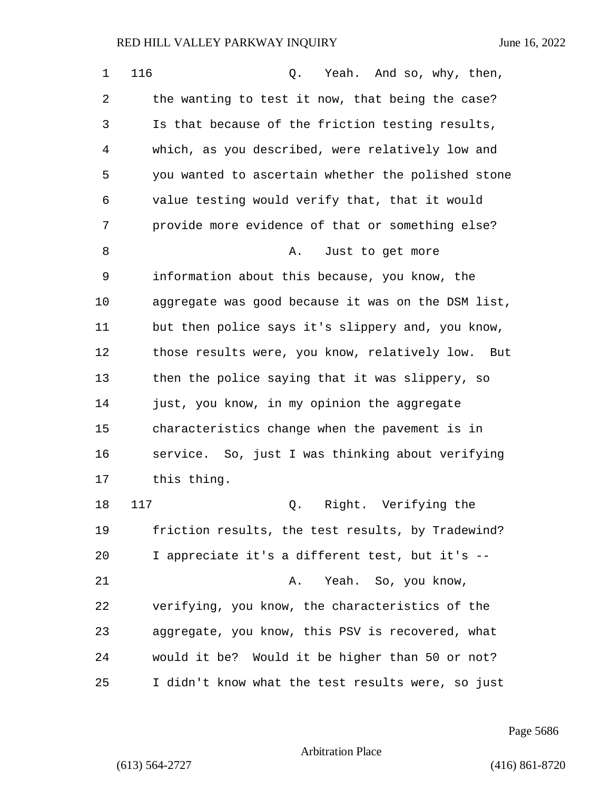| 1  | 116<br>Yeah. And so, why, then,<br>Q.                |
|----|------------------------------------------------------|
| 2  | the wanting to test it now, that being the case?     |
| 3  | Is that because of the friction testing results,     |
| 4  | which, as you described, were relatively low and     |
| 5  | you wanted to ascertain whether the polished stone   |
| 6  | value testing would verify that, that it would       |
| 7  | provide more evidence of that or something else?     |
| 8  | Just to get more<br>Α.                               |
| 9  | information about this because, you know, the        |
| 10 | aggregate was good because it was on the DSM list,   |
| 11 | but then police says it's slippery and, you know,    |
| 12 | those results were, you know, relatively low.<br>But |
| 13 | then the police saying that it was slippery, so      |
| 14 | just, you know, in my opinion the aggregate          |
| 15 | characteristics change when the pavement is in       |
| 16 | service. So, just I was thinking about verifying     |
| 17 | this thing.                                          |
| 18 | 117<br>Right. Verifying the<br>Q.                    |
| 19 | friction results, the test results, by Tradewind?    |
| 20 | I appreciate it's a different test, but it's --      |
| 21 | Yeah. So, you know,<br>Α.                            |
| 22 | verifying, you know, the characteristics of the      |
| 23 | aggregate, you know, this PSV is recovered, what     |
| 24 | would it be? Would it be higher than 50 or not?      |
| 25 | I didn't know what the test results were, so just    |

Page 5686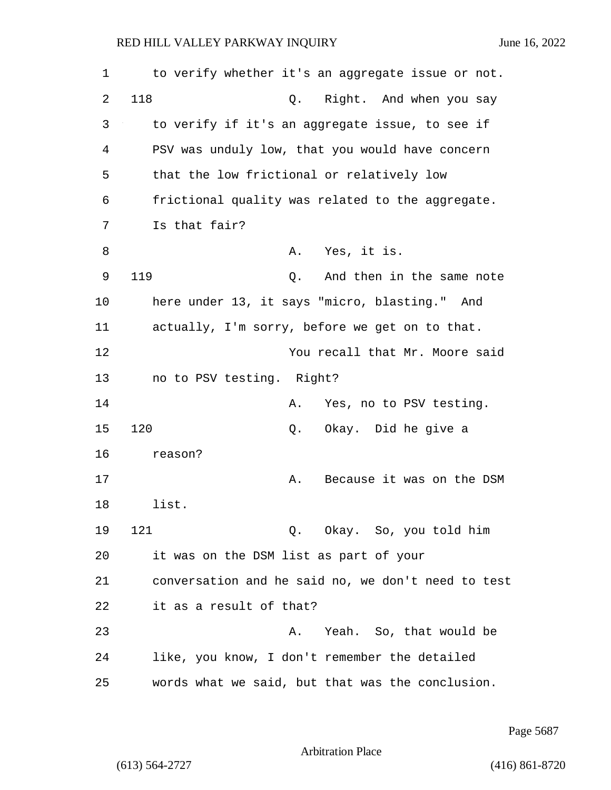| 1  | to verify whether it's an aggregate issue or not.  |
|----|----------------------------------------------------|
| 2  | 118<br>Right. And when you say<br>Q.               |
| 3  | to verify if it's an aggregate issue, to see if    |
| 4  | PSV was unduly low, that you would have concern    |
| 5  | that the low frictional or relatively low          |
| 6  | frictional quality was related to the aggregate.   |
| 7  | Is that fair?                                      |
| 8  | Yes, it is.<br>Α.                                  |
| 9  | 119<br>And then in the same note<br>Q.             |
| 10 | here under 13, it says "micro, blasting." And      |
| 11 | actually, I'm sorry, before we get on to that.     |
| 12 | You recall that Mr. Moore said                     |
| 13 | no to PSV testing. Right?                          |
| 14 | Yes, no to PSV testing.<br>Α.                      |
| 15 | 120<br>Okay. Did he give a<br>Q.                   |
| 16 | reason?                                            |
| 17 | Because it was on the DSM<br>Α.                    |
| 18 | list.                                              |
| 19 | 121<br>Q. Okay. So, you told him                   |
| 20 | it was on the DSM list as part of your             |
| 21 | conversation and he said no, we don't need to test |
| 22 | it as a result of that?                            |
| 23 | Yeah. So, that would be<br>Α.                      |
| 24 | like, you know, I don't remember the detailed      |
| 25 | words what we said, but that was the conclusion.   |

Page 5687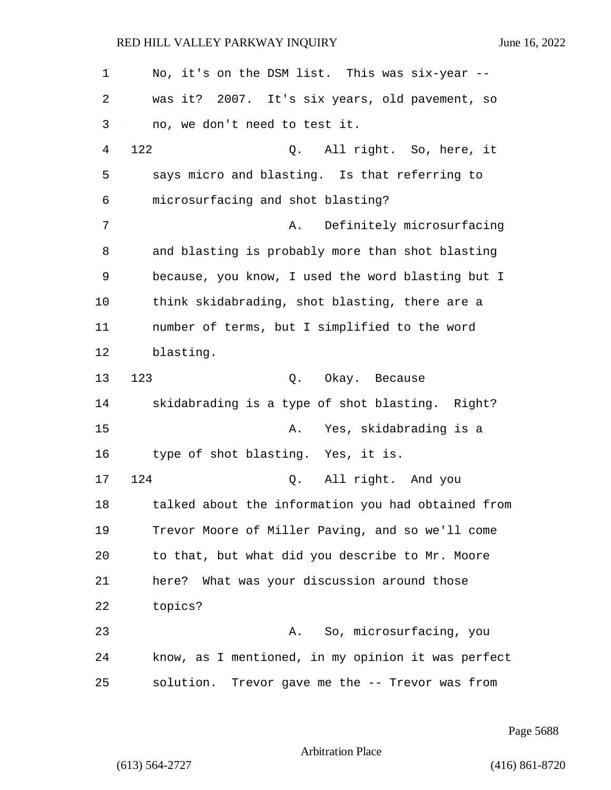1 No, it's on the DSM list. This was six-year -- 2 was it? 2007. It's six years, old pavement, so 3 no, we don't need to test it. 4 122 Q. All right. So, here, it 5 says micro and blasting. Is that referring to 6 microsurfacing and shot blasting? 7 A. Definitely microsurfacing 8 and blasting is probably more than shot blasting 9 because, you know, I used the word blasting but I 10 think skidabrading, shot blasting, there are a 11 number of terms, but I simplified to the word 12 blasting. 13 123 Q. Okay. Because 14 skidabrading is a type of shot blasting. Right? 15 A. Yes, skidabrading is a 16 type of shot blasting. Yes, it is. 17 124 Q. All right. And you 18 talked about the information you had obtained from 19 Trevor Moore of Miller Paving, and so we'll come 20 to that, but what did you describe to Mr. Moore 21 here? What was your discussion around those 22 topics? 23 A. So, microsurfacing, you 24 know, as I mentioned, in my opinion it was perfect 25 solution. Trevor gave me the -- Trevor was from

Page 5688

Arbitration Place

(613) 564-2727 (416) 861-8720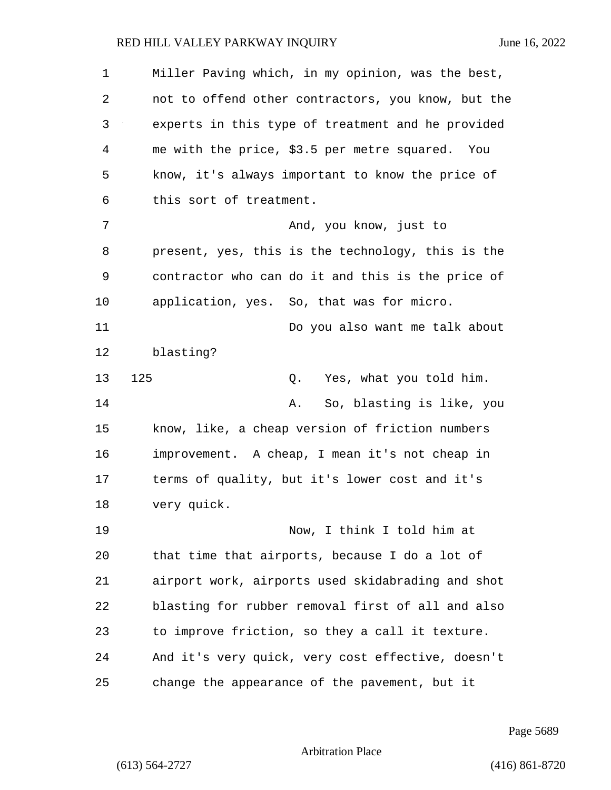| $\mathbf 1$ | Miller Paving which, in my opinion, was the best,  |
|-------------|----------------------------------------------------|
| 2           | not to offend other contractors, you know, but the |
| 3           | experts in this type of treatment and he provided  |
| 4           | me with the price, \$3.5 per metre squared. You    |
| 5           | know, it's always important to know the price of   |
| 6           | this sort of treatment.                            |
| 7           | And, you know, just to                             |
| 8           | present, yes, this is the technology, this is the  |
| 9           | contractor who can do it and this is the price of  |
| 10          | application, yes. So, that was for micro.          |
| 11          | Do you also want me talk about                     |
| 12          | blasting?                                          |
| 13          | 125<br>Yes, what you told him.<br>Q.               |
| 14          | So, blasting is like, you<br>Α.                    |
| 15          | know, like, a cheap version of friction numbers    |
| 16          | improvement. A cheap, I mean it's not cheap in     |
| 17          | terms of quality, but it's lower cost and it's     |
| $18\,$      | very quick.                                        |
| 19          | Now, I think I told him at                         |
| 20          | that time that airports, because I do a lot of     |
| 21          | airport work, airports used skidabrading and shot  |
| 22          | blasting for rubber removal first of all and also  |
| 23          | to improve friction, so they a call it texture.    |
| 24          | And it's very quick, very cost effective, doesn't  |
| 25          | change the appearance of the pavement, but it      |

Page 5689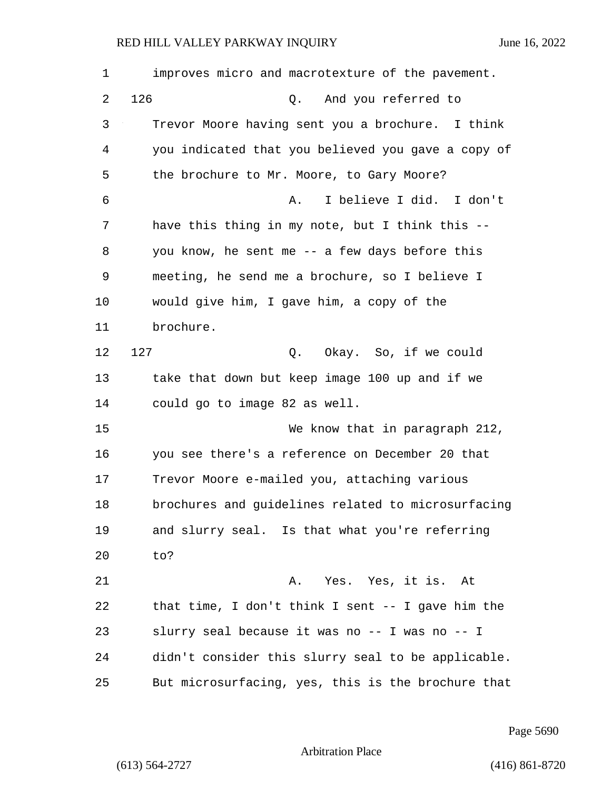| 1  | improves micro and macrotexture of the pavement.   |
|----|----------------------------------------------------|
| 2  | 126<br>And you referred to<br>Q.                   |
| 3  | Trevor Moore having sent you a brochure. I think   |
| 4  | you indicated that you believed you gave a copy of |
| 5  | the brochure to Mr. Moore, to Gary Moore?          |
| 6  | I believe I did. I don't<br>Α.                     |
| 7  | have this thing in my note, but I think this --    |
| 8  | you know, he sent me -- a few days before this     |
| 9  | meeting, he send me a brochure, so I believe I     |
| 10 | would give him, I gave him, a copy of the          |
| 11 | brochure.                                          |
| 12 | 127<br>Q. Okay. So, if we could                    |
| 13 | take that down but keep image 100 up and if we     |
| 14 | could go to image 82 as well.                      |
| 15 | We know that in paragraph 212,                     |
| 16 | you see there's a reference on December 20 that    |
| 17 | Trevor Moore e-mailed you, attaching various       |
| 18 | brochures and guidelines related to microsurfacing |
| 19 | and slurry seal. Is that what you're referring     |
| 20 | to?                                                |
| 21 | Yes. Yes, it is. At<br>Α.                          |
| 22 | that time, I don't think I sent -- I gave him the  |
| 23 | slurry seal because it was no -- I was no -- I     |
| 24 | didn't consider this slurry seal to be applicable. |
| 25 | But microsurfacing, yes, this is the brochure that |

Page 5690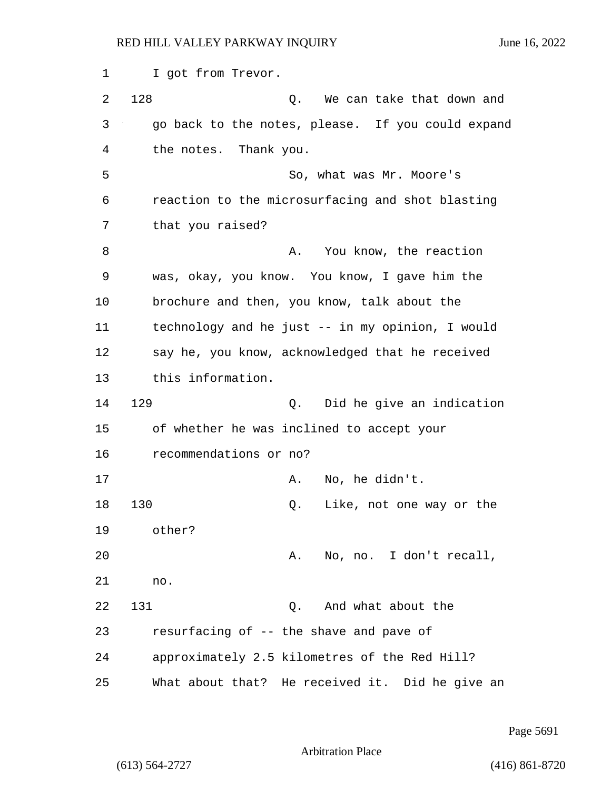1 I got from Trevor. 2 128 Q. We can take that down and 3 go back to the notes, please. If you could expand 4 the notes. Thank you. 5 So, what was Mr. Moore's 6 reaction to the microsurfacing and shot blasting 7 that you raised? 8 A. You know, the reaction 9 was, okay, you know. You know, I gave him the 10 brochure and then, you know, talk about the 11 technology and he just -- in my opinion, I would 12 say he, you know, acknowledged that he received 13 this information. 14 129 Q. Did he give an indication 15 of whether he was inclined to accept your 16 recommendations or no? 17 A. No, he didn't. 18 130 Q. Like, not one way or the 19 other? 20 A. No, no. I don't recall, 21 no. 22 131 Q. And what about the 23 resurfacing of -- the shave and pave of 24 approximately 2.5 kilometres of the Red Hill? 25 What about that? He received it. Did he give an

Page 5691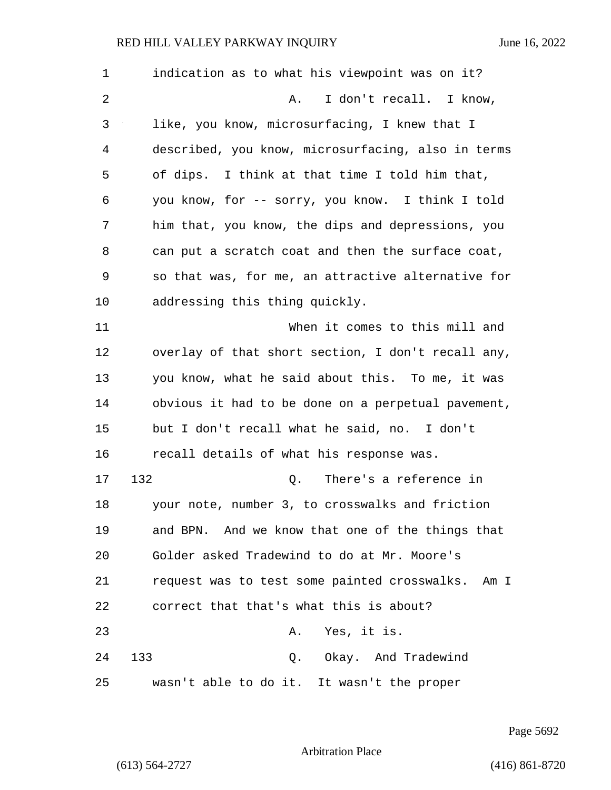1 indication as to what his viewpoint was on it? 2 A. I don't recall. I know, 3 like, you know, microsurfacing, I knew that I 4 described, you know, microsurfacing, also in terms 5 of dips. I think at that time I told him that, 6 you know, for -- sorry, you know. I think I told 7 him that, you know, the dips and depressions, you 8 can put a scratch coat and then the surface coat, 9 so that was, for me, an attractive alternative for 10 addressing this thing quickly. 11 When it comes to this mill and 12 overlay of that short section, I don't recall any, 13 you know, what he said about this. To me, it was 14 obvious it had to be done on a perpetual pavement, 15 but I don't recall what he said, no. I don't 16 recall details of what his response was. 17 132 Q. There's a reference in 18 your note, number 3, to crosswalks and friction 19 and BPN. And we know that one of the things that 20 Golder asked Tradewind to do at Mr. Moore's 21 request was to test some painted crosswalks. Am I 22 correct that that's what this is about? 23 A. Yes, it is. 24 133 Q. Okay. And Tradewind 25 wasn't able to do it. It wasn't the proper

Page 5692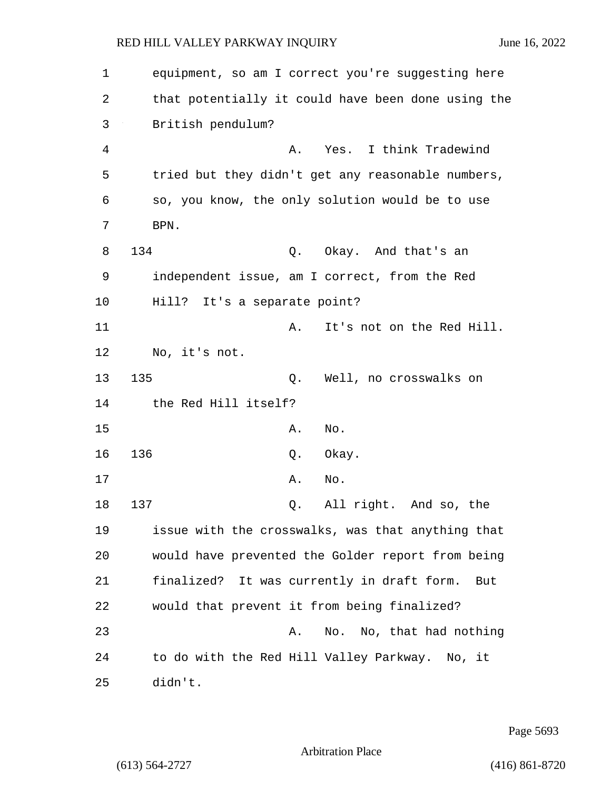| 1  | equipment, so am I correct you're suggesting here  |
|----|----------------------------------------------------|
| 2  | that potentially it could have been done using the |
| 3  | British pendulum?                                  |
| 4  | Yes. I think Tradewind<br>Α.                       |
| 5  | tried but they didn't get any reasonable numbers,  |
| 6  | so, you know, the only solution would be to use    |
| 7  | BPN.                                               |
| 8  | 134<br>Okay. And that's an<br>Q.                   |
| 9  | independent issue, am I correct, from the Red      |
| 10 | Hill? It's a separate point?                       |
| 11 | It's not on the Red Hill.<br>Α.                    |
| 12 | No, it's not.                                      |
| 13 | 135<br>Well, no crosswalks on<br>Q.                |
| 14 | the Red Hill itself?                               |
| 15 | Α.<br>No.                                          |
| 16 | 136<br>Okay.<br>Q.                                 |
| 17 | Α.<br>No.                                          |
| 18 | 137<br>All right. And so, the<br>Q.                |
| 19 | issue with the crosswalks, was that anything that  |
| 20 | would have prevented the Golder report from being  |
| 21 | finalized? It was currently in draft form.<br>But  |
| 22 | would that prevent it from being finalized?        |
| 23 | No. No, that had nothing<br>Α.                     |
| 24 | to do with the Red Hill Valley Parkway. No, it     |
| 25 | didn't.                                            |

Page 5693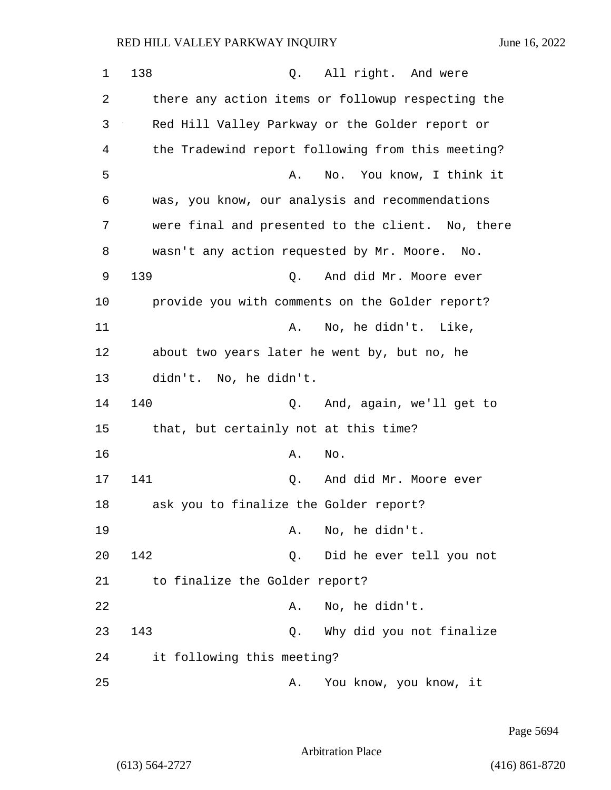1 138 0. All right. And were 2 there any action items or followup respecting the 3 Red Hill Valley Parkway or the Golder report or 4 the Tradewind report following from this meeting? 5 A. No. You know, I think it 6 was, you know, our analysis and recommendations 7 were final and presented to the client. No, there 8 wasn't any action requested by Mr. Moore. No. 9 139 Q. And did Mr. Moore ever 10 provide you with comments on the Golder report? 11 a. No, he didn't. Like, 12 about two years later he went by, but no, he 13 didn't. No, he didn't. 14 140 Q. And, again, we'll get to 15 that, but certainly not at this time? 16 A. No. 17 141 Q. And did Mr. Moore ever 18 ask you to finalize the Golder report? 19 A. No, he didn't. 20 142 Q. Did he ever tell you not 21 to finalize the Golder report? 22 A. No, he didn't. 23 143 Q. Why did you not finalize 24 it following this meeting? 25 A. You know, you know, it

Page 5694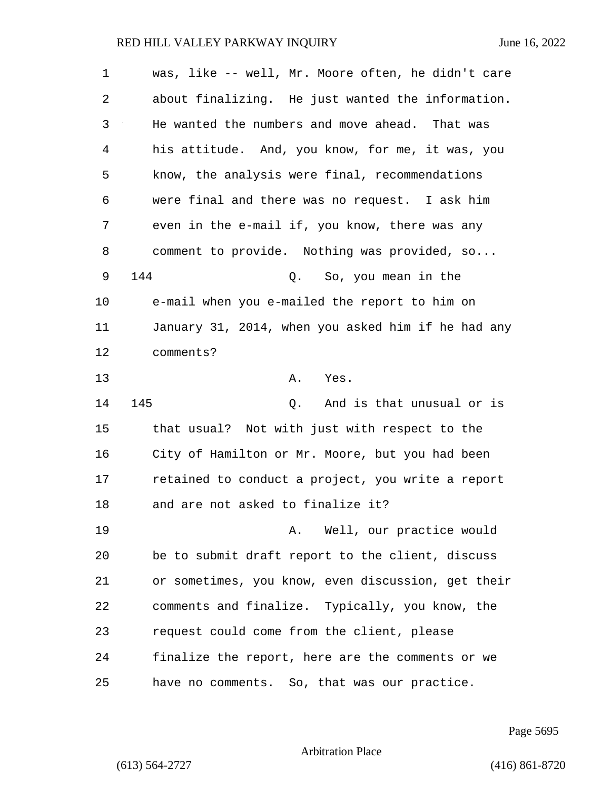| 1  | was, like -- well, Mr. Moore often, he didn't care |
|----|----------------------------------------------------|
| 2  | about finalizing. He just wanted the information.  |
| 3  | He wanted the numbers and move ahead. That was     |
| 4  | his attitude. And, you know, for me, it was, you   |
| 5  | know, the analysis were final, recommendations     |
| 6  | were final and there was no request. I ask him     |
| 7  | even in the e-mail if, you know, there was any     |
| 8  | comment to provide. Nothing was provided, so       |
| 9  | 144<br>Q. So, you mean in the                      |
| 10 | e-mail when you e-mailed the report to him on      |
| 11 | January 31, 2014, when you asked him if he had any |
| 12 | comments?                                          |
| 13 | Α.<br>Yes.                                         |
| 14 | 145<br>And is that unusual or is<br>Q.             |
| 15 | that usual? Not with just with respect to the      |
| 16 | City of Hamilton or Mr. Moore, but you had been    |
| 17 | retained to conduct a project, you write a report  |
| 18 | and are not asked to finalize it?                  |
| 19 | A. Well, our practice would                        |
| 20 | be to submit draft report to the client, discuss   |
| 21 | or sometimes, you know, even discussion, get their |
| 22 | comments and finalize. Typically, you know, the    |
| 23 | request could come from the client, please         |
| 24 | finalize the report, here are the comments or we   |
| 25 | have no comments. So, that was our practice.       |

Page 5695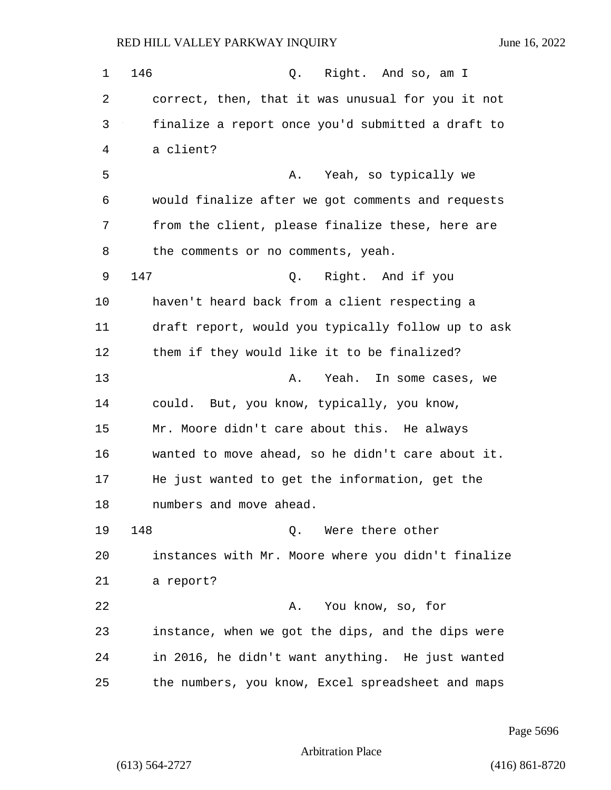1 146 Q. Right. And so, am I 2 correct, then, that it was unusual for you it not 3 finalize a report once you'd submitted a draft to 4 a client? 5 A. Yeah, so typically we 6 would finalize after we got comments and requests 7 from the client, please finalize these, here are 8 the comments or no comments, yeah. 9 147 Q. Right. And if you 10 haven't heard back from a client respecting a 11 draft report, would you typically follow up to ask 12 them if they would like it to be finalized? 13 A. Yeah. In some cases, we 14 could. But, you know, typically, you know, 15 Mr. Moore didn't care about this. He always 16 wanted to move ahead, so he didn't care about it. 17 He just wanted to get the information, get the 18 numbers and move ahead. 19 148 Q. Were there other 20 instances with Mr. Moore where you didn't finalize 21 a report? 22 A. You know, so, for 23 instance, when we got the dips, and the dips were 24 in 2016, he didn't want anything. He just wanted 25 the numbers, you know, Excel spreadsheet and maps

Page 5696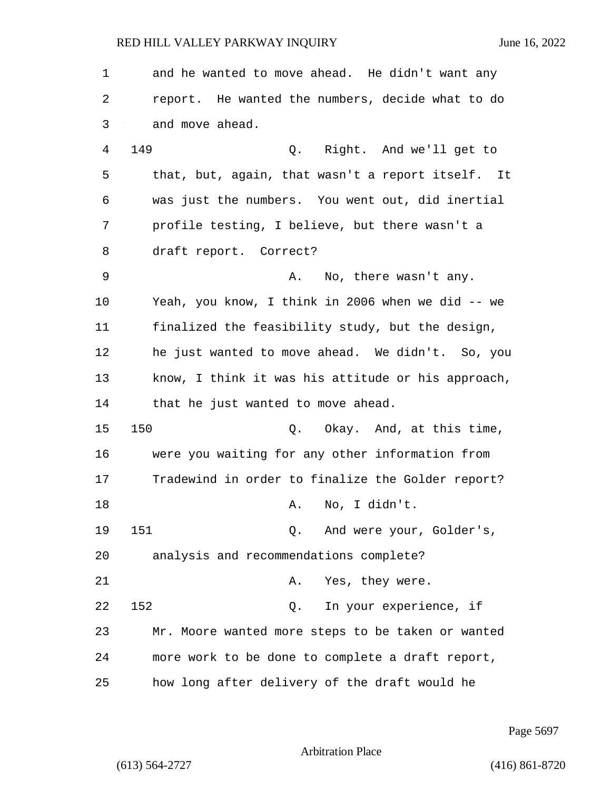| 1      | and he wanted to move ahead. He didn't want any    |
|--------|----------------------------------------------------|
| 2      | report. He wanted the numbers, decide what to do   |
| 3      | and move ahead.                                    |
| 4      | 149<br>Q. Right. And we'll get to                  |
| 5      | that, but, again, that wasn't a report itself. It  |
| 6      | was just the numbers. You went out, did inertial   |
| 7      | profile testing, I believe, but there wasn't a     |
| 8      | draft report. Correct?                             |
| 9      | No, there wasn't any.<br>Α.                        |
| 10     | Yeah, you know, I think in 2006 when we did -- we  |
| 11     | finalized the feasibility study, but the design,   |
| 12     | he just wanted to move ahead. We didn't. So, you   |
| 13     | know, I think it was his attitude or his approach, |
| 14     | that he just wanted to move ahead.                 |
| 15     | 150<br>Q. Okay. And, at this time,                 |
| 16     | were you waiting for any other information from    |
| 17     | Tradewind in order to finalize the Golder report?  |
| $18\,$ | No, I didn't.<br>Α.                                |
| 19     | 151<br>And were your, Golder's,<br>Q.              |
| 20     | analysis and recommendations complete?             |
| 21     | Yes, they were.<br>Α.                              |
| 22     | 152<br>In your experience, if<br>Q.                |
| 23     | Mr. Moore wanted more steps to be taken or wanted  |
| 24     | more work to be done to complete a draft report,   |
| 25     | how long after delivery of the draft would he      |

Page 5697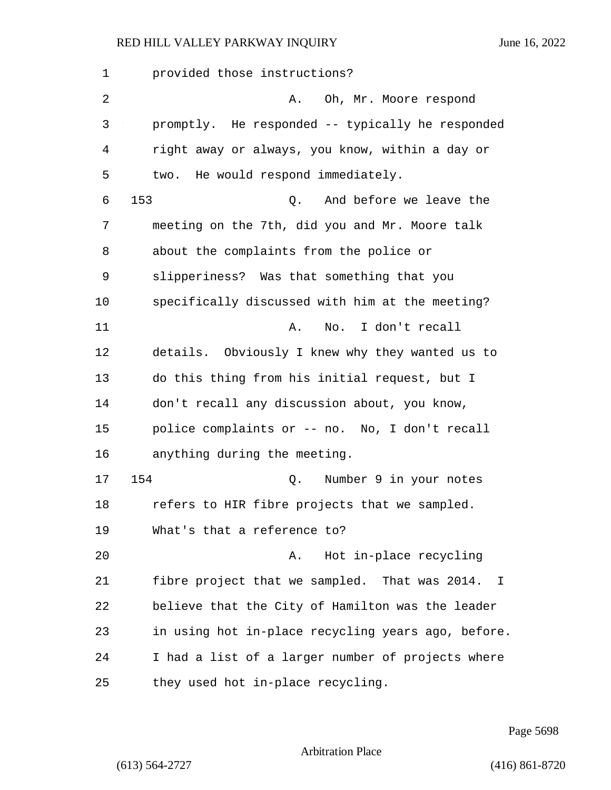| $\mathbf 1$ | provided those instructions?                                  |
|-------------|---------------------------------------------------------------|
| 2           | Oh, Mr. Moore respond<br>Α.                                   |
| 3           | promptly. He responded -- typically he responded              |
| 4           | right away or always, you know, within a day or               |
| 5           | He would respond immediately.<br>two.                         |
| 6           | 153<br>And before we leave the<br>Q.                          |
| 7           | meeting on the 7th, did you and Mr. Moore talk                |
| 8           | about the complaints from the police or                       |
| 9           | slipperiness? Was that something that you                     |
| 10          | specifically discussed with him at the meeting?               |
| 11          | I don't recall<br>Α.<br>No.                                   |
| 12          | details. Obviously I knew why they wanted us to               |
| 13          | do this thing from his initial request, but I                 |
| 14          | don't recall any discussion about, you know,                  |
| 15          | police complaints or -- no. No, I don't recall                |
| 16          | anything during the meeting.                                  |
| 17          | 154<br>Number 9 in your notes<br>Q.                           |
| 18          | refers to HIR fibre projects that we sampled.                 |
| 19          | What's that a reference to?                                   |
| 20          | Hot in-place recycling<br>Α.                                  |
| 21          | fibre project that we sampled. That was 2014.<br>$\mathbf{I}$ |
| 22          | believe that the City of Hamilton was the leader              |
| 23          | in using hot in-place recycling years ago, before.            |
| 24          | I had a list of a larger number of projects where             |
| 25          | they used hot in-place recycling.                             |

Page 5698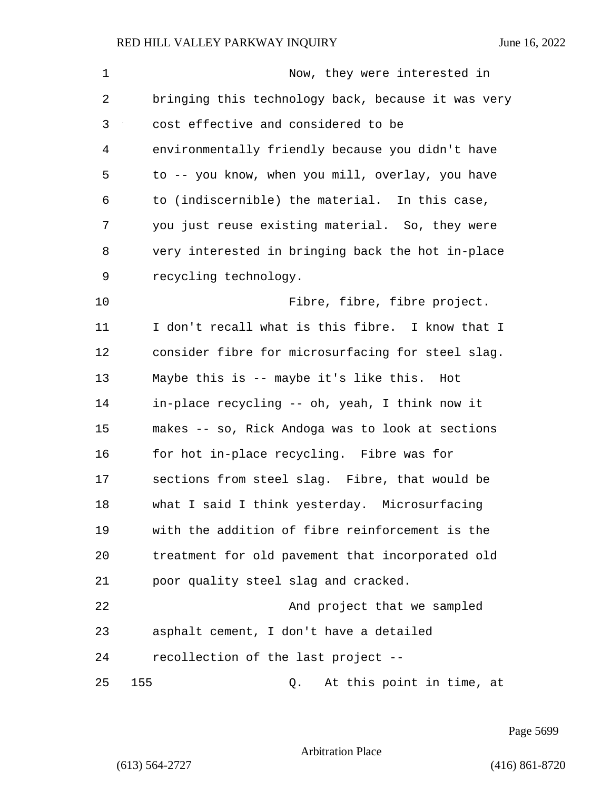| 1  | Now, they were interested in                       |
|----|----------------------------------------------------|
| 2  | bringing this technology back, because it was very |
| 3  | cost effective and considered to be                |
| 4  | environmentally friendly because you didn't have   |
| 5  | to -- you know, when you mill, overlay, you have   |
| 6  | to (indiscernible) the material. In this case,     |
| 7  | you just reuse existing material. So, they were    |
| 8  | very interested in bringing back the hot in-place  |
| 9  | recycling technology.                              |
| 10 | Fibre, fibre, fibre project.                       |
| 11 | I don't recall what is this fibre. I know that I   |
| 12 | consider fibre for microsurfacing for steel slag.  |
| 13 | Maybe this is -- maybe it's like this. Hot         |
| 14 | in-place recycling -- oh, yeah, I think now it     |
| 15 | makes -- so, Rick Andoga was to look at sections   |
| 16 | for hot in-place recycling. Fibre was for          |
| 17 | sections from steel slag. Fibre, that would be     |
| 18 | what I said I think yesterday. Microsurfacing      |
| 19 | with the addition of fibre reinforcement is the    |
| 20 | treatment for old pavement that incorporated old   |
| 21 | poor quality steel slag and cracked.               |
| 22 | And project that we sampled                        |
| 23 | asphalt cement, I don't have a detailed            |
| 24 | recollection of the last project --                |
| 25 | 155<br>At this point in time, at<br>Q.             |

Page 5699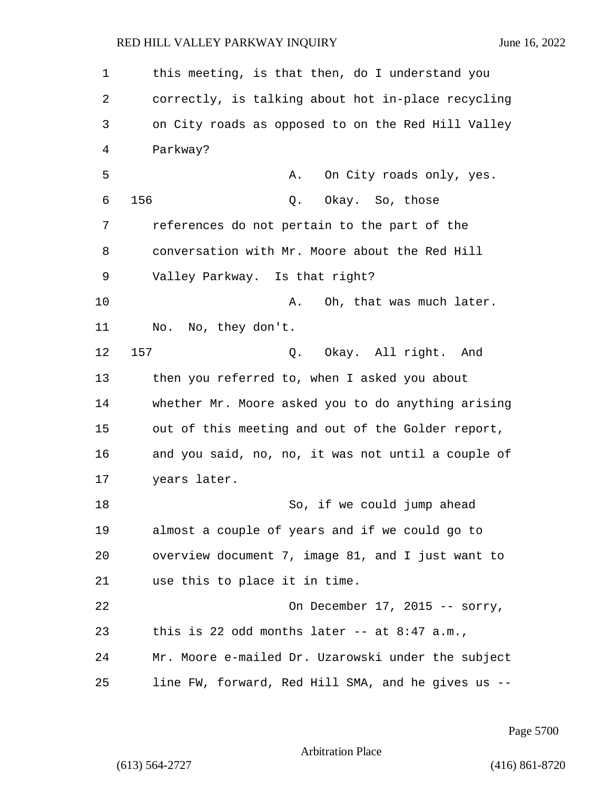1 this meeting, is that then, do I understand you 2 correctly, is talking about hot in-place recycling 3 on City roads as opposed to on the Red Hill Valley 4 Parkway? 5 A. On City roads only, yes. 6 156 Q. Okay. So, those 7 references do not pertain to the part of the 8 conversation with Mr. Moore about the Red Hill 9 Valley Parkway. Is that right? 10 A. Oh, that was much later. 11 No. No, they don't. 12 157 Q. Okay. All right. And 13 then you referred to, when I asked you about 14 whether Mr. Moore asked you to do anything arising 15 out of this meeting and out of the Golder report, 16 and you said, no, no, it was not until a couple of 17 years later. 18 So, if we could jump ahead 19 almost a couple of years and if we could go to 20 overview document 7, image 81, and I just want to 21 use this to place it in time. 22 On December 17, 2015 -- sorry, 23 this is 22 odd months later -- at 8:47 a.m., 24 Mr. Moore e-mailed Dr. Uzarowski under the subject 25 line FW, forward, Red Hill SMA, and he gives us --

Page 5700

Arbitration Place

(613) 564-2727 (416) 861-8720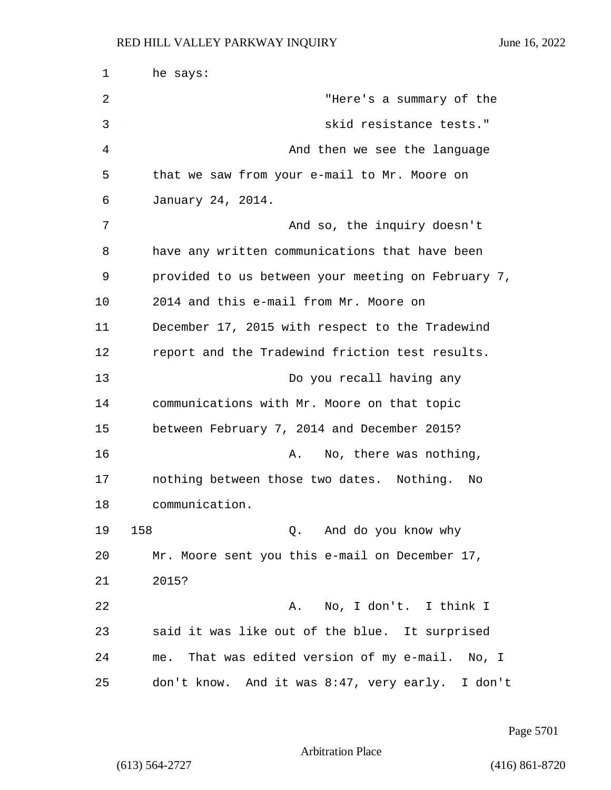1 he says: 2 "Here's a summary of the 3 skid resistance tests." 4 And then we see the language 5 that we saw from your e-mail to Mr. Moore on 6 January 24, 2014. 7 And so, the inquiry doesn't 8 have any written communications that have been 9 provided to us between your meeting on February 7, 10 2014 and this e-mail from Mr. Moore on 11 December 17, 2015 with respect to the Tradewind 12 report and the Tradewind friction test results. 13 Do you recall having any 14 communications with Mr. Moore on that topic 15 between February 7, 2014 and December 2015? 16 **A.** No, there was nothing, 17 nothing between those two dates. Nothing. No 18 communication. 19 158 Q. And do you know why 20 Mr. Moore sent you this e-mail on December 17, 21 2015? 22 A. No, I don't. I think I 23 said it was like out of the blue. It surprised 24 me. That was edited version of my e-mail. No, I 25 don't know. And it was 8:47, very early. I don't

Page 5701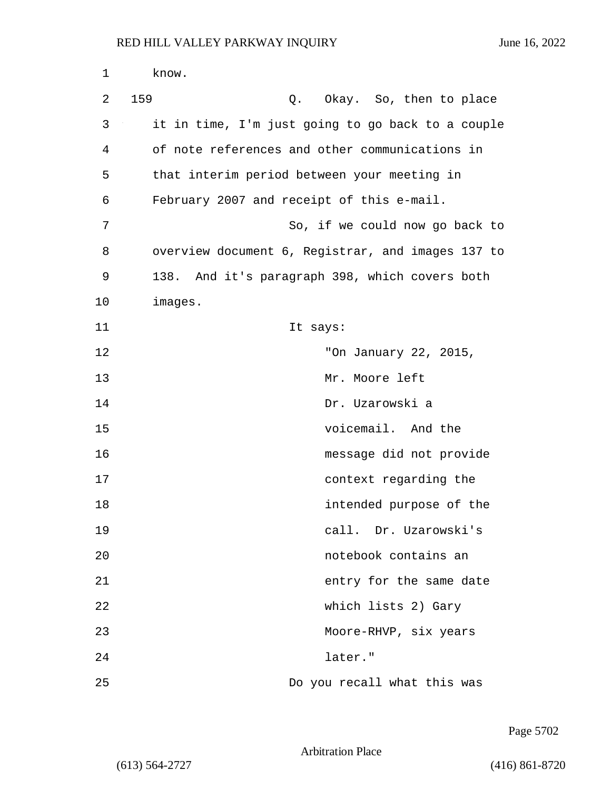| $\mathbf 1$ | know.   |                                                   |
|-------------|---------|---------------------------------------------------|
| 2           | 159     | Q. Okay. So, then to place                        |
| 3           |         | it in time, I'm just going to go back to a couple |
| 4           |         | of note references and other communications in    |
| 5           |         | that interim period between your meeting in       |
| 6           |         | February 2007 and receipt of this e-mail.         |
| 7           |         | So, if we could now go back to                    |
| 8           |         | overview document 6, Registrar, and images 137 to |
| 9           |         | 138. And it's paragraph 398, which covers both    |
| 10          | images. |                                                   |
| 11          |         | It says:                                          |
| 12          |         | "On January 22, 2015,                             |
| 13          |         | Mr. Moore left                                    |
| 14          |         | Dr. Uzarowski a                                   |
| 15          |         | voicemail. And the                                |
| 16          |         | message did not provide                           |
| 17          |         | context regarding the                             |
| 18          |         | intended purpose of the                           |
| 19          |         | call. Dr. Uzarowski's                             |
| 20          |         | notebook contains an                              |
| 21          |         | entry for the same date                           |
| 22          |         | which lists 2) Gary                               |
| 23          |         | Moore-RHVP, six years                             |
| 24          |         | later."                                           |
| 25          |         | Do you recall what this was                       |

Page 5702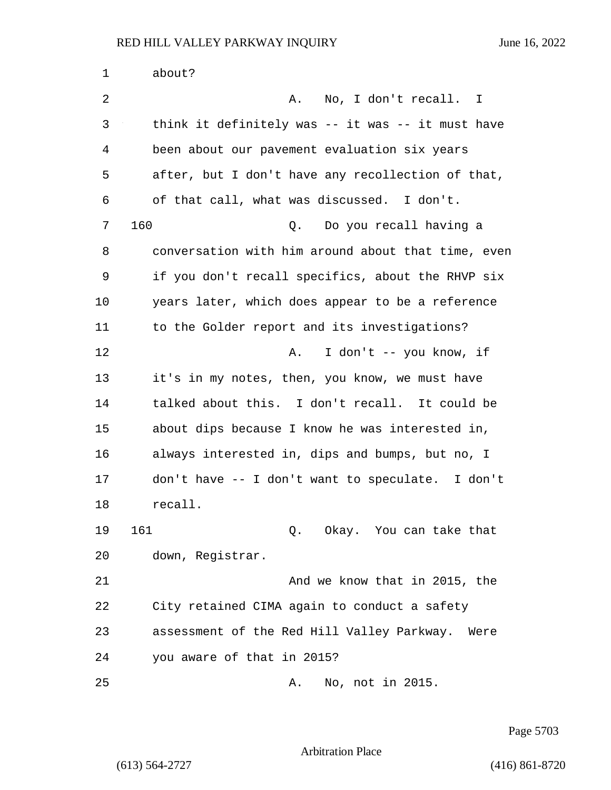| 1  | about?                                             |
|----|----------------------------------------------------|
| 2  | No, I don't recall. I<br>Α.                        |
| 3  | think it definitely was -- it was -- it must have  |
| 4  | been about our pavement evaluation six years       |
| 5  | after, but I don't have any recollection of that,  |
| 6  | of that call, what was discussed. I don't.         |
| 7  | 160<br>Q. Do you recall having a                   |
| 8  | conversation with him around about that time, even |
| 9  | if you don't recall specifics, about the RHVP six  |
| 10 | years later, which does appear to be a reference   |
| 11 | to the Golder report and its investigations?       |
| 12 | I don't -- you know, if<br>Α.                      |
| 13 | it's in my notes, then, you know, we must have     |
| 14 | talked about this. I don't recall. It could be     |
| 15 | about dips because I know he was interested in,    |
| 16 | always interested in, dips and bumps, but no, I    |
| 17 | don't have -- I don't want to speculate. I don't   |
| 18 | recall.                                            |
| 19 | 161<br>Q. Okay. You can take that                  |
| 20 | down, Registrar.                                   |
| 21 | And we know that in 2015, the                      |
| 22 | City retained CIMA again to conduct a safety       |
| 23 | assessment of the Red Hill Valley Parkway.<br>Were |
| 24 | you aware of that in 2015?                         |
| 25 | No, not in 2015.<br>Α.                             |

Page 5703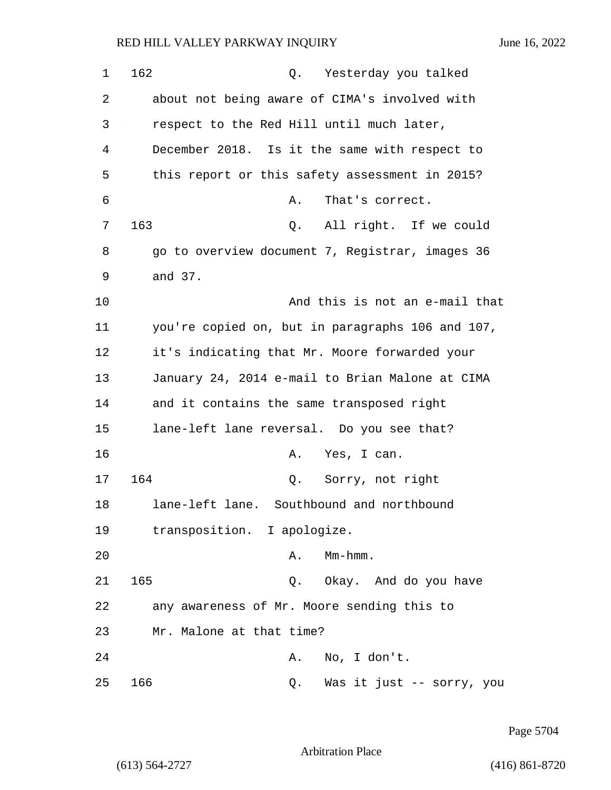| 1  | 162<br>Yesterday you talked<br>Q.                |
|----|--------------------------------------------------|
| 2  | about not being aware of CIMA's involved with    |
| 3  | respect to the Red Hill until much later,        |
| 4  | December 2018. Is it the same with respect to    |
| 5  | this report or this safety assessment in 2015?   |
| 6  | That's correct.<br>Α.                            |
| 7  | 163<br>All right. If we could<br>Q.              |
| 8  | go to overview document 7, Registrar, images 36  |
| 9  | and 37.                                          |
| 10 | And this is not an e-mail that                   |
| 11 | you're copied on, but in paragraphs 106 and 107, |
| 12 | it's indicating that Mr. Moore forwarded your    |
| 13 | January 24, 2014 e-mail to Brian Malone at CIMA  |
| 14 | and it contains the same transposed right        |
| 15 | lane-left lane reversal. Do you see that?        |
| 16 | Yes, I can.<br>Α.                                |
| 17 | 164<br>Sorry, not right<br>Q.                    |
| 18 | lane-left lane. Southbound and northbound        |
| 19 | transposition. I apologize.                      |
| 20 | $Mm-hmm$ .<br>Α.                                 |
| 21 | 165<br>Q. Okay. And do you have                  |
| 22 | any awareness of Mr. Moore sending this to       |
| 23 | Mr. Malone at that time?                         |
| 24 | No, I don't.<br>A.                               |
| 25 | 166<br>Was it just -- sorry, you<br>Q.           |

Page 5704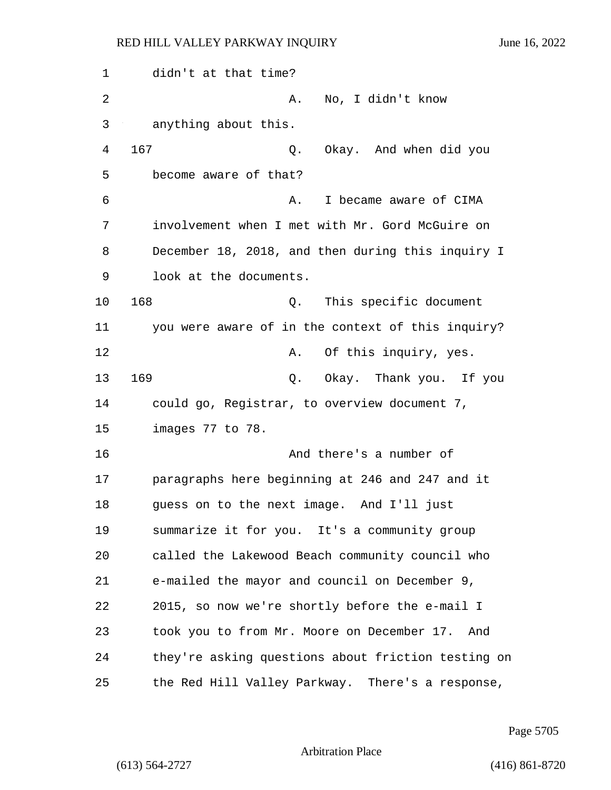1 didn't at that time? 2 A. No, I didn't know 3 anything about this. 4 167 Q. Okay. And when did you 5 become aware of that? 6 **6** A. I became aware of CIMA 7 involvement when I met with Mr. Gord McGuire on 8 December 18, 2018, and then during this inquiry I 9 look at the documents. 10 168 Q. This specific document 11 you were aware of in the context of this inquiry? 12 **A.** Of this inquiry, yes. 13 169 Q. Okay. Thank you. If you 14 could go, Registrar, to overview document 7, 15 images 77 to 78. 16 And there's a number of 17 paragraphs here beginning at 246 and 247 and it 18 guess on to the next image. And I'll just 19 summarize it for you. It's a community group 20 called the Lakewood Beach community council who 21 e-mailed the mayor and council on December 9, 22 2015, so now we're shortly before the e-mail I 23 took you to from Mr. Moore on December 17. And 24 they're asking questions about friction testing on 25 the Red Hill Valley Parkway. There's a response,

Page 5705

Arbitration Place

(613) 564-2727 (416) 861-8720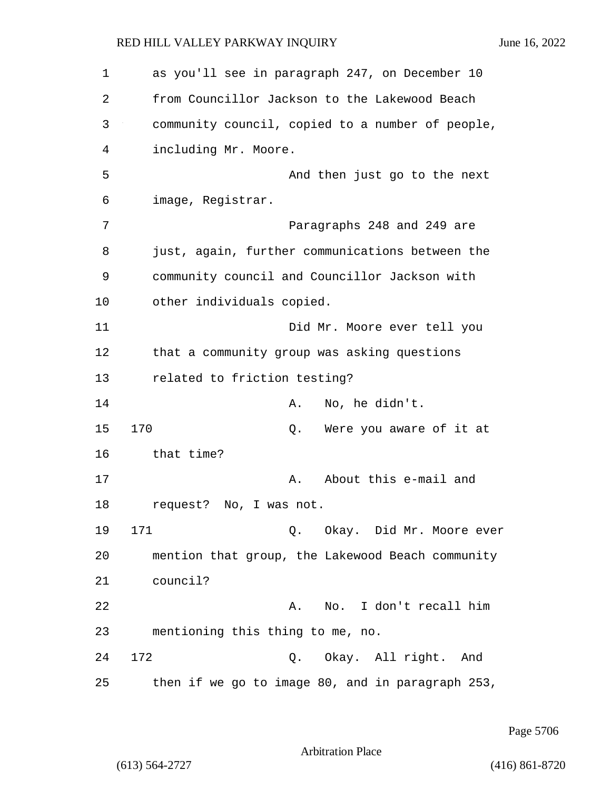| 1  | as you'll see in paragraph 247, on December 10   |
|----|--------------------------------------------------|
| 2  | from Councillor Jackson to the Lakewood Beach    |
| 3  | community council, copied to a number of people, |
| 4  | including Mr. Moore.                             |
| 5  | And then just go to the next                     |
| 6  | image, Registrar.                                |
| 7  | Paragraphs 248 and 249 are                       |
| 8  | just, again, further communications between the  |
| 9  | community council and Councillor Jackson with    |
| 10 | other individuals copied.                        |
| 11 | Did Mr. Moore ever tell you                      |
| 12 | that a community group was asking questions      |
| 13 | related to friction testing?                     |
| 14 | No, he didn't.<br>Α.                             |
| 15 | 170<br>Were you aware of it at<br>Q.             |
| 16 | that time?                                       |
| 17 | About this e-mail and<br>Α.                      |
| 18 | request? No, I was not.                          |
| 19 | 171<br>Q. Okay. Did Mr. Moore ever               |
| 20 | mention that group, the Lakewood Beach community |
| 21 | council?                                         |
| 22 | I don't recall him<br>Α.<br>No.                  |
| 23 | mentioning this thing to me, no.                 |
| 24 | 172<br>Okay. All right. And<br>Q.                |
| 25 | then if we go to image 80, and in paragraph 253, |

Page 5706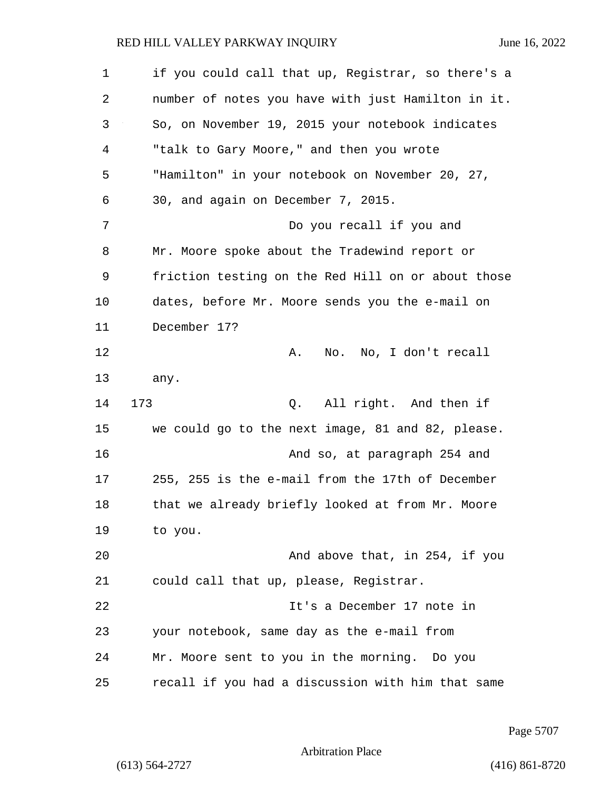1 if you could call that up, Registrar, so there's a 2 number of notes you have with just Hamilton in it. 3 So, on November 19, 2015 your notebook indicates 4 "talk to Gary Moore," and then you wrote 5 "Hamilton" in your notebook on November 20, 27, 6 30, and again on December 7, 2015. 7 Do you recall if you and 8 Mr. Moore spoke about the Tradewind report or 9 friction testing on the Red Hill on or about those 10 dates, before Mr. Moore sends you the e-mail on 11 December 17? 12 A. No. No, I don't recall 13 any. 14 173 Q. All right. And then if 15 we could go to the next image, 81 and 82, please. 16 And so, at paragraph 254 and 17 255, 255 is the e-mail from the 17th of December 18 that we already briefly looked at from Mr. Moore 19 to you. 20 And above that, in 254, if you 21 could call that up, please, Registrar. 22 It's a December 17 note in 23 your notebook, same day as the e-mail from 24 Mr. Moore sent to you in the morning. Do you

25 recall if you had a discussion with him that same

Page 5707

Arbitration Place

(613) 564-2727 (416) 861-8720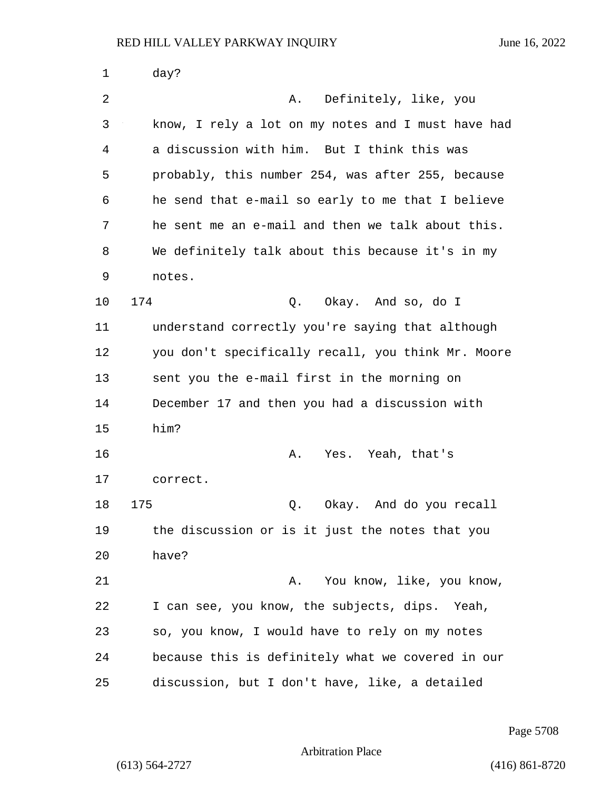| 1  | day?                                               |
|----|----------------------------------------------------|
| 2  | A. Definitely, like, you                           |
| 3  | know, I rely a lot on my notes and I must have had |
| 4  | a discussion with him. But I think this was        |
| 5  | probably, this number 254, was after 255, because  |
| 6  | he send that e-mail so early to me that I believe  |
| 7  | he sent me an e-mail and then we talk about this.  |
| 8  | We definitely talk about this because it's in my   |
| 9  | notes.                                             |
| 10 | 174<br>Q. Okay. And so, do I                       |
| 11 | understand correctly you're saying that although   |
| 12 | you don't specifically recall, you think Mr. Moore |
| 13 | sent you the e-mail first in the morning on        |
| 14 | December 17 and then you had a discussion with     |
| 15 | him?                                               |
| 16 | Yes. Yeah, that's<br>Α.                            |
| 17 | correct.                                           |
| 18 | Q. Okay. And do you recall<br>175                  |
| 19 | the discussion or is it just the notes that you    |
| 20 | have?                                              |
| 21 | You know, like, you know,<br>Α.                    |
| 22 | I can see, you know, the subjects, dips. Yeah,     |
| 23 | so, you know, I would have to rely on my notes     |
| 24 | because this is definitely what we covered in our  |
| 25 | discussion, but I don't have, like, a detailed     |

Page 5708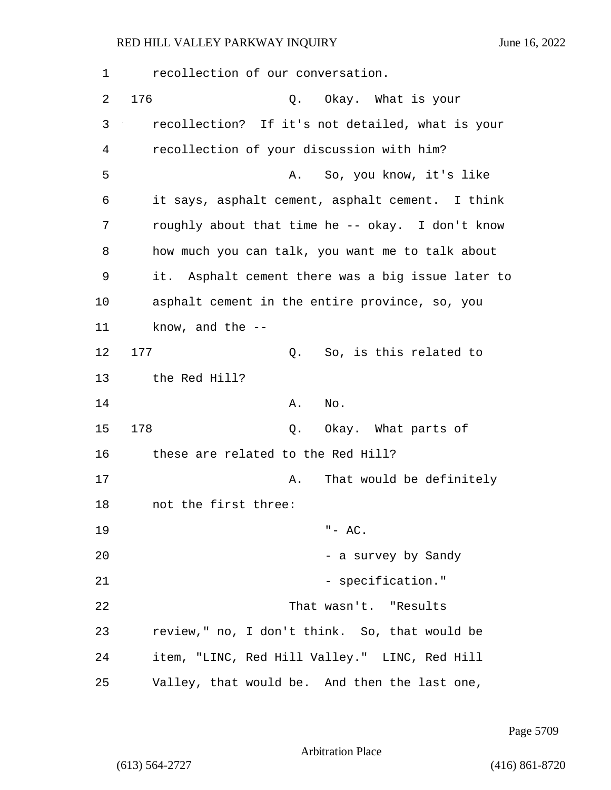| 1  | recollection of our conversation.                 |
|----|---------------------------------------------------|
| 2  | 176<br>Q. Okay. What is your                      |
| 3  | recollection? If it's not detailed, what is your  |
| 4  | recollection of your discussion with him?         |
| 5  | So, you know, it's like<br>Α.                     |
| 6  | it says, asphalt cement, asphalt cement. I think  |
| 7  | roughly about that time he -- okay. I don't know  |
| 8  | how much you can talk, you want me to talk about  |
| 9  | it. Asphalt cement there was a big issue later to |
| 10 | asphalt cement in the entire province, so, you    |
| 11 | know, and the $-$ -                               |
| 12 | 177<br>So, is this related to<br>Q.               |
| 13 | the Red Hill?                                     |
| 14 | Α.<br>No.                                         |
| 15 | 178<br>Okay. What parts of<br>Q.                  |
| 16 | these are related to the Red Hill?                |
| 17 | That would be definitely<br>Α.                    |
| 18 | not the first three:                              |
| 19 | $" - AC.$                                         |
| 20 | - a survey by Sandy                               |
| 21 | - specification."                                 |
| 22 | That wasn't. "Results                             |
| 23 | review," no, I don't think. So, that would be     |
| 24 | item, "LINC, Red Hill Valley." LINC, Red Hill     |
| 25 | Valley, that would be. And then the last one,     |

Page 5709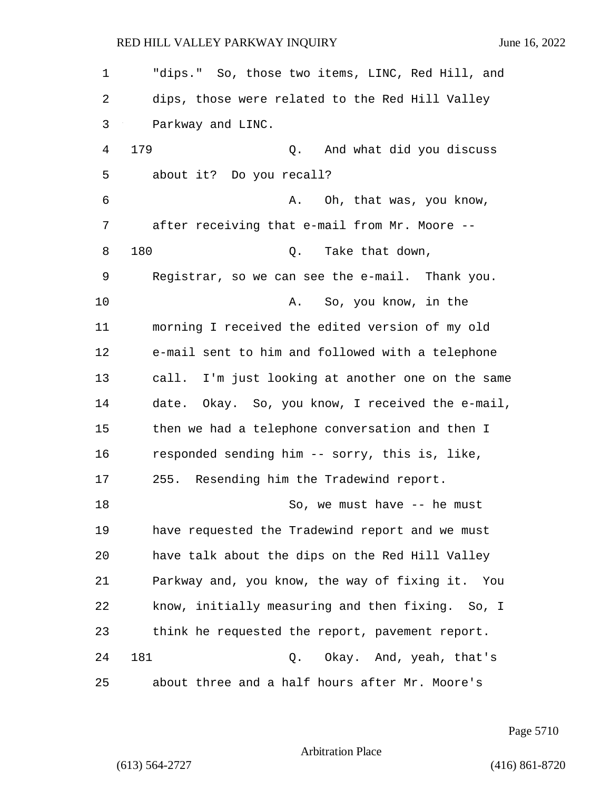| 1  | "dips." So, those two items, LINC, Red Hill, and    |
|----|-----------------------------------------------------|
| 2  | dips, those were related to the Red Hill Valley     |
| 3  | Parkway and LINC.                                   |
| 4  | 179<br>And what did you discuss<br>Q.               |
| 5  | about it? Do you recall?                            |
| 6  | Oh, that was, you know,<br>Α.                       |
| 7  | after receiving that e-mail from Mr. Moore --       |
| 8  | 180<br>Take that down,<br>Q.                        |
| 9  | Registrar, so we can see the e-mail. Thank you.     |
| 10 | So, you know, in the<br>Α.                          |
| 11 | morning I received the edited version of my old     |
| 12 | e-mail sent to him and followed with a telephone    |
| 13 | call. I'm just looking at another one on the same   |
| 14 | date.<br>Okay. So, you know, I received the e-mail, |
| 15 | then we had a telephone conversation and then I     |
| 16 | responded sending him -- sorry, this is, like,      |
| 17 | 255. Resending him the Tradewind report.            |
| 18 | So, we must have -- he must                         |
| 19 | have requested the Tradewind report and we must     |
| 20 | have talk about the dips on the Red Hill Valley     |
| 21 | Parkway and, you know, the way of fixing it. You    |
| 22 | know, initially measuring and then fixing. So, I    |
| 23 | think he requested the report, pavement report.     |
| 24 | 181<br>Q. Okay. And, yeah, that's                   |
| 25 | about three and a half hours after Mr. Moore's      |

Page 5710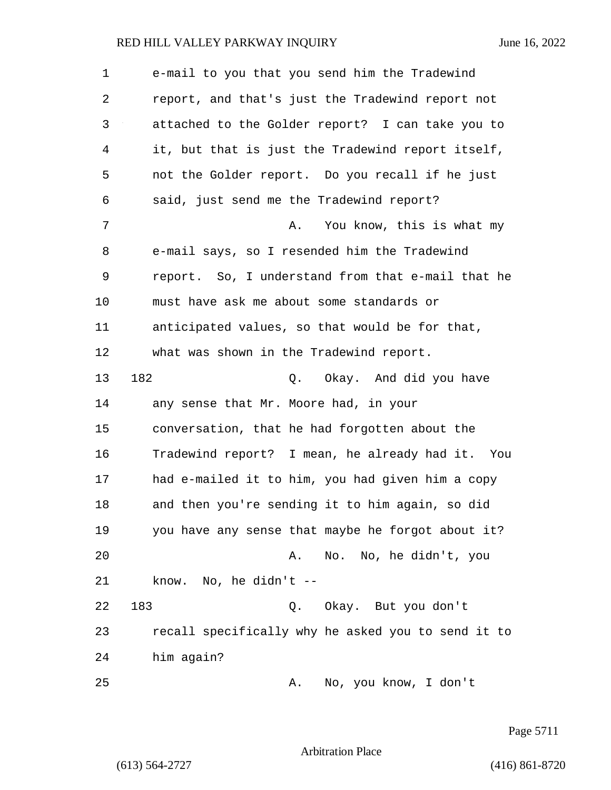| $\mathbf 1$    | e-mail to you that you send him the Tradewind      |
|----------------|----------------------------------------------------|
| 2              | report, and that's just the Tradewind report not   |
| 3              | attached to the Golder report? I can take you to   |
| $\overline{4}$ | it, but that is just the Tradewind report itself,  |
| 5              | not the Golder report. Do you recall if he just    |
| 6              | said, just send me the Tradewind report?           |
| 7              | You know, this is what my<br>Α.                    |
| 8              | e-mail says, so I resended him the Tradewind       |
| 9              | report. So, I understand from that e-mail that he  |
| 10             | must have ask me about some standards or           |
| 11             | anticipated values, so that would be for that,     |
| 12             | what was shown in the Tradewind report.            |
| 13             | 182<br>Q. Okay. And did you have                   |
| 14             | any sense that Mr. Moore had, in your              |
| 15             | conversation, that he had forgotten about the      |
| 16             | Tradewind report? I mean, he already had it. You   |
| 17             | had e-mailed it to him, you had given him a copy   |
| 18             | and then you're sending it to him again, so did    |
| 19             | you have any sense that maybe he forgot about it?  |
| 20             | No. No, he didn't, you<br>Α.                       |
| 21             | know. No, he didn't --                             |
| 22             | 183<br>Q. Okay. But you don't                      |
| 23             | recall specifically why he asked you to send it to |
| 24             | him again?                                         |
| 25             | No, you know, I don't<br>Α.                        |

Page 5711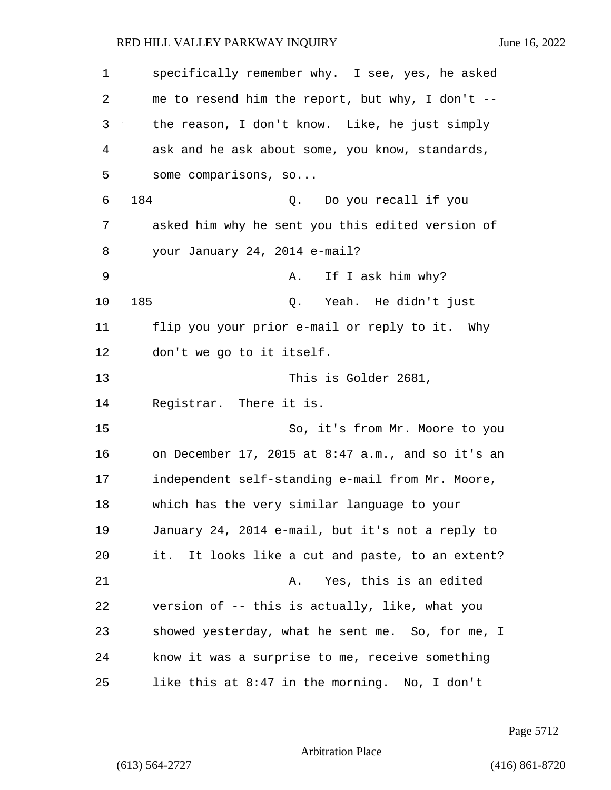| 1  | specifically remember why. I see, yes, he asked   |
|----|---------------------------------------------------|
| 2  | me to resend him the report, but why, I don't --  |
| 3  | the reason, I don't know. Like, he just simply    |
| 4  | ask and he ask about some, you know, standards,   |
| 5  | some comparisons, $so$                            |
| 6  | 184<br>Do you recall if you<br>Q.                 |
| 7  | asked him why he sent you this edited version of  |
| 8  | your January 24, 2014 e-mail?                     |
| 9  | If I ask him why?<br>Α.                           |
| 10 | 185<br>Yeah. He didn't just<br>Q.                 |
| 11 | flip you your prior e-mail or reply to it. Why    |
| 12 | don't we go to it itself.                         |
| 13 | This is Golder 2681,                              |
| 14 | Registrar. There it is.                           |
| 15 | So, it's from Mr. Moore to you                    |
| 16 | on December 17, 2015 at 8:47 a.m., and so it's an |
| 17 | independent self-standing e-mail from Mr. Moore,  |
| 18 | which has the very similar language to your       |
| 19 | January 24, 2014 e-mail, but it's not a reply to  |
| 20 | it. It looks like a cut and paste, to an extent?  |
| 21 | Yes, this is an edited<br>Α.                      |
| 22 | version of -- this is actually, like, what you    |
| 23 | showed yesterday, what he sent me. So, for me, I  |
| 24 | know it was a surprise to me, receive something   |
| 25 | like this at 8:47 in the morning. No, I don't     |

Page 5712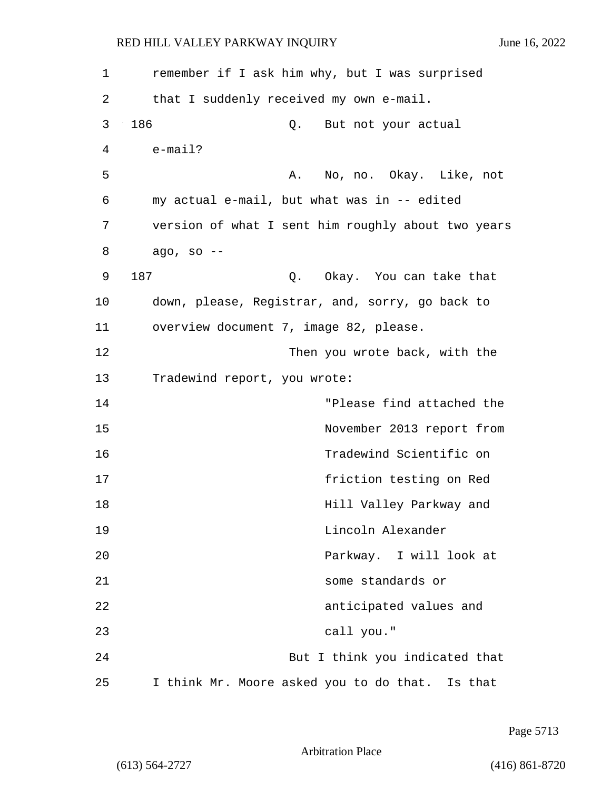| 1  | remember if I ask him why, but I was surprised     |
|----|----------------------------------------------------|
| 2  | that I suddenly received my own e-mail.            |
| 3  | 186<br>But not your actual<br>Q.                   |
| 4  | $e$ -mail?                                         |
| 5  | A. No, no. Okay. Like, not                         |
| 6  | my actual e-mail, but what was in -- edited        |
| 7  | version of what I sent him roughly about two years |
| 8  | ago, so --                                         |
| 9  | 187<br>Q. Okay. You can take that                  |
| 10 | down, please, Registrar, and, sorry, go back to    |
| 11 | overview document 7, image 82, please.             |
| 12 | Then you wrote back, with the                      |
| 13 | Tradewind report, you wrote:                       |
| 14 | "Please find attached the                          |
| 15 | November 2013 report from                          |
| 16 | Tradewind Scientific on                            |
| 17 | friction testing on Red                            |
| 18 | Hill Valley Parkway and                            |
| 19 | Lincoln Alexander                                  |
| 20 | Parkway. I will look at                            |
| 21 | some standards or                                  |
| 22 | anticipated values and                             |
| 23 | call you."                                         |
| 24 | But I think you indicated that                     |
| 25 | I think Mr. Moore asked you to do that. Is that    |

Page 5713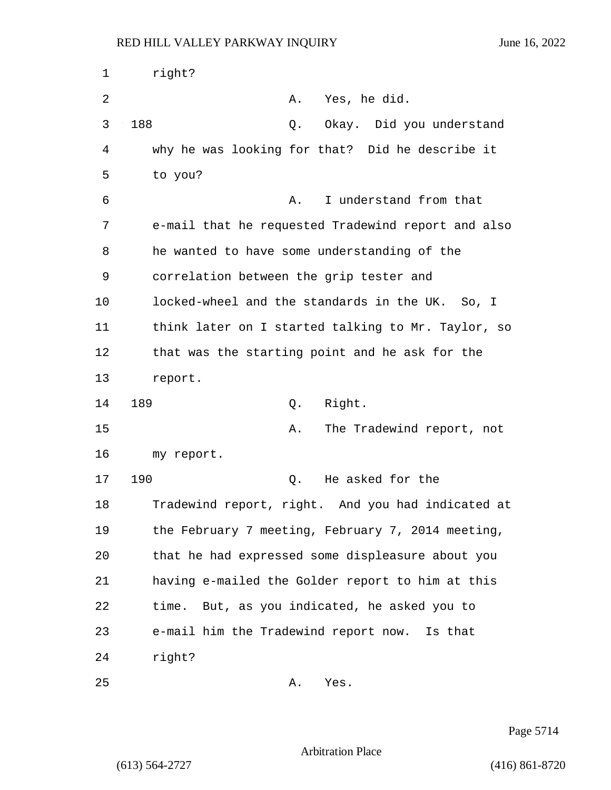| 1  | right?                                             |
|----|----------------------------------------------------|
| 2  | A. Yes, he did.                                    |
| 3  | 188<br>Okay. Did you understand<br>Q.              |
| 4  | why he was looking for that? Did he describe it    |
| 5  | to you?                                            |
| 6  | I understand from that<br>Α.                       |
| 7  | e-mail that he requested Tradewind report and also |
| 8  | he wanted to have some understanding of the        |
| 9  | correlation between the grip tester and            |
| 10 | locked-wheel and the standards in the UK. So, I    |
| 11 | think later on I started talking to Mr. Taylor, so |
| 12 | that was the starting point and he ask for the     |
| 13 | report.                                            |
| 14 | 189<br>Right.<br>Q.                                |
| 15 | The Tradewind report, not<br>Α.                    |
| 16 | my report.                                         |
| 17 | 190<br>He asked for the<br>Q.                      |
| 18 | Tradewind report, right. And you had indicated at  |
| 19 | the February 7 meeting, February 7, 2014 meeting,  |
| 20 | that he had expressed some displeasure about you   |
| 21 | having e-mailed the Golder report to him at this   |
| 22 | time. But, as you indicated, he asked you to       |
| 23 | e-mail him the Tradewind report now. Is that       |
| 24 | right?                                             |
| 25 | Yes.<br>Α.                                         |

Page 5714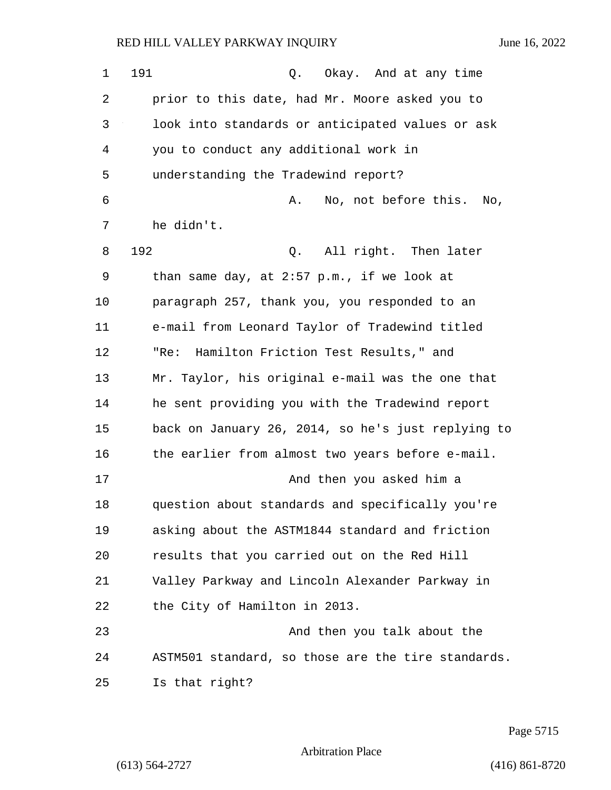| $\mathbf 1$ | 191<br>Okay. And at any time<br>Q.                 |
|-------------|----------------------------------------------------|
| 2           | prior to this date, had Mr. Moore asked you to     |
| 3           | look into standards or anticipated values or ask   |
| 4           | you to conduct any additional work in              |
| 5           | understanding the Tradewind report?                |
| 6           | No, not before this.<br>Α.<br>No,                  |
| 7           | he didn't.                                         |
| 8           | 192<br>All right. Then later<br>Q.                 |
| 9           | than same day, at 2:57 p.m., if we look at         |
| 10          | paragraph 257, thank you, you responded to an      |
| 11          | e-mail from Leonard Taylor of Tradewind titled     |
| 12          | Hamilton Friction Test Results," and<br>"Re:       |
| 13          | Mr. Taylor, his original e-mail was the one that   |
| 14          | he sent providing you with the Tradewind report    |
| 15          | back on January 26, 2014, so he's just replying to |
| 16          | the earlier from almost two years before e-mail.   |
| 17          | And then you asked him a                           |
| 18          | question about standards and specifically you're   |
| 19          | asking about the ASTM1844 standard and friction    |
| 20          | results that you carried out on the Red Hill       |
| 21          | Valley Parkway and Lincoln Alexander Parkway in    |
| 22          | the City of Hamilton in 2013.                      |
| 23          | And then you talk about the                        |
| 24          | ASTM501 standard, so those are the tire standards. |
| 25          | Is that right?                                     |

Page 5715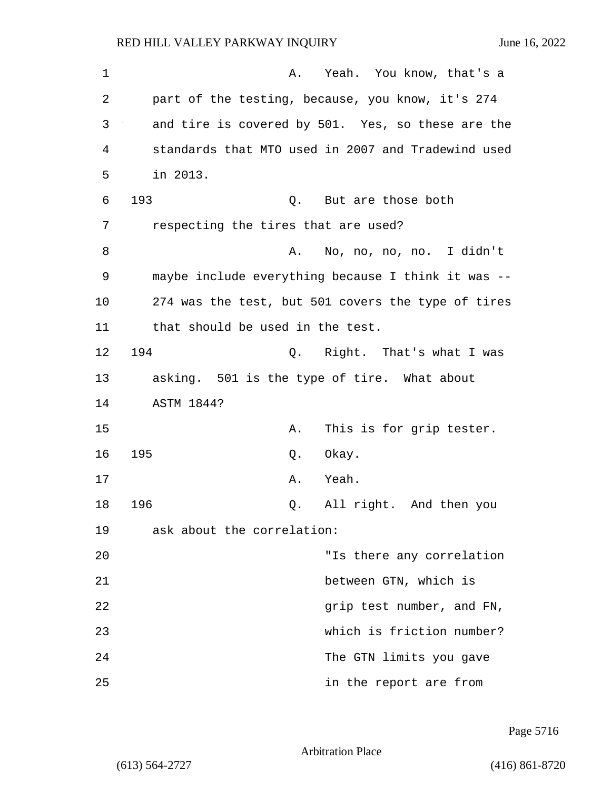| 1  | A. Yeah. You know, that's a                        |
|----|----------------------------------------------------|
| 2  | part of the testing, because, you know, it's 274   |
| 3  | and tire is covered by 501. Yes, so these are the  |
| 4  | standards that MTO used in 2007 and Tradewind used |
| 5  | in 2013.                                           |
| 6  | 193<br>Q. But are those both                       |
| 7  | respecting the tires that are used?                |
| 8  | No, no, no, no. I didn't<br>Α.                     |
| 9  | maybe include everything because I think it was -- |
| 10 | 274 was the test, but 501 covers the type of tires |
| 11 | that should be used in the test.                   |
| 12 | 194<br>Q. Right. That's what I was                 |
| 13 | asking. 501 is the type of tire. What about        |
| 14 | ASTM 1844?                                         |
| 15 | This is for grip tester.<br>Α.                     |
| 16 | 195<br>Okay.<br>Q.                                 |
| 17 | Yeah.<br>Α.                                        |
| 18 | 196<br>All right. And then you<br>Q.               |
| 19 | ask about the correlation:                         |
| 20 | "Is there any correlation                          |
| 21 | between GTN, which is                              |
| 22 | grip test number, and FN,                          |
| 23 | which is friction number?                          |
| 24 | The GTN limits you gave                            |
| 25 | in the report are from                             |

Page 5716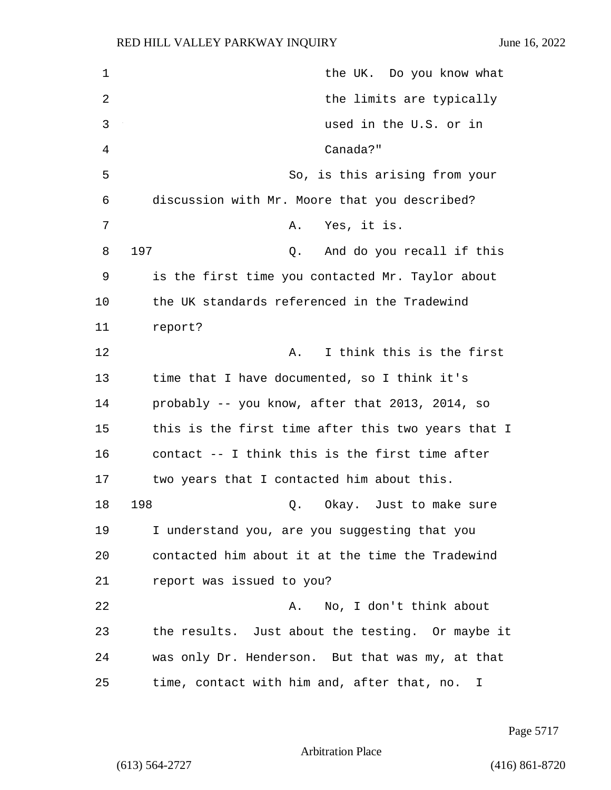1 the UK. Do you know what 2 the limits are typically 3 used in the U.S. or in 4 Canada?" 5 So, is this arising from your 6 discussion with Mr. Moore that you described? 7 A. Yes, it is. 8 197 Q. And do you recall if this 9 is the first time you contacted Mr. Taylor about 10 the UK standards referenced in the Tradewind 11 report? 12 **A.** I think this is the first 13 time that I have documented, so I think it's 14 probably -- you know, after that 2013, 2014, so 15 this is the first time after this two years that I 16 contact -- I think this is the first time after 17 two years that I contacted him about this. 18 198 **Q.** Okay. Just to make sure 19 I understand you, are you suggesting that you 20 contacted him about it at the time the Tradewind 21 report was issued to you? 22 A. No, I don't think about 23 the results. Just about the testing. Or maybe it 24 was only Dr. Henderson. But that was my, at that 25 time, contact with him and, after that, no. I

Page 5717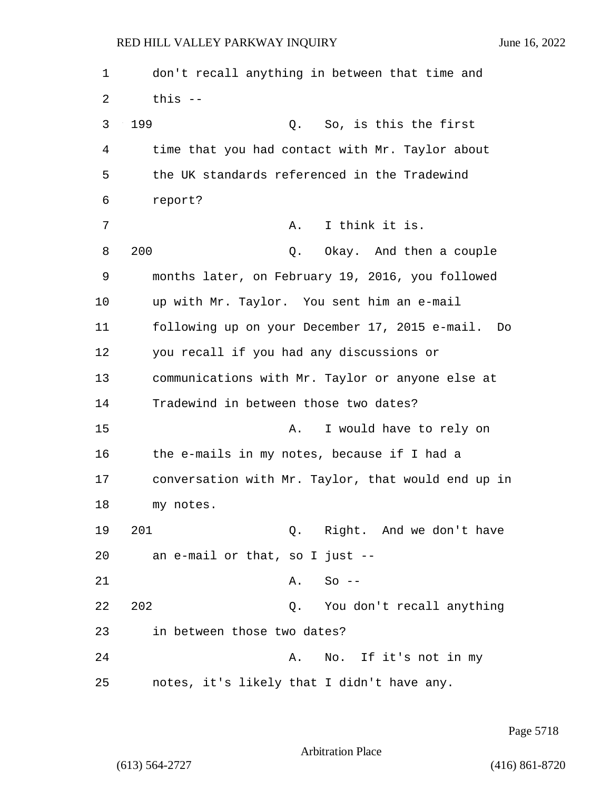1 don't recall anything in between that time and  $2$  this  $-$ 3 199 Q. So, is this the first 4 time that you had contact with Mr. Taylor about 5 the UK standards referenced in the Tradewind 6 report? 7 A. I think it is. 8 200 Q. Okay. And then a couple 9 months later, on February 19, 2016, you followed 10 up with Mr. Taylor. You sent him an e-mail 11 following up on your December 17, 2015 e-mail. Do 12 you recall if you had any discussions or 13 communications with Mr. Taylor or anyone else at 14 Tradewind in between those two dates? 15 A. I would have to rely on 16 the e-mails in my notes, because if I had a 17 conversation with Mr. Taylor, that would end up in 18 my notes. 19 201 Q. Right. And we don't have 20 an e-mail or that, so I just -- 21 A. So --22 202 Q. You don't recall anything 23 in between those two dates? 24 A. No. If it's not in my 25 notes, it's likely that I didn't have any.

Page 5718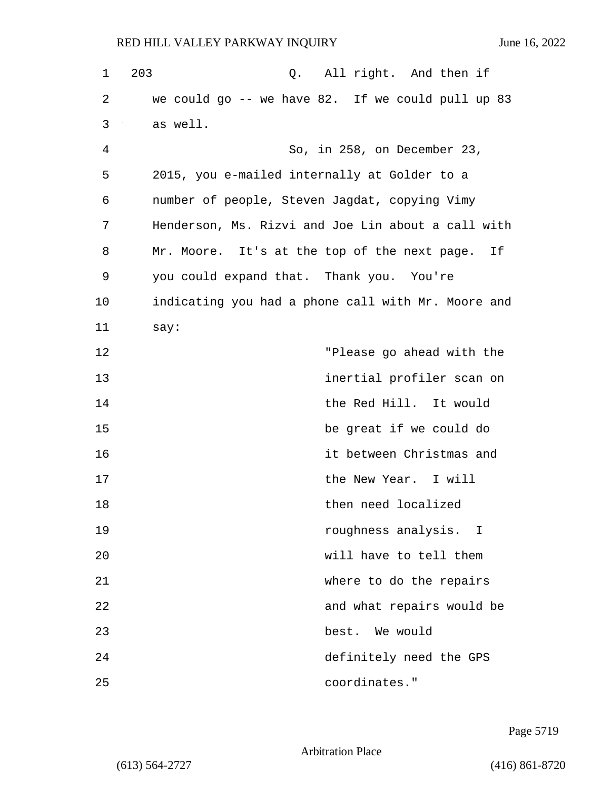| 1  | 203<br>All right. And then if<br>Q.                |
|----|----------------------------------------------------|
| 2  | we could go -- we have 82. If we could pull up 83  |
| 3  | as well.                                           |
| 4  | So, in 258, on December 23,                        |
| 5  | 2015, you e-mailed internally at Golder to a       |
| 6  | number of people, Steven Jagdat, copying Vimy      |
| 7  | Henderson, Ms. Rizvi and Joe Lin about a call with |
| 8  | Mr. Moore. It's at the top of the next page. If    |
| 9  | you could expand that. Thank you. You're           |
| 10 | indicating you had a phone call with Mr. Moore and |
| 11 | say:                                               |
| 12 | "Please go ahead with the                          |
| 13 | inertial profiler scan on                          |
| 14 | the Red Hill. It would                             |
| 15 | be great if we could do                            |
| 16 | it between Christmas and                           |
| 17 | the New Year. I will                               |
| 18 | then need localized                                |
| 19 | roughness analysis. I                              |
| 20 | will have to tell them                             |
| 21 | where to do the repairs                            |
| 22 | and what repairs would be                          |
| 23 | best.<br>We would                                  |
| 24 | definitely need the GPS                            |
| 25 | coordinates."                                      |

Page 5719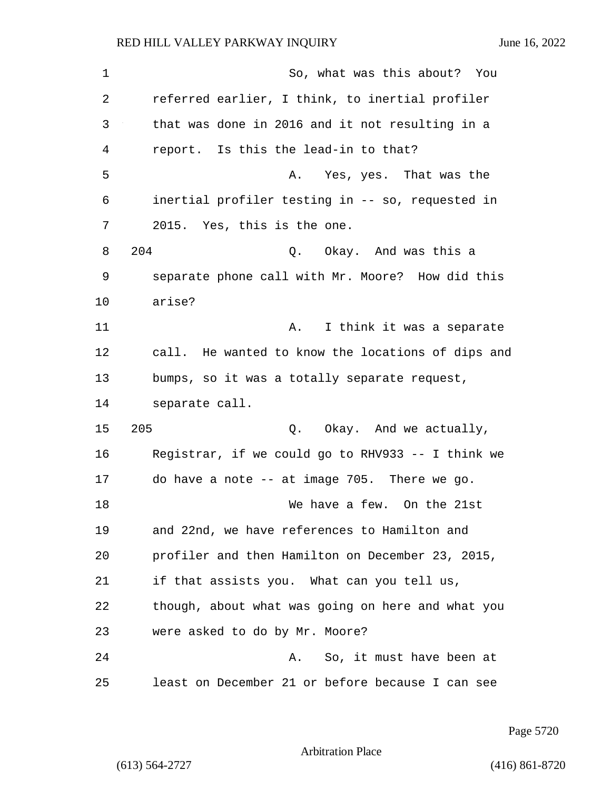1 So, what was this about? You 2 referred earlier, I think, to inertial profiler 3 that was done in 2016 and it not resulting in a 4 report. Is this the lead-in to that? 5 A. Yes, yes. That was the 6 inertial profiler testing in -- so, requested in 7 2015. Yes, this is the one. 8 204 Q. Okay. And was this a 9 separate phone call with Mr. Moore? How did this 10 arise? 11 A. I think it was a separate 12 call. He wanted to know the locations of dips and 13 bumps, so it was a totally separate request, 14 separate call. 15 205 O. Okay. And we actually, 16 Registrar, if we could go to RHV933 -- I think we 17 do have a note -- at image 705. There we go. 18 We have a few. On the 21st 19 and 22nd, we have references to Hamilton and 20 profiler and then Hamilton on December 23, 2015, 21 if that assists you. What can you tell us, 22 though, about what was going on here and what you 23 were asked to do by Mr. Moore? 24 A. So, it must have been at 25 least on December 21 or before because I can see

Page 5720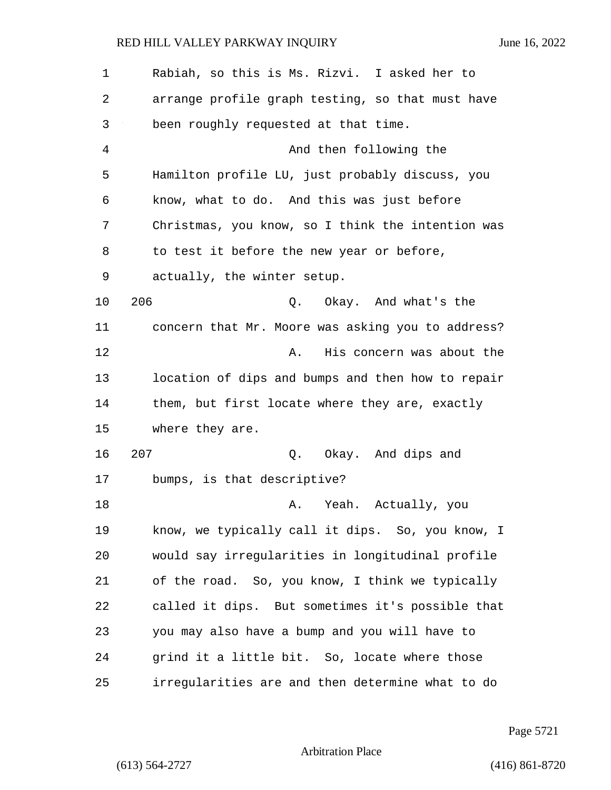| $\mathbf 1$ | Rabiah, so this is Ms. Rizvi. I asked her to      |
|-------------|---------------------------------------------------|
| 2           | arrange profile graph testing, so that must have  |
| 3           | been roughly requested at that time.              |
| 4           | And then following the                            |
| 5           | Hamilton profile LU, just probably discuss, you   |
| 6           | know, what to do. And this was just before        |
| 7           | Christmas, you know, so I think the intention was |
| 8           | to test it before the new year or before,         |
| 9           | actually, the winter setup.                       |
| 10          | 206<br>Q. Okay. And what's the                    |
| 11          | concern that Mr. Moore was asking you to address? |
| 12          | His concern was about the<br>Α.                   |
| 13          | location of dips and bumps and then how to repair |
| 14          | them, but first locate where they are, exactly    |
| 15          | where they are.                                   |
| 16          | 207<br>Q. Okay. And dips and                      |
| 17          | bumps, is that descriptive?                       |
| 18          | Yeah.<br>Α.<br>Actually, you                      |
| 19          | know, we typically call it dips. So, you know, I  |
| 20          | would say irregularities in longitudinal profile  |
| 21          | of the road. So, you know, I think we typically   |
| 22          | called it dips. But sometimes it's possible that  |
| 23          | you may also have a bump and you will have to     |
| 24          | grind it a little bit. So, locate where those     |
| 25          | irregularities are and then determine what to do  |

Page 5721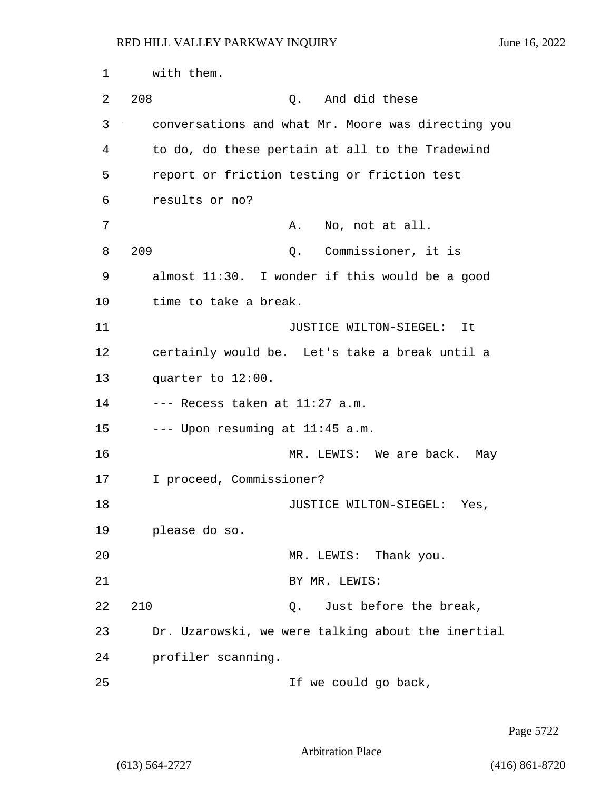1 with them. 2 208 Q. And did these 3 conversations and what Mr. Moore was directing you 4 to do, do these pertain at all to the Tradewind 5 report or friction testing or friction test 6 results or no? 7 A. No, not at all. 8 209 Q. Commissioner, it is 9 almost 11:30. I wonder if this would be a good 10 time to take a break. 11 JUSTICE WILTON-SIEGEL: It 12 certainly would be. Let's take a break until a 13 quarter to 12:00.  $14$  --- Recess taken at  $11:27$  a.m. 15  $---$  Upon resuming at  $11:45$  a.m. 16 MR. LEWIS: We are back. May 17 I proceed, Commissioner? 18 JUSTICE WILTON-SIEGEL: Yes, 19 please do so. 20 MR. LEWIS: Thank you. 21 BY MR. LEWIS: 22 210 2. Just before the break, 23 Dr. Uzarowski, we were talking about the inertial 24 profiler scanning. 25 If we could go back,

Page 5722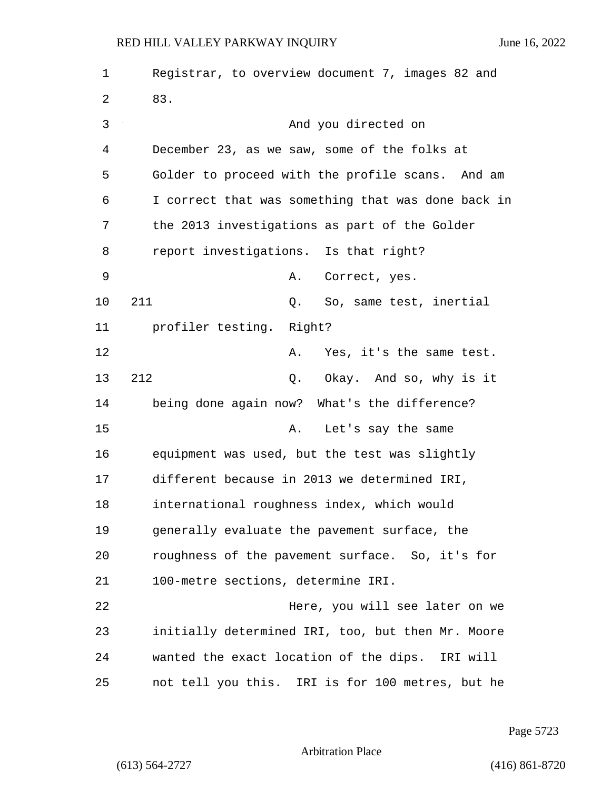1 Registrar, to overview document 7, images 82 and 2 83. 3 And you directed on 4 December 23, as we saw, some of the folks at 5 Golder to proceed with the profile scans. And am 6 I correct that was something that was done back in 7 the 2013 investigations as part of the Golder 8 report investigations. Is that right? 9 A. Correct, yes. 10 211 Q. So, same test, inertial 11 profiler testing. Right? 12 A. Yes, it's the same test. 13 212 Q. Okay. And so, why is it 14 being done again now? What's the difference? 15 A. Let's say the same 16 equipment was used, but the test was slightly 17 different because in 2013 we determined IRI, 18 international roughness index, which would 19 generally evaluate the pavement surface, the 20 roughness of the pavement surface. So, it's for 21 100-metre sections, determine IRI. 22 Here, you will see later on we 23 initially determined IRI, too, but then Mr. Moore 24 wanted the exact location of the dips. IRI will 25 not tell you this. IRI is for 100 metres, but he

Page 5723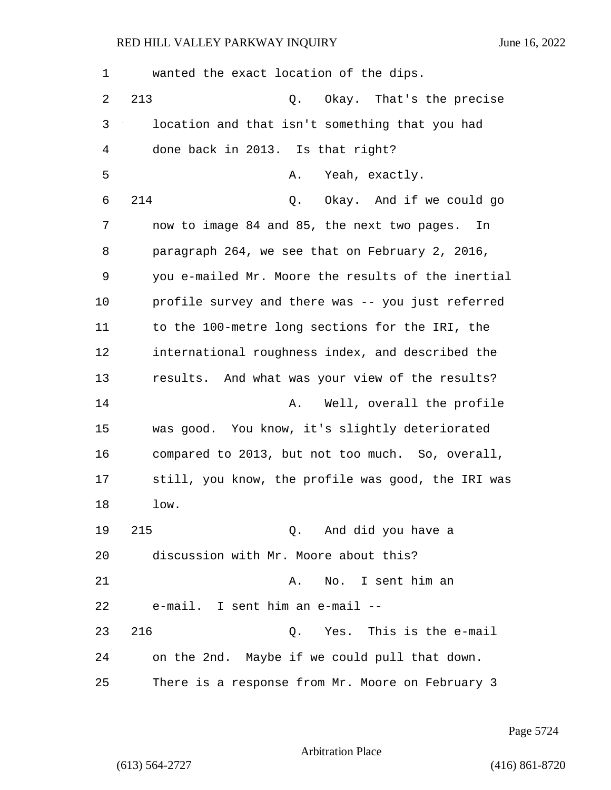| $\mathbf 1$ | wanted the exact location of the dips.             |
|-------------|----------------------------------------------------|
| 2           | 213<br>Okay. That's the precise<br>Q.              |
| 3           | location and that isn't something that you had     |
| 4           | done back in 2013. Is that right?                  |
| 5           | Yeah, exactly.<br>Α.                               |
| 6           | 214<br>Okay. And if we could go<br>Q.              |
| 7           | now to image 84 and 85, the next two pages. In     |
| 8           | paragraph 264, we see that on February 2, 2016,    |
| 9           | you e-mailed Mr. Moore the results of the inertial |
| 10          | profile survey and there was -- you just referred  |
| 11          | to the 100-metre long sections for the IRI, the    |
| 12          | international roughness index, and described the   |
| 13          | results. And what was your view of the results?    |
| 14          | Well, overall the profile<br>Α.                    |
| 15          | was good. You know, it's slightly deteriorated     |
| 16          | compared to 2013, but not too much. So, overall,   |
| 17          | still, you know, the profile was good, the IRI was |
| 18          | low.                                               |
| 19          | 215<br>Q. And did you have a                       |
| 20          | discussion with Mr. Moore about this?              |
| 21          | No. I sent him an<br>Α.                            |
| 22          | e-mail. I sent him an e-mail --                    |
| 23          | 216<br>Q. Yes. This is the e-mail                  |
| 24          | on the 2nd. Maybe if we could pull that down.      |
| 25          | There is a response from Mr. Moore on February 3   |

Page 5724

Arbitration Place

(613) 564-2727 (416) 861-8720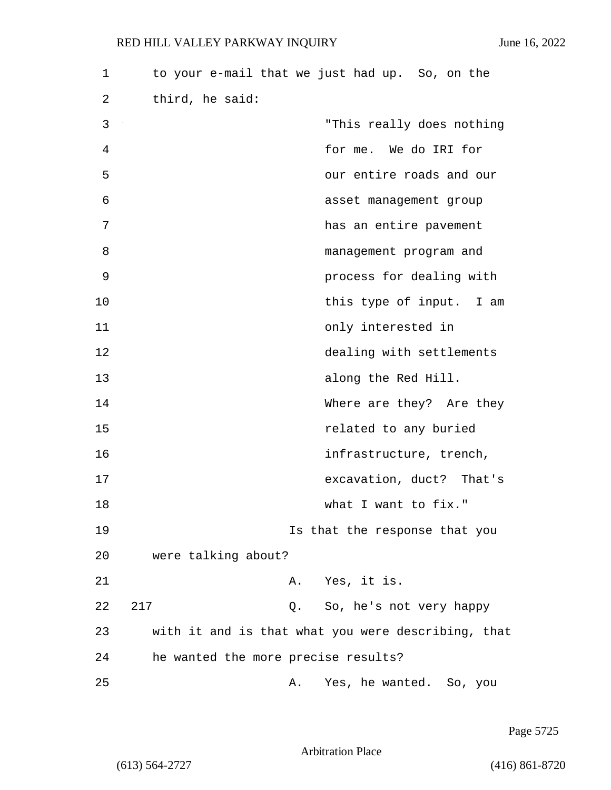| 1  |                                     |    | to your e-mail that we just had up. So, on the     |
|----|-------------------------------------|----|----------------------------------------------------|
| 2  | third, he said:                     |    |                                                    |
| 3  |                                     |    | "This really does nothing                          |
| 4  |                                     |    | for me. We do IRI for                              |
| 5  |                                     |    | our entire roads and our                           |
| 6  |                                     |    | asset management group                             |
| 7  |                                     |    | has an entire pavement                             |
| 8  |                                     |    | management program and                             |
| 9  |                                     |    | process for dealing with                           |
| 10 |                                     |    | this type of input. I am                           |
| 11 |                                     |    | only interested in                                 |
| 12 |                                     |    | dealing with settlements                           |
| 13 |                                     |    | along the Red Hill.                                |
| 14 |                                     |    | Where are they? Are they                           |
| 15 |                                     |    | related to any buried                              |
| 16 |                                     |    | infrastructure, trench,                            |
| 17 |                                     |    | excavation, duct? That's                           |
| 18 |                                     |    | what I want to fix."                               |
| 19 |                                     |    | Is that the response that you                      |
| 20 | were talking about?                 |    |                                                    |
| 21 |                                     |    | A. Yes, it is.                                     |
| 22 | 217                                 | Q. | So, he's not very happy                            |
| 23 |                                     |    | with it and is that what you were describing, that |
| 24 | he wanted the more precise results? |    |                                                    |
| 25 |                                     | Α. | Yes, he wanted. So, you                            |

Page 5725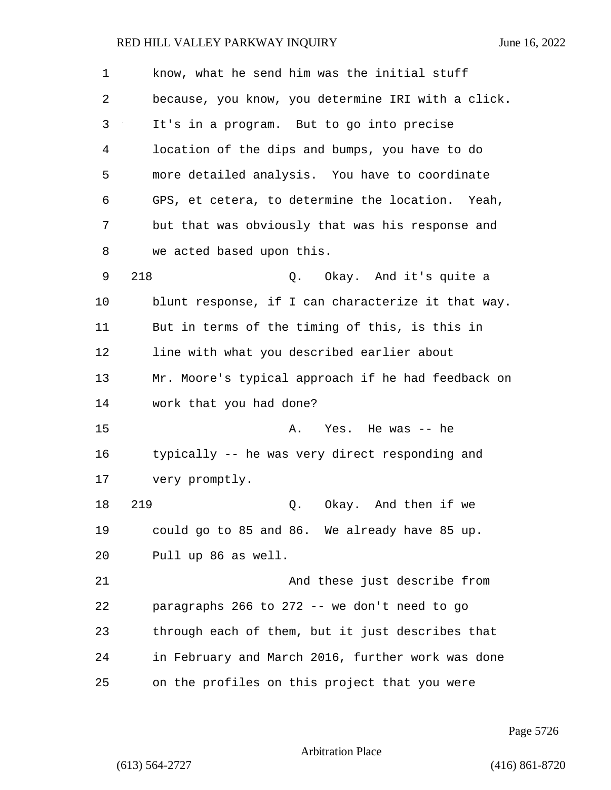| $\mathbf{1}$ | know, what he send him was the initial stuff       |
|--------------|----------------------------------------------------|
| 2            | because, you know, you determine IRI with a click. |
| 3            | It's in a program. But to go into precise          |
| 4            | location of the dips and bumps, you have to do     |
| 5            | more detailed analysis. You have to coordinate     |
| 6            | GPS, et cetera, to determine the location. Yeah,   |
| 7            | but that was obviously that was his response and   |
| 8            | we acted based upon this.                          |
| 9            | 218<br>Q. Okay. And it's quite a                   |
| 10           | blunt response, if I can characterize it that way. |
| 11           | But in terms of the timing of this, is this in     |
| 12           | line with what you described earlier about         |
| 13           | Mr. Moore's typical approach if he had feedback on |
| 14           | work that you had done?                            |
| 15           | Yes. He was -- he<br>Α.                            |
| 16           | typically -- he was very direct responding and     |
| 17           | very promptly.                                     |
| 18           | 219<br>Okay. And then if we<br>Q.                  |
| 19           | could go to 85 and 86. We already have 85 up.      |
| 20           | Pull up 86 as well.                                |
| 21           | And these just describe from                       |
| 22           | paragraphs 266 to 272 -- we don't need to go       |
| 23           | through each of them, but it just describes that   |
| 24           | in February and March 2016, further work was done  |
| 25           | on the profiles on this project that you were      |

Page 5726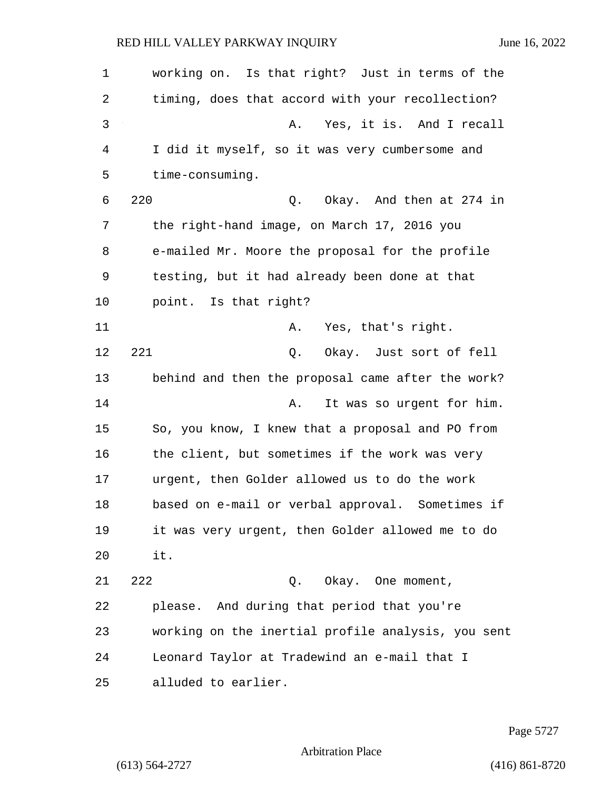1 working on. Is that right? Just in terms of the 2 timing, does that accord with your recollection? 3 A. Yes, it is. And I recall 4 I did it myself, so it was very cumbersome and 5 time-consuming. 6 220 Q. Okay. And then at 274 in 7 the right-hand image, on March 17, 2016 you 8 e-mailed Mr. Moore the proposal for the profile 9 testing, but it had already been done at that 10 point. Is that right? 11 A. Yes, that's right. 12 221 Q. Okay. Just sort of fell 13 behind and then the proposal came after the work? 14 **A.** It was so urgent for him. 15 So, you know, I knew that a proposal and PO from 16 the client, but sometimes if the work was very 17 urgent, then Golder allowed us to do the work 18 based on e-mail or verbal approval. Sometimes if 19 it was very urgent, then Golder allowed me to do 20 it. 21 222 Q. Okay. One moment, 22 please. And during that period that you're 23 working on the inertial profile analysis, you sent 24 Leonard Taylor at Tradewind an e-mail that I 25 alluded to earlier.

Page 5727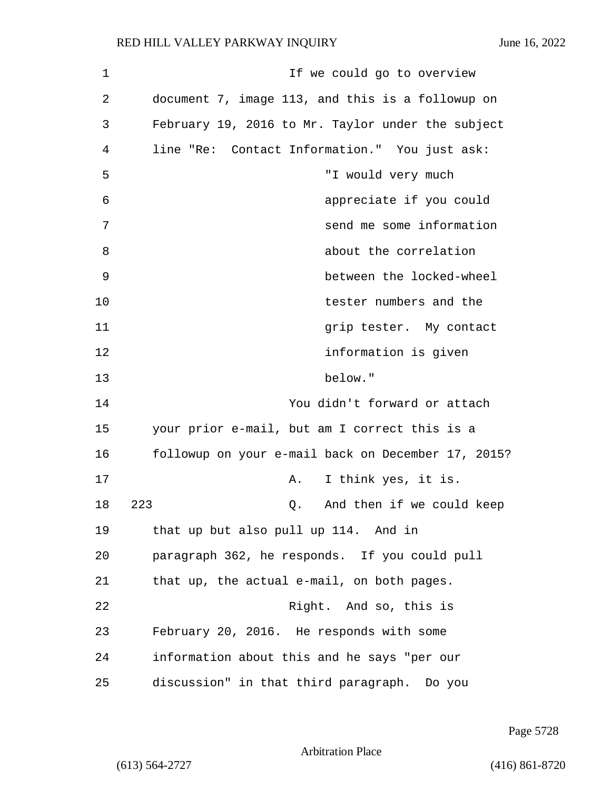| $\mathbf 1$ | If we could go to overview                         |
|-------------|----------------------------------------------------|
| 2           | document 7, image 113, and this is a followup on   |
| 3           | February 19, 2016 to Mr. Taylor under the subject  |
| 4           | line "Re: Contact Information." You just ask:      |
| 5           | "I would very much                                 |
| 6           | appreciate if you could                            |
| 7           | send me some information                           |
| 8           | about the correlation                              |
| 9           | between the locked-wheel                           |
| 10          | tester numbers and the                             |
| 11          | grip tester. My contact                            |
| 12          | information is given                               |
| 13          | below."                                            |
| 14          | You didn't forward or attach                       |
| 15          | your prior e-mail, but am I correct this is a      |
| 16          | followup on your e-mail back on December 17, 2015? |
| 17          | I think yes, it is.<br>Α.                          |
| 18          | And then if we could keep<br>223<br>Q.             |
| 19          | that up but also pull up 114. And in               |
| 20          | paragraph 362, he responds. If you could pull      |
| 21          | that up, the actual e-mail, on both pages.         |
| 22          | Right. And so, this is                             |
| 23          | February 20, 2016. He responds with some           |
| 24          | information about this and he says "per our        |
| 25          | discussion" in that third paragraph. Do you        |

Page 5728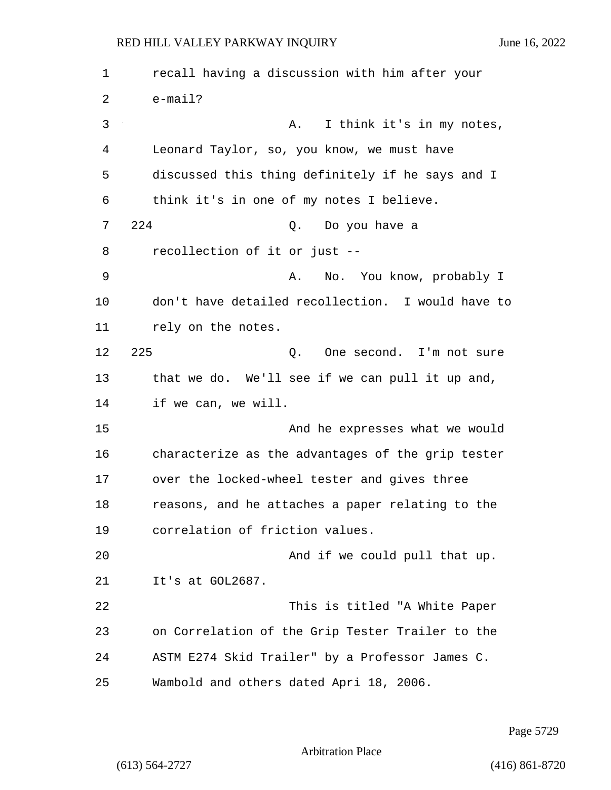1 recall having a discussion with him after your 2 e-mail? 3 A. I think it's in my notes, 4 Leonard Taylor, so, you know, we must have 5 discussed this thing definitely if he says and I 6 think it's in one of my notes I believe. 7 224 Q. Do you have a 8 recollection of it or just -- 9 A. No. You know, probably I 10 don't have detailed recollection. I would have to 11 rely on the notes. 12 225 Q. One second. I'm not sure 13 that we do. We'll see if we can pull it up and, 14 if we can, we will. 15 And he expresses what we would 16 characterize as the advantages of the grip tester 17 over the locked-wheel tester and gives three 18 reasons, and he attaches a paper relating to the 19 correlation of friction values. 20 And if we could pull that up. 21 It's at GOL2687. 22 This is titled "A White Paper 23 on Correlation of the Grip Tester Trailer to the 24 ASTM E274 Skid Trailer" by a Professor James C. 25 Wambold and others dated Apri 18, 2006.

Page 5729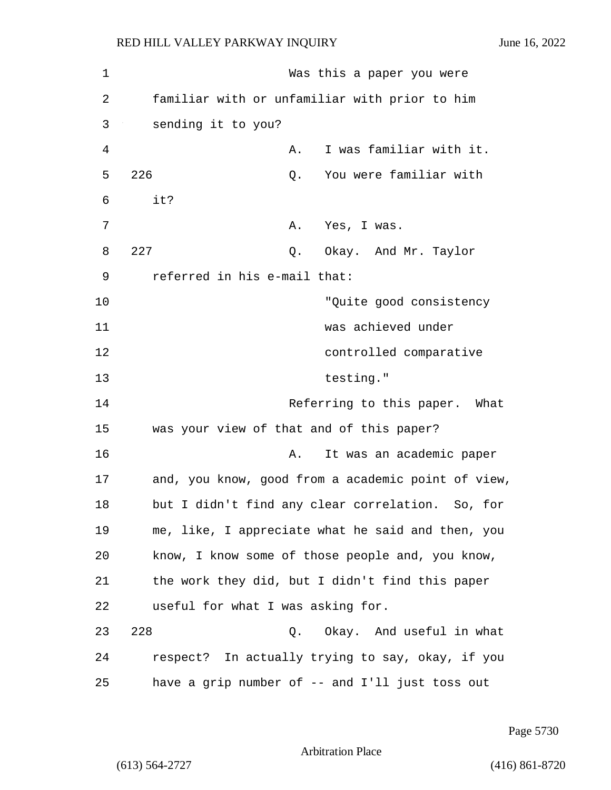1 Was this a paper you were 2 familiar with or unfamiliar with prior to him 3 sending it to you? 4 A. I was familiar with it. 5 226 Q. You were familiar with  $6$  it? 7 A. Yes, I was. 8 227 Q. Okay. And Mr. Taylor 9 referred in his e-mail that: 10 The settlement of the settlement of the settlement of the settlement of the settlement of the settlement of the settlement of the settlement of the settlement of the settlement of the settlement of the settlement of the 11 was achieved under 12 controlled comparative 13 testing." 14 **Referring to this paper.** What 15 was your view of that and of this paper? 16 **A.** It was an academic paper 17 and, you know, good from a academic point of view, 18 but I didn't find any clear correlation. So, for 19 me, like, I appreciate what he said and then, you 20 know, I know some of those people and, you know, 21 the work they did, but I didn't find this paper 22 useful for what I was asking for. 23 228 Q. Okay. And useful in what 24 respect? In actually trying to say, okay, if you

Page 5730

Arbitration Place

25 have a grip number of -- and I'll just toss out

(613) 564-2727 (416) 861-8720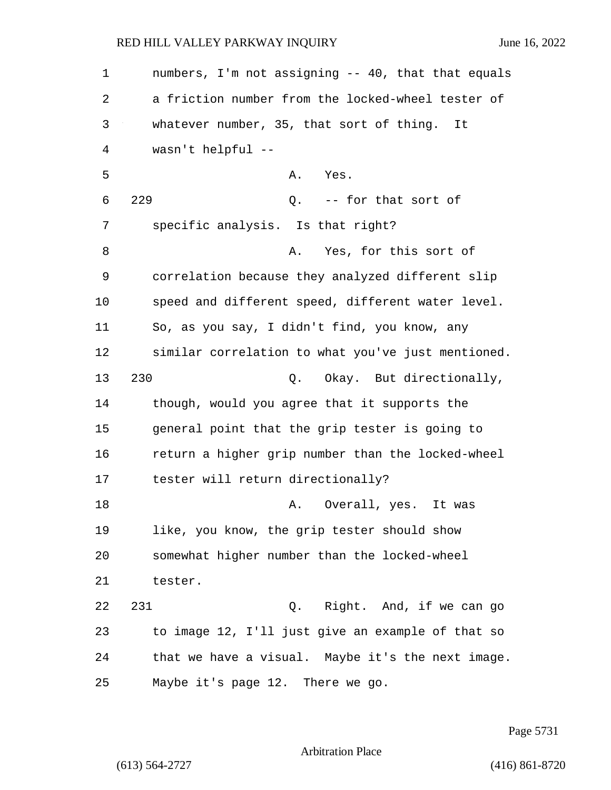1 numbers, I'm not assigning -- 40, that that equals 2 a friction number from the locked-wheel tester of 3 whatever number, 35, that sort of thing. It 4 wasn't helpful -- 5 A. Yes. 6 229 Q. -- for that sort of 7 specific analysis. Is that right? 8 A. Yes, for this sort of 9 correlation because they analyzed different slip 10 speed and different speed, different water level. 11 So, as you say, I didn't find, you know, any 12 similar correlation to what you've just mentioned. 13 230 Q. Okay. But directionally, 14 though, would you agree that it supports the 15 general point that the grip tester is going to 16 return a higher grip number than the locked-wheel 17 tester will return directionally? 18 A. Overall, yes. It was 19 like, you know, the grip tester should show 20 somewhat higher number than the locked-wheel 21 tester. 22 231 Q. Right. And, if we can go 23 to image 12, I'll just give an example of that so 24 that we have a visual. Maybe it's the next image. 25 Maybe it's page 12. There we go.

Page 5731

Arbitration Place

(613) 564-2727 (416) 861-8720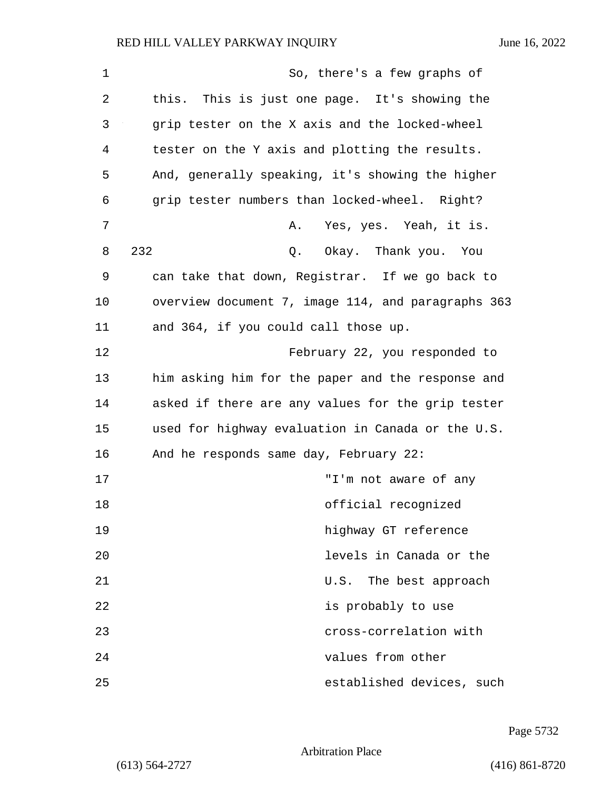| $\mathbf 1$    | So, there's a few graphs of                        |
|----------------|----------------------------------------------------|
| 2              | this. This is just one page. It's showing the      |
| 3              | grip tester on the X axis and the locked-wheel     |
| $\overline{4}$ | tester on the Y axis and plotting the results.     |
| 5              | And, generally speaking, it's showing the higher   |
| 6              | grip tester numbers than locked-wheel. Right?      |
| 7              | Yes, yes. Yeah, it is.<br>Α.                       |
| 8              | 232<br>Okay. Thank you. You<br>Q.                  |
| 9              | can take that down, Registrar. If we go back to    |
| 10             | overview document 7, image 114, and paragraphs 363 |
| 11             | and 364, if you could call those up.               |
| 12             | February 22, you responded to                      |
| 13             | him asking him for the paper and the response and  |
| 14             | asked if there are any values for the grip tester  |
| 15             | used for highway evaluation in Canada or the U.S.  |
| 16             | And he responds same day, February 22:             |
| 17             | "I'm not aware of any                              |
| 18             | official recognized                                |
| 19             | highway GT reference                               |
| 20             | levels in Canada or the                            |
| 21             | U.S. The best approach                             |
| 22             | is probably to use                                 |
| 23             | cross-correlation with                             |
| 24             | values from other                                  |
| 25             | established devices, such                          |

Page 5732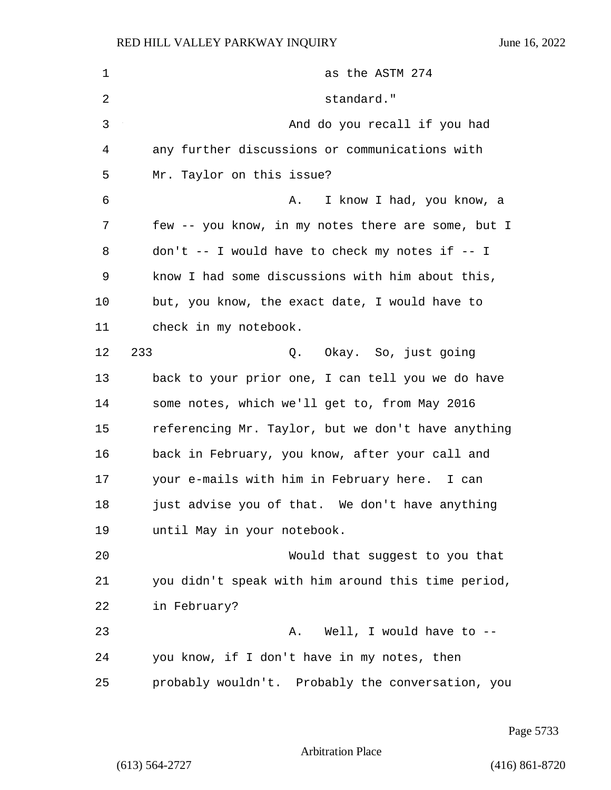| 1  | as the ASTM 274                                    |
|----|----------------------------------------------------|
| 2  | standard."                                         |
| 3  | And do you recall if you had                       |
| 4  | any further discussions or communications with     |
| 5  | Mr. Taylor on this issue?                          |
| 6  | I know I had, you know, a<br>Α.                    |
| 7  | few -- you know, in my notes there are some, but I |
| 8  | don't -- I would have to check my notes if -- I    |
| 9  | know I had some discussions with him about this,   |
| 10 | but, you know, the exact date, I would have to     |
| 11 | check in my notebook.                              |
| 12 | 233<br>Q. Okay. So, just going                     |
| 13 | back to your prior one, I can tell you we do have  |
| 14 | some notes, which we'll get to, from May 2016      |
| 15 | referencing Mr. Taylor, but we don't have anything |
| 16 | back in February, you know, after your call and    |
| 17 | your e-mails with him in February here. I can      |
| 18 | just advise you of that. We don't have anything    |
| 19 | until May in your notebook.                        |
| 20 | Would that suggest to you that                     |
| 21 | you didn't speak with him around this time period, |
| 22 | in February?                                       |
| 23 | Well, I would have to --<br>Α.                     |
| 24 | you know, if I don't have in my notes, then        |
| 25 | probably wouldn't. Probably the conversation, you  |

Page 5733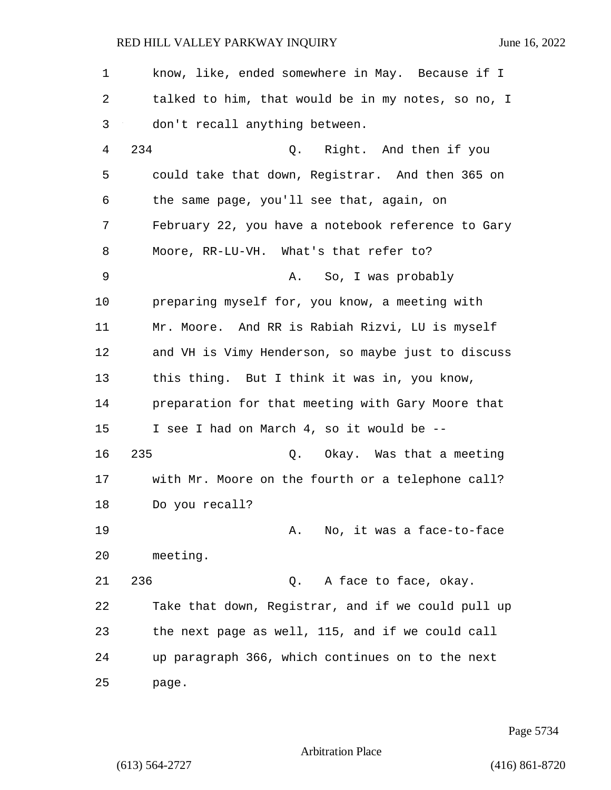| $\mathbf 1$ | know, like, ended somewhere in May. Because if I   |
|-------------|----------------------------------------------------|
| 2           | talked to him, that would be in my notes, so no, I |
| 3           | don't recall anything between.                     |
| 4           | 234<br>Q. Right. And then if you                   |
| 5           | could take that down, Registrar. And then 365 on   |
| 6           | the same page, you'll see that, again, on          |
| 7           | February 22, you have a notebook reference to Gary |
| 8           | Moore, RR-LU-VH. What's that refer to?             |
| 9           | So, I was probably<br>Α.                           |
| 10          | preparing myself for, you know, a meeting with     |
| 11          | Mr. Moore. And RR is Rabiah Rizvi, LU is myself    |
| 12          | and VH is Vimy Henderson, so maybe just to discuss |
| 13          | this thing. But I think it was in, you know,       |
| 14          | preparation for that meeting with Gary Moore that  |
| 15          | I see I had on March 4, so it would be --          |
| 16          | 235<br>Q. Okay. Was that a meeting                 |
| 17          | with Mr. Moore on the fourth or a telephone call?  |
| 18          | Do you recall?                                     |
| 19          | No, it was a face-to-face<br>Α.                    |
| 20          | meeting.                                           |
| 21          | 236<br>A face to face, okay.<br>Q.                 |
| 22          | Take that down, Registrar, and if we could pull up |
| 23          | the next page as well, 115, and if we could call   |
| 24          | up paragraph 366, which continues on to the next   |
| 25          | page.                                              |

Page 5734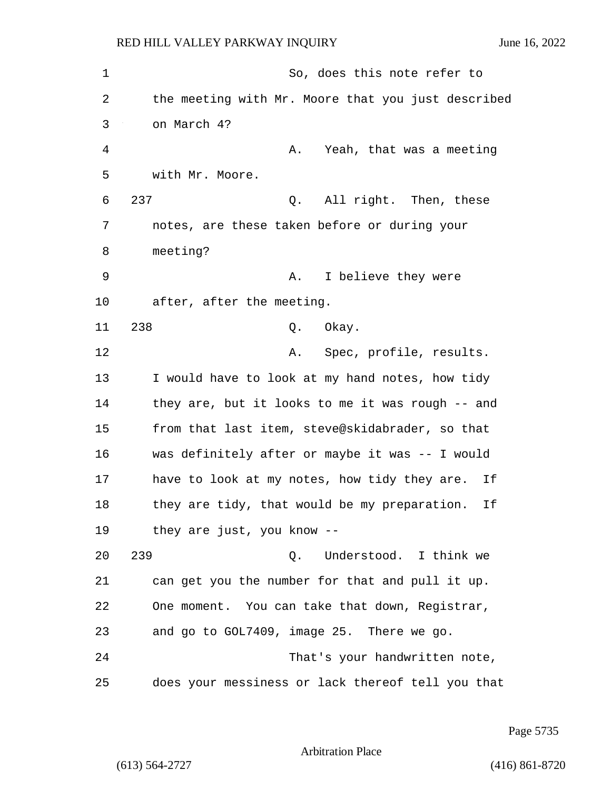| 1  | So, does this note refer to                        |
|----|----------------------------------------------------|
| 2  | the meeting with Mr. Moore that you just described |
| 3  | on March 4?                                        |
| 4  | Yeah, that was a meeting<br>Α.                     |
| 5  | with Mr. Moore.                                    |
| 6  | 237<br>All right. Then, these<br>Q.                |
| 7  | notes, are these taken before or during your       |
| 8  | meeting?                                           |
| 9  | I believe they were<br>Α.                          |
| 10 | after, after the meeting.                          |
| 11 | 238<br>Okay.<br>Q.                                 |
| 12 | Spec, profile, results.<br>Α.                      |
| 13 | I would have to look at my hand notes, how tidy    |
| 14 | they are, but it looks to me it was rough -- and   |
| 15 | from that last item, steve@skidabrader, so that    |
| 16 | was definitely after or maybe it was -- I would    |
| 17 | have to look at my notes, how tidy they are.<br>Ιf |
| 18 | they are tidy, that would be my preparation.<br>Ιf |
| 19 | they are just, you know --                         |
| 20 | 239<br>Understood. I think we<br>Q.                |
| 21 | can get you the number for that and pull it up.    |
| 22 | One moment. You can take that down, Registrar,     |
| 23 | and go to GOL7409, image 25. There we go.          |
| 24 | That's your handwritten note,                      |
| 25 | does your messiness or lack thereof tell you that  |

Page 5735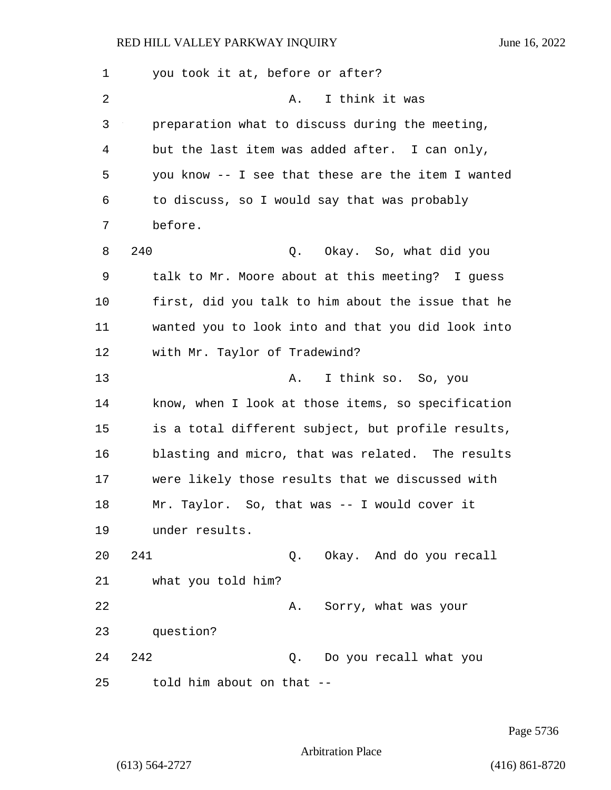1 you took it at, before or after? 2 A. I think it was 3 preparation what to discuss during the meeting, 4 but the last item was added after. I can only, 5 you know -- I see that these are the item I wanted 6 to discuss, so I would say that was probably 7 before. 8 240 Q. Okay. So, what did you 9 talk to Mr. Moore about at this meeting? I guess 10 first, did you talk to him about the issue that he 11 wanted you to look into and that you did look into 12 with Mr. Taylor of Tradewind? 13 A. I think so. So, you 14 know, when I look at those items, so specification 15 is a total different subject, but profile results, 16 blasting and micro, that was related. The results 17 were likely those results that we discussed with 18 Mr. Taylor. So, that was -- I would cover it 19 under results. 20 241 Q. Okay. And do you recall 21 what you told him? 22 A. Sorry, what was your 23 question? 24 242 Q. Do you recall what you 25 told him about on that --

Page 5736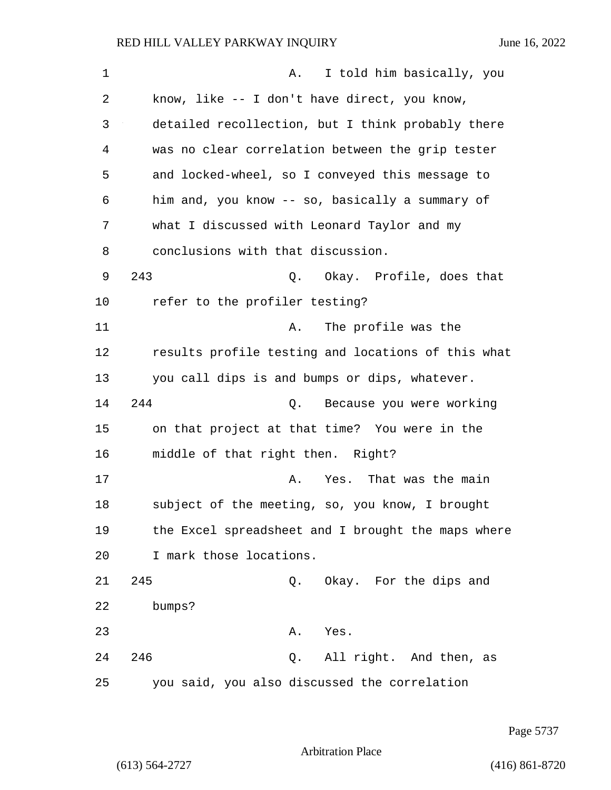| 1  | I told him basically, you<br>Α.                    |
|----|----------------------------------------------------|
| 2  | know, like -- I don't have direct, you know,       |
| 3  | detailed recollection, but I think probably there  |
| 4  | was no clear correlation between the grip tester   |
| 5  | and locked-wheel, so I conveyed this message to    |
| 6  | him and, you know -- so, basically a summary of    |
| 7  | what I discussed with Leonard Taylor and my        |
| 8  | conclusions with that discussion.                  |
| 9  | 243<br>Okay. Profile, does that<br>Q.              |
| 10 | refer to the profiler testing?                     |
| 11 | The profile was the<br>Α.                          |
| 12 | results profile testing and locations of this what |
| 13 | you call dips is and bumps or dips, whatever.      |
| 14 | 244<br>Because you were working<br>Q.              |
| 15 | on that project at that time? You were in the      |
| 16 | middle of that right then. Right?                  |
| 17 | Yes. That was the main<br>Α.                       |
| 18 | subject of the meeting, so, you know, I brought    |
| 19 | the Excel spreadsheet and I brought the maps where |
| 20 | I mark those locations.                            |
| 21 | 245<br>Okay. For the dips and<br>Q.                |
| 22 | bumps?                                             |
| 23 | Α.<br>Yes.                                         |
| 24 | 246<br>All right. And then, as<br>Q.               |
| 25 | you said, you also discussed the correlation       |

Page 5737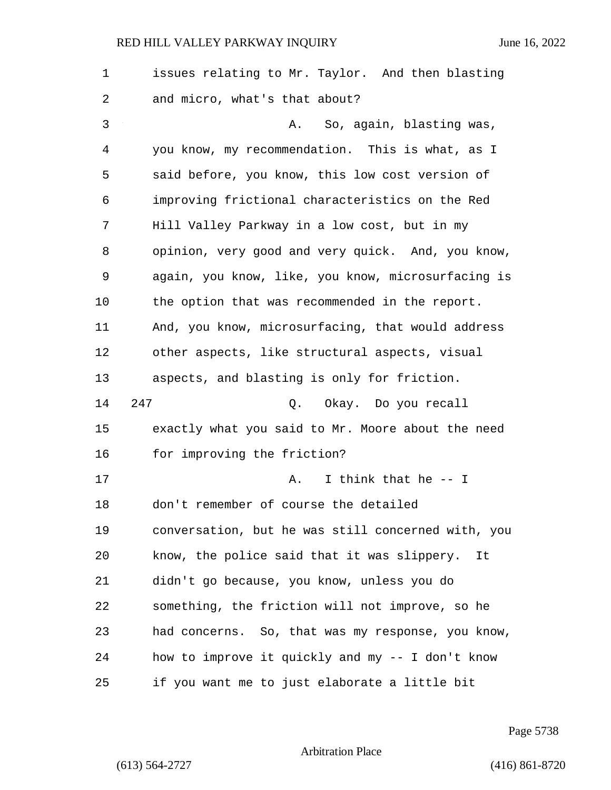| 1  | issues relating to Mr. Taylor. And then blasting   |
|----|----------------------------------------------------|
| 2  | and micro, what's that about?                      |
| 3  | So, again, blasting was,<br>Α.                     |
| 4  | you know, my recommendation. This is what, as I    |
| 5  | said before, you know, this low cost version of    |
| 6  | improving frictional characteristics on the Red    |
| 7  | Hill Valley Parkway in a low cost, but in my       |
| 8  | opinion, very good and very quick. And, you know,  |
| 9  | again, you know, like, you know, microsurfacing is |
| 10 | the option that was recommended in the report.     |
| 11 | And, you know, microsurfacing, that would address  |
| 12 | other aspects, like structural aspects, visual     |
| 13 | aspects, and blasting is only for friction.        |
| 14 | 247<br>Okay. Do you recall<br>Q.                   |
| 15 | exactly what you said to Mr. Moore about the need  |
| 16 | for improving the friction?                        |
| 17 | I think that he -- I<br>Α.                         |
| 18 | don't remember of course the detailed              |
| 19 | conversation, but he was still concerned with, you |
| 20 | know, the police said that it was slippery.<br>It  |
| 21 | didn't go because, you know, unless you do         |
| 22 | something, the friction will not improve, so he    |
| 23 | had concerns. So, that was my response, you know,  |
| 24 | how to improve it quickly and my -- I don't know   |
| 25 | if you want me to just elaborate a little bit      |

Page 5738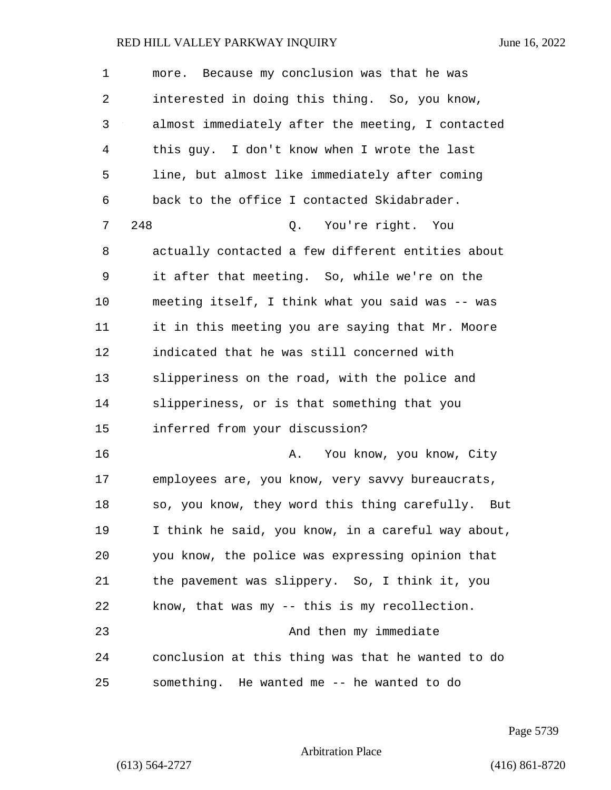| $\mathbf 1$ | more. Because my conclusion was that he was          |
|-------------|------------------------------------------------------|
| 2           | interested in doing this thing. So, you know,        |
| 3           | almost immediately after the meeting, I contacted    |
| 4           | this guy. I don't know when I wrote the last         |
| 5           | line, but almost like immediately after coming       |
| 6           | back to the office I contacted Skidabrader.          |
| 7           | 248<br>You're right. You<br>Q.                       |
| 8           | actually contacted a few different entities about    |
| 9           | it after that meeting. So, while we're on the        |
| 10          | meeting itself, I think what you said was -- was     |
| 11          | it in this meeting you are saying that Mr. Moore     |
| 12          | indicated that he was still concerned with           |
| 13          | slipperiness on the road, with the police and        |
| 14          | slipperiness, or is that something that you          |
| 15          | inferred from your discussion?                       |
| 16          | You know, you know, City<br>Α.                       |
| 17          | employees are, you know, very savvy bureaucrats,     |
| 18          | so, you know, they word this thing carefully.<br>But |
| 19          | I think he said, you know, in a careful way about,   |
| 20          | you know, the police was expressing opinion that     |
| 21          | the pavement was slippery. So, I think it, you       |
| 22          | know, that was my -- this is my recollection.        |
| 23          | And then my immediate                                |
| 24          | conclusion at this thing was that he wanted to do    |
| 25          | something. He wanted me -- he wanted to do           |

Page 5739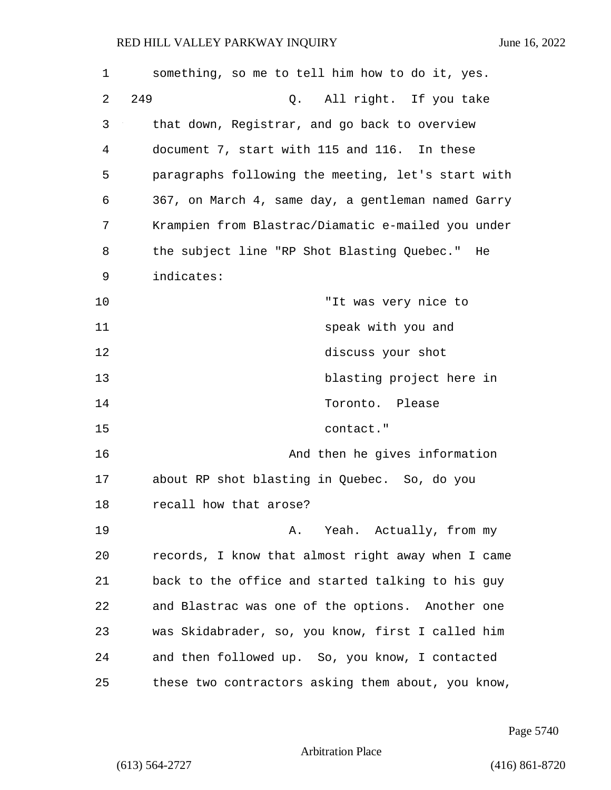| 1  | something, so me to tell him how to do it, yes.    |
|----|----------------------------------------------------|
| 2  | 249<br>All right. If you take<br>Q.                |
| 3  | that down, Registrar, and go back to overview      |
| 4  | document 7, start with 115 and 116. In these       |
| 5  | paragraphs following the meeting, let's start with |
| 6  | 367, on March 4, same day, a gentleman named Garry |
| 7  | Krampien from Blastrac/Diamatic e-mailed you under |
| 8  | the subject line "RP Shot Blasting Quebec." He     |
| 9  | indicates:                                         |
| 10 | "It was very nice to                               |
| 11 | speak with you and                                 |
| 12 | discuss your shot                                  |
| 13 | blasting project here in                           |
| 14 | Toronto. Please                                    |
| 15 | contact."                                          |
| 16 | And then he gives information                      |
| 17 | about RP shot blasting in Quebec. So, do you       |
| 18 | recall how that arose?                             |
| 19 | Yeah. Actually, from my<br>Α.                      |
| 20 | records, I know that almost right away when I came |
| 21 | back to the office and started talking to his guy  |
| 22 | and Blastrac was one of the options. Another one   |
| 23 | was Skidabrader, so, you know, first I called him  |
| 24 | and then followed up. So, you know, I contacted    |
| 25 | these two contractors asking them about, you know, |

Page 5740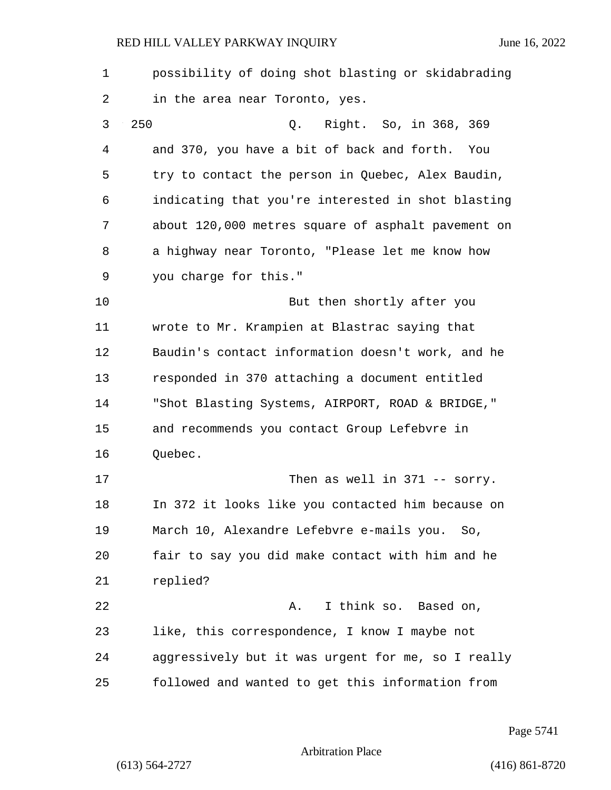| $\mathbf 1$ | possibility of doing shot blasting or skidabrading |
|-------------|----------------------------------------------------|
| 2           | in the area near Toronto, yes.                     |
| 3           | 250<br>Right. So, in 368, 369<br>Q.                |
| 4           | and 370, you have a bit of back and forth.<br>You  |
| 5           | try to contact the person in Quebec, Alex Baudin,  |
| 6           | indicating that you're interested in shot blasting |
| 7           | about 120,000 metres square of asphalt pavement on |
| 8           | a highway near Toronto, "Please let me know how    |
| 9           | you charge for this."                              |
| 10          | But then shortly after you                         |
| 11          | wrote to Mr. Krampien at Blastrac saying that      |
| 12          | Baudin's contact information doesn't work, and he  |
| 13          | responded in 370 attaching a document entitled     |
| 14          | "Shot Blasting Systems, AIRPORT, ROAD & BRIDGE,"   |
| 15          | and recommends you contact Group Lefebvre in       |
| 16          | Quebec.                                            |
| 17          | Then as well in $371$ -- sorry.                    |
| 18          | In 372 it looks like you contacted him because on  |
| 19          | March 10, Alexandre Lefebvre e-mails you. So,      |
| 20          | fair to say you did make contact with him and he   |
| 21          | replied?                                           |
| 22          | I think so. Based on,<br>Α.                        |
| 23          | like, this correspondence, I know I maybe not      |
| 24          | aggressively but it was urgent for me, so I really |
| 25          | followed and wanted to get this information from   |

Page 5741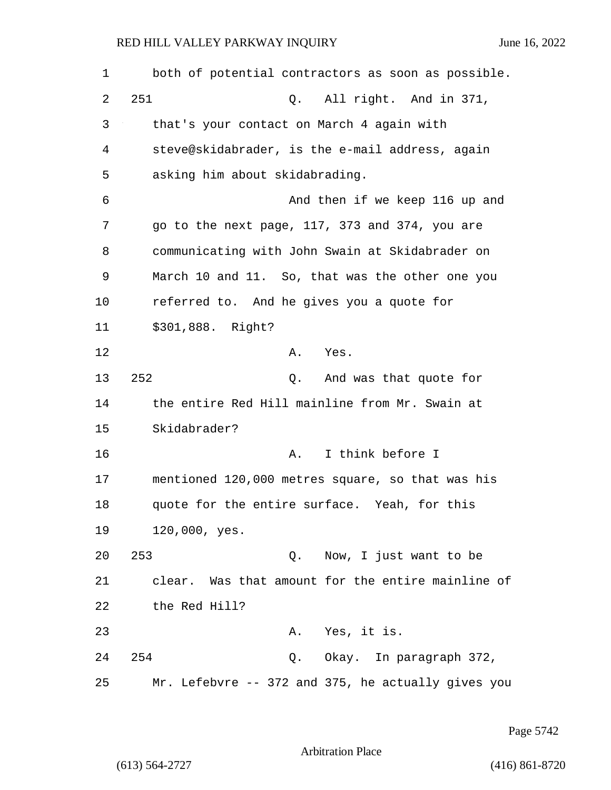| 1  | both of potential contractors as soon as possible. |
|----|----------------------------------------------------|
| 2  | 251<br>All right. And in 371,<br>Q.                |
| 3  | that's your contact on March 4 again with          |
| 4  | steve@skidabrader, is the e-mail address, again    |
| 5  | asking him about skidabrading.                     |
| 6  | And then if we keep 116 up and                     |
| 7  | go to the next page, 117, 373 and 374, you are     |
| 8  | communicating with John Swain at Skidabrader on    |
| 9  | March 10 and 11. So, that was the other one you    |
| 10 | referred to. And he gives you a quote for          |
| 11 | \$301,888. Right?                                  |
| 12 | Α.<br>Yes.                                         |
| 13 | 252<br>And was that quote for<br>Q.                |
| 14 | the entire Red Hill mainline from Mr. Swain at     |
| 15 | Skidabrader?                                       |
| 16 | I think before I<br>Α.                             |
| 17 | mentioned 120,000 metres square, so that was his   |
| 18 | quote for the entire surface. Yeah, for this       |
| 19 | 120,000, yes.                                      |
| 20 | 253<br>Q. Now, I just want to be                   |
| 21 | clear. Was that amount for the entire mainline of  |
| 22 | the Red Hill?                                      |
| 23 | A. Yes, it is.                                     |
| 24 | 254<br>Q. Okay. In paragraph 372,                  |
| 25 | Mr. Lefebvre -- 372 and 375, he actually gives you |

Page 5742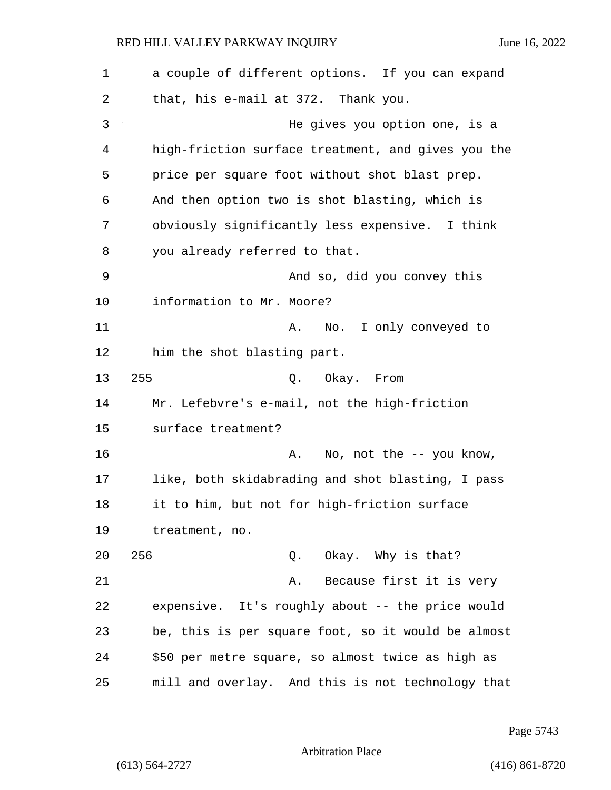| $\mathbf 1$ | a couple of different options. If you can expand   |
|-------------|----------------------------------------------------|
| 2           | that, his e-mail at 372. Thank you.                |
| 3           | He gives you option one, is a                      |
| 4           | high-friction surface treatment, and gives you the |
| 5           | price per square foot without shot blast prep.     |
| 6           | And then option two is shot blasting, which is     |
| 7           | obviously significantly less expensive. I think    |
| 8           | you already referred to that.                      |
| 9           | And so, did you convey this                        |
| 10          | information to Mr. Moore?                          |
| 11          | No. I only conveyed to<br>Α.                       |
| 12          | him the shot blasting part.                        |
| 13          | 255<br>Q. Okay. From                               |
| 14          | Mr. Lefebvre's e-mail, not the high-friction       |
| 15          | surface treatment?                                 |
| 16          | No, not the -- you know,<br>Α.                     |
| 17          | like, both skidabrading and shot blasting, I pass  |
| 18          | it to him, but not for high-friction surface       |
| 19          | treatment, no.                                     |
| 20          | 256<br>Q. Okay. Why is that?                       |
| 21          | Because first it is very<br>Α.                     |
| 22          | expensive. It's roughly about -- the price would   |
| 23          | be, this is per square foot, so it would be almost |
| 24          | \$50 per metre square, so almost twice as high as  |
| 25          | mill and overlay. And this is not technology that  |

Page 5743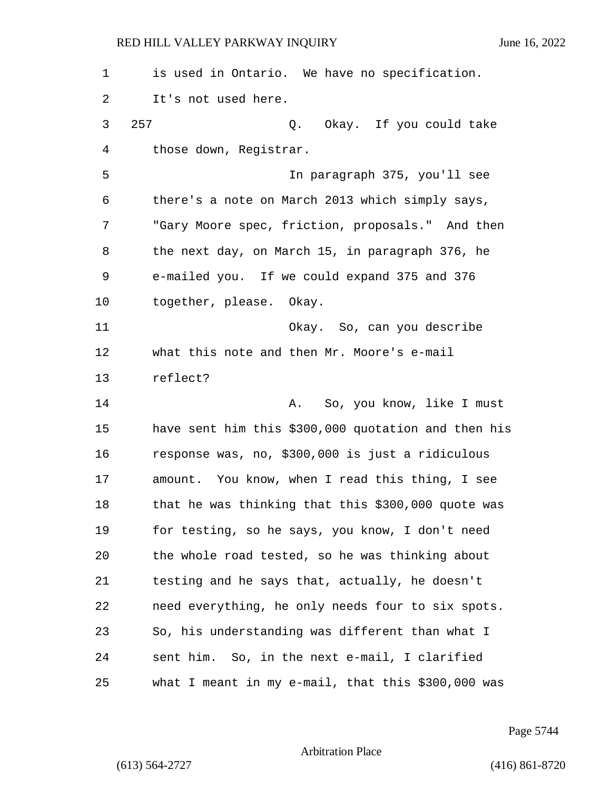| $\mathbf 1$ | is used in Ontario. We have no specification.       |
|-------------|-----------------------------------------------------|
| 2           | It's not used here.                                 |
| 3           | 257<br>Q. Okay. If you could take                   |
| 4           | those down, Registrar.                              |
| 5           | In paragraph 375, you'll see                        |
| 6           | there's a note on March 2013 which simply says,     |
| 7           | "Gary Moore spec, friction, proposals." And then    |
| 8           | the next day, on March 15, in paragraph 376, he     |
| 9           | e-mailed you. If we could expand 375 and 376        |
| 10          | together, please. Okay.                             |
| 11          | Okay. So, can you describe                          |
| 12          | what this note and then Mr. Moore's e-mail          |
| 13          | reflect?                                            |
| 14          | A. So, you know, like I must                        |
| 15          | have sent him this \$300,000 quotation and then his |
| 16          | response was, no, \$300,000 is just a ridiculous    |
| 17          | amount. You know, when I read this thing, I see     |
| 18          | that he was thinking that this \$300,000 quote was  |
| 19          | for testing, so he says, you know, I don't need     |
| 20          | the whole road tested, so he was thinking about     |
| 21          | testing and he says that, actually, he doesn't      |
| 22          | need everything, he only needs four to six spots.   |
| 23          | So, his understanding was different than what I     |
| 24          | sent him. So, in the next e-mail, I clarified       |
| 25          | what I meant in my e-mail, that this \$300,000 was  |

Page 5744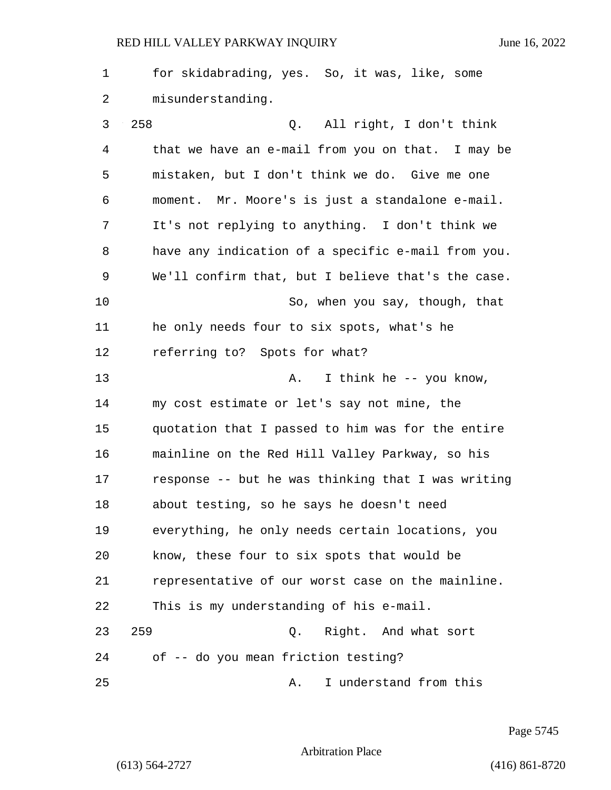1 for skidabrading, yes. So, it was, like, some 2 misunderstanding. 3 258 Q. All right, I don't think 4 that we have an e-mail from you on that. I may be 5 mistaken, but I don't think we do. Give me one 6 moment. Mr. Moore's is just a standalone e-mail. 7 It's not replying to anything. I don't think we 8 have any indication of a specific e-mail from you. 9 We'll confirm that, but I believe that's the case. 10 So, when you say, though, that 11 he only needs four to six spots, what's he 12 referring to? Spots for what? 13 A. I think he -- you know, 14 my cost estimate or let's say not mine, the 15 quotation that I passed to him was for the entire 16 mainline on the Red Hill Valley Parkway, so his 17 response -- but he was thinking that I was writing 18 about testing, so he says he doesn't need 19 everything, he only needs certain locations, you 20 know, these four to six spots that would be 21 representative of our worst case on the mainline. 22 This is my understanding of his e-mail. 23 259 Q. Right. And what sort 24 of -- do you mean friction testing? 25 A. I understand from this

Page 5745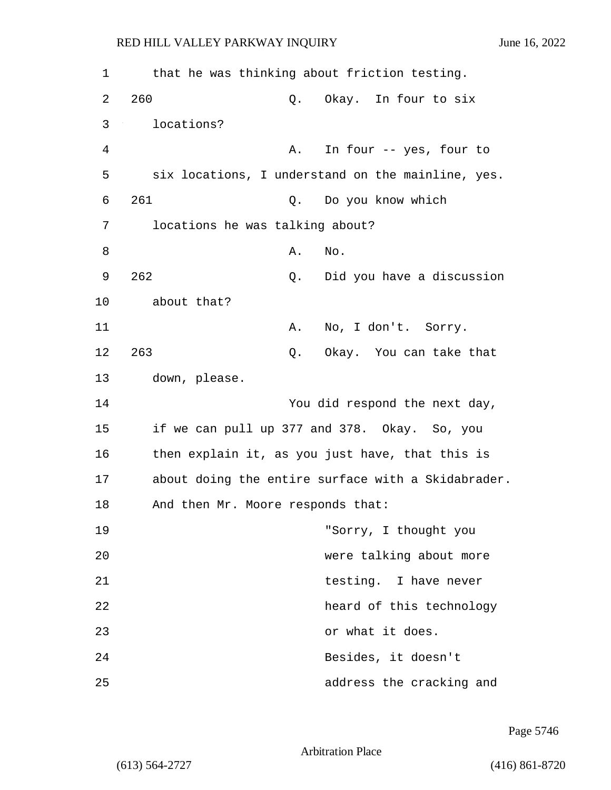| 1  | that he was thinking about friction testing.       |
|----|----------------------------------------------------|
| 2  | 260<br>Okay. In four to six<br>Q.                  |
| 3  | locations?                                         |
| 4  | In four -- yes, four to<br>Α.                      |
| 5  | six locations, I understand on the mainline, yes.  |
| 6  | 261<br>Do you know which<br>Q.                     |
| 7  | locations he was talking about?                    |
| 8  | No.<br>Α.                                          |
| 9  | 262<br>Did you have a discussion<br>Q.             |
| 10 | about that?                                        |
| 11 | No, I don't. Sorry.<br>Α.                          |
| 12 | 263<br>Okay. You can take that<br>Q.               |
| 13 | down, please.                                      |
| 14 | You did respond the next day,                      |
| 15 | if we can pull up 377 and 378. Okay. So, you       |
| 16 | then explain it, as you just have, that this is    |
| 17 | about doing the entire surface with a Skidabrader. |
| 18 | And then Mr. Moore responds that:                  |
| 19 | "Sorry, I thought you                              |
| 20 | were talking about more                            |
| 21 | testing. I have never                              |
| 22 | heard of this technology                           |
| 23 | or what it does.                                   |
| 24 | Besides, it doesn't                                |
| 25 | address the cracking and                           |

Page 5746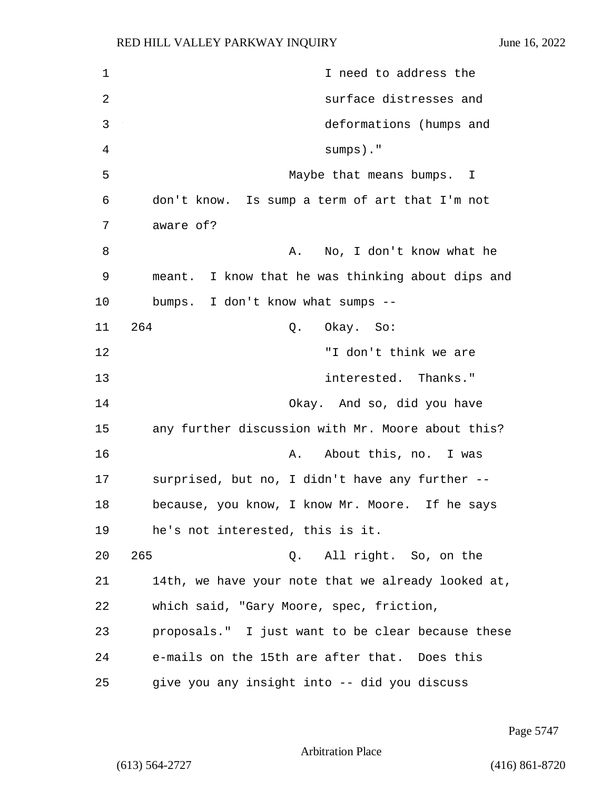| $\mathbf{1}$   | I need to address the                              |
|----------------|----------------------------------------------------|
| $\overline{2}$ | surface distresses and                             |
| 3              | deformations (humps and                            |
| 4              | $sumps)$ ."                                        |
| 5              | Maybe that means bumps. I                          |
| 6              | don't know. Is sump a term of art that I'm not     |
| 7              | aware of?                                          |
| 8              | No, I don't know what he<br>Α.                     |
| 9              | meant. I know that he was thinking about dips and  |
| 10             | bumps. I don't know what sumps --                  |
| 11             | 264<br>Okay. So:<br>Q.                             |
| 12             | "I don't think we are                              |
| 13             | interested. Thanks."                               |
| 14             | Okay. And so, did you have                         |
| 15             | any further discussion with Mr. Moore about this?  |
| 16             | A. About this, no. I was                           |
| 17             | surprised, but no, I didn't have any further --    |
| 18             | because, you know, I know Mr. Moore. If he says    |
| 19             | he's not interested, this is it.                   |
| 20             | 265<br>Q. All right. So, on the                    |
| 21             | 14th, we have your note that we already looked at, |
| 22             | which said, "Gary Moore, spec, friction,           |
| 23             | proposals." I just want to be clear because these  |
| 24             | e-mails on the 15th are after that. Does this      |
| 25             | give you any insight into -- did you discuss       |

Page 5747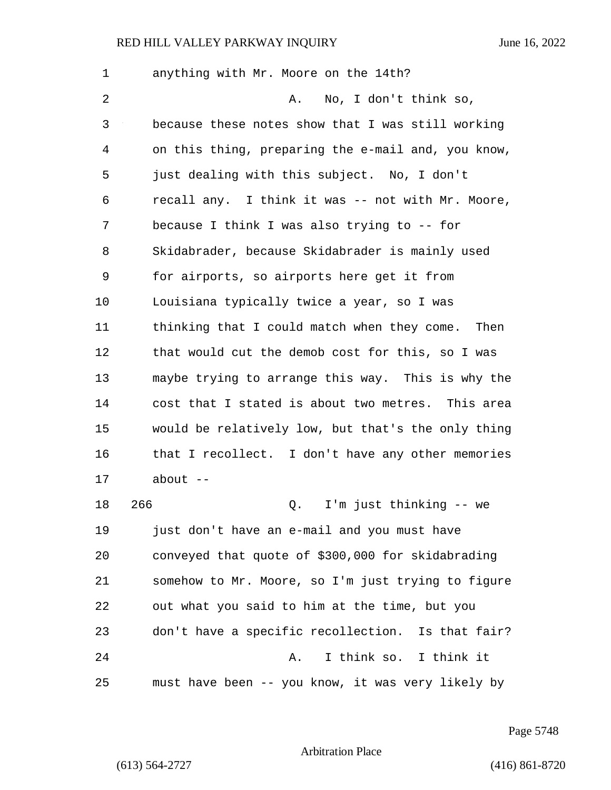1 anything with Mr. Moore on the 14th? 2 A. No, I don't think so, 3 because these notes show that I was still working 4 on this thing, preparing the e-mail and, you know, 5 just dealing with this subject. No, I don't 6 recall any. I think it was -- not with Mr. Moore, 7 because I think I was also trying to -- for 8 Skidabrader, because Skidabrader is mainly used 9 for airports, so airports here get it from 10 Louisiana typically twice a year, so I was 11 thinking that I could match when they come. Then 12 that would cut the demob cost for this, so I was 13 maybe trying to arrange this way. This is why the 14 cost that I stated is about two metres. This area 15 would be relatively low, but that's the only thing 16 that I recollect. I don't have any other memories  $17$  about  $-$ 18 266 Q. I'm just thinking -- we 19 just don't have an e-mail and you must have 20 conveyed that quote of \$300,000 for skidabrading 21 somehow to Mr. Moore, so I'm just trying to figure 22 out what you said to him at the time, but you 23 don't have a specific recollection. Is that fair? 24 A. I think so. I think it 25 must have been -- you know, it was very likely by

Page 5748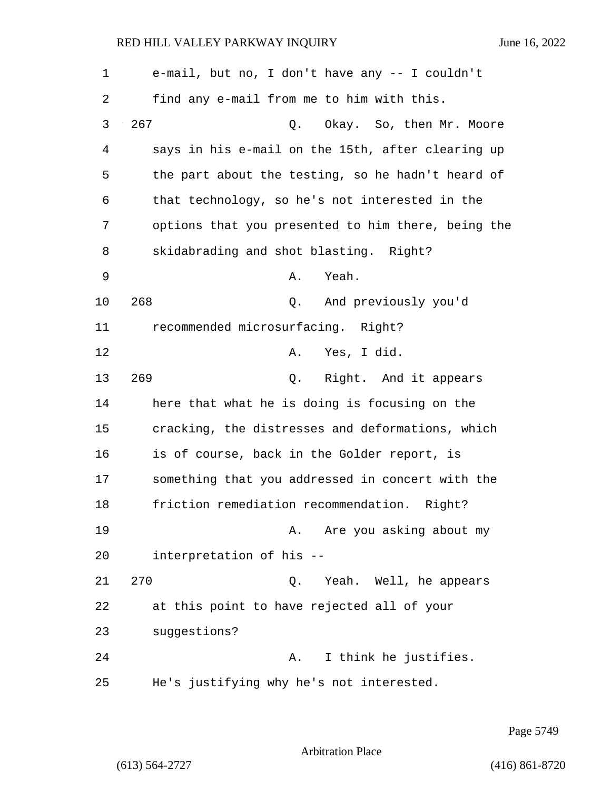| $\mathbf 1$ | e-mail, but no, I don't have any -- I couldn't     |
|-------------|----------------------------------------------------|
| 2           | find any e-mail from me to him with this.          |
| 3           | 267<br>Okay. So, then Mr. Moore<br>Q.              |
| 4           | says in his e-mail on the 15th, after clearing up  |
| 5           | the part about the testing, so he hadn't heard of  |
| 6           | that technology, so he's not interested in the     |
| 7           | options that you presented to him there, being the |
| 8           | skidabrading and shot blasting. Right?             |
| 9           | Yeah.<br>Α.                                        |
| 10          | 268<br>And previously you'd<br>Q.                  |
| 11          | recommended microsurfacing. Right?                 |
| 12          | Yes, I did.<br>Α.                                  |
| 13          | 269<br>Q. Right. And it appears                    |
| 14          | here that what he is doing is focusing on the      |
| 15          | cracking, the distresses and deformations, which   |
| 16          | is of course, back in the Golder report, is        |
| 17          | something that you addressed in concert with the   |
| 18          | friction remediation recommendation. Right?        |
| 19          | A. Are you asking about my                         |
| 20          | interpretation of his --                           |
| 21          | 270<br>Q. Yeah. Well, he appears                   |
| 22          | at this point to have rejected all of your         |
| 23          | suggestions?                                       |
| 24          | I think he justifies.<br>Α.                        |
| 25          | He's justifying why he's not interested.           |

Page 5749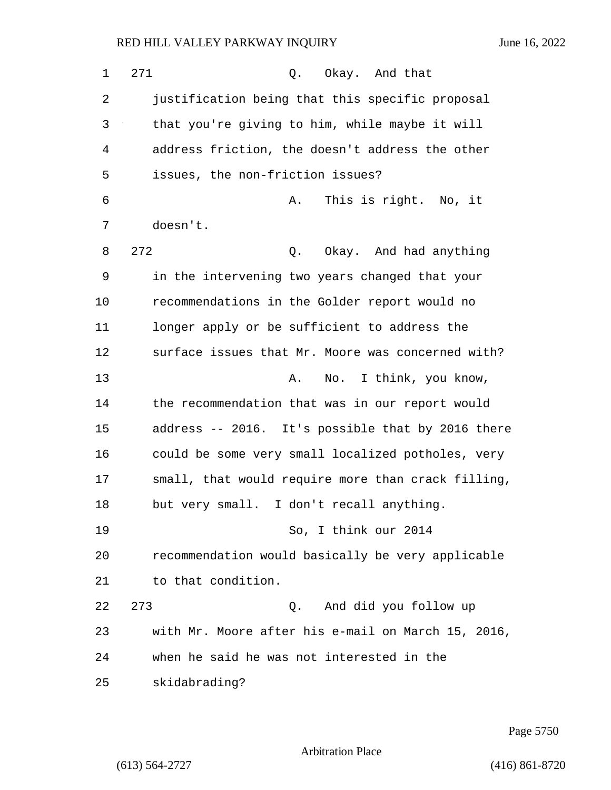| 1  | 271<br>Okay. And that<br>Q.                        |
|----|----------------------------------------------------|
| 2  | justification being that this specific proposal    |
| 3  | that you're giving to him, while maybe it will     |
| 4  | address friction, the doesn't address the other    |
| 5  | issues, the non-friction issues?                   |
| 6  | This is right. No, it<br>Α.                        |
| 7  | doesn't.                                           |
| 8  | 272<br>Okay. And had anything<br>Q.                |
| 9  | in the intervening two years changed that your     |
| 10 | recommendations in the Golder report would no      |
| 11 | longer apply or be sufficient to address the       |
| 12 | surface issues that Mr. Moore was concerned with?  |
| 13 | No. I think, you know,<br>Α.                       |
| 14 | the recommendation that was in our report would    |
| 15 | address -- 2016. It's possible that by 2016 there  |
| 16 | could be some very small localized potholes, very  |
| 17 | small, that would require more than crack filling, |
| 18 | but very small. I don't recall anything.           |
| 19 | So, I think our 2014                               |
| 20 | recommendation would basically be very applicable  |
| 21 | to that condition.                                 |
| 22 | 273<br>And did you follow up<br>Q.                 |
| 23 | with Mr. Moore after his e-mail on March 15, 2016, |
| 24 | when he said he was not interested in the          |
| 25 | skidabrading?                                      |

Page 5750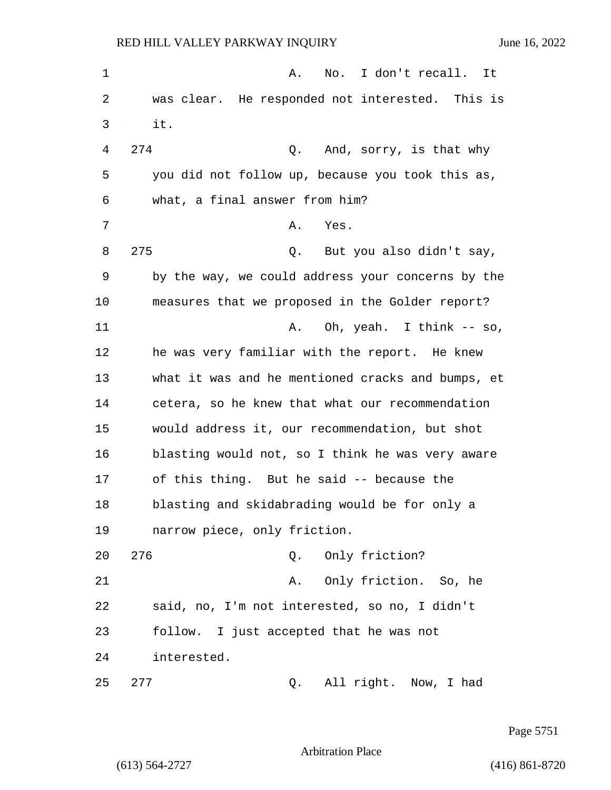1 A. No. I don't recall. It 2 was clear. He responded not interested. This is 3 it. 4 274 Q. And, sorry, is that why 5 you did not follow up, because you took this as, 6 what, a final answer from him? 7 A. Yes. 8 275 Q. But you also didn't say, 9 by the way, we could address your concerns by the 10 measures that we proposed in the Golder report? 11 A. Oh, yeah. I think -- so, 12 he was very familiar with the report. He knew 13 what it was and he mentioned cracks and bumps, et 14 cetera, so he knew that what our recommendation 15 would address it, our recommendation, but shot 16 blasting would not, so I think he was very aware 17 of this thing. But he said -- because the 18 blasting and skidabrading would be for only a 19 narrow piece, only friction. 20 276 Q. Only friction? 21 A. Only friction. So, he 22 said, no, I'm not interested, so no, I didn't 23 follow. I just accepted that he was not 24 interested. 25 277 Q. All right. Now, I had

Page 5751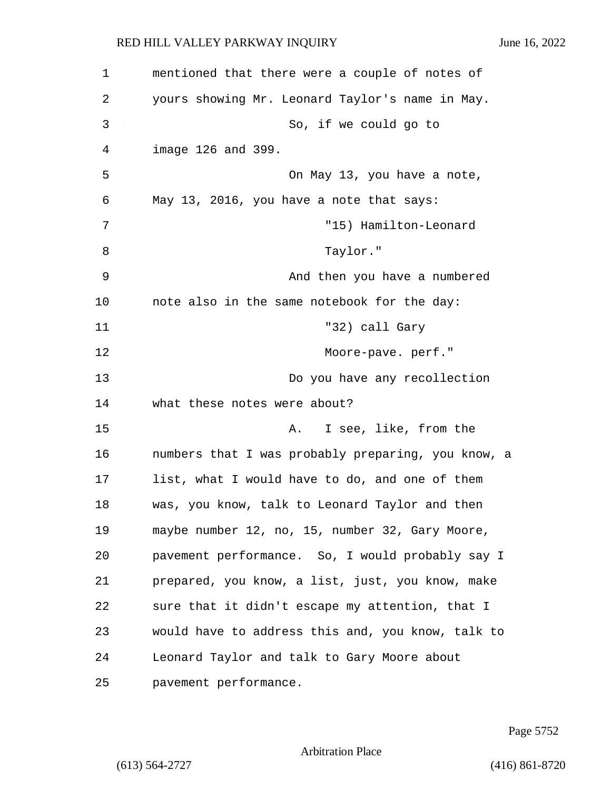1 mentioned that there were a couple of notes of 2 yours showing Mr. Leonard Taylor's name in May. 3 So, if we could go to 4 image 126 and 399. 5 On May 13, you have a note, 6 May 13, 2016, you have a note that says: 7 "15) Hamilton-Leonard 8 Taylor." 9 And then you have a numbered 10 note also in the same notebook for the day: 11 "32) call Gary 12 Moore-pave. perf." 13 Do you have any recollection 14 what these notes were about? 15 A. I see, like, from the 16 numbers that I was probably preparing, you know, a 17 list, what I would have to do, and one of them 18 was, you know, talk to Leonard Taylor and then 19 maybe number 12, no, 15, number 32, Gary Moore, 20 pavement performance. So, I would probably say I 21 prepared, you know, a list, just, you know, make 22 sure that it didn't escape my attention, that I 23 would have to address this and, you know, talk to 24 Leonard Taylor and talk to Gary Moore about 25 pavement performance.

Page 5752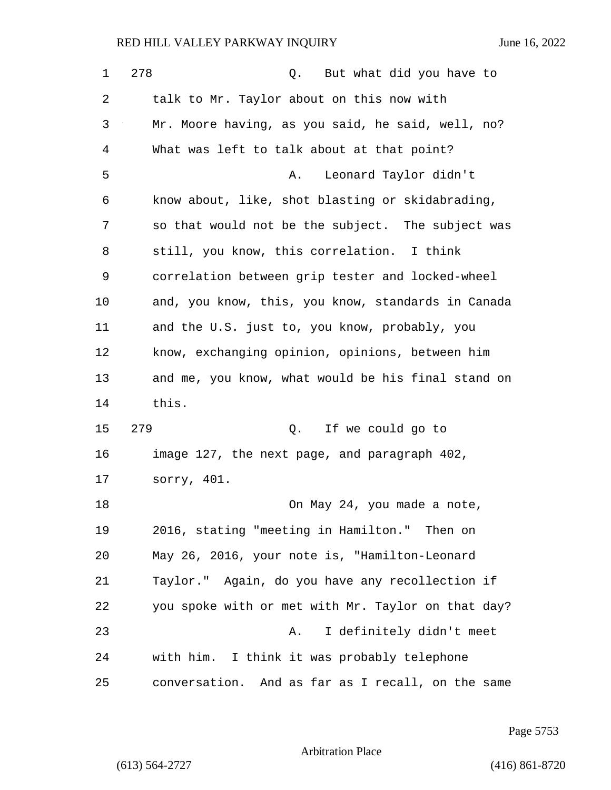| 1  | 278<br>But what did you have to<br>Q.              |
|----|----------------------------------------------------|
| 2  | talk to Mr. Taylor about on this now with          |
| 3  | Mr. Moore having, as you said, he said, well, no?  |
| 4  | What was left to talk about at that point?         |
| 5  | Leonard Taylor didn't<br>Α.                        |
| 6  | know about, like, shot blasting or skidabrading,   |
| 7  | so that would not be the subject. The subject was  |
| 8  | still, you know, this correlation. I think         |
| 9  | correlation between grip tester and locked-wheel   |
| 10 | and, you know, this, you know, standards in Canada |
| 11 | and the U.S. just to, you know, probably, you      |
| 12 | know, exchanging opinion, opinions, between him    |
| 13 | and me, you know, what would be his final stand on |
| 14 | this.                                              |
| 15 | 279<br>Q. If we could go to                        |
| 16 | image 127, the next page, and paragraph 402,       |
| 17 | sorry, 401.                                        |
| 18 | On May 24, you made a note,                        |
| 19 | 2016, stating "meeting in Hamilton." Then on       |
| 20 | May 26, 2016, your note is, "Hamilton-Leonard      |
| 21 | Taylor." Again, do you have any recollection if    |
| 22 | you spoke with or met with Mr. Taylor on that day? |
| 23 | I definitely didn't meet<br>Α.                     |
| 24 | with him. I think it was probably telephone        |
| 25 | conversation. And as far as I recall, on the same  |

Page 5753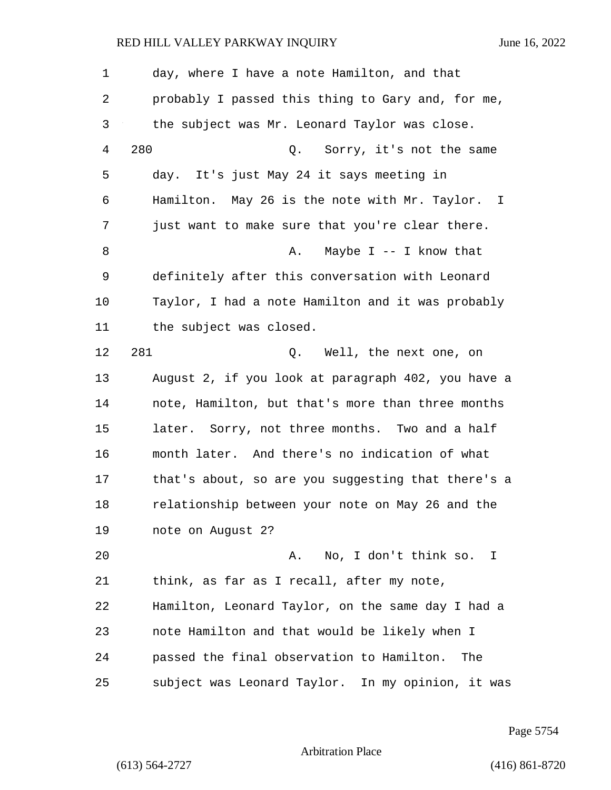1 day, where I have a note Hamilton, and that 2 probably I passed this thing to Gary and, for me, 3 the subject was Mr. Leonard Taylor was close. 4 280 Q. Sorry, it's not the same 5 day. It's just May 24 it says meeting in 6 Hamilton. May 26 is the note with Mr. Taylor. I 7 just want to make sure that you're clear there. 8 A. Maybe I -- I know that 9 definitely after this conversation with Leonard 10 Taylor, I had a note Hamilton and it was probably 11 the subject was closed. 12 281 O. Well, the next one, on 13 August 2, if you look at paragraph 402, you have a 14 note, Hamilton, but that's more than three months 15 later. Sorry, not three months. Two and a half 16 month later. And there's no indication of what 17 that's about, so are you suggesting that there's a 18 relationship between your note on May 26 and the 19 note on August 2? 20 A. No, I don't think so. I 21 think, as far as I recall, after my note, 22 Hamilton, Leonard Taylor, on the same day I had a 23 note Hamilton and that would be likely when I 24 passed the final observation to Hamilton. The 25 subject was Leonard Taylor. In my opinion, it was

Page 5754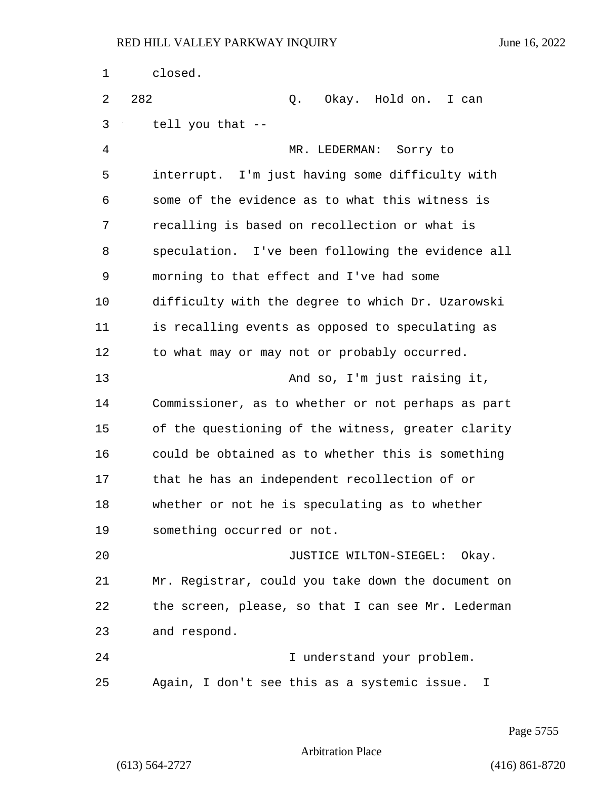| 1  | closed.                                                      |
|----|--------------------------------------------------------------|
| 2  | 282<br>Q. Okay. Hold on. I can                               |
| 3  | tell you that --                                             |
| 4  | MR. LEDERMAN: Sorry to                                       |
| 5  | interrupt. I'm just having some difficulty with              |
| 6  | some of the evidence as to what this witness is              |
| 7  | recalling is based on recollection or what is                |
| 8  | speculation. I've been following the evidence all            |
| 9  | morning to that effect and I've had some                     |
| 10 | difficulty with the degree to which Dr. Uzarowski            |
| 11 | is recalling events as opposed to speculating as             |
| 12 | to what may or may not or probably occurred.                 |
| 13 | And so, I'm just raising it,                                 |
| 14 | Commissioner, as to whether or not perhaps as part           |
| 15 | of the questioning of the witness, greater clarity           |
| 16 | could be obtained as to whether this is something            |
| 17 | that he has an independent recollection of or                |
| 18 | whether or not he is speculating as to whether               |
| 19 | something occurred or not.                                   |
| 20 | JUSTICE WILTON-SIEGEL: Okay.                                 |
| 21 | Mr. Registrar, could you take down the document on           |
| 22 | the screen, please, so that I can see Mr. Lederman           |
| 23 | and respond.                                                 |
| 24 | I understand your problem.                                   |
| 25 | Again, I don't see this as a systemic issue.<br>$\mathbf{I}$ |

Page 5755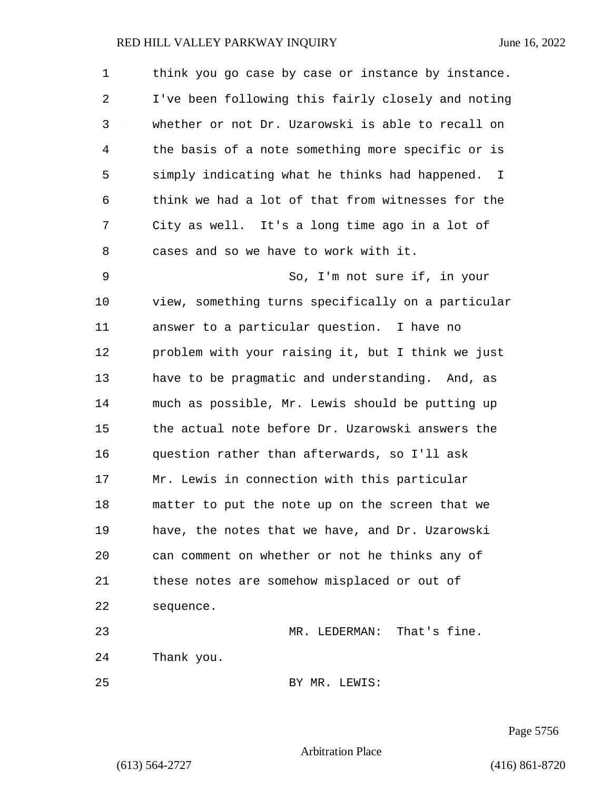| $\mathbf{1}$ | think you go case by case or instance by instance. |
|--------------|----------------------------------------------------|
| 2            | I've been following this fairly closely and noting |
| 3            | whether or not Dr. Uzarowski is able to recall on  |
| 4            | the basis of a note something more specific or is  |
| 5            | simply indicating what he thinks had happened. I   |
| 6            | think we had a lot of that from witnesses for the  |
| 7            | City as well. It's a long time ago in a lot of     |
| 8            | cases and so we have to work with it.              |
| 9            | So, I'm not sure if, in your                       |
| 10           | view, something turns specifically on a particular |
| 11           | answer to a particular question. I have no         |
| 12           | problem with your raising it, but I think we just  |
| 13           | have to be pragmatic and understanding. And, as    |
| 14           | much as possible, Mr. Lewis should be putting up   |
| 15           | the actual note before Dr. Uzarowski answers the   |
| 16           | question rather than afterwards, so I'll ask       |
| 17           | Mr. Lewis in connection with this particular       |
| 18           | matter to put the note up on the screen that we    |
| 19           | have, the notes that we have, and Dr. Uzarowski    |
| 20           | can comment on whether or not he thinks any of     |
| 21           | these notes are somehow misplaced or out of        |
| 22           | sequence.                                          |
| 23           | MR. LEDERMAN: That's fine.                         |
| 24           | Thank you.                                         |
| 25           | BY MR. LEWIS:                                      |

Page 5756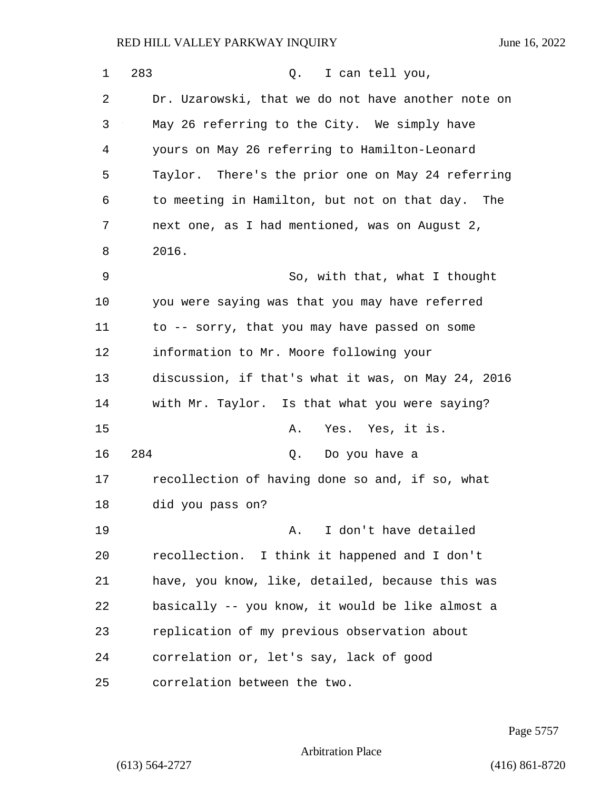| 1  | 283<br>I can tell you,<br>Q.                       |
|----|----------------------------------------------------|
| 2  | Dr. Uzarowski, that we do not have another note on |
| 3  | May 26 referring to the City. We simply have       |
| 4  | yours on May 26 referring to Hamilton-Leonard      |
| 5  | Taylor. There's the prior one on May 24 referring  |
| 6  | to meeting in Hamilton, but not on that day. The   |
| 7  | next one, as I had mentioned, was on August 2,     |
| 8  | 2016.                                              |
| 9  | So, with that, what I thought                      |
| 10 | you were saying was that you may have referred     |
| 11 | to -- sorry, that you may have passed on some      |
| 12 | information to Mr. Moore following your            |
| 13 | discussion, if that's what it was, on May 24, 2016 |
| 14 | with Mr. Taylor. Is that what you were saying?     |
| 15 | Yes. Yes, it is.<br>Α.                             |
| 16 | 284<br>Q.<br>Do you have a                         |
| 17 | recollection of having done so and, if so, what    |
| 18 | did you pass on?                                   |
| 19 | I don't have detailed<br>Α.                        |
| 20 | recollection. I think it happened and I don't      |
| 21 | have, you know, like, detailed, because this was   |
| 22 | basically -- you know, it would be like almost a   |
| 23 | replication of my previous observation about       |
| 24 | correlation or, let's say, lack of good            |
| 25 | correlation between the two.                       |

Page 5757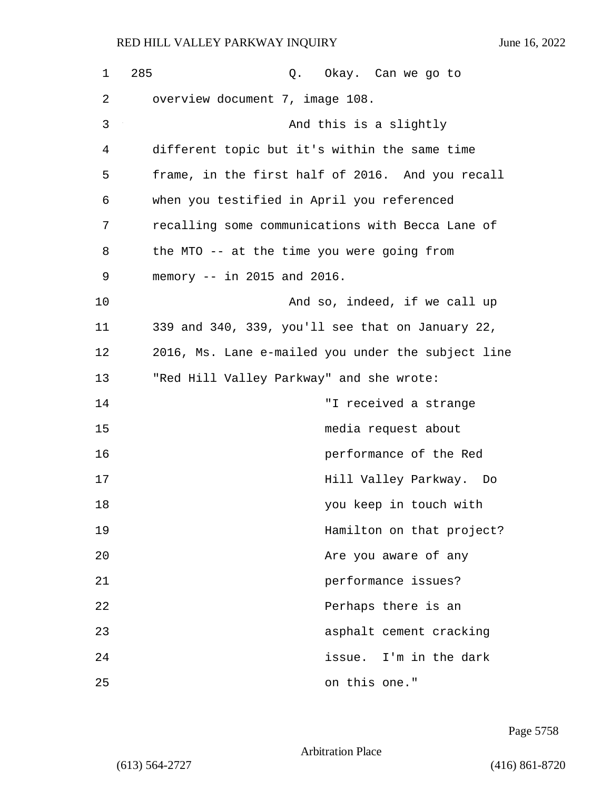| $\mathbf 1$ | 285<br>Q. Okay. Can we go to                       |
|-------------|----------------------------------------------------|
| 2           | overview document 7, image 108.                    |
| 3           | And this is a slightly                             |
| 4           | different topic but it's within the same time      |
| 5           | frame, in the first half of 2016. And you recall   |
| 6           | when you testified in April you referenced         |
| 7           | recalling some communications with Becca Lane of   |
| 8           | the MTO -- at the time you were going from         |
| 9           | memory $--$ in 2015 and 2016.                      |
| 10          | And so, indeed, if we call up                      |
| 11          | 339 and 340, 339, you'll see that on January 22,   |
| 12          | 2016, Ms. Lane e-mailed you under the subject line |
| 13          | "Red Hill Valley Parkway" and she wrote:           |
| 14          | "I received a strange                              |
| 15          | media request about                                |
| 16          | performance of the Red                             |
| 17          | Hill Valley Parkway. Do                            |
| 18          | you keep in touch with                             |
| 19          | Hamilton on that project?                          |
| 20          | Are you aware of any                               |
| 21          | performance issues?                                |
| 22          | Perhaps there is an                                |
| 23          | asphalt cement cracking                            |
| 24          | issue. I'm in the dark                             |
| 25          | on this one."                                      |

Page 5758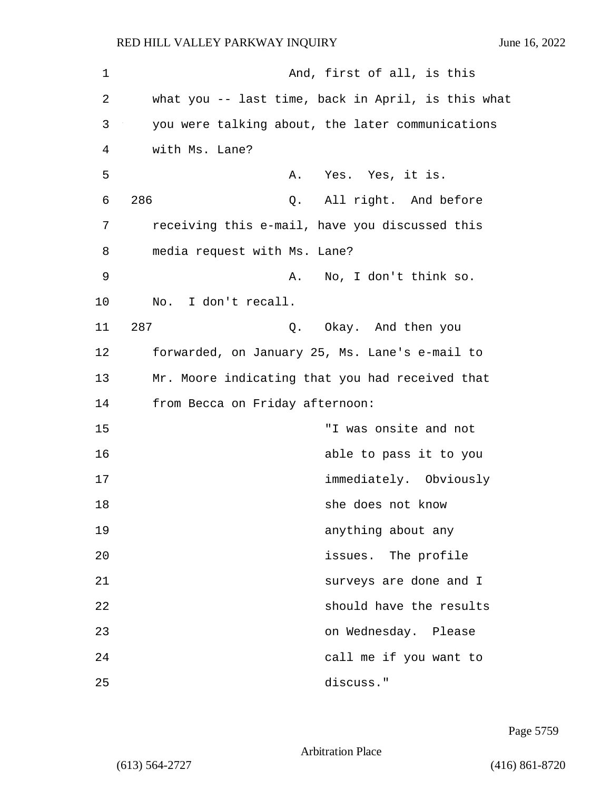| 1  | And, first of all, is this                         |
|----|----------------------------------------------------|
| 2  | what you -- last time, back in April, is this what |
| 3  | you were talking about, the later communications   |
| 4  | with Ms. Lane?                                     |
| 5  | Yes. Yes, it is.<br>Α.                             |
| 6  | 286<br>Q. All right. And before                    |
| 7  | receiving this e-mail, have you discussed this     |
| 8  | media request with Ms. Lane?                       |
| 9  | No, I don't think so.<br>Α.                        |
| 10 | No. I don't recall.                                |
| 11 | 287<br>Q. Okay. And then you                       |
| 12 | forwarded, on January 25, Ms. Lane's e-mail to     |
| 13 | Mr. Moore indicating that you had received that    |
| 14 | from Becca on Friday afternoon:                    |
| 15 | "I was onsite and not                              |
| 16 | able to pass it to you                             |
| 17 | immediately. Obviously                             |
| 18 | she does not know                                  |
| 19 | anything about any                                 |
| 20 | issues. The profile                                |
| 21 | surveys are done and I                             |
| 22 | should have the results                            |
| 23 | on Wednesday. Please                               |
| 24 | call me if you want to                             |
| 25 | discuss."                                          |

Page 5759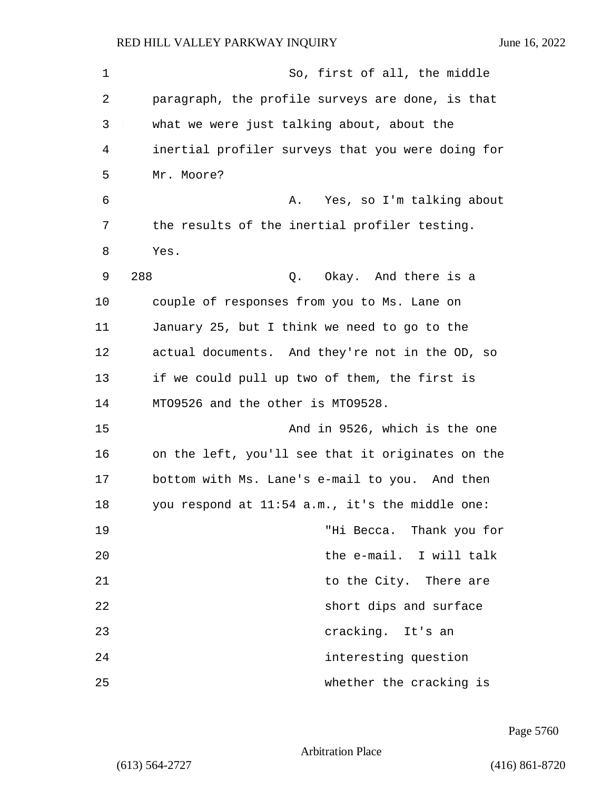1 So, first of all, the middle 2 paragraph, the profile surveys are done, is that 3 what we were just talking about, about the 4 inertial profiler surveys that you were doing for 5 Mr. Moore? 6 A. Yes, so I'm talking about 7 the results of the inertial profiler testing. 8 Yes. 9 288 Q. Okay. And there is a 10 couple of responses from you to Ms. Lane on 11 January 25, but I think we need to go to the 12 actual documents. And they're not in the OD, so 13 if we could pull up two of them, the first is 14 MTO9526 and the other is MTO9528. 15 And in 9526, which is the one 16 on the left, you'll see that it originates on the 17 bottom with Ms. Lane's e-mail to you. And then 18 you respond at 11:54 a.m., it's the middle one: 19 "Hi Becca. Thank you for 20 the e-mail. I will talk 21 **b** to the City. There are 22 short dips and surface 23 cracking. It's an 24 interesting question 25 whether the cracking is

Page 5760

Arbitration Place

(613) 564-2727 (416) 861-8720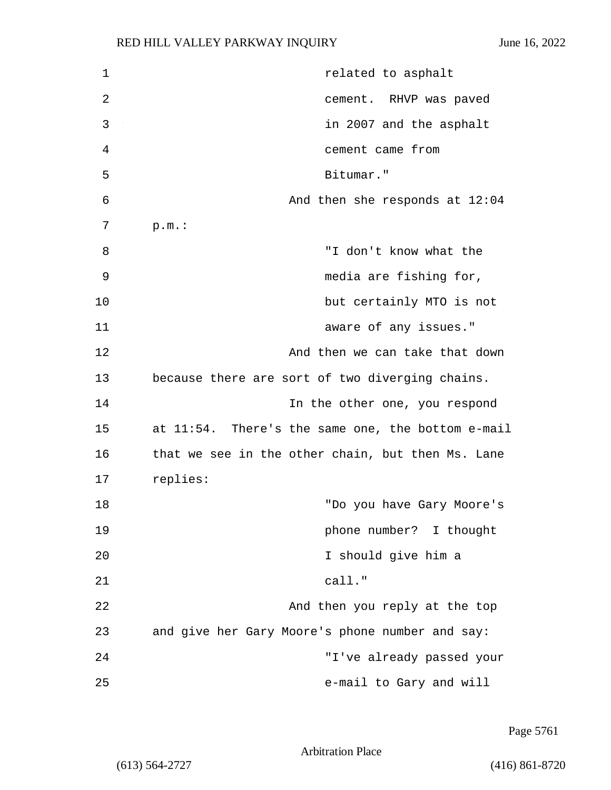| $\mathbf 1$    | related to asphalt                                |
|----------------|---------------------------------------------------|
| $\overline{2}$ | cement. RHVP was paved                            |
| 3              | in 2007 and the asphalt                           |
| 4              | cement came from                                  |
| 5              | Bitumar."                                         |
| 6              | And then she responds at $12:04$                  |
| 7              | p.m.:                                             |
| 8              | "I don't know what the                            |
| 9              | media are fishing for,                            |
| 10             | but certainly MTO is not                          |
| 11             | aware of any issues."                             |
| 12             | And then we can take that down                    |
| 13             | because there are sort of two diverging chains.   |
| 14             | In the other one, you respond                     |
| 15             | at 11:54. There's the same one, the bottom e-mail |
| 16             | that we see in the other chain, but then Ms. Lane |
| 17             | replies:                                          |
| 18             | "Do you have Gary Moore's                         |
| 19             | phone number? I thought                           |
| 20             | I should give him a                               |
| 21             | call."                                            |
| 22             | And then you reply at the top                     |
| 23             | and give her Gary Moore's phone number and say:   |
| 24             | "I've already passed your                         |
| 25             | e-mail to Gary and will                           |

Page 5761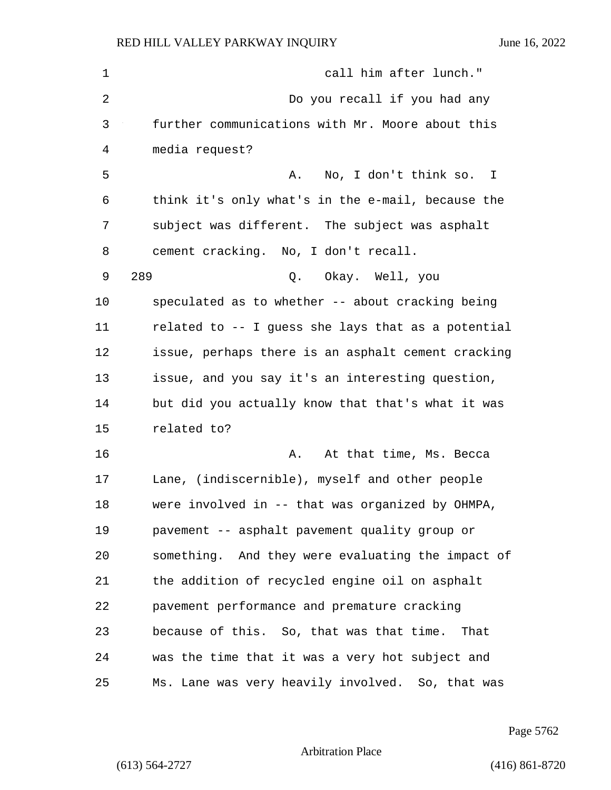| $\mathbf 1$    | call him after lunch."                             |
|----------------|----------------------------------------------------|
| $\overline{2}$ | Do you recall if you had any                       |
| 3              | further communications with Mr. Moore about this   |
| 4              | media request?                                     |
| 5              | No, I don't think so. I<br>Α.                      |
| 6              | think it's only what's in the e-mail, because the  |
| 7              | subject was different. The subject was asphalt     |
| 8              | cement cracking. No, I don't recall.               |
| 9              | 289<br>Q. Okay. Well, you                          |
| 10             | speculated as to whether -- about cracking being   |
| 11             | related to -- I guess she lays that as a potential |
| 12             | issue, perhaps there is an asphalt cement cracking |
| 13             | issue, and you say it's an interesting question,   |
| 14             | but did you actually know that that's what it was  |
| 15             | related to?                                        |
| 16             | At that time, Ms. Becca<br>Α.                      |
| 17             | Lane, (indiscernible), myself and other people     |
| 18             | were involved in -- that was organized by OHMPA,   |
| 19             | pavement -- asphalt pavement quality group or      |
| 20             | something. And they were evaluating the impact of  |
| 21             | the addition of recycled engine oil on asphalt     |
| 22             | pavement performance and premature cracking        |
| 23             | because of this. So, that was that time.<br>That   |
| 24             | was the time that it was a very hot subject and    |
| 25             | Ms. Lane was very heavily involved. So, that was   |

Page 5762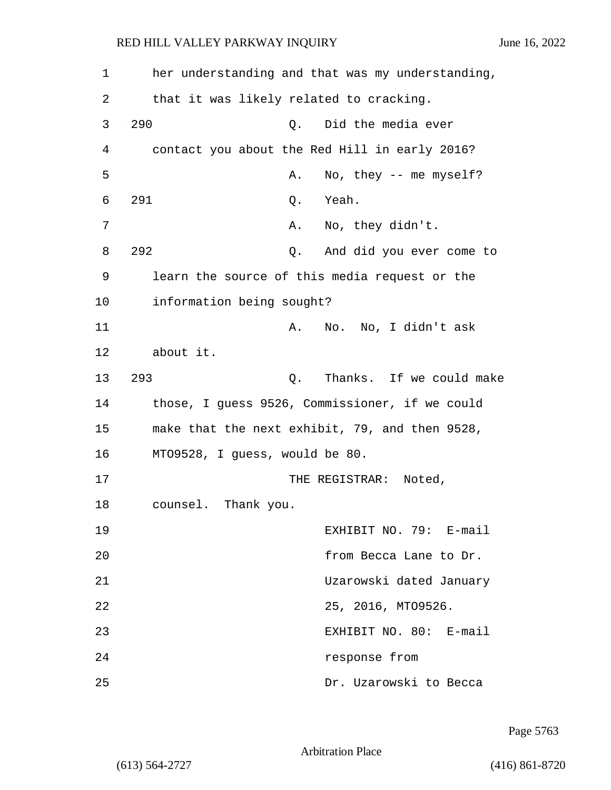| 1  | her understanding and that was my understanding, |
|----|--------------------------------------------------|
| 2  | that it was likely related to cracking.          |
| 3  | 290<br>Did the media ever<br>Q.                  |
| 4  | contact you about the Red Hill in early 2016?    |
| 5  | No, they $--$ me myself?<br>Α.                   |
| 6  | 291<br>Yeah.<br>Q.                               |
| 7  | No, they didn't.<br>Α.                           |
| 8  | 292<br>And did you ever come to<br>Q.            |
| 9  | learn the source of this media request or the    |
| 10 | information being sought?                        |
| 11 | No. No, I didn't ask<br>Α.                       |
| 12 | about it.                                        |
| 13 | 293<br>Thanks. If we could make<br>Q.            |
| 14 | those, I guess 9526, Commissioner, if we could   |
| 15 | make that the next exhibit, 79, and then 9528,   |
| 16 | MT09528, I guess, would be 80.                   |
| 17 | THE REGISTRAR:<br>Noted,                         |
| 18 | counsel. Thank you.                              |
| 19 | EXHIBIT NO. 79: E-mail                           |
| 20 | from Becca Lane to Dr.                           |
| 21 | Uzarowski dated January                          |
| 22 | 25, 2016, MT09526.                               |
| 23 | EXHIBIT NO. 80: E-mail                           |
| 24 | response from                                    |
| 25 | Dr. Uzarowski to Becca                           |

Page 5763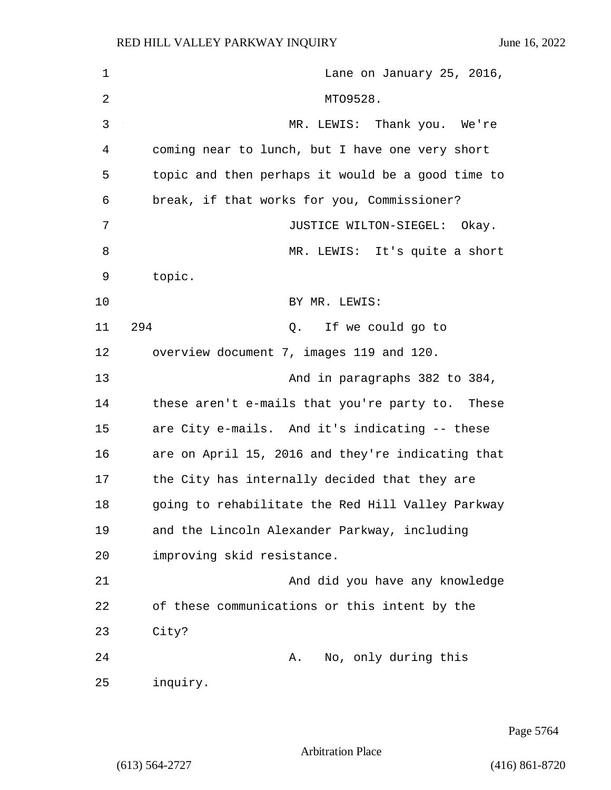| $\mathbf{1}$   | Lane on January 25, 2016,                         |
|----------------|---------------------------------------------------|
| $\overline{2}$ | MT09528.                                          |
| 3              | MR. LEWIS: Thank you. We're                       |
| 4              | coming near to lunch, but I have one very short   |
| 5              | topic and then perhaps it would be a good time to |
| 6              | break, if that works for you, Commissioner?       |
| 7              | JUSTICE WILTON-SIEGEL: Okay.                      |
| 8              | MR. LEWIS: It's quite a short                     |
| 9              | topic.                                            |
| 10             | BY MR. LEWIS:                                     |
| 11             | 294<br>Q. If we could go to                       |
| 12             | overview document 7, images 119 and 120.          |
| 13             | And in paragraphs 382 to 384,                     |
| 14             | these aren't e-mails that you're party to. These  |
| 15             | are City e-mails. And it's indicating -- these    |
| 16             | are on April 15, 2016 and they're indicating that |
| 17             | the City has internally decided that they are     |
| 18             | going to rehabilitate the Red Hill Valley Parkway |
| 19             | and the Lincoln Alexander Parkway, including      |
| 20             | improving skid resistance.                        |
| 21             | And did you have any knowledge                    |
| 22             | of these communications or this intent by the     |
| 23             | City?                                             |
| 24             | A. No, only during this                           |
| 25             | inquiry.                                          |

Page 5764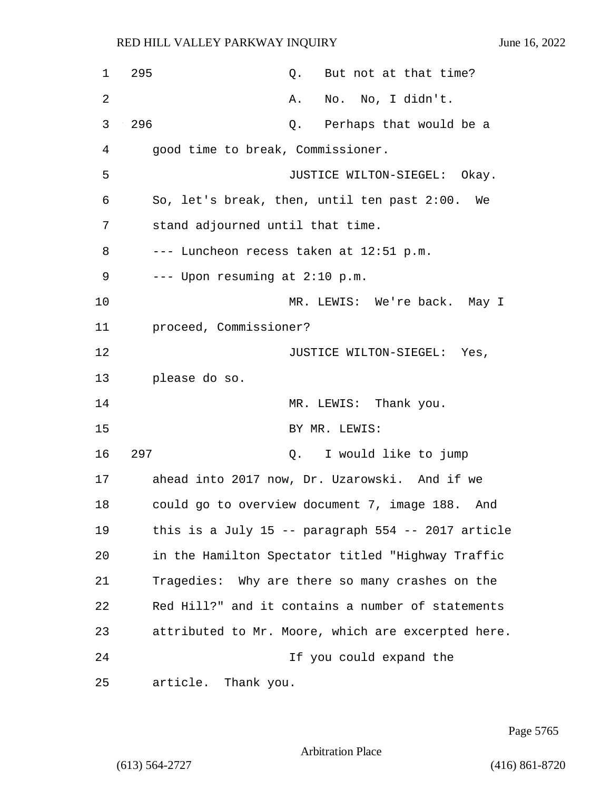| 1  | 295<br>Q. But not at that time?                      |
|----|------------------------------------------------------|
| 2  | No. No, I didn't.<br>Α.                              |
| 3  | 296<br>Perhaps that would be a<br>Q.                 |
| 4  | good time to break, Commissioner.                    |
| 5  | JUSTICE WILTON-SIEGEL: Okay.                         |
| 6  | So, let's break, then, until ten past 2:00. We       |
| 7  | stand adjourned until that time.                     |
| 8  | --- Luncheon recess taken at 12:51 p.m.              |
| 9  | --- Upon resuming at 2:10 p.m.                       |
| 10 | MR. LEWIS: We're back. May I                         |
| 11 | proceed, Commissioner?                               |
| 12 | JUSTICE WILTON-SIEGEL: Yes,                          |
| 13 | please do so.                                        |
| 14 | MR. LEWIS: Thank you.                                |
| 15 | BY MR. LEWIS:                                        |
| 16 | 297<br>Q. I would like to jump                       |
| 17 | ahead into 2017 now, Dr. Uzarowski. And if we        |
| 18 | could go to overview document 7, image 188.<br>And   |
| 19 | this is a July 15 -- paragraph $554$ -- 2017 article |
| 20 | in the Hamilton Spectator titled "Highway Traffic    |
| 21 | Tragedies: Why are there so many crashes on the      |
| 22 | Red Hill?" and it contains a number of statements    |
| 23 | attributed to Mr. Moore, which are excerpted here.   |
| 24 | If you could expand the                              |
| 25 | article. Thank you.                                  |

Page 5765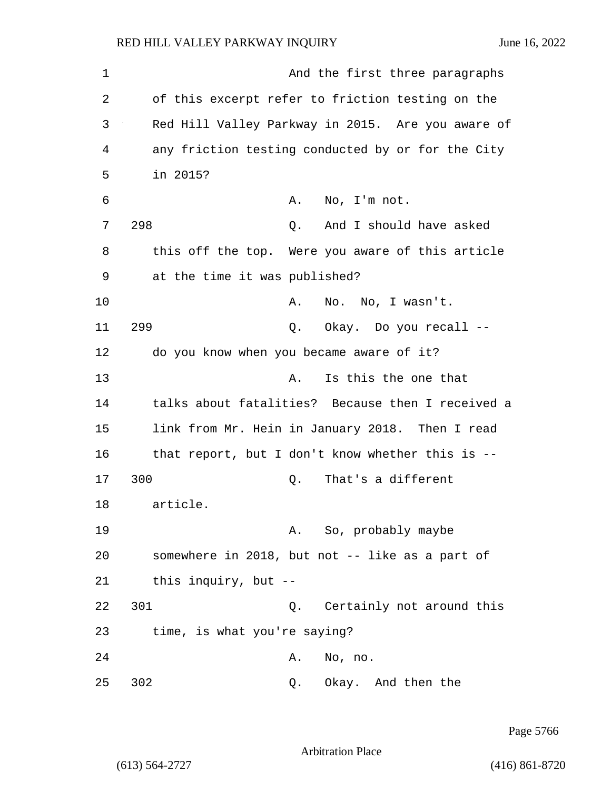1 And the first three paragraphs 2 of this excerpt refer to friction testing on the 3 Red Hill Valley Parkway in 2015. Are you aware of 4 any friction testing conducted by or for the City 5 in 2015? 6 A. No, I'm not. 7 298 Q. And I should have asked 8 this off the top. Were you aware of this article 9 at the time it was published? 10 A. No. No, I wasn't. 11 299 Q. Okay. Do you recall -- 12 do you know when you became aware of it? 13 A. Is this the one that 14 talks about fatalities? Because then I received a 15 link from Mr. Hein in January 2018. Then I read 16 that report, but I don't know whether this is -- 17 300 Q. That's a different 18 article. 19 A. So, probably maybe 20 somewhere in 2018, but not -- like as a part of 21 this inquiry, but -- 22 301 Q. Certainly not around this 23 time, is what you're saying? 24 A. No, no. 25 302 Q. Okay. And then the

Page 5766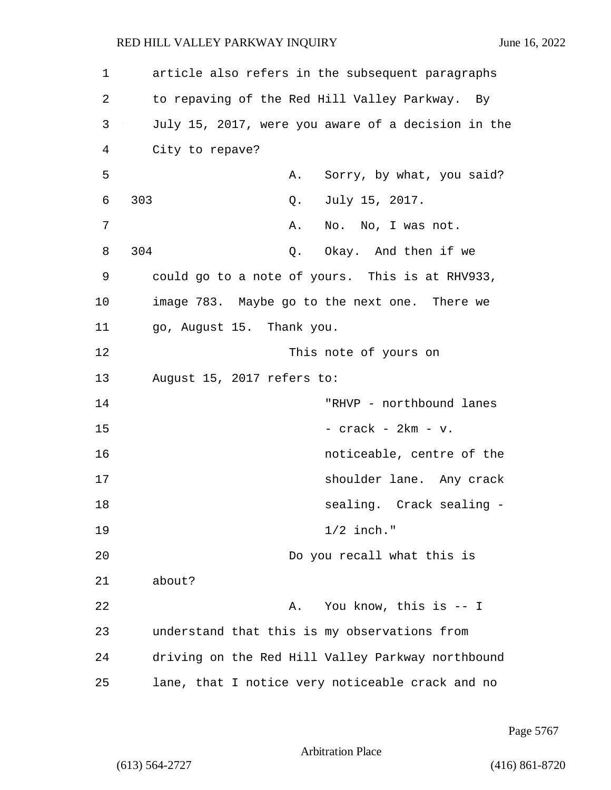1 article also refers in the subsequent paragraphs 2 to repaving of the Red Hill Valley Parkway. By 3 July 15, 2017, were you aware of a decision in the 4 City to repave? 5 A. Sorry, by what, you said? 6 303 Q. July 15, 2017. 7 A. No. No, I was not. 8 304 Q. Okay. And then if we 9 could go to a note of yours. This is at RHV933, 10 image 783. Maybe go to the next one. There we 11 go, August 15. Thank you. 12 This note of yours on 13 August 15, 2017 refers to: 14 "RHVP - northbound lanes  $15$  - crack -  $2km - v$ . 16 noticeable, centre of the 17 shoulder lane. Any crack 18 Sealing. Crack sealing -19 1/2 inch." 20 Do you recall what this is 21 about? 22 A. You know, this is -- I 23 understand that this is my observations from 24 driving on the Red Hill Valley Parkway northbound 25 lane, that I notice very noticeable crack and no

Page 5767

Arbitration Place

(613) 564-2727 (416) 861-8720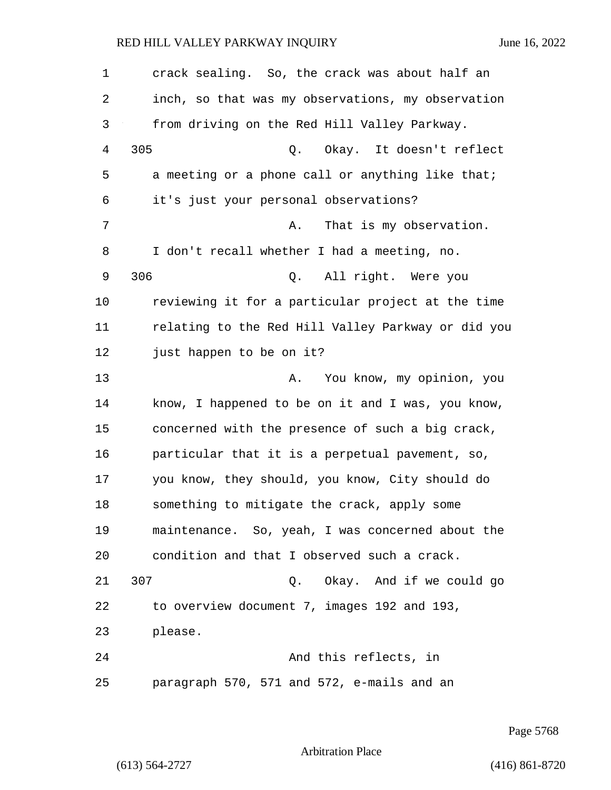1 crack sealing. So, the crack was about half an 2 inch, so that was my observations, my observation 3 from driving on the Red Hill Valley Parkway. 4 305 Q. Okay. It doesn't reflect 5 a meeting or a phone call or anything like that; 6 it's just your personal observations? 7 A. That is my observation. 8 I don't recall whether I had a meeting, no. 9 306 Q. All right. Were you 10 reviewing it for a particular project at the time 11 relating to the Red Hill Valley Parkway or did you 12 just happen to be on it? 13 A. You know, my opinion, you 14 know, I happened to be on it and I was, you know, 15 concerned with the presence of such a big crack, 16 particular that it is a perpetual pavement, so, 17 you know, they should, you know, City should do 18 something to mitigate the crack, apply some 19 maintenance. So, yeah, I was concerned about the 20 condition and that I observed such a crack. 21 307 Q. Okay. And if we could go 22 to overview document 7, images 192 and 193, 23 please. 24 And this reflects, in 25 paragraph 570, 571 and 572, e-mails and an

Page 5768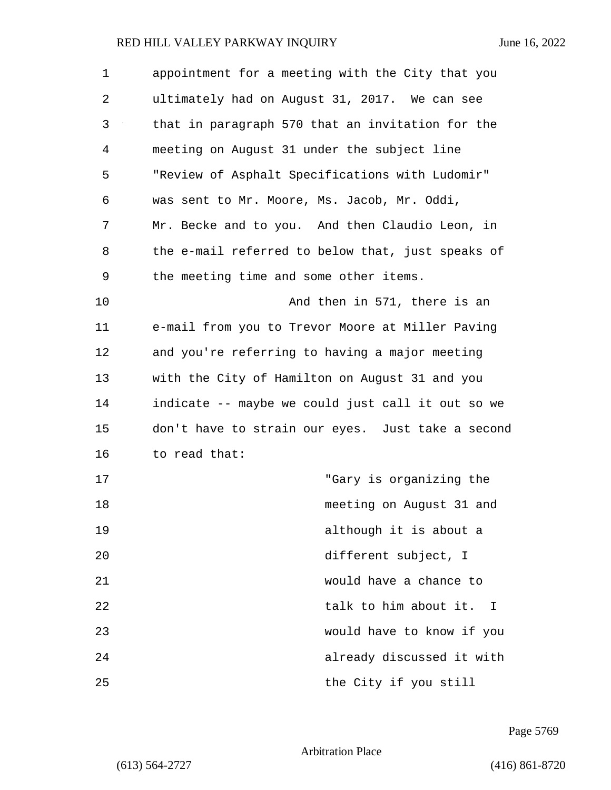| $\mathbf 1$ | appointment for a meeting with the City that you  |
|-------------|---------------------------------------------------|
| 2           | ultimately had on August 31, 2017. We can see     |
| 3           | that in paragraph 570 that an invitation for the  |
| 4           | meeting on August 31 under the subject line       |
| 5           | "Review of Asphalt Specifications with Ludomir"   |
| 6           | was sent to Mr. Moore, Ms. Jacob, Mr. Oddi,       |
| 7           | Mr. Becke and to you. And then Claudio Leon, in   |
| 8           | the e-mail referred to below that, just speaks of |
| 9           | the meeting time and some other items.            |
| 10          | And then in 571, there is an                      |
| 11          | e-mail from you to Trevor Moore at Miller Paving  |
| 12          | and you're referring to having a major meeting    |
| 13          | with the City of Hamilton on August 31 and you    |
| 14          | indicate -- maybe we could just call it out so we |
| 15          | don't have to strain our eyes. Just take a second |
| 16          | to read that:                                     |
| 17          | "Gary is organizing the                           |
| 18          | meeting on August 31 and                          |
| 19          | although it is about a                            |
| 20          | different subject, I                              |
| 21          | would have a chance to                            |
| 22          | talk to him about it. I                           |
| 23          | would have to know if you                         |
| 24          | already discussed it with                         |
| 25          | the City if you still                             |

Page 5769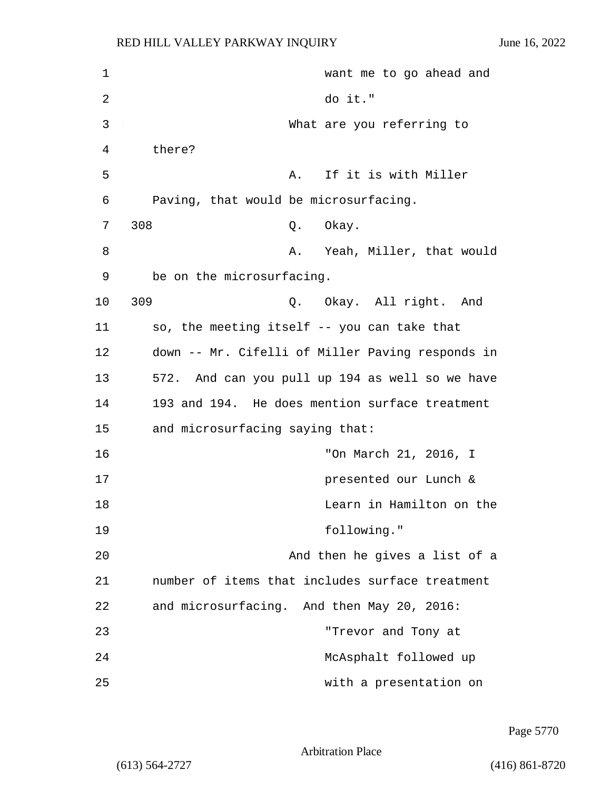| 1  | want me to go ahead and                          |
|----|--------------------------------------------------|
| 2  | do it."                                          |
| 3  | What are you referring to                        |
| 4  | there?                                           |
| 5  | If it is with Miller<br>Α.                       |
| 6  | Paving, that would be microsurfacing.            |
| 7  | 308<br>Q. Okay.                                  |
| 8  | A. Yeah, Miller, that would                      |
| 9  | be on the microsurfacing.                        |
| 10 | 309<br>Q. Okay. All right. And                   |
| 11 | so, the meeting itself -- you can take that      |
| 12 | down -- Mr. Cifelli of Miller Paving responds in |
| 13 | 572. And can you pull up 194 as well so we have  |
| 14 | 193 and 194. He does mention surface treatment   |
| 15 | and microsurfacing saying that:                  |
| 16 | "On March 21, 2016, I                            |
| 17 | presented our Lunch &                            |
| 18 | Learn in Hamilton on the                         |
| 19 | following."                                      |
| 20 | And then he gives a list of a                    |
| 21 | number of items that includes surface treatment  |
| 22 | and microsurfacing. And then May 20, 2016:       |
| 23 | "Trevor and Tony at                              |
| 24 | McAsphalt followed up                            |
| 25 | with a presentation on                           |

Page 5770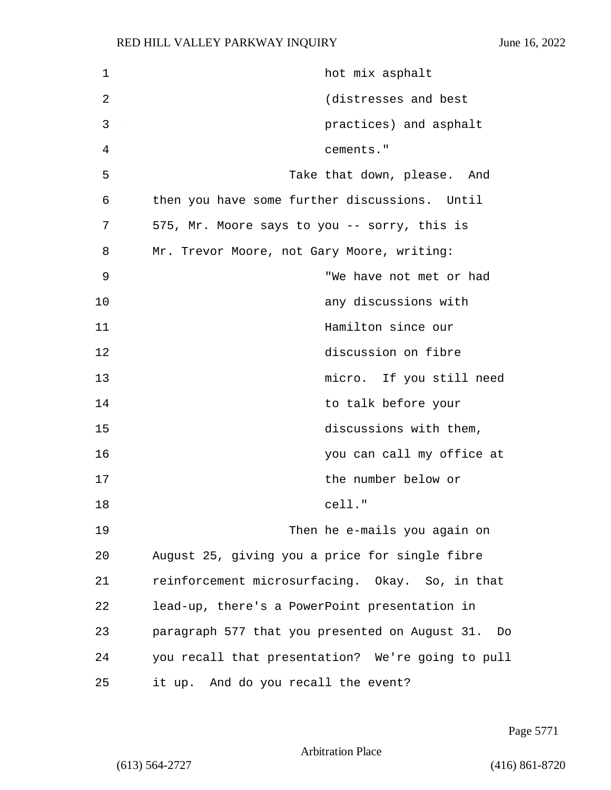| 1  | hot mix asphalt                                      |
|----|------------------------------------------------------|
| 2  | (distresses and best                                 |
| 3  | practices) and asphalt                               |
| 4  | cements."                                            |
| 5  | Take that down, please. And                          |
| 6  | then you have some further discussions. Until        |
| 7  | 575, Mr. Moore says to you -- sorry, this is         |
| 8  | Mr. Trevor Moore, not Gary Moore, writing:           |
| 9  | "We have not met or had                              |
| 10 | any discussions with                                 |
| 11 | Hamilton since our                                   |
| 12 | discussion on fibre                                  |
| 13 | micro. If you still need                             |
| 14 | to talk before your                                  |
| 15 | discussions with them,                               |
| 16 | you can call my office at                            |
| 17 | the number below or                                  |
| 18 | cell."                                               |
| 19 | Then he e-mails you again on                         |
| 20 | August 25, giving you a price for single fibre       |
| 21 | reinforcement microsurfacing. Okay. So, in that      |
| 22 | lead-up, there's a PowerPoint presentation in        |
| 23 | paragraph 577 that you presented on August 31.<br>Do |
| 24 | you recall that presentation? We're going to pull    |
| 25 | it up. And do you recall the event?                  |

Page 5771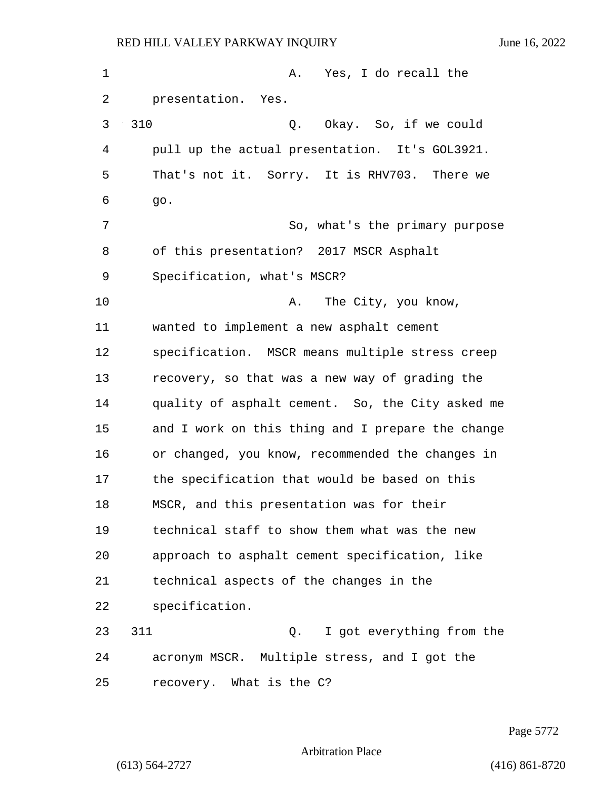1 A. Yes, I do recall the 2 presentation. Yes. 3 310 Q. Okay. So, if we could 4 pull up the actual presentation. It's GOL3921. 5 That's not it. Sorry. It is RHV703. There we 6 go. 7 So, what's the primary purpose 8 of this presentation? 2017 MSCR Asphalt 9 Specification, what's MSCR? 10 A. The City, you know, 11 wanted to implement a new asphalt cement 12 specification. MSCR means multiple stress creep 13 recovery, so that was a new way of grading the 14 quality of asphalt cement. So, the City asked me 15 and I work on this thing and I prepare the change 16 or changed, you know, recommended the changes in 17 the specification that would be based on this 18 MSCR, and this presentation was for their 19 technical staff to show them what was the new 20 approach to asphalt cement specification, like 21 technical aspects of the changes in the 22 specification. 23 311 Q. I got everything from the 24 acronym MSCR. Multiple stress, and I got the 25 recovery. What is the C?

Page 5772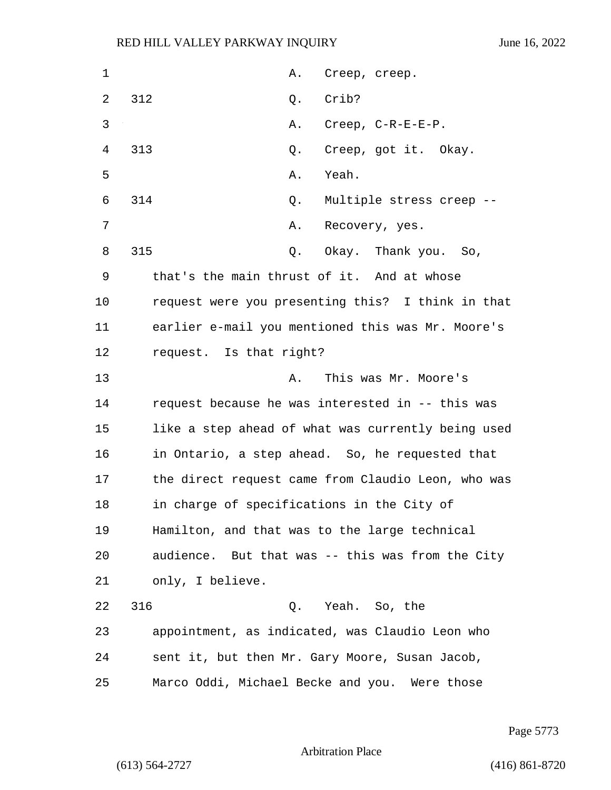| $\mathbf 1$    | Α.<br>Creep, creep.                                |
|----------------|----------------------------------------------------|
| 2              | 312<br>Crib?<br>Q.                                 |
| 3              | Creep, C-R-E-E-P.<br>Α.                            |
| $\overline{4}$ | 313<br>Creep, got it. Okay.<br>Q.                  |
| 5              | Yeah.<br>Α.                                        |
| 6              | 314<br>Multiple stress creep --<br>Q.              |
| 7              | Α.<br>Recovery, yes.                               |
| 8              | 315<br>Okay. Thank you. So,<br>Q.                  |
| 9              | that's the main thrust of it. And at whose         |
| 10             | request were you presenting this? I think in that  |
| 11             | earlier e-mail you mentioned this was Mr. Moore's  |
| 12             | request. Is that right?                            |
| 13             | This was Mr. Moore's<br>Α.                         |
| 14             | request because he was interested in -- this was   |
| 15             | like a step ahead of what was currently being used |
| 16             | in Ontario, a step ahead. So, he requested that    |
| 17             | the direct request came from Claudio Leon, who was |
| 18             | in charge of specifications in the City of         |
| 19             | Hamilton, and that was to the large technical      |
| 20             | audience. But that was -- this was from the City   |
| 21             | only, I believe.                                   |
| 22             | 316<br>Q. Yeah. So, the                            |
| 23             | appointment, as indicated, was Claudio Leon who    |
| 24             | sent it, but then Mr. Gary Moore, Susan Jacob,     |
| 25             | Marco Oddi, Michael Becke and you. Were those      |

Page 5773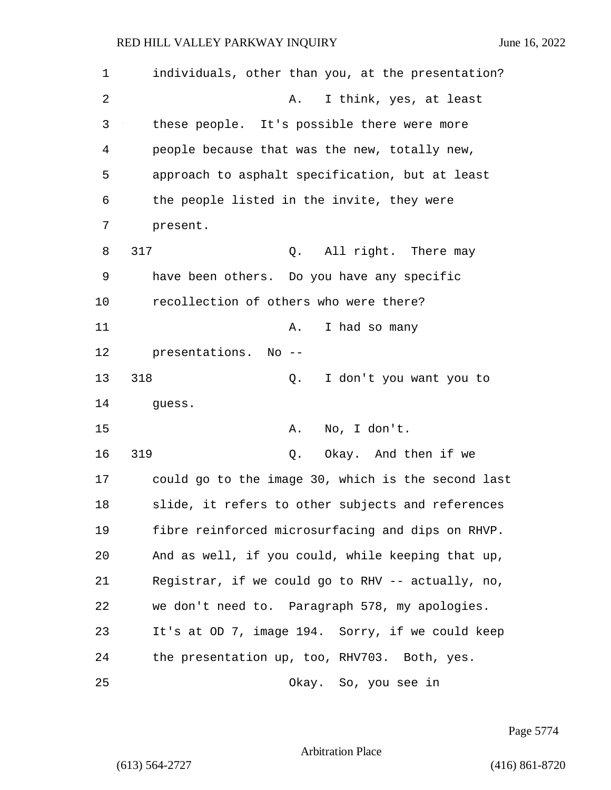| 1  | individuals, other than you, at the presentation?  |
|----|----------------------------------------------------|
| 2  | I think, yes, at least<br>Α.                       |
| 3  | these people. It's possible there were more        |
| 4  | people because that was the new, totally new,      |
| 5  | approach to asphalt specification, but at least    |
| 6  | the people listed in the invite, they were         |
| 7  | present.                                           |
| 8  | 317<br>All right. There may<br>Q.                  |
| 9  | have been others. Do you have any specific         |
| 10 | recollection of others who were there?             |
| 11 | I had so many<br>Α.                                |
| 12 | presentations. No --                               |
| 13 | 318<br>Q.<br>I don't you want you to               |
| 14 | guess.                                             |
| 15 | No, I don't.<br>Α.                                 |
| 16 | 319<br>Okay. And then if we<br>Q.                  |
| 17 | could go to the image 30, which is the second last |
| 18 | slide, it refers to other subjects and references  |
| 19 | fibre reinforced microsurfacing and dips on RHVP.  |
| 20 | And as well, if you could, while keeping that up,  |
| 21 | Registrar, if we could go to RHV -- actually, no,  |
| 22 | we don't need to. Paragraph 578, my apologies.     |
| 23 | It's at OD 7, image 194. Sorry, if we could keep   |
| 24 | the presentation up, too, RHV703. Both, yes.       |
| 25 | Okay. So, you see in                               |

Page 5774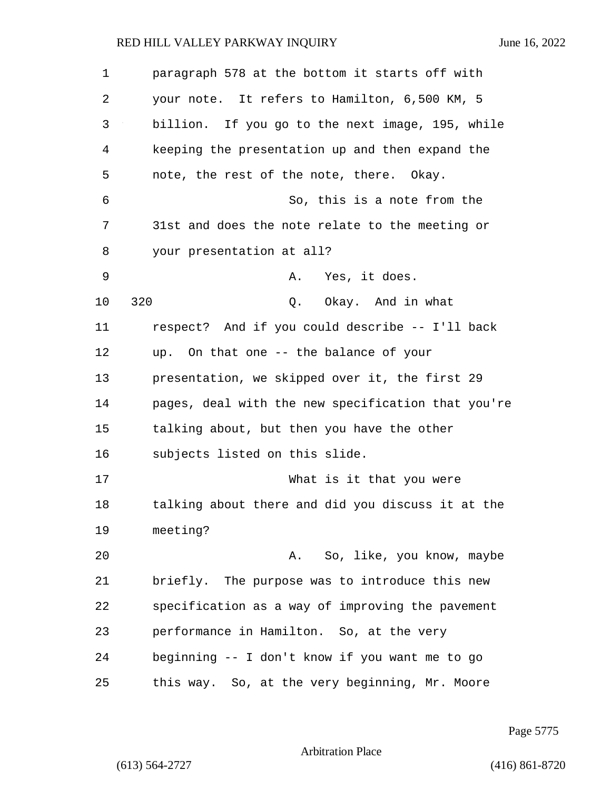| $\mathbf 1$ | paragraph 578 at the bottom it starts off with     |
|-------------|----------------------------------------------------|
| 2           | your note. It refers to Hamilton, 6,500 KM, 5      |
| 3           | billion. If you go to the next image, 195, while   |
| 4           | keeping the presentation up and then expand the    |
| 5           | note, the rest of the note, there. Okay.           |
| 6           | So, this is a note from the                        |
| 7           | 31st and does the note relate to the meeting or    |
| 8           | your presentation at all?                          |
| 9           | Yes, it does.<br>Α.                                |
| 10          | 320<br>Okay. And in what<br>Q.                     |
| 11          | respect? And if you could describe -- I'll back    |
| 12          | up. On that one -- the balance of your             |
| 13          | presentation, we skipped over it, the first 29     |
| 14          | pages, deal with the new specification that you're |
| 15          | talking about, but then you have the other         |
| 16          | subjects listed on this slide.                     |
| 17          | What is it that you were                           |
| 18          | talking about there and did you discuss it at the  |
| 19          | meeting?                                           |
| 20          | A. So, like, you know, maybe                       |
| 21          | briefly. The purpose was to introduce this new     |
| 22          | specification as a way of improving the pavement   |
| 23          | performance in Hamilton. So, at the very           |
| 24          | beginning -- I don't know if you want me to go     |
| 25          | this way. So, at the very beginning, Mr. Moore     |

Page 5775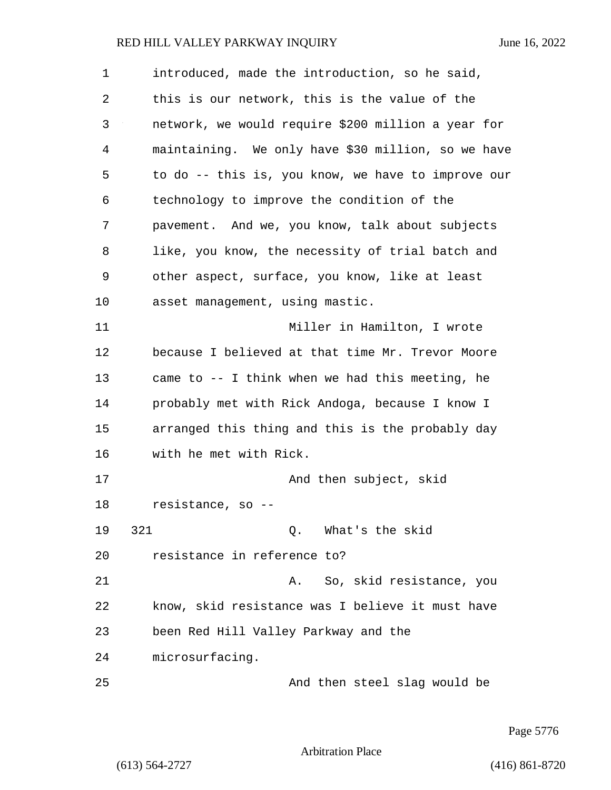| $\mathbf 1$ | introduced, made the introduction, so he said,     |
|-------------|----------------------------------------------------|
| 2           | this is our network, this is the value of the      |
| 3           | network, we would require \$200 million a year for |
| 4           | maintaining. We only have \$30 million, so we have |
| 5           | to do -- this is, you know, we have to improve our |
| 6           | technology to improve the condition of the         |
| 7           | pavement. And we, you know, talk about subjects    |
| 8           | like, you know, the necessity of trial batch and   |
| 9           | other aspect, surface, you know, like at least     |
| 10          | asset management, using mastic.                    |
| 11          | Miller in Hamilton, I wrote                        |
| 12          | because I believed at that time Mr. Trevor Moore   |
| 13          | came to -- I think when we had this meeting, he    |
| 14          | probably met with Rick Andoga, because I know I    |
| 15          | arranged this thing and this is the probably day   |
| 16          | with he met with Rick.                             |
| 17          | And then subject, skid                             |
| 18          | resistance, so                                     |
| 19          | 321<br>Q. What's the skid                          |
| 20          | resistance in reference to?                        |
| 21          | So, skid resistance, you<br>Α.                     |
| 22          | know, skid resistance was I believe it must have   |
| 23          | been Red Hill Valley Parkway and the               |
| 24          | microsurfacing.                                    |
| 25          | And then steel slag would be                       |

Page 5776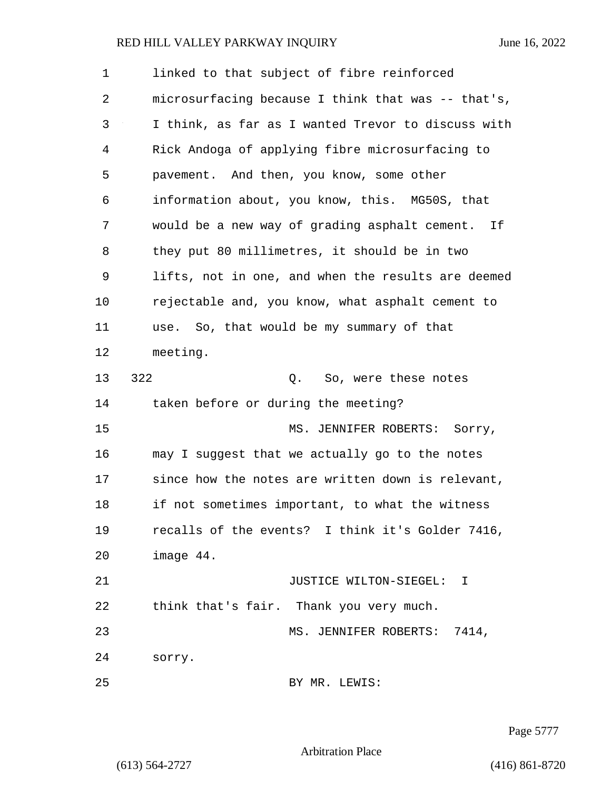| 1  | linked to that subject of fibre reinforced         |
|----|----------------------------------------------------|
| 2  | microsurfacing because I think that was -- that's, |
| 3  | I think, as far as I wanted Trevor to discuss with |
| 4  | Rick Andoga of applying fibre microsurfacing to    |
| 5  | pavement. And then, you know, some other           |
| 6  | information about, you know, this. MG50S, that     |
| 7  | would be a new way of grading asphalt cement. If   |
| 8  | they put 80 millimetres, it should be in two       |
| 9  | lifts, not in one, and when the results are deemed |
| 10 | rejectable and, you know, what asphalt cement to   |
| 11 | use. So, that would be my summary of that          |
| 12 | meeting.                                           |
| 13 | 322<br>So, were these notes<br>Q.                  |
| 14 | taken before or during the meeting?                |
| 15 | MS. JENNIFER ROBERTS:<br>Sorry,                    |
| 16 | may I suggest that we actually go to the notes     |
| 17 | since how the notes are written down is relevant,  |
| 18 | if not sometimes important, to what the witness    |
| 19 | recalls of the events? I think it's Golder 7416,   |
| 20 | image 44.                                          |
| 21 | JUSTICE WILTON-SIEGEL: I                           |
| 22 | think that's fair. Thank you very much.            |
| 23 | MS. JENNIFER ROBERTS: 7414,                        |
| 24 | sorry.                                             |
| 25 | BY MR. LEWIS:                                      |

Page 5777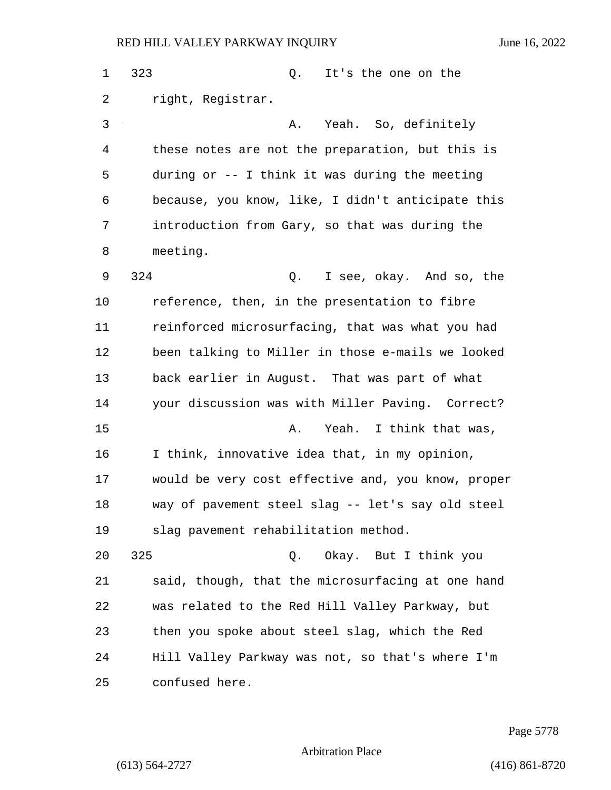1 323 Q. It's the one on the 2 right, Registrar. 3 A. Yeah. So, definitely 4 these notes are not the preparation, but this is 5 during or -- I think it was during the meeting 6 because, you know, like, I didn't anticipate this 7 introduction from Gary, so that was during the 8 meeting. 9 324 Q. I see, okay. And so, the 10 reference, then, in the presentation to fibre 11 reinforced microsurfacing, that was what you had 12 been talking to Miller in those e-mails we looked 13 back earlier in August. That was part of what 14 your discussion was with Miller Paving. Correct? 15 A. Yeah. I think that was, 16 I think, innovative idea that, in my opinion, 17 would be very cost effective and, you know, proper 18 way of pavement steel slag -- let's say old steel 19 slag pavement rehabilitation method. 20 325 Q. Okay. But I think you 21 said, though, that the microsurfacing at one hand 22 was related to the Red Hill Valley Parkway, but 23 then you spoke about steel slag, which the Red 24 Hill Valley Parkway was not, so that's where I'm 25 confused here.

Page 5778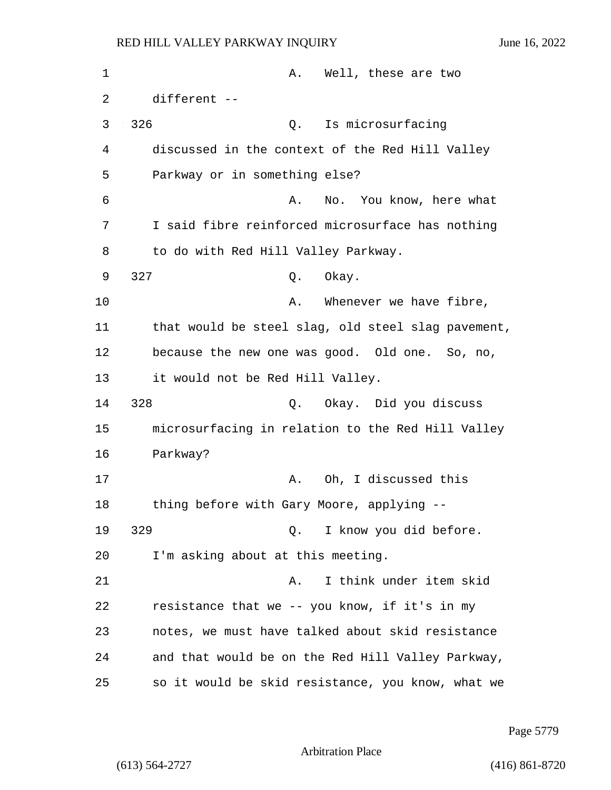| 1  | Well, these are two<br>Α.                          |
|----|----------------------------------------------------|
| 2  | different --                                       |
| 3  | 326<br>Is microsurfacing<br>Q.                     |
| 4  | discussed in the context of the Red Hill Valley    |
| 5  | Parkway or in something else?                      |
| 6  | No. You know, here what<br>Α.                      |
| 7  | I said fibre reinforced microsurface has nothing   |
| 8  | to do with Red Hill Valley Parkway.                |
| 9  | 327<br>Okay.<br>Q.                                 |
| 10 | Whenever we have fibre,<br>Α.                      |
| 11 | that would be steel slag, old steel slag pavement, |
| 12 | because the new one was good. Old one. So, no,     |
| 13 | it would not be Red Hill Valley.                   |
| 14 | 328<br>Okay. Did you discuss<br>Q.                 |
| 15 | microsurfacing in relation to the Red Hill Valley  |
| 16 | Parkway?                                           |
| 17 | Oh, I discussed this<br>Α.                         |
| 18 | thing before with Gary Moore, applying --          |
| 19 | 329<br>I know you did before.<br>Q.                |
| 20 | I'm asking about at this meeting.                  |
| 21 | I think under item skid<br>Α.                      |
| 22 | resistance that we -- you know, if it's in my      |
| 23 | notes, we must have talked about skid resistance   |
| 24 | and that would be on the Red Hill Valley Parkway,  |
| 25 | so it would be skid resistance, you know, what we  |

Page 5779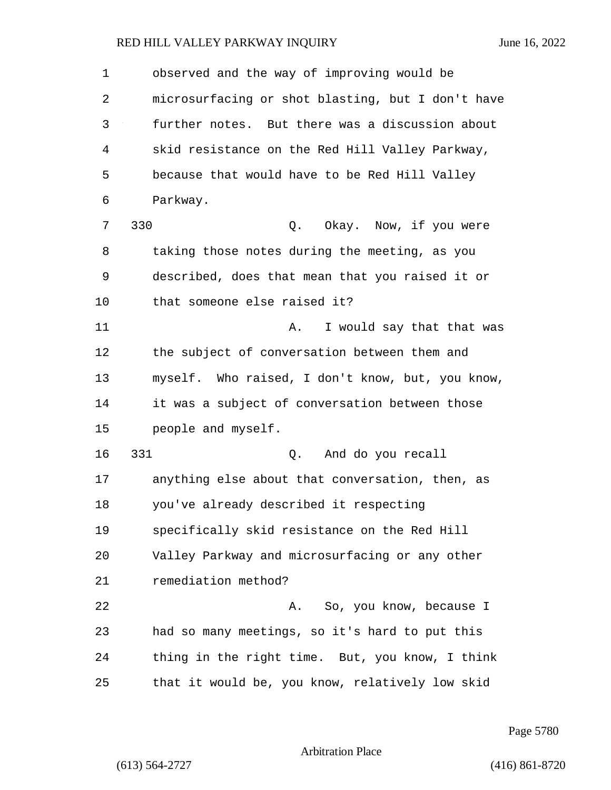| $\mathbf 1$ | observed and the way of improving would be        |
|-------------|---------------------------------------------------|
| 2           | microsurfacing or shot blasting, but I don't have |
| 3           | further notes. But there was a discussion about   |
| 4           | skid resistance on the Red Hill Valley Parkway,   |
| 5           | because that would have to be Red Hill Valley     |
| 6           | Parkway.                                          |
| 7           | 330<br>Okay. Now, if you were<br>Q.               |
| 8           | taking those notes during the meeting, as you     |
| 9           | described, does that mean that you raised it or   |
| 10          | that someone else raised it?                      |
| 11          | I would say that that was<br>Α.                   |
| 12          | the subject of conversation between them and      |
| 13          | myself. Who raised, I don't know, but, you know,  |
| 14          | it was a subject of conversation between those    |
| 15          | people and myself.                                |
| 16          | 331<br>And do you recall<br>Q.                    |
| 17          | anything else about that conversation, then, as   |
| 18          | you've already described it respecting            |
| 19          | specifically skid resistance on the Red Hill      |
| 20          | Valley Parkway and microsurfacing or any other    |
| 21          | remediation method?                               |
| 22          | So, you know, because I<br>Α.                     |
| 23          | had so many meetings, so it's hard to put this    |
| 24          | thing in the right time. But, you know, I think   |
| 25          | that it would be, you know, relatively low skid   |

Page 5780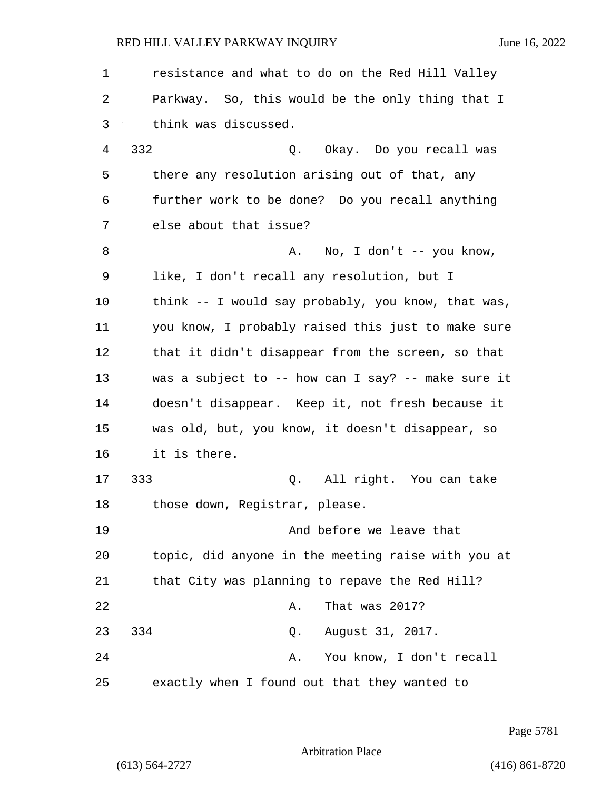| $\mathbf 1$ | resistance and what to do on the Red Hill Valley   |
|-------------|----------------------------------------------------|
| 2           | Parkway. So, this would be the only thing that I   |
| 3           | think was discussed.                               |
| 4           | 332<br>Q. Okay. Do you recall was                  |
| 5           | there any resolution arising out of that, any      |
| 6           | further work to be done? Do you recall anything    |
| 7           | else about that issue?                             |
| 8           | A. No, I don't -- you know,                        |
| 9           | like, I don't recall any resolution, but I         |
| 10          | think -- I would say probably, you know, that was, |
| 11          | you know, I probably raised this just to make sure |
| 12          | that it didn't disappear from the screen, so that  |
| 13          | was a subject to -- how can I say? -- make sure it |
| 14          | doesn't disappear. Keep it, not fresh because it   |
| 15          | was old, but, you know, it doesn't disappear, so   |
| 16          | it is there.                                       |
| 17          | 333<br>Q. All right. You can take                  |
| 18          | those down, Registrar, please.                     |
| 19          | And before we leave that                           |
| 20          | topic, did anyone in the meeting raise with you at |
| 21          | that City was planning to repave the Red Hill?     |
| 22          | That was 2017?<br>Α.                               |
| 23          | 334<br>August 31, 2017.<br>Q.                      |
| 24          | You know, I don't recall<br>Α.                     |
| 25          | exactly when I found out that they wanted to       |

Page 5781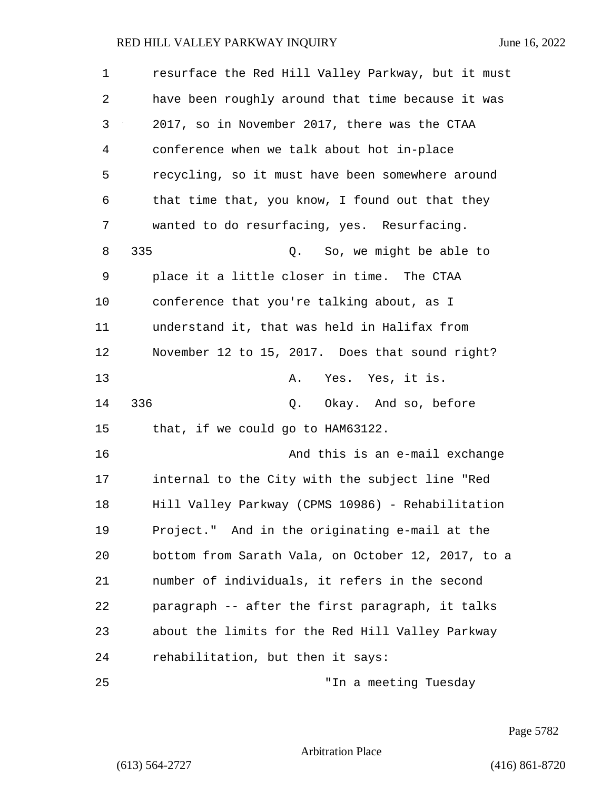| $\mathbf 1$ | resurface the Red Hill Valley Parkway, but it must |  |
|-------------|----------------------------------------------------|--|
| 2           | have been roughly around that time because it was  |  |
| 3           | 2017, so in November 2017, there was the CTAA      |  |
| 4           | conference when we talk about hot in-place         |  |
| 5           | recycling, so it must have been somewhere around   |  |
| 6           | that time that, you know, I found out that they    |  |
| 7           | wanted to do resurfacing, yes. Resurfacing.        |  |
| 8           | 335<br>So, we might be able to<br>Q.               |  |
| 9           | place it a little closer in time. The CTAA         |  |
| 10          | conference that you're talking about, as I         |  |
| 11          | understand it, that was held in Halifax from       |  |
| 12          | November 12 to 15, 2017. Does that sound right?    |  |
| 13          | Yes. Yes, it is.<br>Α.                             |  |
| 14          | 336<br>Q. Okay. And so, before                     |  |
| 15          | that, if we could go to HAM63122.                  |  |
| 16          | And this is an e-mail exchange                     |  |
| 17          | internal to the City with the subject line "Red    |  |
| 18          | Hill Valley Parkway (CPMS 10986) - Rehabilitation  |  |
| 19          | Project." And in the originating e-mail at the     |  |
| 20          | bottom from Sarath Vala, on October 12, 2017, to a |  |
| 21          | number of individuals, it refers in the second     |  |
| 22          | paragraph -- after the first paragraph, it talks   |  |
| 23          | about the limits for the Red Hill Valley Parkway   |  |
| 24          | rehabilitation, but then it says:                  |  |
| 25          | "In a meeting Tuesday                              |  |

Page 5782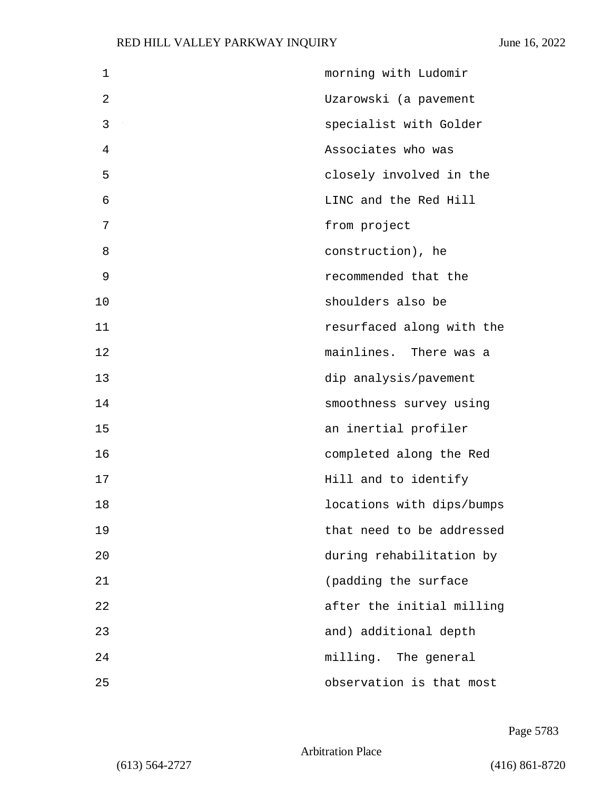| 1  | morning with Ludomir      |
|----|---------------------------|
| 2  | Uzarowski (a pavement     |
| 3  | specialist with Golder    |
| 4  | Associates who was        |
| 5  | closely involved in the   |
| 6  | LINC and the Red Hill     |
| 7  | from project              |
| 8  | construction), he         |
| 9  | recommended that the      |
| 10 | shoulders also be         |
| 11 | resurfaced along with the |
| 12 | mainlines. There was a    |
| 13 | dip analysis/pavement     |
| 14 | smoothness survey using   |
| 15 | an inertial profiler      |
| 16 | completed along the Red   |
| 17 | Hill and to identify      |
| 18 | locations with dips/bumps |
| 19 | that need to be addressed |
| 20 | during rehabilitation by  |
| 21 | (padding the surface      |
| 22 | after the initial milling |
| 23 | and) additional depth     |
| 24 | milling. The general      |
| 25 | observation is that most  |

Page 5783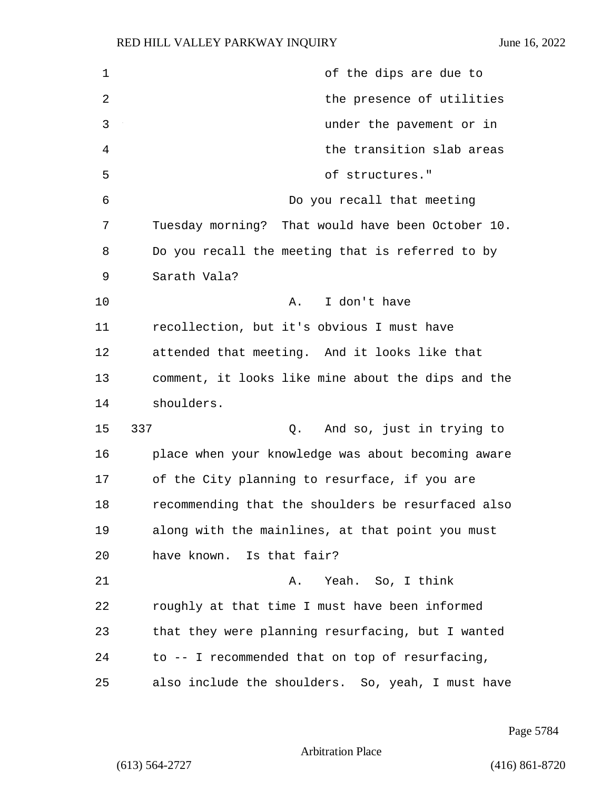| $\mathbf 1$    | of the dips are due to                             |
|----------------|----------------------------------------------------|
| $\overline{2}$ | the presence of utilities                          |
| 3              | under the pavement or in                           |
| 4              | the transition slab areas                          |
| 5              | of structures."                                    |
| 6              | Do you recall that meeting                         |
| 7              | Tuesday morning? That would have been October 10.  |
| 8              | Do you recall the meeting that is referred to by   |
| 9              | Sarath Vala?                                       |
| 10             | I don't have<br>Α.                                 |
| 11             | recollection, but it's obvious I must have         |
| 12             | attended that meeting. And it looks like that      |
| 13             | comment, it looks like mine about the dips and the |
| 14             | shoulders.                                         |
| 15             | 337<br>And so, just in trying to<br>Q.             |
| 16             | place when your knowledge was about becoming aware |
| 17             | of the City planning to resurface, if you are      |
| 18             | recommending that the shoulders be resurfaced also |
| 19             | along with the mainlines, at that point you must   |
| 20             | have known. Is that fair?                          |
| 21             | Yeah. So, I think<br>Α.                            |
| 22             | roughly at that time I must have been informed     |
| 23             | that they were planning resurfacing, but I wanted  |
| 24             | to -- I recommended that on top of resurfacing,    |
| 25             | also include the shoulders. So, yeah, I must have  |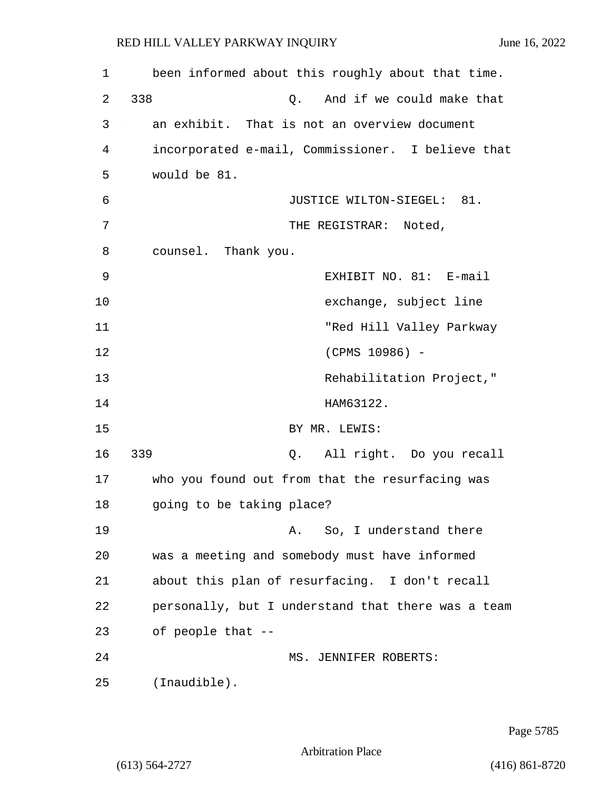| 1  | been informed about this roughly about that time.  |
|----|----------------------------------------------------|
| 2  | 338<br>And if we could make that<br>Q.             |
| 3  | an exhibit. That is not an overview document       |
| 4  | incorporated e-mail, Commissioner. I believe that  |
| 5  | would be 81.                                       |
| 6  | JUSTICE WILTON-SIEGEL: 81.                         |
| 7  | THE REGISTRAR: Noted,                              |
| 8  | counsel. Thank you.                                |
| 9  | EXHIBIT NO. 81: E-mail                             |
| 10 | exchange, subject line                             |
| 11 | "Red Hill Valley Parkway                           |
| 12 | (CPMS 10986) -                                     |
| 13 | Rehabilitation Project,"                           |
| 14 | HAM63122.                                          |
| 15 | BY MR. LEWIS:                                      |
| 16 | 339<br>All right. Do you recall<br>Q.              |
| 17 | who you found out from that the resurfacing was    |
| 18 | going to be taking place?                          |
| 19 | So, I understand there<br>Α.                       |
| 20 | was a meeting and somebody must have informed      |
| 21 | about this plan of resurfacing. I don't recall     |
| 22 | personally, but I understand that there was a team |
| 23 | of people that --                                  |
| 24 | MS. JENNIFER ROBERTS:                              |
| 25 | (Inaudible).                                       |

Page 5785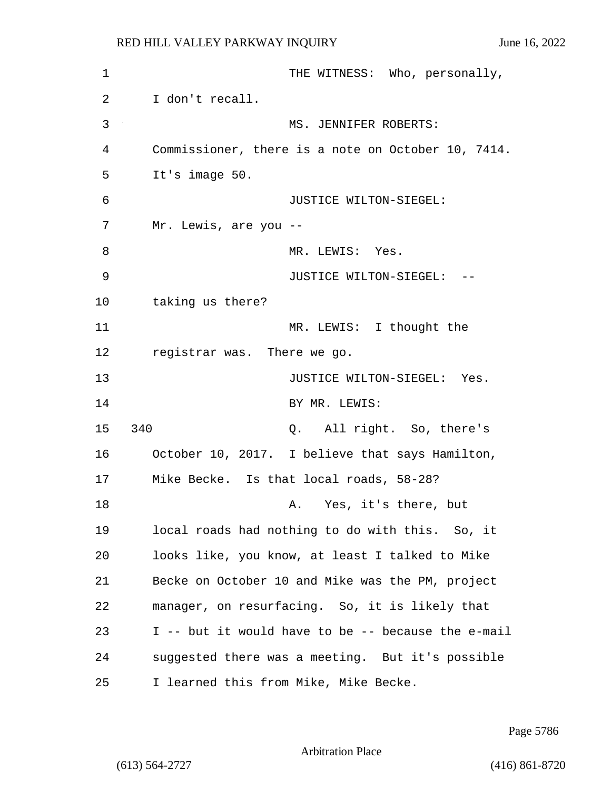1 THE WITNESS: Who, personally, 2 I don't recall. 3 MS. JENNIFER ROBERTS: 4 Commissioner, there is a note on October 10, 7414. 5 It's image 50. 6 JUSTICE WILTON-SIEGEL: 7 Mr. Lewis, are you -- 8 MR. LEWIS: Yes. 9 JUSTICE WILTON-SIEGEL: -- 10 taking us there? 11 MR. LEWIS: I thought the 12 registrar was. There we go. 13 **JUSTICE WILTON-SIEGEL:** Yes. 14 BY MR. LEWIS: 15 340 Q. All right. So, there's 16 October 10, 2017. I believe that says Hamilton, 17 Mike Becke. Is that local roads, 58-28? 18 A. Yes, it's there, but 19 local roads had nothing to do with this. So, it 20 looks like, you know, at least I talked to Mike 21 Becke on October 10 and Mike was the PM, project 22 manager, on resurfacing. So, it is likely that 23 I -- but it would have to be -- because the e-mail 24 suggested there was a meeting. But it's possible 25 I learned this from Mike, Mike Becke.

Page 5786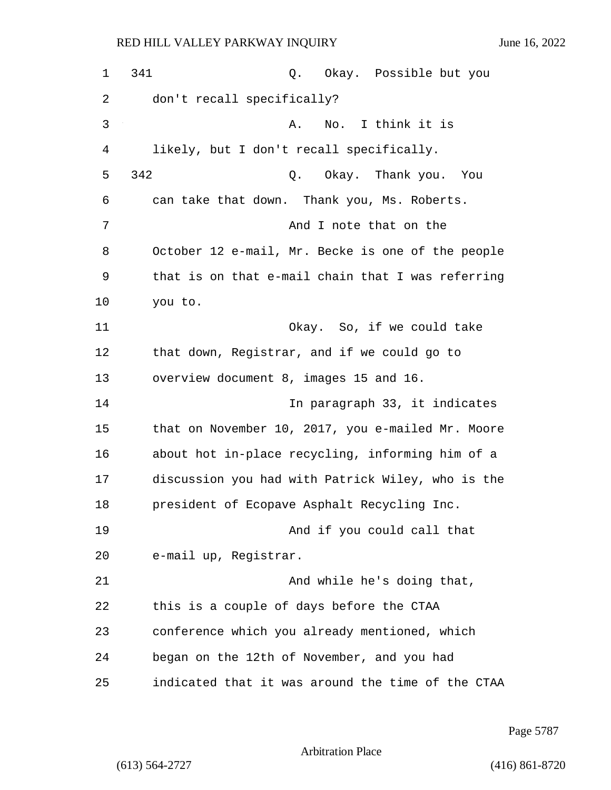1 341 Q. Okay. Possible but you 2 don't recall specifically? 3 A. No. I think it is 4 likely, but I don't recall specifically. 5 342 Q. Okay. Thank you. You 6 can take that down. Thank you, Ms. Roberts. 7 And I note that on the 8 October 12 e-mail, Mr. Becke is one of the people 9 that is on that e-mail chain that I was referring 10 you to. 11 Okay. So, if we could take 12 that down, Registrar, and if we could go to 13 overview document 8, images 15 and 16. 14 In paragraph 33, it indicates 15 that on November 10, 2017, you e-mailed Mr. Moore 16 about hot in-place recycling, informing him of a 17 discussion you had with Patrick Wiley, who is the 18 president of Ecopave Asphalt Recycling Inc. 19 And if you could call that 20 e-mail up, Registrar. 21 And while he's doing that, 22 this is a couple of days before the CTAA 23 conference which you already mentioned, which 24 began on the 12th of November, and you had 25 indicated that it was around the time of the CTAA

Page 5787

Arbitration Place

(613) 564-2727 (416) 861-8720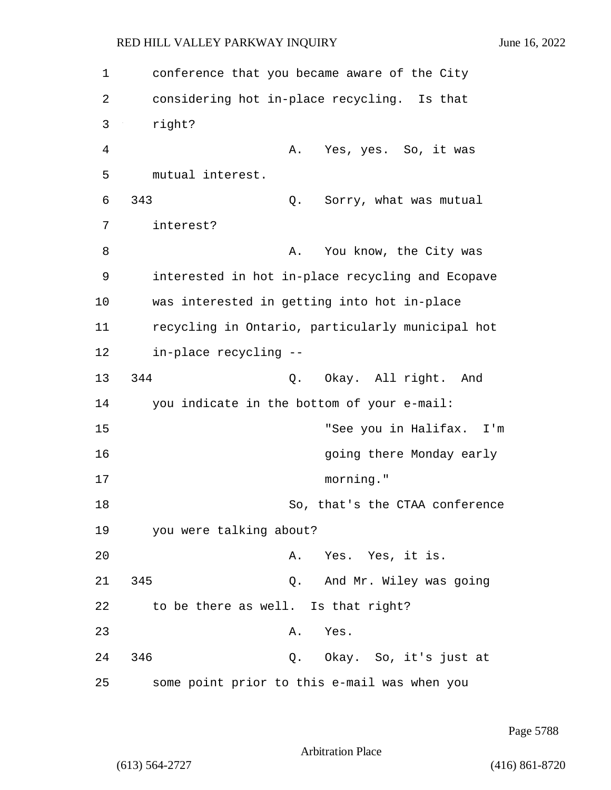| 1  | conference that you became aware of the City     |
|----|--------------------------------------------------|
| 2  | considering hot in-place recycling. Is that      |
| 3  | right?                                           |
| 4  | Α.<br>Yes, yes. So, it was                       |
| 5  | mutual interest.                                 |
| 6  | 343<br>Sorry, what was mutual<br>Q.              |
| 7  | interest?                                        |
| 8  | You know, the City was<br>Α.                     |
| 9  | interested in hot in-place recycling and Ecopave |
| 10 | was interested in getting into hot in-place      |
| 11 | recycling in Ontario, particularly municipal hot |
| 12 | in-place recycling --                            |
| 13 | 344<br>Q. Okay. All right. And                   |
| 14 | you indicate in the bottom of your e-mail:       |
| 15 | "See you in Halifax. I'm                         |
| 16 | going there Monday early                         |
| 17 | morning."                                        |
| 18 | So, that's the CTAA conference                   |
| 19 | you were talking about?                          |
| 20 | Yes. Yes, it is.<br>Α.                           |
| 21 | 345<br>Q. And Mr. Wiley was going                |
| 22 | to be there as well. Is that right?              |
| 23 | Yes.<br>Α.                                       |
| 24 | 346<br>Q. Okay. So, it's just at                 |
| 25 | some point prior to this e-mail was when you     |

Page 5788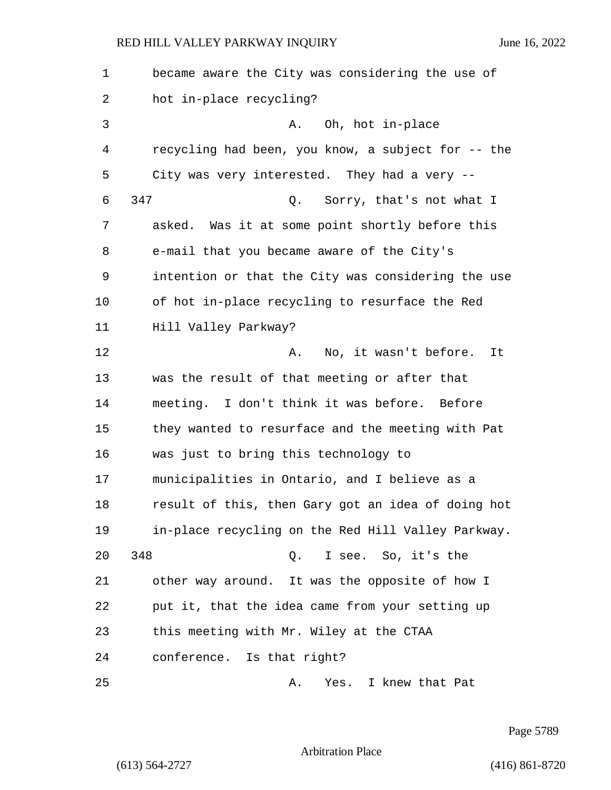| 1              | became aware the City was considering the use of   |
|----------------|----------------------------------------------------|
| 2              | hot in-place recycling?                            |
| $\mathfrak{Z}$ | A. Oh, hot in-place                                |
| 4              | recycling had been, you know, a subject for -- the |
| 5              | City was very interested. They had a very --       |
| 6              | 347<br>Q. Sorry, that's not what I                 |
| 7              | asked. Was it at some point shortly before this    |
| 8              | e-mail that you became aware of the City's         |
| 9              | intention or that the City was considering the use |
| 10             | of hot in-place recycling to resurface the Red     |
| 11             | Hill Valley Parkway?                               |
| 12             | No, it wasn't before.<br>It<br>Α.                  |
| 13             | was the result of that meeting or after that       |
| 14             | meeting. I don't think it was before. Before       |
| 15             | they wanted to resurface and the meeting with Pat  |
| 16             | was just to bring this technology to               |
| 17             | municipalities in Ontario, and I believe as a      |
| 18             | result of this, then Gary got an idea of doing hot |
| 19             | in-place recycling on the Red Hill Valley Parkway. |
| 20             | 348<br>I see. So, it's the<br>Q.                   |
| 21             | other way around. It was the opposite of how I     |
| 22             | put it, that the idea came from your setting up    |
| 23             | this meeting with Mr. Wiley at the CTAA            |
| 24             | conference. Is that right?                         |
| 25             | Yes. I knew that Pat<br>Α.                         |

Page 5789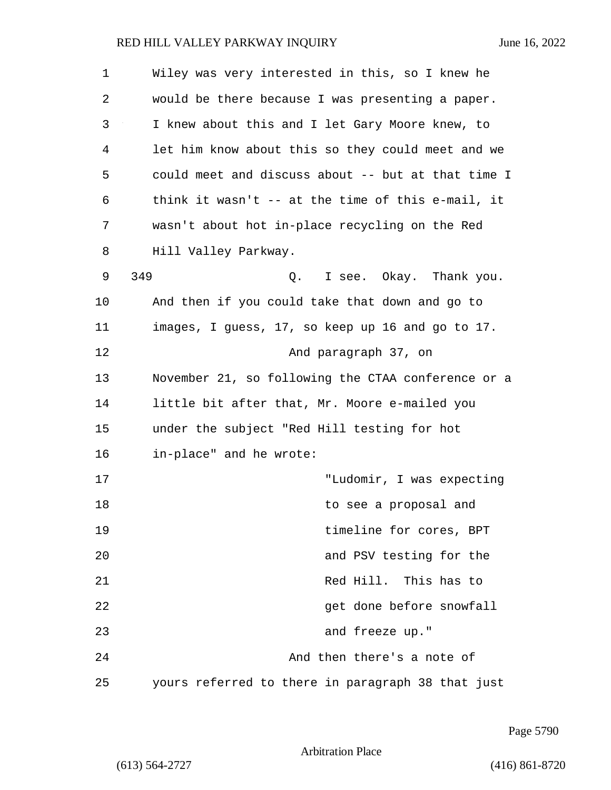| $\mathbf 1$ | Wiley was very interested in this, so I knew he    |
|-------------|----------------------------------------------------|
| 2           | would be there because I was presenting a paper.   |
| 3           | I knew about this and I let Gary Moore knew, to    |
| 4           | let him know about this so they could meet and we  |
| 5           | could meet and discuss about -- but at that time I |
| 6           | think it wasn't $-$ at the time of this e-mail, it |
| 7           | wasn't about hot in-place recycling on the Red     |
| 8           | Hill Valley Parkway.                               |
| 9           | 349<br>I see. Okay. Thank you.<br>Q.               |
| 10          | And then if you could take that down and go to     |
| 11          | images, I guess, 17, so keep up 16 and go to 17.   |
| 12          | And paragraph 37, on                               |
| 13          | November 21, so following the CTAA conference or a |
| 14          | little bit after that, Mr. Moore e-mailed you      |
| 15          | under the subject "Red Hill testing for hot        |
| 16          | in-place" and he wrote:                            |
| 17          | "Ludomir, I was expecting                          |
| 18          | to see a proposal and                              |
| 19          | timeline for cores, BPT                            |
| 20          | and PSV testing for the                            |
| 21          | Red Hill. This has to                              |
| 22          | get done before snowfall                           |
| 23          | and freeze up."                                    |
| 24          | And then there's a note of                         |
| 25          | yours referred to there in paragraph 38 that just  |

Page 5790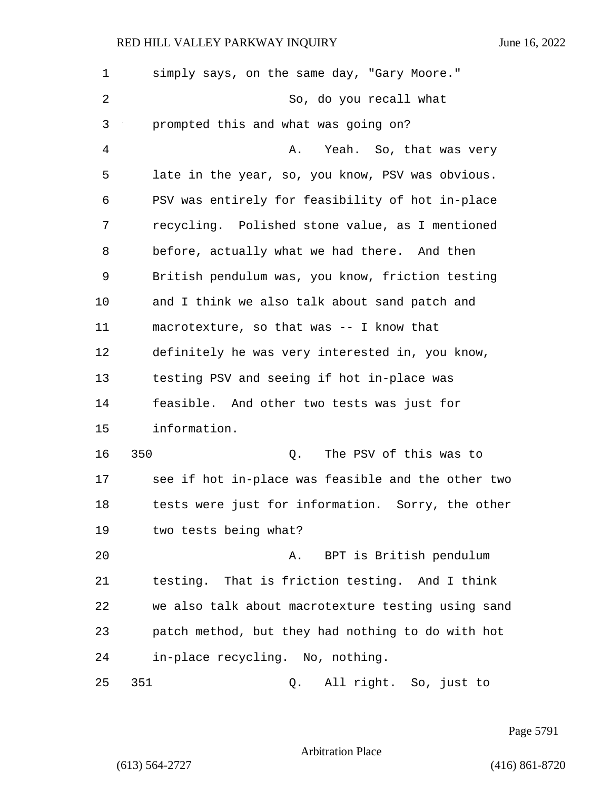| $\mathbf 1$ | simply says, on the same day, "Gary Moore."        |
|-------------|----------------------------------------------------|
| 2           | So, do you recall what                             |
| 3           | prompted this and what was going on?               |
| 4           | Yeah. So, that was very<br>Α.                      |
| 5           | late in the year, so, you know, PSV was obvious.   |
| 6           | PSV was entirely for feasibility of hot in-place   |
| 7           | recycling. Polished stone value, as I mentioned    |
| 8           | before, actually what we had there. And then       |
| 9           | British pendulum was, you know, friction testing   |
| 10          | and I think we also talk about sand patch and      |
| 11          | macrotexture, so that was -- I know that           |
| 12          | definitely he was very interested in, you know,    |
| 13          | testing PSV and seeing if hot in-place was         |
| 14          | feasible. And other two tests was just for         |
| 15          | information.                                       |
| 16          | 350<br>The PSV of this was to<br>Q.                |
| 17          | see if hot in-place was feasible and the other two |
| 18          | tests were just for information. Sorry, the other  |
| 19          | two tests being what?                              |
| 20          | BPT is British pendulum<br>Α.                      |
| 21          | testing. That is friction testing. And I think     |
| 22          | we also talk about macrotexture testing using sand |
| 23          | patch method, but they had nothing to do with hot  |
| 24          | in-place recycling. No, nothing.                   |
| 25          | 351<br>All right. So, just to<br>Q.                |

Page 5791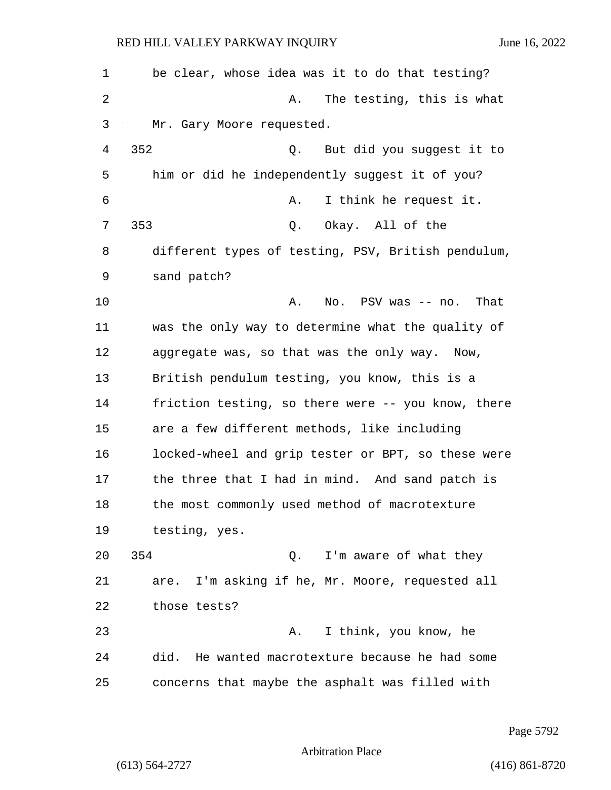| 1  | be clear, whose idea was it to do that testing?    |
|----|----------------------------------------------------|
| 2  | The testing, this is what<br>Α.                    |
| 3  | Mr. Gary Moore requested.                          |
| 4  | 352<br>But did you suggest it to<br>Q.             |
| 5  | him or did he independently suggest it of you?     |
| 6  | I think he request it.<br>Α.                       |
| 7  | 353<br>Q. Okay. All of the                         |
| 8  | different types of testing, PSV, British pendulum, |
| 9  | sand patch?                                        |
| 10 | Α.<br>No. PSV was -- no.<br>That                   |
| 11 | was the only way to determine what the quality of  |
| 12 | aggregate was, so that was the only way. Now,      |
| 13 | British pendulum testing, you know, this is a      |
| 14 | friction testing, so there were -- you know, there |
| 15 | are a few different methods, like including        |
| 16 | locked-wheel and grip tester or BPT, so these were |
| 17 | the three that I had in mind. And sand patch is    |
| 18 | the most commonly used method of macrotexture      |
| 19 | testing, yes.                                      |
| 20 | 354<br>Q. I'm aware of what they                   |
| 21 | I'm asking if he, Mr. Moore, requested all<br>are. |
| 22 | those tests?                                       |
| 23 | I think, you know, he<br>Α.                        |
| 24 | did.<br>He wanted macrotexture because he had some |
| 25 | concerns that maybe the asphalt was filled with    |

Page 5792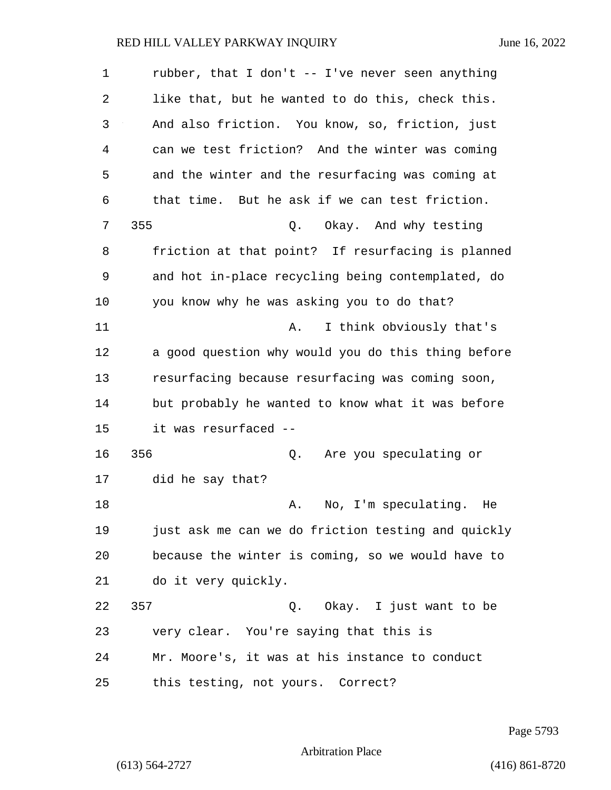1 rubber, that I don't -- I've never seen anything 2 like that, but he wanted to do this, check this. 3 And also friction. You know, so, friction, just 4 can we test friction? And the winter was coming 5 and the winter and the resurfacing was coming at 6 that time. But he ask if we can test friction. 7 355 Q. Okay. And why testing 8 friction at that point? If resurfacing is planned 9 and hot in-place recycling being contemplated, do 10 you know why he was asking you to do that? 11 A. I think obviously that's 12 a good question why would you do this thing before 13 resurfacing because resurfacing was coming soon, 14 but probably he wanted to know what it was before 15 it was resurfaced -- 16 356 Q. Are you speculating or 17 did he say that? 18 A. No, I'm speculating. He 19 just ask me can we do friction testing and quickly 20 because the winter is coming, so we would have to 21 do it very quickly. 22 357 Q. Okay. I just want to be 23 very clear. You're saying that this is 24 Mr. Moore's, it was at his instance to conduct 25 this testing, not yours. Correct?

Page 5793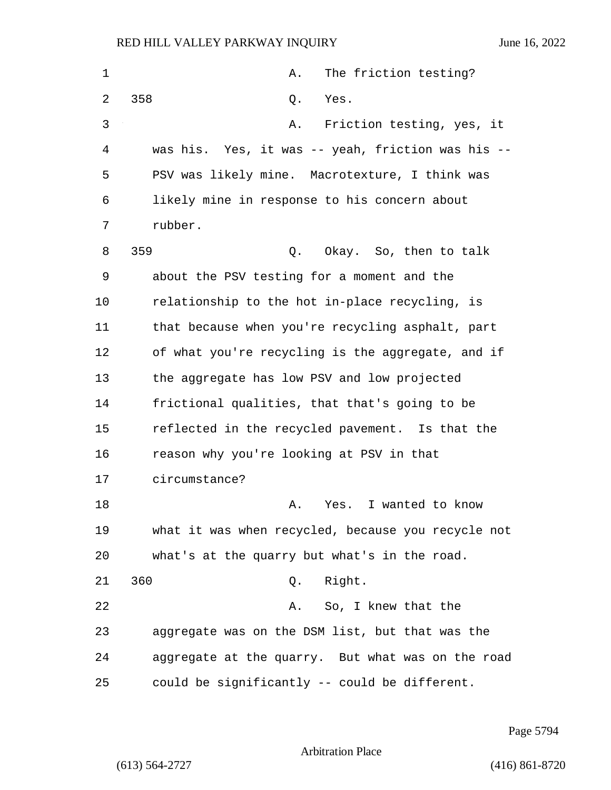| $\mathbf 1$ | The friction testing?<br>Α.                        |
|-------------|----------------------------------------------------|
| 2           | 358<br>Yes.<br>Q.                                  |
| 3           | Friction testing, yes, it<br>Α.                    |
| 4           | was his. Yes, it was -- yeah, friction was his --  |
| 5           | PSV was likely mine. Macrotexture, I think was     |
| 6           | likely mine in response to his concern about       |
| 7           | rubber.                                            |
| 8           | 359<br>Okay. So, then to talk<br>Q.                |
| 9           | about the PSV testing for a moment and the         |
| 10          | relationship to the hot in-place recycling, is     |
| 11          | that because when you're recycling asphalt, part   |
| 12          | of what you're recycling is the aggregate, and if  |
| 13          | the aggregate has low PSV and low projected        |
| 14          | frictional qualities, that that's going to be      |
| 15          | reflected in the recycled pavement. Is that the    |
| 16          | reason why you're looking at PSV in that           |
| 17          | circumstance?                                      |
| 18          | I wanted to know<br>Α.<br>Yes.                     |
| 19          | what it was when recycled, because you recycle not |
| 20          | what's at the quarry but what's in the road.       |
| 21          | 360<br>Q. Right.                                   |
| 22          | So, I knew that the<br>Α.                          |
| 23          | aggregate was on the DSM list, but that was the    |
| 24          | aggregate at the quarry. But what was on the road  |
| 25          | could be significantly -- could be different.      |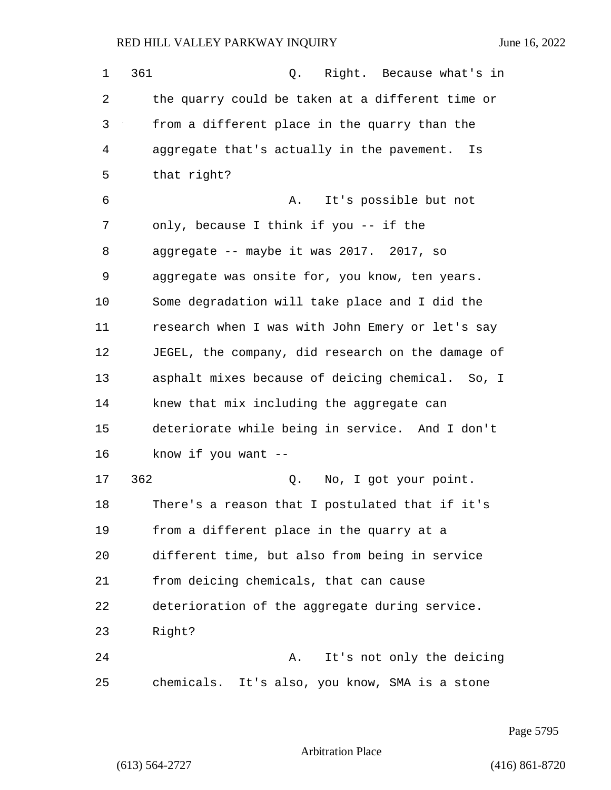1 361 Q. Right. Because what's in 2 the quarry could be taken at a different time or 3 from a different place in the quarry than the 4 aggregate that's actually in the pavement. Is 5 that right? 6 A. It's possible but not 7 only, because I think if you -- if the 8 aggregate -- maybe it was 2017. 2017, so 9 aggregate was onsite for, you know, ten years. 10 Some degradation will take place and I did the 11 research when I was with John Emery or let's say 12 JEGEL, the company, did research on the damage of 13 asphalt mixes because of deicing chemical. So, I 14 knew that mix including the aggregate can 15 deteriorate while being in service. And I don't 16 know if you want -- 17 362 Q. No, I got your point. 18 There's a reason that I postulated that if it's 19 from a different place in the quarry at a 20 different time, but also from being in service 21 from deicing chemicals, that can cause 22 deterioration of the aggregate during service.

23 Right?

24 A. It's not only the deicing 25 chemicals. It's also, you know, SMA is a stone

Page 5795

Arbitration Place

(613) 564-2727 (416) 861-8720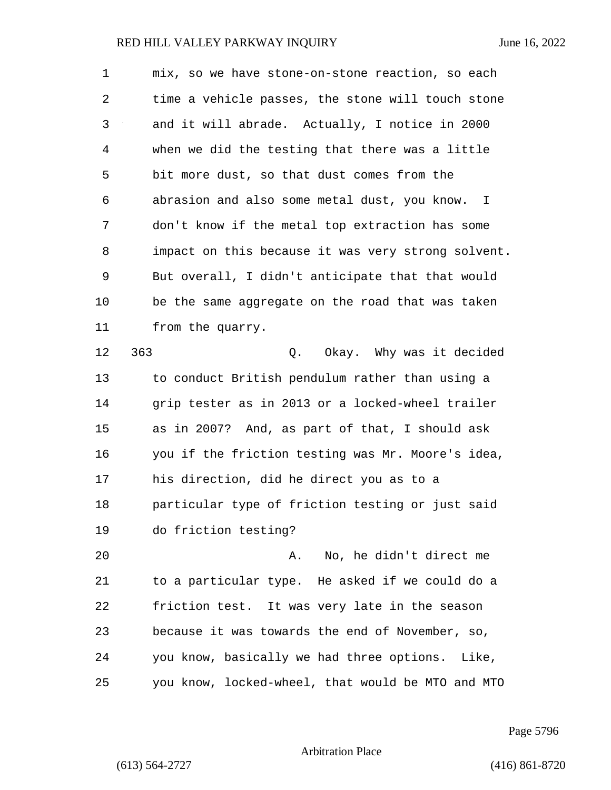| 1  | mix, so we have stone-on-stone reaction, so each   |
|----|----------------------------------------------------|
| 2  | time a vehicle passes, the stone will touch stone  |
| 3  | and it will abrade. Actually, I notice in 2000     |
| 4  | when we did the testing that there was a little    |
| 5  | bit more dust, so that dust comes from the         |
| 6  | abrasion and also some metal dust, you know. I     |
| 7  | don't know if the metal top extraction has some    |
| 8  | impact on this because it was very strong solvent. |
| 9  | But overall, I didn't anticipate that that would   |
| 10 | be the same aggregate on the road that was taken   |
| 11 | from the quarry.                                   |
| 12 | 363<br>Q. Okay. Why was it decided                 |
| 13 | to conduct British pendulum rather than using a    |
| 14 | grip tester as in 2013 or a locked-wheel trailer   |
| 15 | as in 2007? And, as part of that, I should ask     |
| 16 | you if the friction testing was Mr. Moore's idea,  |
| 17 | his direction, did he direct you as to a           |
| 18 | particular type of friction testing or just said   |
| 19 | do friction testing?                               |
| 20 | No, he didn't direct me<br>Α.                      |
| 21 | to a particular type. He asked if we could do a    |
| 22 | friction test. It was very late in the season      |
| 23 | because it was towards the end of November, so,    |
| 24 | you know, basically we had three options. Like,    |
| 25 | you know, locked-wheel, that would be MTO and MTO  |

Page 5796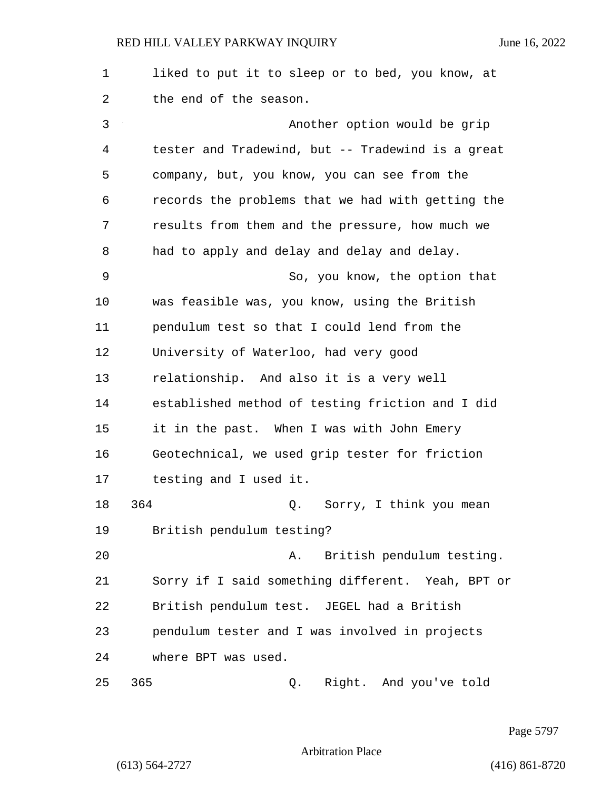1 liked to put it to sleep or to bed, you know, at 2 the end of the season. 3 Another option would be grip 4 tester and Tradewind, but -- Tradewind is a great 5 company, but, you know, you can see from the 6 records the problems that we had with getting the 7 results from them and the pressure, how much we 8 had to apply and delay and delay and delay. 9 So, you know, the option that 10 was feasible was, you know, using the British 11 pendulum test so that I could lend from the 12 University of Waterloo, had very good 13 relationship. And also it is a very well 14 established method of testing friction and I did 15 it in the past. When I was with John Emery 16 Geotechnical, we used grip tester for friction 17 testing and I used it. 18 364 Q. Sorry, I think you mean 19 British pendulum testing? 20 A. British pendulum testing. 21 Sorry if I said something different. Yeah, BPT or 22 British pendulum test. JEGEL had a British 23 pendulum tester and I was involved in projects 24 where BPT was used. 25 365 Q. Right. And you've told

Page 5797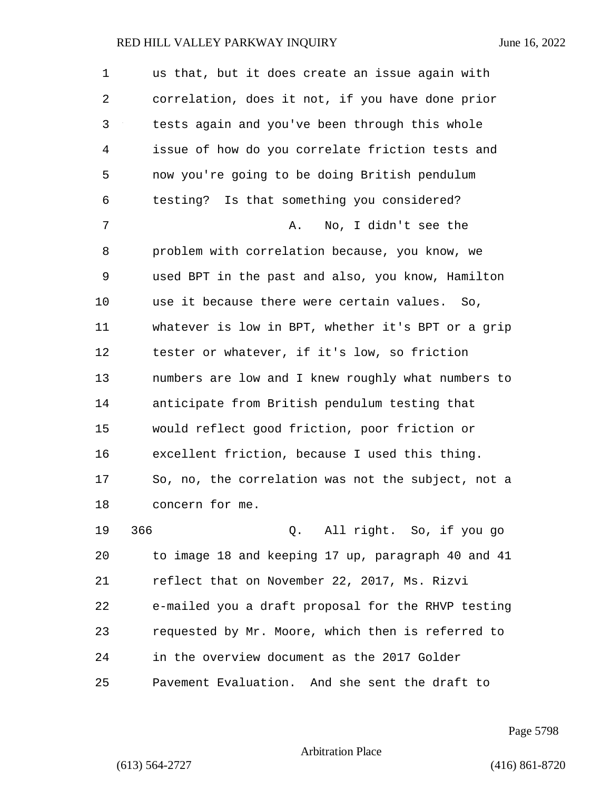1 us that, but it does create an issue again with 2 correlation, does it not, if you have done prior 3 tests again and you've been through this whole 4 issue of how do you correlate friction tests and 5 now you're going to be doing British pendulum 6 testing? Is that something you considered? 7 A. No, I didn't see the 8 problem with correlation because, you know, we 9 used BPT in the past and also, you know, Hamilton 10 use it because there were certain values. So, 11 whatever is low in BPT, whether it's BPT or a grip 12 tester or whatever, if it's low, so friction 13 numbers are low and I knew roughly what numbers to 14 anticipate from British pendulum testing that 15 would reflect good friction, poor friction or 16 excellent friction, because I used this thing. 17 So, no, the correlation was not the subject, not a 18 concern for me. 19 366 Q. All right. So, if you go 20 to image 18 and keeping 17 up, paragraph 40 and 41 21 reflect that on November 22, 2017, Ms. Rizvi 22 e-mailed you a draft proposal for the RHVP testing 23 requested by Mr. Moore, which then is referred to 24 in the overview document as the 2017 Golder

Page 5798

Arbitration Place

25 Pavement Evaluation. And she sent the draft to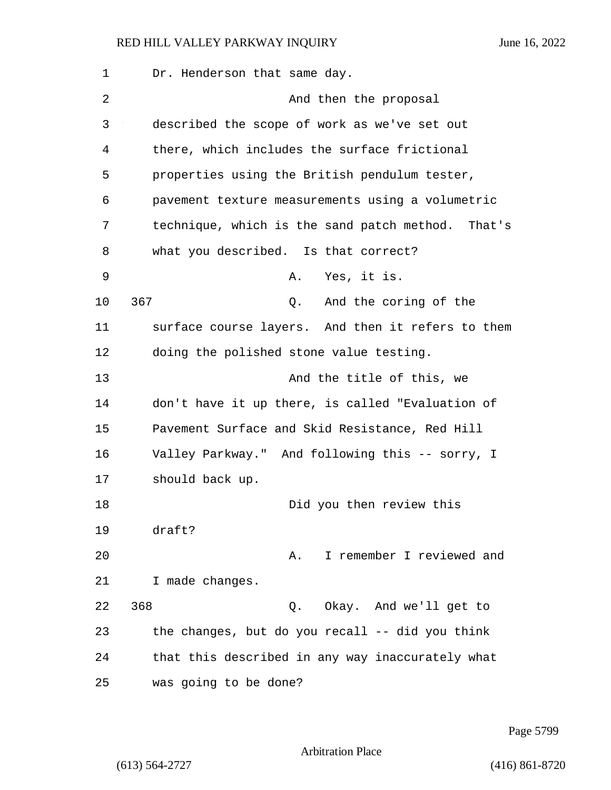| 1  | Dr. Henderson that same day.                      |
|----|---------------------------------------------------|
| 2  | And then the proposal                             |
| 3  | described the scope of work as we've set out      |
| 4  | there, which includes the surface frictional      |
| 5  | properties using the British pendulum tester,     |
| 6  | pavement texture measurements using a volumetric  |
| 7  | technique, which is the sand patch method. That's |
| 8  | what you described. Is that correct?              |
| 9  | Yes, it is.<br>Α.                                 |
| 10 | 367<br>And the coring of the<br>Q.                |
| 11 | surface course layers. And then it refers to them |
| 12 | doing the polished stone value testing.           |
| 13 | And the title of this, we                         |
| 14 | don't have it up there, is called "Evaluation of  |
| 15 | Pavement Surface and Skid Resistance, Red Hill    |
| 16 | Valley Parkway." And following this -- sorry, I   |
| 17 | should back up.                                   |
| 18 | Did you then review this                          |
| 19 | draft?                                            |
| 20 | I remember I reviewed and<br>Α.                   |
| 21 | I made changes.                                   |
| 22 | 368<br>Okay. And we'll get to<br>Q.               |
| 23 | the changes, but do you recall -- did you think   |
| 24 | that this described in any way inaccurately what  |
| 25 | was going to be done?                             |

Page 5799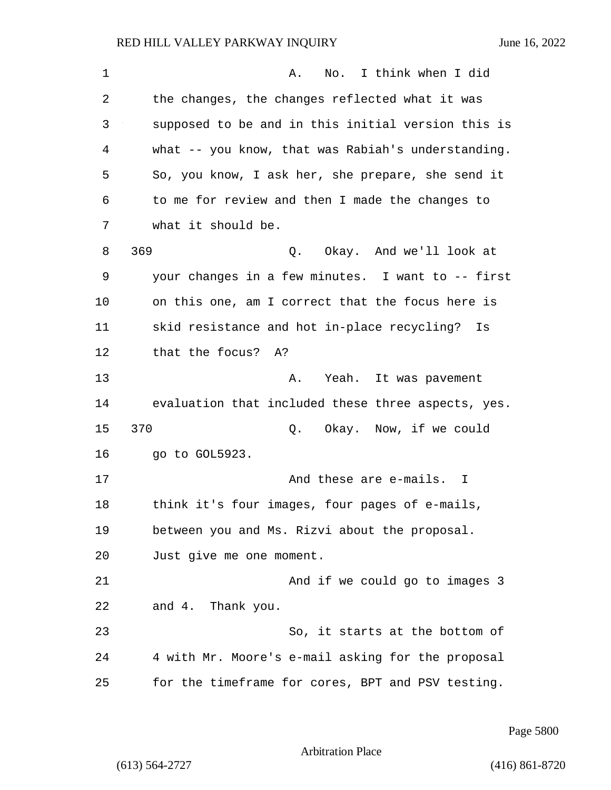| 1              | I think when I did<br>No.<br>Α.                    |
|----------------|----------------------------------------------------|
| 2              | the changes, the changes reflected what it was     |
| 3              | supposed to be and in this initial version this is |
| $\overline{4}$ | what -- you know, that was Rabiah's understanding. |
| 5              | So, you know, I ask her, she prepare, she send it  |
| 6              | to me for review and then I made the changes to    |
| 7              | what it should be.                                 |
| 8              | 369<br>Q. Okay. And we'll look at                  |
| 9              | your changes in a few minutes. I want to -- first  |
| 10             | on this one, am I correct that the focus here is   |
| 11             | skid resistance and hot in-place recycling?<br>Is  |
| 12             | that the focus? A?                                 |
| 13             | Yeah. It was pavement<br>Α.                        |
| 14             | evaluation that included these three aspects, yes. |
| 15             | 370<br>Q. Okay. Now, if we could                   |
| 16             | go to GOL5923.                                     |
| 17             | And these are e-mails. I                           |
| 18             | think it's four images, four pages of e-mails,     |
| 19             | between you and Ms. Rizvi about the proposal.      |
| 20             | Just give me one moment.                           |
| 21             | And if we could go to images 3                     |
| 22             | and 4. Thank you.                                  |
| 23             | So, it starts at the bottom of                     |
| 24             | 4 with Mr. Moore's e-mail asking for the proposal  |
| 25             | for the timeframe for cores, BPT and PSV testing.  |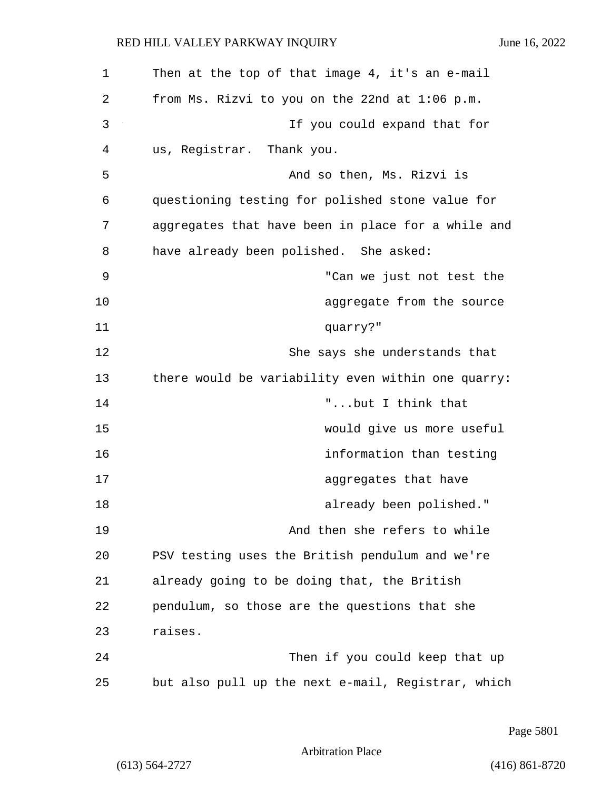| 1  | Then at the top of that image 4, it's an e-mail    |
|----|----------------------------------------------------|
| 2  | from Ms. Rizvi to you on the 22nd at $1:06$ p.m.   |
| 3  | If you could expand that for                       |
| 4  | us, Registrar. Thank you.                          |
| 5  | And so then, Ms. Rizvi is                          |
| 6  | questioning testing for polished stone value for   |
| 7  | aggregates that have been in place for a while and |
| 8  | have already been polished. She asked:             |
| 9  | "Can we just not test the                          |
| 10 | aggregate from the source                          |
| 11 | quarry?"                                           |
| 12 | She says she understands that                      |
| 13 | there would be variability even within one quarry: |
| 14 | "but I think that                                  |
| 15 | would give us more useful                          |
| 16 | information than testing                           |
| 17 | aggregates that have                               |
| 18 | already been polished."                            |
| 19 | And then she refers to while                       |
| 20 | PSV testing uses the British pendulum and we're    |
| 21 | already going to be doing that, the British        |
| 22 | pendulum, so those are the questions that she      |
| 23 | raises.                                            |
| 24 | Then if you could keep that up                     |
| 25 | but also pull up the next e-mail, Registrar, which |

Page 5801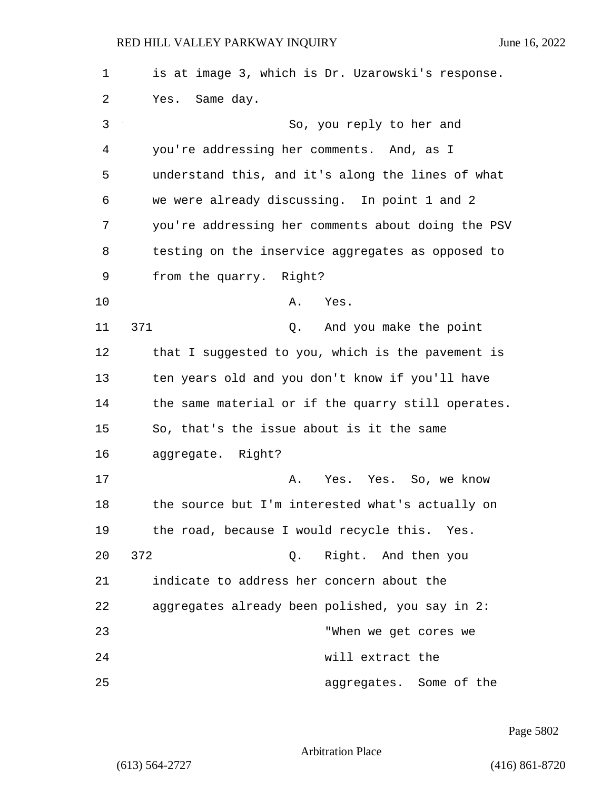| 1  | is at image 3, which is Dr. Uzarowski's response.  |
|----|----------------------------------------------------|
| 2  | Yes. Same day.                                     |
| 3  | So, you reply to her and                           |
| 4  | you're addressing her comments. And, as I          |
| 5  | understand this, and it's along the lines of what  |
| 6  | we were already discussing. In point 1 and 2       |
| 7  | you're addressing her comments about doing the PSV |
| 8  | testing on the inservice aggregates as opposed to  |
| 9  | from the quarry. Right?                            |
| 10 | Α.<br>Yes.                                         |
| 11 | 371<br>And you make the point<br>Q.                |
| 12 | that I suggested to you, which is the pavement is  |
| 13 | ten years old and you don't know if you'll have    |
| 14 | the same material or if the quarry still operates. |
| 15 | So, that's the issue about is it the same          |
| 16 | aggregate. Right?                                  |
| 17 | Yes. Yes. So, we know<br>Α.                        |
| 18 | the source but I'm interested what's actually on   |
| 19 | the road, because I would recycle this. Yes.       |
| 20 | 372<br>Right. And then you<br>Q.                   |
| 21 | indicate to address her concern about the          |
| 22 | aggregates already been polished, you say in 2:    |
| 23 | "When we get cores we                              |
| 24 | will extract the                                   |
| 25 | aggregates. Some of the                            |

Page 5802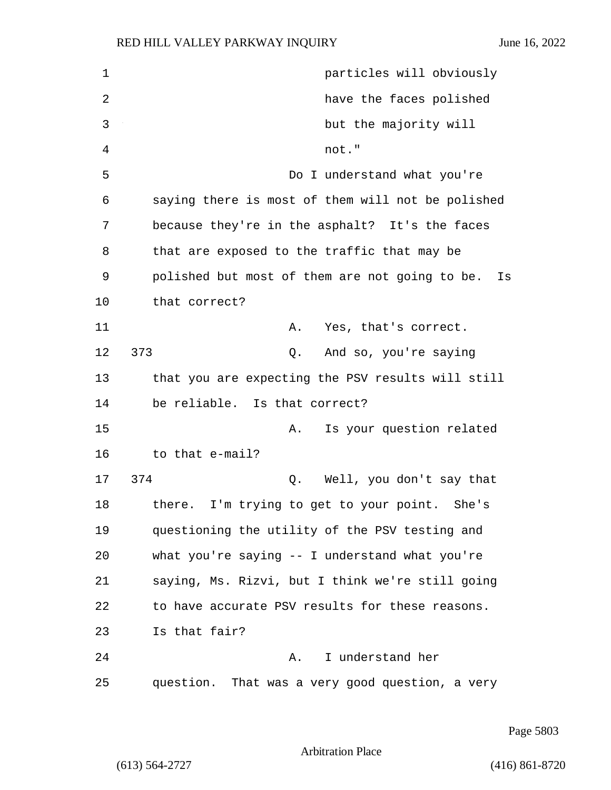| 1  | particles will obviously                             |
|----|------------------------------------------------------|
| 2  | have the faces polished                              |
| 3  | but the majority will                                |
| 4  | not."                                                |
| 5  | Do I understand what you're                          |
| 6  | saying there is most of them will not be polished    |
| 7  | because they're in the asphalt? It's the faces       |
| 8  | that are exposed to the traffic that may be          |
| 9  | polished but most of them are not going to be.<br>Is |
| 10 | that correct?                                        |
| 11 | Yes, that's correct.<br>Α.                           |
| 12 | 373<br>And so, you're saying<br>Q.                   |
| 13 | that you are expecting the PSV results will still    |
| 14 | be reliable. Is that correct?                        |
| 15 | Is your question related<br>Α.                       |
| 16 | to that e-mail?                                      |
| 17 | 374<br>Well, you don't say that<br>Q.                |
| 18 | there. I'm trying to get to your point. She's        |
| 19 | questioning the utility of the PSV testing and       |
| 20 | what you're saying -- I understand what you're       |
| 21 | saying, Ms. Rizvi, but I think we're still going     |
| 22 | to have accurate PSV results for these reasons.      |
| 23 | Is that fair?                                        |
| 24 | I understand her<br>Α.                               |
| 25 | question. That was a very good question, a very      |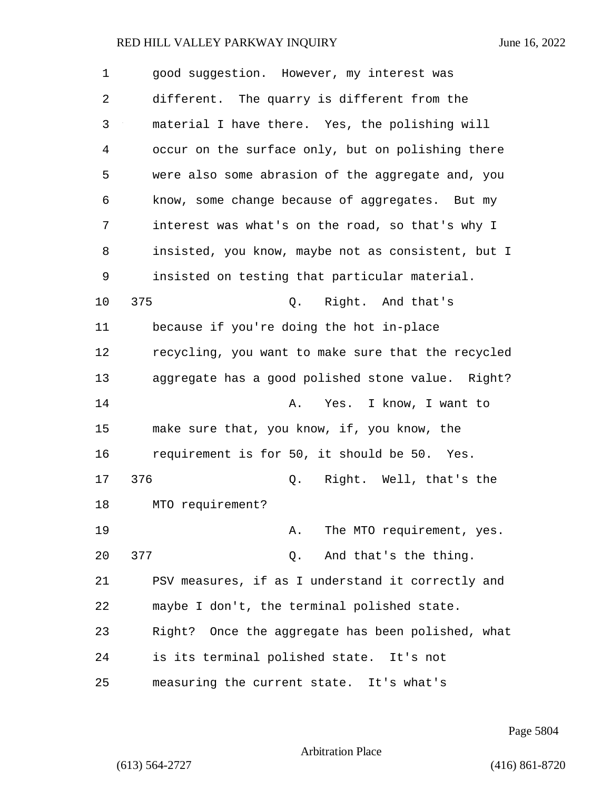| 1  | good suggestion. However, my interest was          |
|----|----------------------------------------------------|
| 2  | different. The quarry is different from the        |
| 3  | material I have there. Yes, the polishing will     |
| 4  | occur on the surface only, but on polishing there  |
| 5  | were also some abrasion of the aggregate and, you  |
| 6  | know, some change because of aggregates. But my    |
| 7  | interest was what's on the road, so that's why I   |
| 8  | insisted, you know, maybe not as consistent, but I |
| 9  | insisted on testing that particular material.      |
| 10 | 375<br>Right. And that's<br>Q.                     |
| 11 | because if you're doing the hot in-place           |
| 12 | recycling, you want to make sure that the recycled |
| 13 | aggregate has a good polished stone value. Right?  |
| 14 | Yes. I know, I want to<br>Α.                       |
| 15 | make sure that, you know, if, you know, the        |
| 16 | requirement is for 50, it should be 50. Yes.       |
| 17 | 376<br>Right. Well, that's the<br>Q.               |
| 18 | MTO requirement?                                   |
| 19 | The MTO requirement, yes.<br>Α.                    |
| 20 | 377<br>Q. And that's the thing.                    |
| 21 | PSV measures, if as I understand it correctly and  |
| 22 | maybe I don't, the terminal polished state.        |
| 23 | Right? Once the aggregate has been polished, what  |
| 24 | is its terminal polished state. It's not           |
| 25 | measuring the current state. It's what's           |

Page 5804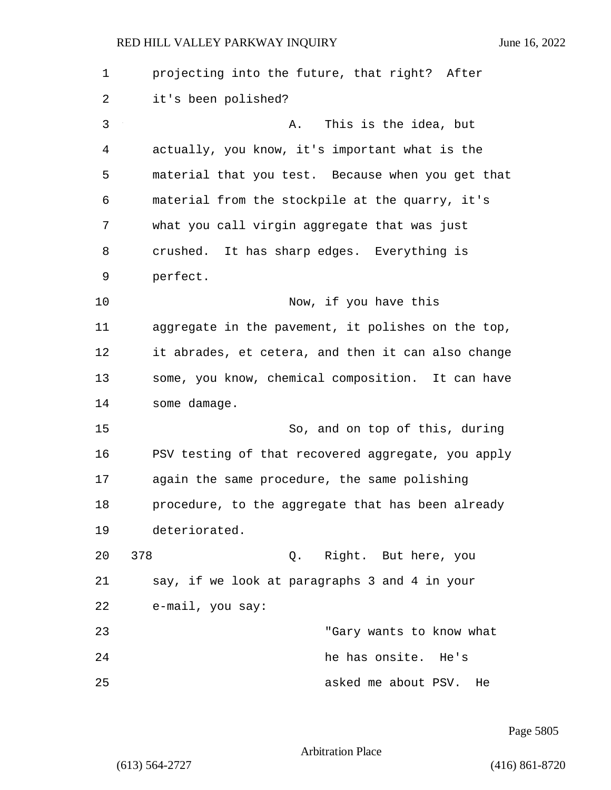| 1  | projecting into the future, that right? After      |
|----|----------------------------------------------------|
| 2  | it's been polished?                                |
| 3  | This is the idea, but<br>Α.                        |
| 4  | actually, you know, it's important what is the     |
| 5  | material that you test. Because when you get that  |
| 6  | material from the stockpile at the quarry, it's    |
| 7  | what you call virgin aggregate that was just       |
| 8  | crushed. It has sharp edges. Everything is         |
| 9  | perfect.                                           |
| 10 | Now, if you have this                              |
| 11 | aggregate in the pavement, it polishes on the top, |
| 12 | it abrades, et cetera, and then it can also change |
| 13 | some, you know, chemical composition. It can have  |
| 14 | some damage.                                       |
| 15 | So, and on top of this, during                     |
| 16 | PSV testing of that recovered aggregate, you apply |
| 17 | again the same procedure, the same polishing       |
| 18 | procedure, to the aggregate that has been already  |
| 19 | deteriorated.                                      |
| 20 | 378<br>Q. Right. But here, you                     |
| 21 | say, if we look at paragraphs 3 and 4 in your      |
| 22 | e-mail, you say:                                   |
| 23 | "Gary wants to know what                           |
| 24 | he has onsite. He's                                |
| 25 | asked me about PSV.<br>He                          |

Page 5805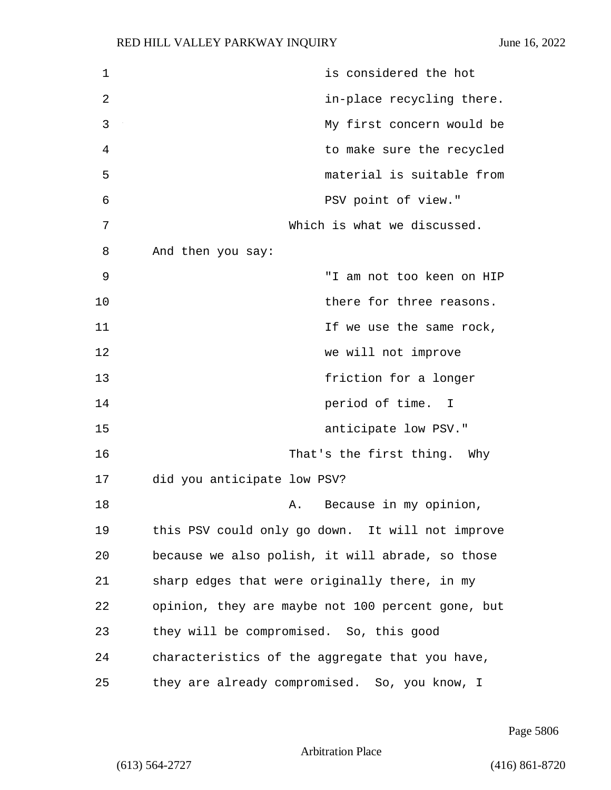| 1  | is considered the hot                             |
|----|---------------------------------------------------|
| 2  | in-place recycling there.                         |
| 3  | My first concern would be                         |
| 4  | to make sure the recycled                         |
| 5  | material is suitable from                         |
| 6  | PSV point of view."                               |
| 7  | Which is what we discussed.                       |
| 8  | And then you say:                                 |
| 9  | "I am not too keen on HIP                         |
| 10 | there for three reasons.                          |
| 11 | If we use the same rock,                          |
| 12 | we will not improve                               |
| 13 | friction for a longer                             |
| 14 | period of time. I                                 |
| 15 | anticipate low PSV."                              |
| 16 | That's the first thing. Why                       |
| 17 | did you anticipate low PSV?                       |
| 18 | A. Because in my opinion,                         |
| 19 | this PSV could only go down. It will not improve  |
| 20 | because we also polish, it will abrade, so those  |
| 21 | sharp edges that were originally there, in my     |
| 22 | opinion, they are maybe not 100 percent gone, but |
| 23 | they will be compromised. So, this good           |
| 24 | characteristics of the aggregate that you have,   |
| 25 | they are already compromised. So, you know, I     |

Page 5806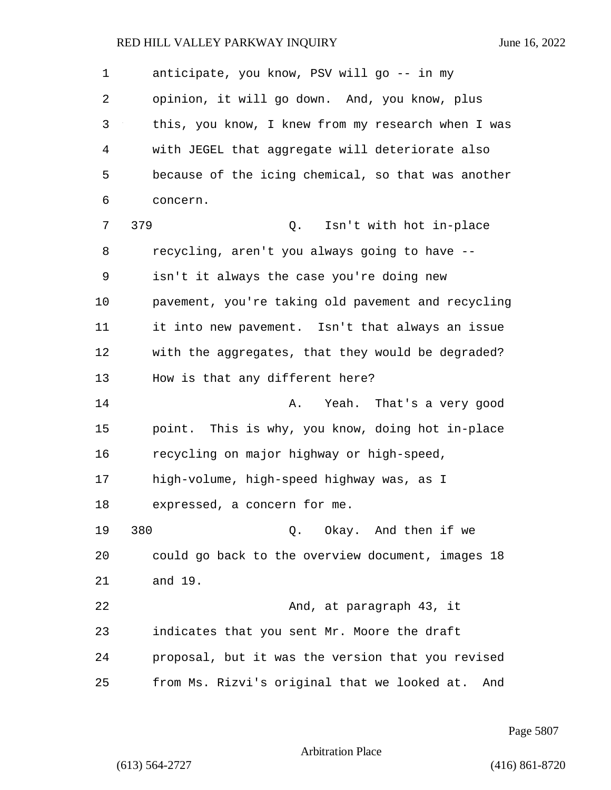1 anticipate, you know, PSV will go -- in my 2 opinion, it will go down. And, you know, plus 3 this, you know, I knew from my research when I was 4 with JEGEL that aggregate will deteriorate also 5 because of the icing chemical, so that was another 6 concern. 7 379 Q. Isn't with hot in-place 8 recycling, aren't you always going to have -- 9 isn't it always the case you're doing new 10 pavement, you're taking old pavement and recycling 11 it into new pavement. Isn't that always an issue 12 with the aggregates, that they would be degraded? 13 How is that any different here? 14 A. Yeah. That's a very good 15 point. This is why, you know, doing hot in-place 16 recycling on major highway or high-speed, 17 high-volume, high-speed highway was, as I 18 expressed, a concern for me. 19 380 Q. Okay. And then if we 20 could go back to the overview document, images 18 21 and 19. 22 And, at paragraph 43, it 23 indicates that you sent Mr. Moore the draft 24 proposal, but it was the version that you revised 25 from Ms. Rizvi's original that we looked at. And

Page 5807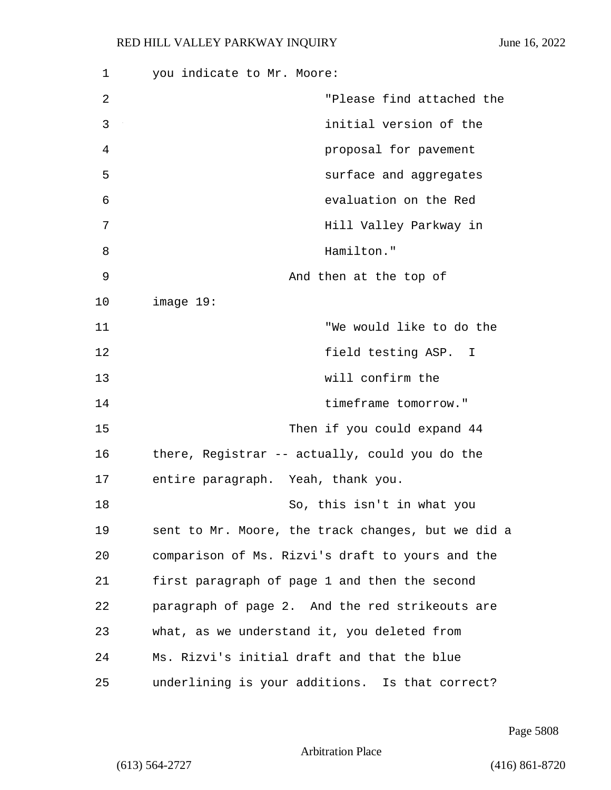| 1  | you indicate to Mr. Moore:                         |
|----|----------------------------------------------------|
| 2  | "Please find attached the                          |
| 3  | initial version of the                             |
| 4  | proposal for pavement                              |
| 5  | surface and aggregates                             |
| 6  | evaluation on the Red                              |
| 7  | Hill Valley Parkway in                             |
| 8  | Hamilton."                                         |
| 9  | And then at the top of                             |
| 10 | image 19:                                          |
| 11 | "We would like to do the                           |
| 12 | field testing ASP. I                               |
| 13 | will confirm the                                   |
| 14 | timeframe tomorrow."                               |
| 15 | Then if you could expand 44                        |
| 16 | there, Registrar -- actually, could you do the     |
| 17 | entire paragraph. Yeah, thank you.                 |
| 18 | So, this isn't in what you                         |
| 19 | sent to Mr. Moore, the track changes, but we did a |
| 20 | comparison of Ms. Rizvi's draft to yours and the   |
| 21 | first paragraph of page 1 and then the second      |
| 22 | paragraph of page 2. And the red strikeouts are    |
| 23 | what, as we understand it, you deleted from        |
| 24 | Ms. Rizvi's initial draft and that the blue        |
| 25 | underlining is your additions. Is that correct?    |

Page 5808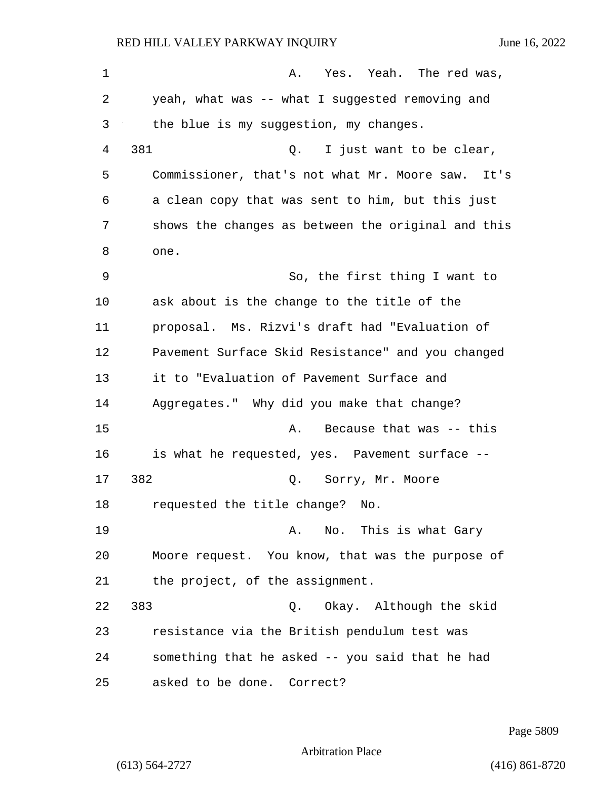1 A. Yes. Yeah. The red was, 2 yeah, what was -- what I suggested removing and 3 the blue is my suggestion, my changes. 4 381 Q. I just want to be clear, 5 Commissioner, that's not what Mr. Moore saw. It's 6 a clean copy that was sent to him, but this just 7 shows the changes as between the original and this 8 one. 9 So, the first thing I want to 10 ask about is the change to the title of the 11 proposal. Ms. Rizvi's draft had "Evaluation of 12 Pavement Surface Skid Resistance" and you changed 13 it to "Evaluation of Pavement Surface and 14 Aggregates." Why did you make that change? 15 A. Because that was -- this 16 is what he requested, yes. Pavement surface -- 17 382 0. Sorry, Mr. Moore 18 requested the title change? No. 19 A. No. This is what Gary 20 Moore request. You know, that was the purpose of 21 the project, of the assignment. 22 383 Q. Okay. Although the skid 23 resistance via the British pendulum test was 24 something that he asked -- you said that he had 25 asked to be done. Correct?

Page 5809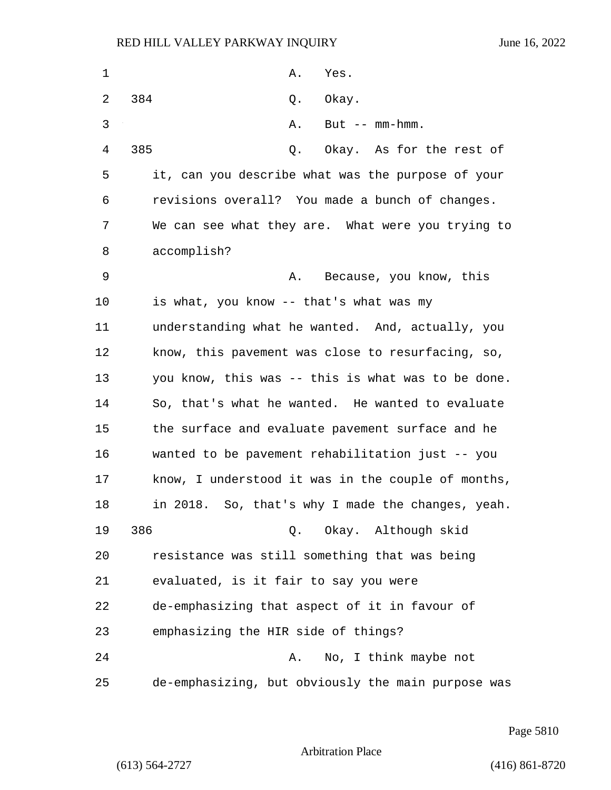| 1  | Α.<br>Yes.                                         |
|----|----------------------------------------------------|
| 2  | 384<br>Okay.<br>Q.                                 |
| 3  | Α.<br>But $--$ mm-hmm.                             |
| 4  | 385<br>Okay. As for the rest of<br>Q.              |
| 5  | it, can you describe what was the purpose of your  |
| 6  | revisions overall? You made a bunch of changes.    |
| 7  | We can see what they are. What were you trying to  |
| 8  | accomplish?                                        |
| 9  | Because, you know, this<br>Α.                      |
| 10 | is what, you know -- that's what was my            |
| 11 | understanding what he wanted. And, actually, you   |
| 12 | know, this pavement was close to resurfacing, so,  |
| 13 | you know, this was -- this is what was to be done. |
| 14 | So, that's what he wanted. He wanted to evaluate   |
| 15 | the surface and evaluate pavement surface and he   |
| 16 | wanted to be pavement rehabilitation just -- you   |
| 17 | know, I understood it was in the couple of months, |
| 18 | in 2018. So, that's why I made the changes, yeah.  |
| 19 | Q. Okay. Although skid<br>386                      |
| 20 | resistance was still something that was being      |
| 21 | evaluated, is it fair to say you were              |
| 22 | de-emphasizing that aspect of it in favour of      |
| 23 | emphasizing the HIR side of things?                |
| 24 | No, I think maybe not<br>Α.                        |
| 25 | de-emphasizing, but obviously the main purpose was |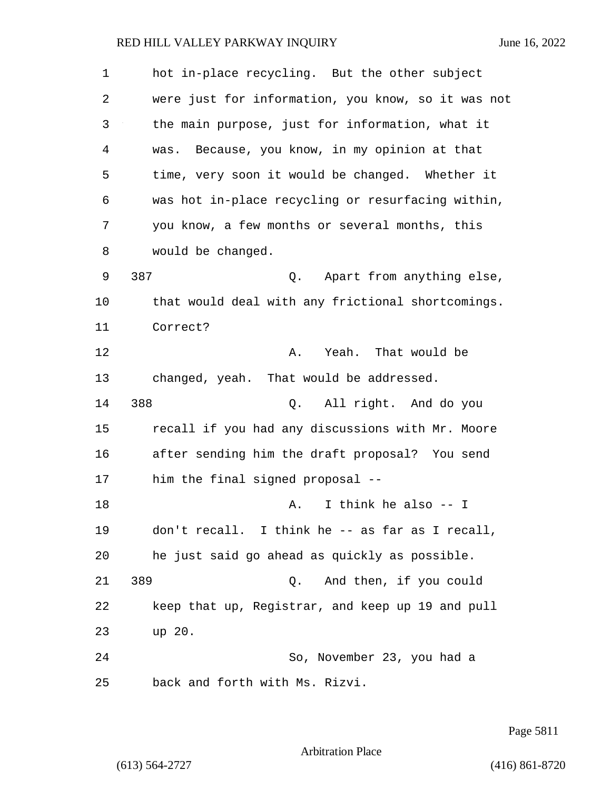| 1              | hot in-place recycling. But the other subject      |
|----------------|----------------------------------------------------|
| $\overline{2}$ | were just for information, you know, so it was not |
| 3              | the main purpose, just for information, what it    |
| 4              | Because, you know, in my opinion at that<br>was.   |
| 5              | time, very soon it would be changed. Whether it    |
| 6              | was hot in-place recycling or resurfacing within,  |
| 7              | you know, a few months or several months, this     |
| 8              | would be changed.                                  |
| 9              | 387<br>Apart from anything else,<br>Q.             |
| 10             | that would deal with any frictional shortcomings.  |
| 11             | Correct?                                           |
| 12             | Yeah. That would be<br>Α.                          |
| 13             | changed, yeah. That would be addressed.            |
| 14             | 388<br>All right. And do you<br>Q.                 |
| 15             | recall if you had any discussions with Mr. Moore   |
| 16             | after sending him the draft proposal? You send     |
| 17             | him the final signed proposal --                   |
| 18             | I think he also -- I<br>Α.                         |
| 19             | don't recall. I think he -- as far as I recall,    |
| 20             | he just said go ahead as quickly as possible.      |
| 21             | 389<br>And then, if you could<br>Q.                |
| 22             | keep that up, Registrar, and keep up 19 and pull   |
| 23             | up 20.                                             |
| 24             | So, November 23, you had a                         |
| 25             | back and forth with Ms. Rizvi.                     |

Page 5811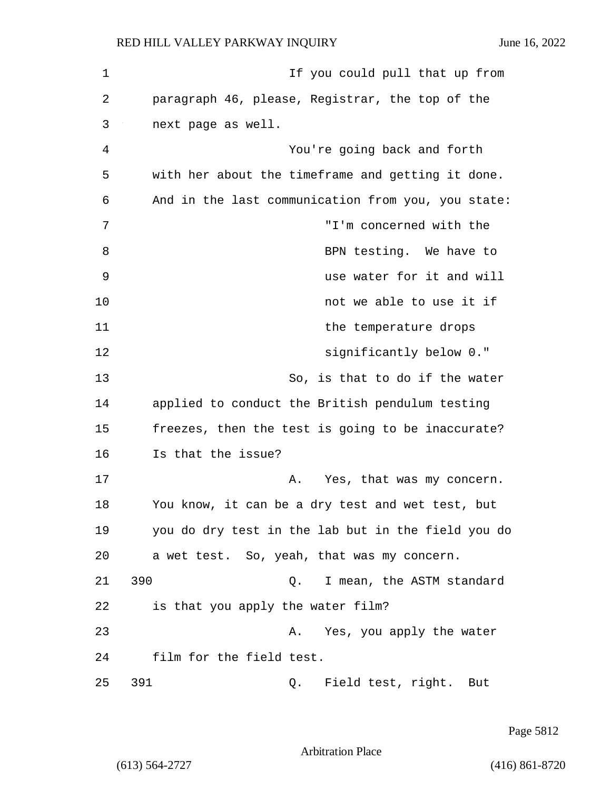| 1  | If you could pull that up from                     |
|----|----------------------------------------------------|
| 2  | paragraph 46, please, Registrar, the top of the    |
| 3  | next page as well.                                 |
| 4  | You're going back and forth                        |
| 5  | with her about the timeframe and getting it done.  |
| 6  | And in the last communication from you, you state: |
| 7  | "I'm concerned with the                            |
| 8  | BPN testing. We have to                            |
| 9  | use water for it and will                          |
| 10 | not we able to use it if                           |
| 11 | the temperature drops                              |
| 12 | significantly below 0."                            |
| 13 | So, is that to do if the water                     |
| 14 | applied to conduct the British pendulum testing    |
| 15 | freezes, then the test is going to be inaccurate?  |
| 16 | Is that the issue?                                 |
| 17 | Yes, that was my concern.<br>Α.                    |
| 18 | You know, it can be a dry test and wet test, but   |
| 19 | you do dry test in the lab but in the field you do |
| 20 | a wet test. So, yeah, that was my concern.         |
| 21 | 390<br>I mean, the ASTM standard<br>Q.             |
| 22 | is that you apply the water film?                  |
| 23 | Yes, you apply the water<br>Α.                     |
| 24 | film for the field test.                           |
| 25 | 391<br>Field test, right. But<br>Q.                |

Page 5812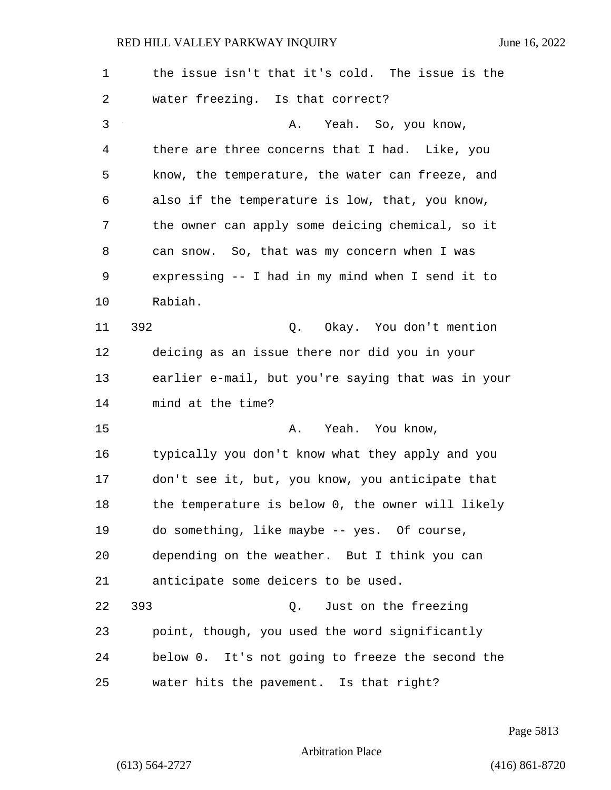| $\mathbf 1$ | the issue isn't that it's cold. The issue is the   |
|-------------|----------------------------------------------------|
| 2           | water freezing. Is that correct?                   |
| 3           | Yeah. So, you know,<br>Α.                          |
| 4           | there are three concerns that I had. Like, you     |
| 5           | know, the temperature, the water can freeze, and   |
| 6           | also if the temperature is low, that, you know,    |
| 7           | the owner can apply some deicing chemical, so it   |
| 8           | can snow. So, that was my concern when I was       |
| 9           | expressing -- I had in my mind when I send it to   |
| 10          | Rabiah.                                            |
| 11          | 392<br>Q. Okay. You don't mention                  |
| 12          | deicing as an issue there nor did you in your      |
| 13          | earlier e-mail, but you're saying that was in your |
| 14          | mind at the time?                                  |
| 15          | Yeah. You know,<br>Α.                              |
| 16          | typically you don't know what they apply and you   |
| 17          | don't see it, but, you know, you anticipate that   |
| 18          | the temperature is below 0, the owner will likely  |
| 19          | do something, like maybe -- yes. Of course,        |
| 20          | depending on the weather. But I think you can      |
| 21          | anticipate some deicers to be used.                |
| 22          | 393<br>Q. Just on the freezing                     |
| 23          | point, though, you used the word significantly     |
| 24          | below 0. It's not going to freeze the second the   |
| 25          | water hits the pavement. Is that right?            |

Page 5813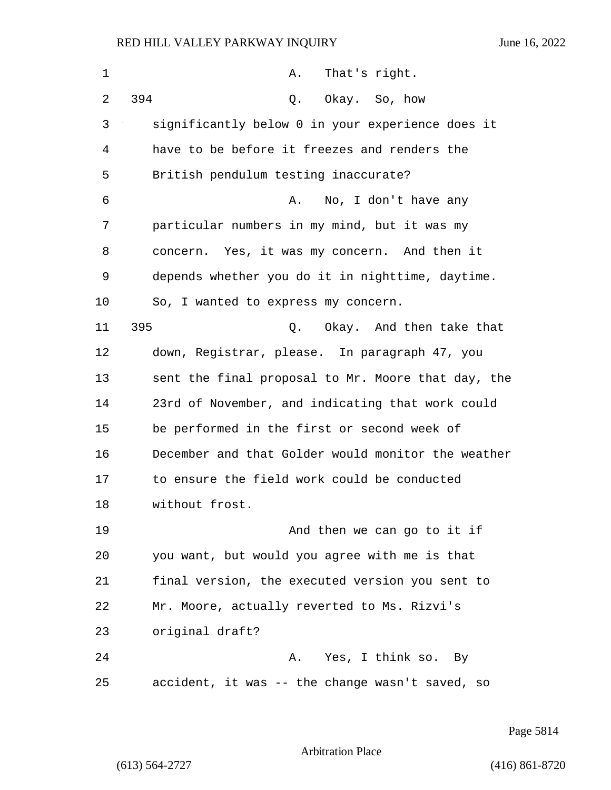| 1  | That's right.<br>Α.                                |
|----|----------------------------------------------------|
| 2  | 394<br>Q.<br>Okay. So, how                         |
| 3  | significantly below 0 in your experience does it   |
| 4  | have to be before it freezes and renders the       |
| 5  | British pendulum testing inaccurate?               |
| 6  | No, I don't have any<br>Α.                         |
| 7  | particular numbers in my mind, but it was my       |
| 8  | concern. Yes, it was my concern. And then it       |
| 9  | depends whether you do it in nighttime, daytime.   |
| 10 | So, I wanted to express my concern.                |
| 11 | 395<br>Q. Okay. And then take that                 |
| 12 | down, Registrar, please. In paragraph 47, you      |
| 13 | sent the final proposal to Mr. Moore that day, the |
| 14 | 23rd of November, and indicating that work could   |
| 15 | be performed in the first or second week of        |
| 16 | December and that Golder would monitor the weather |
| 17 | to ensure the field work could be conducted        |
| 18 | without frost.                                     |
| 19 | And then we can go to it if                        |
| 20 | you want, but would you agree with me is that      |
| 21 | final version, the executed version you sent to    |
| 22 | Mr. Moore, actually reverted to Ms. Rizvi's        |
| 23 | original draft?                                    |
| 24 | Yes, I think so. By<br>Α.                          |
| 25 | accident, it was -- the change wasn't saved, so    |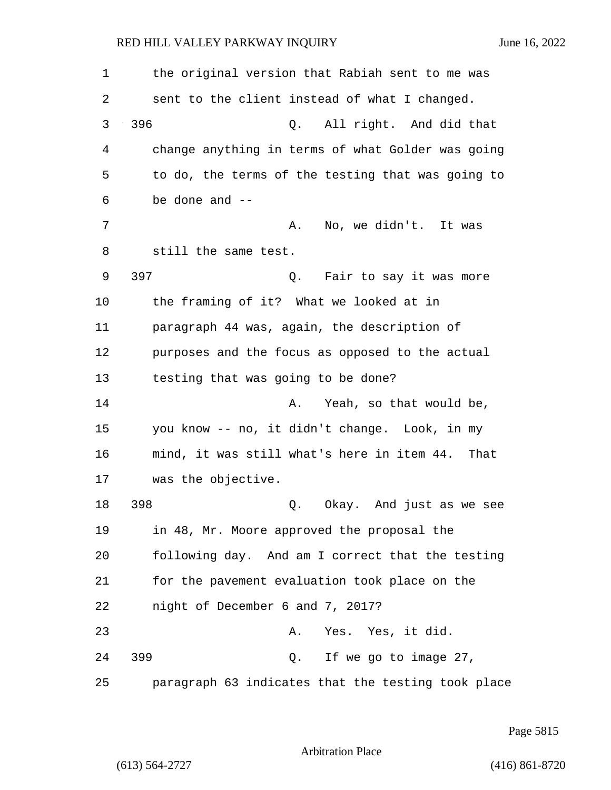| 1  | the original version that Rabiah sent to me was    |
|----|----------------------------------------------------|
| 2  | sent to the client instead of what I changed.      |
| 3  | 396<br>All right. And did that<br>Q.               |
| 4  | change anything in terms of what Golder was going  |
| 5  | to do, the terms of the testing that was going to  |
| 6  | be done and --                                     |
| 7  | A. No, we didn't. It was                           |
| 8  | still the same test.                               |
| 9  | 397<br>Q. Fair to say it was more                  |
| 10 | the framing of it? What we looked at in            |
| 11 | paragraph 44 was, again, the description of        |
| 12 | purposes and the focus as opposed to the actual    |
| 13 | testing that was going to be done?                 |
| 14 | Yeah, so that would be,<br>Α.                      |
| 15 | you know -- no, it didn't change. Look, in my      |
| 16 | mind, it was still what's here in item 44. That    |
| 17 | was the objective.                                 |
| 18 | 398<br>Okay. And just as we see<br>Q.              |
| 19 | in 48, Mr. Moore approved the proposal the         |
| 20 | following day. And am I correct that the testing   |
| 21 | for the pavement evaluation took place on the      |
| 22 | night of December 6 and 7, 2017?                   |
| 23 | Yes. Yes, it did.<br>Α.                            |
| 24 | 399<br>Q. If we go to image 27,                    |
| 25 | paragraph 63 indicates that the testing took place |

Page 5815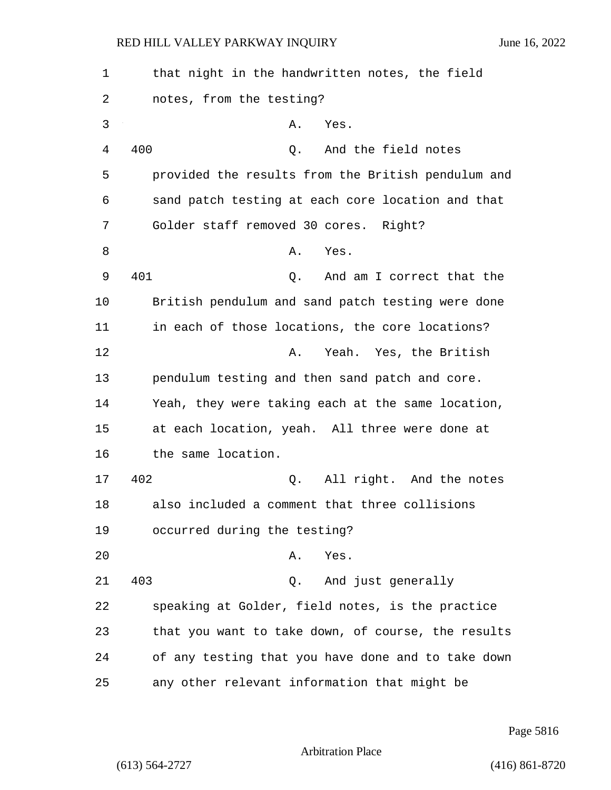| 1  | that night in the handwritten notes, the field     |
|----|----------------------------------------------------|
| 2  | notes, from the testing?                           |
| 3  | Yes.<br>Α.                                         |
| 4  | 400<br>And the field notes<br>Q.                   |
| 5  | provided the results from the British pendulum and |
| 6  | sand patch testing at each core location and that  |
| 7  | Golder staff removed 30 cores. Right?              |
| 8  | Yes.<br>Α.                                         |
| 9  | 401<br>And am I correct that the<br>Q.             |
| 10 | British pendulum and sand patch testing were done  |
| 11 | in each of those locations, the core locations?    |
| 12 | Yeah. Yes, the British<br>Α.                       |
| 13 | pendulum testing and then sand patch and core.     |
| 14 | Yeah, they were taking each at the same location,  |
| 15 | at each location, yeah. All three were done at     |
| 16 | the same location.                                 |
| 17 | 402<br>All right. And the notes<br>Q.              |
| 18 | also included a comment that three collisions      |
| 19 | occurred during the testing?                       |
| 20 | Yes.<br>Α.                                         |
| 21 | 403<br>And just generally<br>Q.                    |
| 22 | speaking at Golder, field notes, is the practice   |
| 23 | that you want to take down, of course, the results |
| 24 | of any testing that you have done and to take down |
| 25 | any other relevant information that might be       |

Page 5816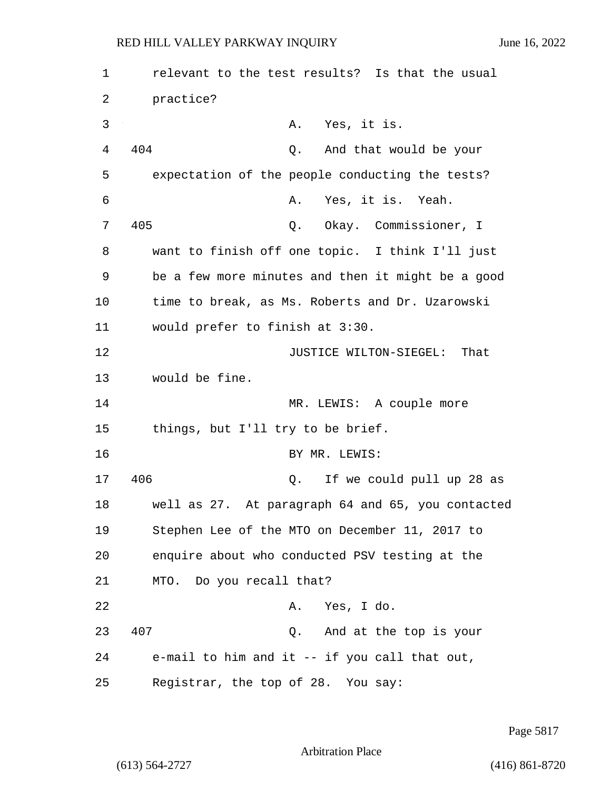1 relevant to the test results? Is that the usual 2 practice? 3 A. Yes, it is. 4 404 Q. And that would be your 5 expectation of the people conducting the tests? 6 A. Yes, it is. Yeah. 7 405 Q. Okay. Commissioner, I 8 want to finish off one topic. I think I'll just 9 be a few more minutes and then it might be a good 10 time to break, as Ms. Roberts and Dr. Uzarowski 11 would prefer to finish at 3:30. 12 **JUSTICE WILTON-SIEGEL:** That 13 would be fine. 14 MR. LEWIS: A couple more 15 things, but I'll try to be brief. 16 BY MR. LEWIS: 17 406 Q. If we could pull up 28 as 18 well as 27. At paragraph 64 and 65, you contacted 19 Stephen Lee of the MTO on December 11, 2017 to 20 enquire about who conducted PSV testing at the 21 MTO. Do you recall that? 22 A. Yes, I do. 23 407 Q. And at the top is your 24 e-mail to him and it -- if you call that out, 25 Registrar, the top of 28. You say:

Page 5817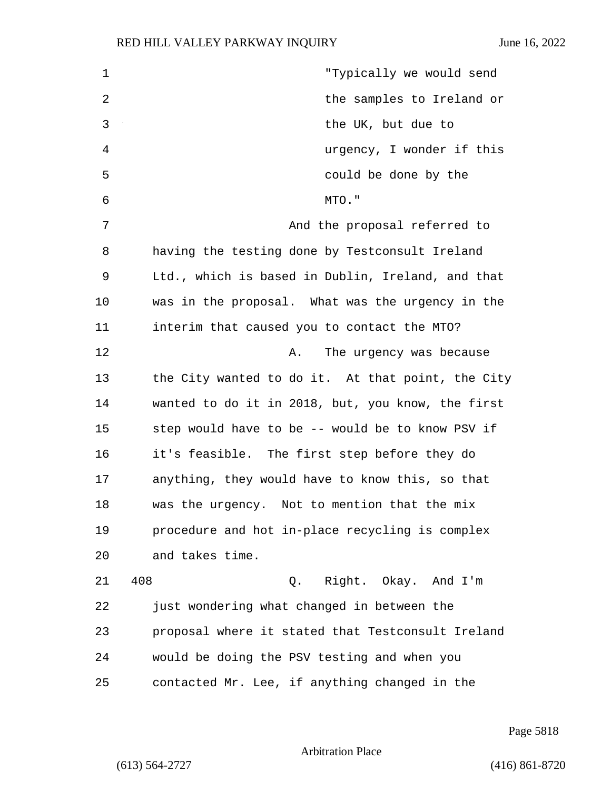| $\mathbf 1$    | "Typically we would send                          |
|----------------|---------------------------------------------------|
| $\overline{2}$ | the samples to Ireland or                         |
| 3              | the UK, but due to                                |
| 4              | urgency, I wonder if this                         |
| 5              | could be done by the                              |
| 6              | MTO."                                             |
| 7              | And the proposal referred to                      |
| 8              | having the testing done by Testconsult Ireland    |
| 9              | Ltd., which is based in Dublin, Ireland, and that |
| 10             | was in the proposal. What was the urgency in the  |
| 11             | interim that caused you to contact the MTO?       |
| 12             | The urgency was because<br>Α.                     |
| 13             | the City wanted to do it. At that point, the City |
| 14             | wanted to do it in 2018, but, you know, the first |
| 15             | step would have to be -- would be to know PSV if  |
| 16             | it's feasible. The first step before they do      |
| 17             | anything, they would have to know this, so that   |
| 18             | was the urgency. Not to mention that the mix      |
| 19             | procedure and hot in-place recycling is complex   |
| 20             | and takes time.                                   |
| 21             | 408<br>Right. Okay. And I'm<br>Q.                 |
| 22             | just wondering what changed in between the        |
| 23             | proposal where it stated that Testconsult Ireland |
| 24             | would be doing the PSV testing and when you       |
| 25             | contacted Mr. Lee, if anything changed in the     |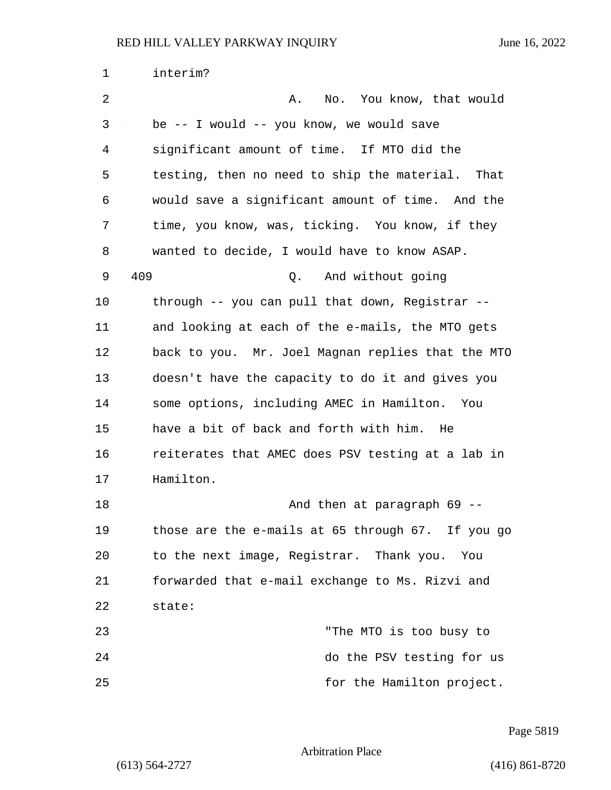| $\mathbf{1}$ | interim?                                          |
|--------------|---------------------------------------------------|
| 2            | No. You know, that would<br>Α.                    |
| 3            | be -- I would -- you know, we would save          |
| 4            | significant amount of time. If MTO did the        |
| 5            | testing, then no need to ship the material. That  |
| 6            | would save a significant amount of time. And the  |
| 7            | time, you know, was, ticking. You know, if they   |
| 8            | wanted to decide, I would have to know ASAP.      |
| 9            | 409<br>And without going<br>Q.                    |
| 10           | through -- you can pull that down, Registrar --   |
| 11           | and looking at each of the e-mails, the MTO gets  |
| 12           | back to you. Mr. Joel Magnan replies that the MTO |
| 13           | doesn't have the capacity to do it and gives you  |
| 14           | some options, including AMEC in Hamilton. You     |
| 15           | have a bit of back and forth with him.<br>He      |
| 16           | reiterates that AMEC does PSV testing at a lab in |
| 17           | Hamilton.                                         |
| 18           | And then at paragraph 69 --                       |
| 19           | those are the e-mails at 65 through 67. If you go |
| 20           | to the next image, Registrar. Thank you. You      |
| 21           | forwarded that e-mail exchange to Ms. Rizvi and   |
| 22           | state:                                            |
| 23           | "The MTO is too busy to                           |
| 24           | do the PSV testing for us                         |
| 25           | for the Hamilton project.                         |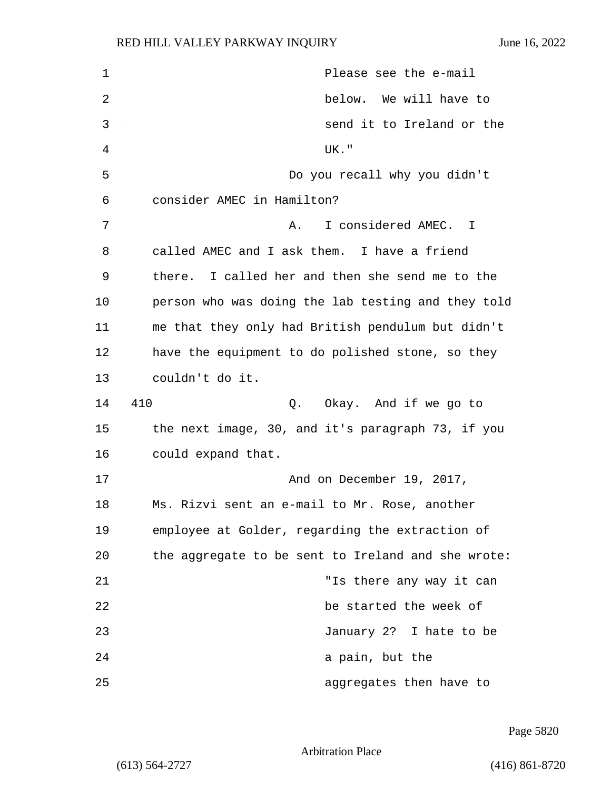| $\mathbf 1$    | Please see the e-mail                              |  |  |  |  |  |  |  |  |  |
|----------------|----------------------------------------------------|--|--|--|--|--|--|--|--|--|
| 2              | below. We will have to                             |  |  |  |  |  |  |  |  |  |
| 3              | send it to Ireland or the                          |  |  |  |  |  |  |  |  |  |
| $\overline{4}$ | UK."                                               |  |  |  |  |  |  |  |  |  |
| 5              | Do you recall why you didn't                       |  |  |  |  |  |  |  |  |  |
| 6              | consider AMEC in Hamilton?                         |  |  |  |  |  |  |  |  |  |
| 7              | I considered AMEC. I<br>Α.                         |  |  |  |  |  |  |  |  |  |
| 8              | called AMEC and I ask them. I have a friend        |  |  |  |  |  |  |  |  |  |
| 9              | there. I called her and then she send me to the    |  |  |  |  |  |  |  |  |  |
| 10             | person who was doing the lab testing and they told |  |  |  |  |  |  |  |  |  |
| 11             | me that they only had British pendulum but didn't  |  |  |  |  |  |  |  |  |  |
| 12             | have the equipment to do polished stone, so they   |  |  |  |  |  |  |  |  |  |
| 13             | couldn't do it.                                    |  |  |  |  |  |  |  |  |  |
| 14             | 410<br>Okay. And if we go to<br>Q.                 |  |  |  |  |  |  |  |  |  |
| 15             | the next image, 30, and it's paragraph 73, if you  |  |  |  |  |  |  |  |  |  |
| 16             | could expand that.                                 |  |  |  |  |  |  |  |  |  |
| 17             | And on December 19, 2017,                          |  |  |  |  |  |  |  |  |  |
| 18             | Ms. Rizvi sent an e-mail to Mr. Rose, another      |  |  |  |  |  |  |  |  |  |
| 19             | employee at Golder, regarding the extraction of    |  |  |  |  |  |  |  |  |  |
| 20             | the aggregate to be sent to Ireland and she wrote: |  |  |  |  |  |  |  |  |  |
| 21             | "Is there any way it can                           |  |  |  |  |  |  |  |  |  |
| 22             | be started the week of                             |  |  |  |  |  |  |  |  |  |
| 23             | January 2? I hate to be                            |  |  |  |  |  |  |  |  |  |
| 24             | a pain, but the                                    |  |  |  |  |  |  |  |  |  |
| 25             | aggregates then have to                            |  |  |  |  |  |  |  |  |  |

Page 5820

Arbitration Place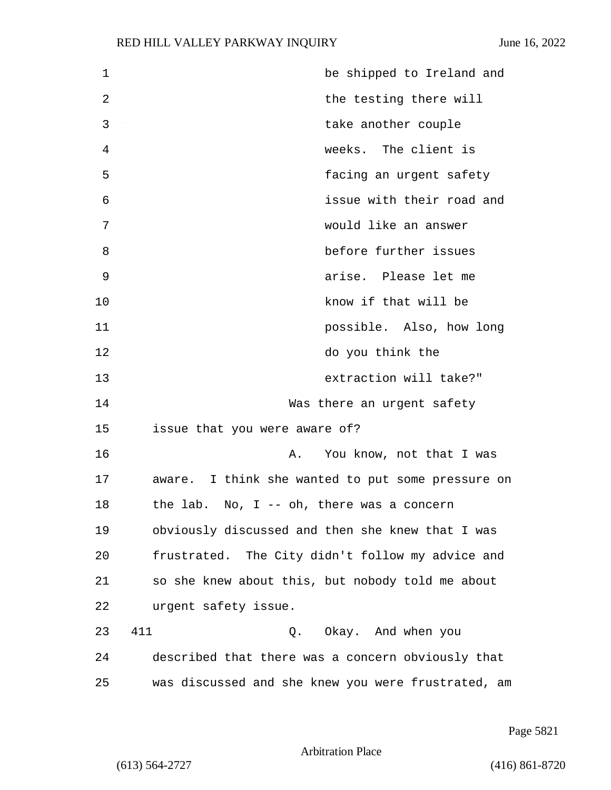## RED HILL VALLEY PARKWAY INQUIRY June 16, 2022

| $\mathbf{1}$ | be shipped to Ireland and                          |
|--------------|----------------------------------------------------|
| 2            | the testing there will                             |
| 3            | take another couple                                |
| 4            | weeks. The client is                               |
| 5            | facing an urgent safety                            |
| 6            | issue with their road and                          |
| 7            | would like an answer                               |
| 8            | before further issues                              |
| 9            | arise. Please let me                               |
| 10           | know if that will be                               |
| 11           | possible. Also, how long                           |
| 12           | do you think the                                   |
| 13           | extraction will take?"                             |
| 14           | Was there an urgent safety                         |
| 15           | issue that you were aware of?                      |
| 16           | You know, not that I was<br>Α.                     |
| 17           | aware. I think she wanted to put some pressure on  |
| 18           | the lab.<br>No, I -- oh, there was a concern       |
| 19           | obviously discussed and then she knew that I was   |
| 20           | frustrated. The City didn't follow my advice and   |
| 21           | so she knew about this, but nobody told me about   |
| 22           | urgent safety issue.                               |
| 23           | 411<br>Q. Okay. And when you                       |
| 24           | described that there was a concern obviously that  |
| 25           | was discussed and she knew you were frustrated, am |

Page 5821

Arbitration Place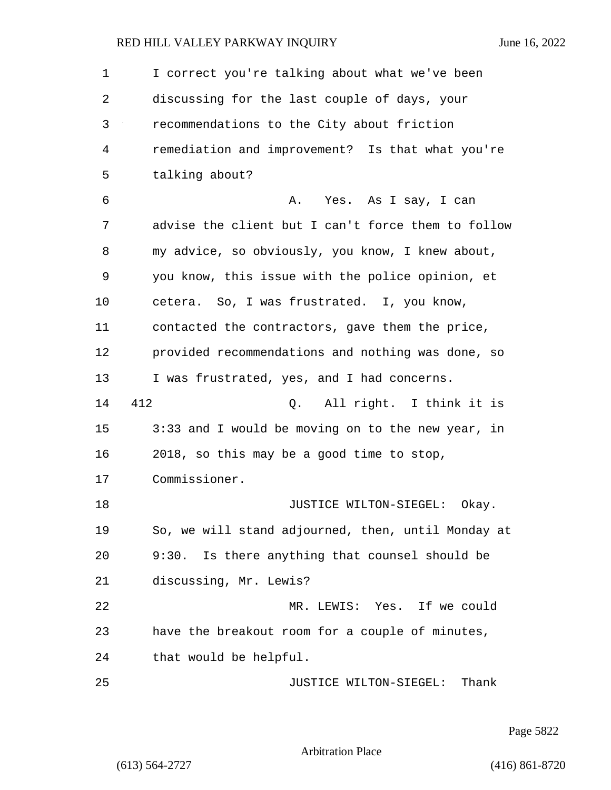## RED HILL VALLEY PARKWAY INQUIRY June 16, 2022

| 1  | I correct you're talking about what we've been     |
|----|----------------------------------------------------|
| 2  | discussing for the last couple of days, your       |
| 3  | recommendations to the City about friction         |
| 4  | remediation and improvement? Is that what you're   |
| 5  | talking about?                                     |
| 6  | Α.<br>Yes. As I say, I can                         |
| 7  | advise the client but I can't force them to follow |
| 8  | my advice, so obviously, you know, I knew about,   |
| 9  | you know, this issue with the police opinion, et   |
| 10 | cetera. So, I was frustrated. I, you know,         |
| 11 | contacted the contractors, gave them the price,    |
| 12 | provided recommendations and nothing was done, so  |
| 13 | I was frustrated, yes, and I had concerns.         |
| 14 | 412<br>All right. I think it is<br>Q.              |
| 15 | 3:33 and I would be moving on to the new year, in  |
| 16 | 2018, so this may be a good time to stop,          |
| 17 | Commissioner.                                      |
| 18 | JUSTICE WILTON-SIEGEL:<br>Okay.                    |
| 19 | So, we will stand adjourned, then, until Monday at |
| 20 | 9:30. Is there anything that counsel should be     |
| 21 | discussing, Mr. Lewis?                             |
| 22 | MR. LEWIS: Yes. If we could                        |
| 23 | have the breakout room for a couple of minutes,    |
| 24 | that would be helpful.                             |
| 25 | JUSTICE WILTON-SIEGEL: Thank                       |

Page 5822

Arbitration Place